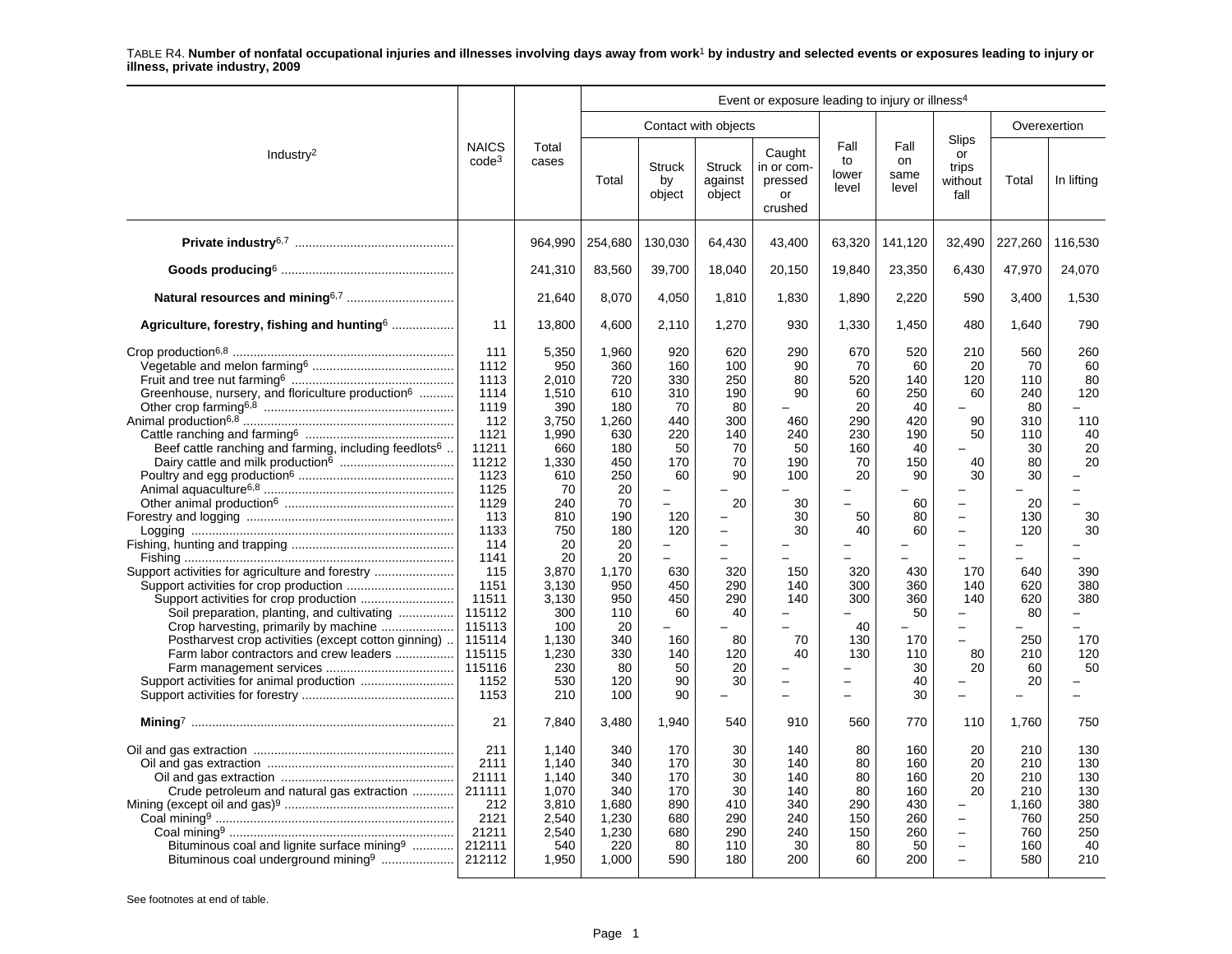|                                                                                                                                                                                                                                                                                                                                                                                 |                                                                                                                                                                                                                      |                                                                                                                                                                                                       |                                                                                                                                                                                    |                                                                                                                                                                                                          |                                                                                                                                                                                                   | Event or exposure leading to injury or illness <sup>4</sup>                                                |                                                                                                                                                                                                               |                                                                                                                                             |                                                                                                                                                                                                                                                         |                                                                                                                                             |                                                                                                                                                                                            |
|---------------------------------------------------------------------------------------------------------------------------------------------------------------------------------------------------------------------------------------------------------------------------------------------------------------------------------------------------------------------------------|----------------------------------------------------------------------------------------------------------------------------------------------------------------------------------------------------------------------|-------------------------------------------------------------------------------------------------------------------------------------------------------------------------------------------------------|------------------------------------------------------------------------------------------------------------------------------------------------------------------------------------|----------------------------------------------------------------------------------------------------------------------------------------------------------------------------------------------------------|---------------------------------------------------------------------------------------------------------------------------------------------------------------------------------------------------|------------------------------------------------------------------------------------------------------------|---------------------------------------------------------------------------------------------------------------------------------------------------------------------------------------------------------------|---------------------------------------------------------------------------------------------------------------------------------------------|---------------------------------------------------------------------------------------------------------------------------------------------------------------------------------------------------------------------------------------------------------|---------------------------------------------------------------------------------------------------------------------------------------------|--------------------------------------------------------------------------------------------------------------------------------------------------------------------------------------------|
|                                                                                                                                                                                                                                                                                                                                                                                 |                                                                                                                                                                                                                      |                                                                                                                                                                                                       |                                                                                                                                                                                    |                                                                                                                                                                                                          | Contact with objects                                                                                                                                                                              |                                                                                                            |                                                                                                                                                                                                               |                                                                                                                                             |                                                                                                                                                                                                                                                         |                                                                                                                                             | Overexertion                                                                                                                                                                               |
| Industry <sup>2</sup>                                                                                                                                                                                                                                                                                                                                                           | <b>NAICS</b><br>$code^3$                                                                                                                                                                                             | Total<br>cases                                                                                                                                                                                        | Total                                                                                                                                                                              | <b>Struck</b><br>by<br>object                                                                                                                                                                            | <b>Struck</b><br>against<br>object                                                                                                                                                                | Caught<br>in or com-<br>pressed<br>or<br>crushed                                                           | Fall<br>to<br>lower<br>level                                                                                                                                                                                  | Fall<br>on<br>same<br>level                                                                                                                 | Slips<br>or<br>trips<br>without<br>fall                                                                                                                                                                                                                 | Total                                                                                                                                       | In lifting                                                                                                                                                                                 |
|                                                                                                                                                                                                                                                                                                                                                                                 |                                                                                                                                                                                                                      | 964.990                                                                                                                                                                                               | 254,680                                                                                                                                                                            | 130,030                                                                                                                                                                                                  | 64,430                                                                                                                                                                                            | 43,400                                                                                                     | 63,320                                                                                                                                                                                                        | 141,120                                                                                                                                     | 32,490                                                                                                                                                                                                                                                  | 227,260                                                                                                                                     | 116.530                                                                                                                                                                                    |
|                                                                                                                                                                                                                                                                                                                                                                                 |                                                                                                                                                                                                                      | 241,310                                                                                                                                                                                               | 83,560                                                                                                                                                                             | 39,700                                                                                                                                                                                                   | 18,040                                                                                                                                                                                            | 20,150                                                                                                     | 19,840                                                                                                                                                                                                        | 23,350                                                                                                                                      | 6,430                                                                                                                                                                                                                                                   | 47,970                                                                                                                                      | 24,070                                                                                                                                                                                     |
|                                                                                                                                                                                                                                                                                                                                                                                 |                                                                                                                                                                                                                      | 21,640                                                                                                                                                                                                | 8,070                                                                                                                                                                              | 4,050                                                                                                                                                                                                    | 1,810                                                                                                                                                                                             | 1,830                                                                                                      | 1,890                                                                                                                                                                                                         | 2,220                                                                                                                                       | 590                                                                                                                                                                                                                                                     | 3,400                                                                                                                                       | 1,530                                                                                                                                                                                      |
| Agriculture, forestry, fishing and hunting merodoman-                                                                                                                                                                                                                                                                                                                           | 11                                                                                                                                                                                                                   | 13,800                                                                                                                                                                                                | 4,600                                                                                                                                                                              | 2,110                                                                                                                                                                                                    | 1,270                                                                                                                                                                                             | 930                                                                                                        | 1,330                                                                                                                                                                                                         | 1,450                                                                                                                                       | 480                                                                                                                                                                                                                                                     | 1,640                                                                                                                                       | 790                                                                                                                                                                                        |
| Greenhouse, nursery, and floriculture production <sup>6</sup><br>Beef cattle ranching and farming, including feedlots <sup>6</sup><br>Support activities for agriculture and forestry<br>Soil preparation, planting, and cultivating<br>Crop harvesting, primarily by machine<br>Postharvest crop activities (except cotton ginning)<br>Farm labor contractors and crew leaders | 111<br>1112<br>1113<br>1114<br>1119<br>112<br>1121<br>11211<br>11212<br>1123<br>1125<br>1129<br>113<br>1133<br>114<br>1141<br>115<br>1151<br>11511<br>115112<br>115113<br>115114<br>115115<br>115116<br>1152<br>1153 | 5,350<br>950<br>2,010<br>1,510<br>390<br>3,750<br>1,990<br>660<br>1,330<br>610<br>70<br>240<br>810<br>750<br>20<br>20<br>3,870<br>3,130<br>3,130<br>300<br>100<br>1,130<br>1,230<br>230<br>530<br>210 | 1,960<br>360<br>720<br>610<br>180<br>1,260<br>630<br>180<br>450<br>250<br>20<br>70<br>190<br>180<br>20<br>20<br>1,170<br>950<br>950<br>110<br>20<br>340<br>330<br>80<br>120<br>100 | 920<br>160<br>330<br>310<br>70<br>440<br>220<br>50<br>170<br>60<br>$\equiv$<br>$\equiv$<br>120<br>120<br>$\overline{\phantom{0}}$<br>$\equiv$<br>630<br>450<br>450<br>60<br>160<br>140<br>50<br>90<br>90 | 620<br>100<br>250<br>190<br>80<br>300<br>140<br>70<br>70<br>90<br>20<br>$\overline{\phantom{0}}$<br>$\frac{1}{2}$<br>320<br>290<br>290<br>40<br>80<br>120<br>20<br>30<br>$\overline{\phantom{a}}$ | 290<br>90<br>80<br>90<br>460<br>240<br>50<br>190<br>100<br>30<br>30<br>30<br>150<br>140<br>140<br>70<br>40 | 670<br>70<br>520<br>60<br>20<br>290<br>230<br>160<br>70<br>20<br>$\overline{a}$<br>50<br>40<br>$\equiv$<br>320<br>300<br>300<br>40<br>130<br>130<br>-<br>$\overline{\phantom{0}}$<br>$\overline{\phantom{0}}$ | 520<br>60<br>140<br>250<br>40<br>420<br>190<br>40<br>150<br>90<br>60<br>80<br>60<br>430<br>360<br>360<br>50<br>170<br>110<br>30<br>40<br>30 | 210<br>20<br>120<br>60<br>90<br>50<br>40<br>30<br>$\overline{\phantom{m}}$<br>$\overline{\phantom{0}}$<br>$\overline{\phantom{0}}$<br>170<br>140<br>140<br>$\overline{\phantom{0}}$<br>80<br>20<br>$\overline{\phantom{0}}$<br>$\overline{\phantom{0}}$ | 560<br>70<br>110<br>240<br>80<br>310<br>110<br>30<br>80<br>30<br>20<br>130<br>120<br>-<br>640<br>620<br>620<br>80<br>250<br>210<br>60<br>20 | 260<br>60<br>80<br>120<br>$\overline{\phantom{0}}$<br>110<br>40<br>20<br>20<br>$\equiv$<br>$\equiv$<br>30<br>30<br>390<br>380<br>380<br>Ξ.<br>$\overline{\phantom{0}}$<br>170<br>120<br>50 |
|                                                                                                                                                                                                                                                                                                                                                                                 | 21                                                                                                                                                                                                                   | 7,840                                                                                                                                                                                                 | 3,480                                                                                                                                                                              | 1.940                                                                                                                                                                                                    | 540                                                                                                                                                                                               | 910                                                                                                        | 560                                                                                                                                                                                                           | 770                                                                                                                                         | 110                                                                                                                                                                                                                                                     | 1,760                                                                                                                                       | 750                                                                                                                                                                                        |
| Crude petroleum and natural gas extraction<br>Bituminous coal and lignite surface mining <sup>9</sup><br>Bituminous coal underground mining <sup>9</sup>                                                                                                                                                                                                                        | 211<br>2111<br>21111<br>211111<br>212<br>2121<br>21211<br>212111<br>212112                                                                                                                                           | 1,140<br>1,140<br>1,140<br>1,070<br>3,810<br>2,540<br>2,540<br>540<br>1,950                                                                                                                           | 340<br>340<br>340<br>340<br>1,680<br>1,230<br>1,230<br>220<br>1,000                                                                                                                | 170<br>170<br>170<br>170<br>890<br>680<br>680<br>80<br>590                                                                                                                                               | 30<br>30<br>30<br>30<br>410<br>290<br>290<br>110<br>180                                                                                                                                           | 140<br>140<br>140<br>140<br>340<br>240<br>240<br>30<br>200                                                 | 80<br>80<br>80<br>80<br>290<br>150<br>150<br>80<br>60                                                                                                                                                         | 160<br>160<br>160<br>160<br>430<br>260<br>260<br>50<br>200                                                                                  | 20<br>20<br>20<br>20<br>$\overline{\phantom{0}}$<br>$\equiv$<br>$\overline{\phantom{0}}$<br>$\overline{\phantom{0}}$                                                                                                                                    | 210<br>210<br>210<br>210<br>1,160<br>760<br>760<br>160<br>580                                                                               | 130<br>130<br>130<br>130<br>380<br>250<br>250<br>40<br>210                                                                                                                                 |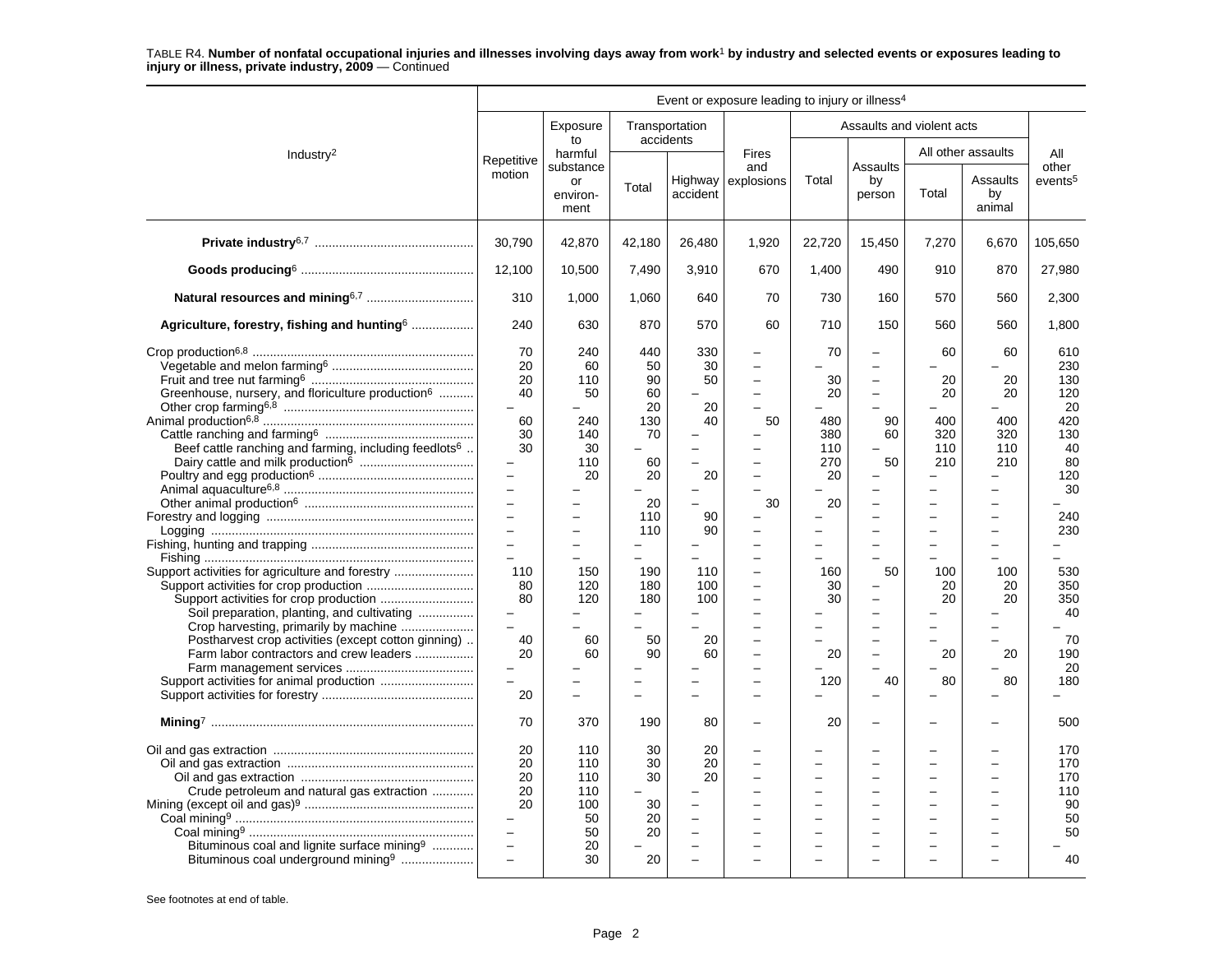|                                                                                                                                                          | Event or exposure leading to injury or illness <sup>4</sup>                       |                                                         |                                        |                                      |                                            |                                                                                                                  |                                                                                        |                       |                                                  |                                                  |
|----------------------------------------------------------------------------------------------------------------------------------------------------------|-----------------------------------------------------------------------------------|---------------------------------------------------------|----------------------------------------|--------------------------------------|--------------------------------------------|------------------------------------------------------------------------------------------------------------------|----------------------------------------------------------------------------------------|-----------------------|--------------------------------------------------|--------------------------------------------------|
|                                                                                                                                                          |                                                                                   | Exposure<br>to                                          |                                        | Transportation<br>accidents          |                                            |                                                                                                                  | Assaults and violent acts                                                              |                       |                                                  |                                                  |
| Industry <sup>2</sup>                                                                                                                                    | Repetitive                                                                        | harmful<br>substance                                    |                                        |                                      | Fires<br>and                               |                                                                                                                  | Assaults                                                                               |                       | All other assaults                               | All<br>other                                     |
|                                                                                                                                                          | motion                                                                            | or<br>environ-<br>ment                                  | Total                                  | Highway<br>accident                  | explosions                                 | Total                                                                                                            | by<br>person                                                                           | Total                 | Assaults<br>by<br>animal                         | events <sup>5</sup>                              |
|                                                                                                                                                          | 30,790                                                                            | 42,870                                                  | 42,180                                 | 26,480                               | 1,920                                      | 22,720                                                                                                           | 15,450                                                                                 | 7,270                 | 6,670                                            | 105,650                                          |
|                                                                                                                                                          | 12,100                                                                            | 10,500                                                  | 7,490                                  | 3,910                                | 670                                        | 1,400                                                                                                            | 490                                                                                    | 910                   | 870                                              | 27,980                                           |
| Natural resources and mining <sup>6,7</sup>                                                                                                              | 310                                                                               | 1,000                                                   | 1.060                                  | 640                                  | 70                                         | 730                                                                                                              | 160                                                                                    | 570                   | 560                                              | 2,300                                            |
| Agriculture, forestry, fishing and hunting <sup>6</sup>                                                                                                  | 240                                                                               | 630                                                     | 870                                    | 570                                  | 60                                         | 710                                                                                                              | 150                                                                                    | 560                   | 560                                              | 1,800                                            |
| Greenhouse, nursery, and floriculture production <sup>6</sup>                                                                                            | 70<br>20<br>20<br>40<br>$\overline{\phantom{0}}$<br>60                            | 240<br>60<br>110<br>50<br>240                           | 440<br>50<br>90<br>60<br>20<br>130     | 330<br>30<br>50<br>20<br>40          | $\equiv$<br>$\overline{a}$<br>50           | 70<br>30<br>20<br>480                                                                                            | $\overline{a}$<br>$\overline{a}$<br>$\overline{\phantom{0}}$<br>$\overline{a}$<br>90   | 60<br>20<br>20<br>400 | 60<br>20<br>20<br>400                            | 610<br>230<br>130<br>120<br>20<br>420            |
| Beef cattle ranching and farming, including feedlots <sup>6</sup>                                                                                        | 30<br>30<br>$\qquad \qquad -$<br>$\equiv$<br>$\equiv$<br>$\overline{\phantom{0}}$ | 140<br>30<br>110<br>20                                  | 70<br>60<br>20<br>20                   | $\equiv$<br>20                       | 30                                         | 380<br>110<br>270<br>20<br>20                                                                                    | 60<br>$\overline{a}$<br>50                                                             | 320<br>110<br>210     | 320<br>110<br>210                                | 130<br>40<br>80<br>120<br>30                     |
|                                                                                                                                                          | $\equiv$<br>$\overline{a}$<br>$\qquad \qquad -$<br>$\overline{\phantom{0}}$       | $\equiv$                                                | 110<br>110                             | 90<br>90                             |                                            | $\equiv$<br>-                                                                                                    | $\equiv$<br>$\equiv$                                                                   |                       | $\equiv$<br>$\equiv$                             | 240<br>230                                       |
| Support activities for agriculture and forestry<br>Soil preparation, planting, and cultivating                                                           | 110<br>80<br>80<br>$\overline{\phantom{0}}$<br>$\equiv$                           | 150<br>120<br>120                                       | 190<br>180<br>180                      | 110<br>100<br>100                    | $\overline{\phantom{0}}$<br>$\overline{a}$ | 160<br>30<br>30<br>$\overline{\phantom{0}}$                                                                      | 50<br>$\overline{\phantom{0}}$<br>$\overline{\phantom{0}}$<br>$\overline{\phantom{0}}$ | 100<br>20<br>20       | 100<br>20<br>20                                  | 530<br>350<br>350<br>40                          |
| Postharvest crop activities (except cotton ginning)<br>Farm labor contractors and crew leaders                                                           | 40<br>20<br>$\overline{a}$<br>20                                                  | 60<br>60                                                | 50<br>90<br>$\equiv$                   | 20<br>60                             |                                            | 20<br>120                                                                                                        | $\overline{\phantom{0}}$<br>$\overline{a}$<br>÷<br>40                                  | 20<br>80              | 20<br>80                                         | 70<br>190<br>20<br>180                           |
|                                                                                                                                                          | 70                                                                                | 370                                                     | 190                                    | 80                                   |                                            | 20                                                                                                               |                                                                                        |                       |                                                  | 500                                              |
| Crude petroleum and natural gas extraction<br>Bituminous coal and lignite surface mining <sup>9</sup><br>Bituminous coal underground mining <sup>9</sup> | 20<br>20<br>20<br>20<br>20<br>$\equiv$<br>$\equiv$<br>$\overline{a}$              | 110<br>110<br>110<br>110<br>100<br>50<br>50<br>20<br>30 | 30<br>30<br>30<br>30<br>20<br>20<br>20 | 20<br>20<br>20<br>$\sim$<br>$\equiv$ |                                            | $\overline{a}$<br>$\overline{\phantom{0}}$<br>$\equiv$<br>$\overline{\phantom{0}}$<br>$\overline{a}$<br>$\equiv$ | $\overline{\phantom{0}}$<br>÷<br>$\equiv$<br>-<br>$\overline{\phantom{0}}$<br>$\equiv$ | L.                    | $\overline{\phantom{0}}$<br>$\equiv$<br>$\equiv$ | 170<br>170<br>170<br>110<br>90<br>50<br>50<br>40 |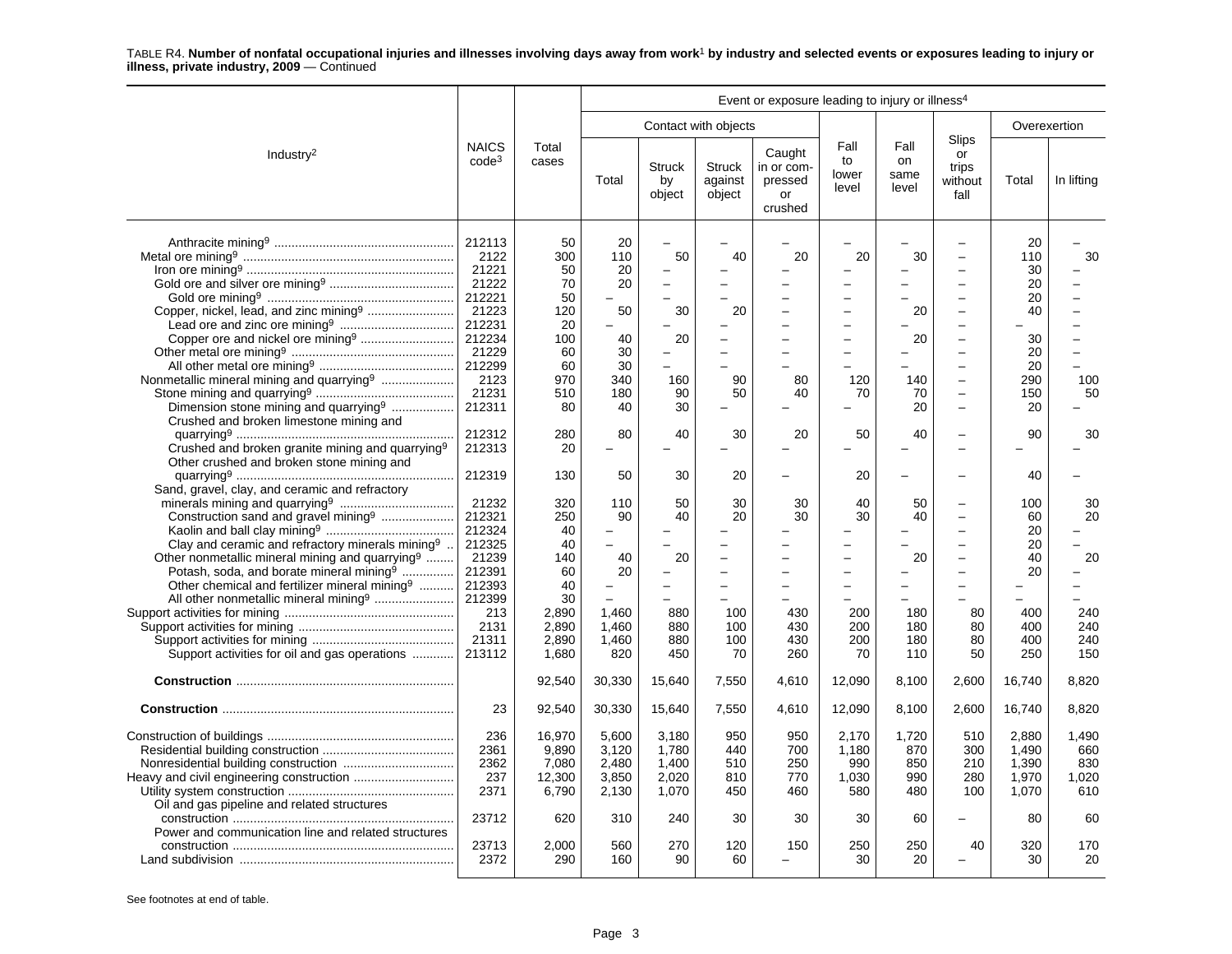|                                                                                                                                                                                                                                         |                                                                                                                       |                                                                                 |                                                                   |                                                                           |                                                         | Event or exposure leading to injury or illness <sup>4</sup> |                                                 |                                                      |                                                                                                                                                                                                                                    |                                                                         |                                     |
|-----------------------------------------------------------------------------------------------------------------------------------------------------------------------------------------------------------------------------------------|-----------------------------------------------------------------------------------------------------------------------|---------------------------------------------------------------------------------|-------------------------------------------------------------------|---------------------------------------------------------------------------|---------------------------------------------------------|-------------------------------------------------------------|-------------------------------------------------|------------------------------------------------------|------------------------------------------------------------------------------------------------------------------------------------------------------------------------------------------------------------------------------------|-------------------------------------------------------------------------|-------------------------------------|
|                                                                                                                                                                                                                                         |                                                                                                                       |                                                                                 |                                                                   |                                                                           | Contact with objects                                    |                                                             |                                                 |                                                      |                                                                                                                                                                                                                                    | Overexertion                                                            |                                     |
| Industry <sup>2</sup>                                                                                                                                                                                                                   | <b>NAICS</b><br>$code^3$                                                                                              | Total<br>cases                                                                  | Total                                                             | <b>Struck</b><br>by<br>object                                             | <b>Struck</b><br>against<br>object                      | Caught<br>in or com-<br>pressed<br>or<br>crushed            | Fall<br>to<br>lower<br>level                    | Fall<br>on<br>same<br>level                          | Slips<br>or<br>trips<br>without<br>fall                                                                                                                                                                                            | Total                                                                   | In lifting                          |
| Copper, nickel, lead, and zinc mining <sup>9</sup><br>Nonmetallic mineral mining and quarrying <sup>9</sup><br>Dimension stone mining and quarrying <sup>9</sup><br>Crushed and broken limestone mining and                             | 212113<br>2122<br>21221<br>21222<br>212221<br>21223<br>212231<br>212234<br>21229<br>212299<br>2123<br>21231<br>212311 | 50<br>300<br>50<br>70<br>50<br>120<br>20<br>100<br>60<br>60<br>970<br>510<br>80 | 20<br>110<br>20<br>20<br>50<br>40<br>30<br>30<br>340<br>180<br>40 | $\overline{\phantom{0}}$<br>50<br>$\equiv$<br>30<br>20<br>160<br>90<br>30 | 40<br>20<br>÷<br>L.<br>L.<br>90<br>50<br>$\overline{a}$ | 20<br>80<br>40                                              | 20<br>-<br>$\equiv$<br>120<br>70                | 30<br>20<br>20<br>140<br>70<br>20                    | $\overline{\phantom{0}}$<br>$\overline{\phantom{0}}$<br>$\equiv$<br>-<br>$\frac{1}{2}$<br>$\overline{\phantom{0}}$<br>$\overline{\phantom{0}}$<br>$\sim$<br>$\overline{a}$<br>$\overline{\phantom{0}}$<br>$\overline{\phantom{a}}$ | 20<br>110<br>30<br>20<br>20<br>40<br>30<br>20<br>20<br>290<br>150<br>20 | 30<br>100<br>50                     |
| Crushed and broken granite mining and quarrying <sup>9</sup><br>Other crushed and broken stone mining and                                                                                                                               | 212312<br>212313                                                                                                      | 280<br>20                                                                       | 80                                                                | 40                                                                        | 30<br>$\overline{\phantom{0}}$                          | 20                                                          | 50                                              | 40                                                   | $\overline{a}$                                                                                                                                                                                                                     | 90                                                                      | 30                                  |
| Sand, gravel, clay, and ceramic and refractory                                                                                                                                                                                          | 212319                                                                                                                | 130                                                                             | 50                                                                | 30                                                                        | 20                                                      |                                                             | 20                                              |                                                      |                                                                                                                                                                                                                                    | 40                                                                      |                                     |
| Construction sand and gravel mining <sup>9</sup><br>Clay and ceramic and refractory minerals mining <sup>9</sup><br>Other nonmetallic mineral mining and quarrying <sup>9</sup><br>Potash, soda, and borate mineral mining <sup>9</sup> | 21232<br>212321<br>212324<br>212325<br>21239<br>212391                                                                | 320<br>250<br>40<br>40<br>140<br>60                                             | 110<br>90<br>$\overline{\phantom{0}}$<br>40<br>20                 | 50<br>40<br>20                                                            | 30<br>20<br>L.                                          | 30<br>30                                                    | 40<br>30<br>$\equiv$                            | 50<br>40<br>20                                       | $\equiv$<br>$\overline{\phantom{0}}$<br>$\equiv$                                                                                                                                                                                   | 100<br>60<br>20<br>20<br>40<br>20                                       | 30<br>20<br>20                      |
| Other chemical and fertilizer mineral mining <sup>9</sup><br>All other nonmetallic mineral mining <sup>9</sup><br>Support activities for oil and gas operations                                                                         | 212393<br>212399<br>213<br>2131<br>21311<br>213112                                                                    | 40<br>30<br>2,890<br>2,890<br>2,890<br>1,680                                    | 1,460<br>1,460<br>1,460<br>820                                    | $\equiv$<br>880<br>880<br>880<br>450                                      | L.<br>100<br>100<br>100<br>70                           | $\equiv$<br>430<br>430<br>430<br>260                        | $\equiv$<br>$\equiv$<br>200<br>200<br>200<br>70 | $\overline{\phantom{0}}$<br>180<br>180<br>180<br>110 | $\overline{\phantom{0}}$<br>80<br>80<br>80<br>50                                                                                                                                                                                   | 400<br>400<br>400<br>250                                                | -<br>240<br>240<br>240<br>150       |
|                                                                                                                                                                                                                                         |                                                                                                                       | 92,540                                                                          | 30,330                                                            | 15,640                                                                    | 7,550                                                   | 4,610                                                       | 12,090                                          | 8.100                                                | 2,600                                                                                                                                                                                                                              | 16,740                                                                  | 8,820                               |
|                                                                                                                                                                                                                                         | 23                                                                                                                    | 92,540                                                                          | 30,330                                                            | 15,640                                                                    | 7,550                                                   | 4,610                                                       | 12,090                                          | 8,100                                                | 2,600                                                                                                                                                                                                                              | 16,740                                                                  | 8,820                               |
|                                                                                                                                                                                                                                         | 236<br>2361<br>2362<br>237<br>2371                                                                                    | 16.970<br>9,890<br>7,080<br>12,300<br>6,790                                     | 5,600<br>3,120<br>2,480<br>3,850<br>2,130                         | 3.180<br>1,780<br>1,400<br>2,020<br>1,070                                 | 950<br>440<br>510<br>810<br>450                         | 950<br>700<br>250<br>770<br>460                             | 2.170<br>1,180<br>990<br>1,030<br>580           | 1.720<br>870<br>850<br>990<br>480                    | 510<br>300<br>210<br>280<br>100                                                                                                                                                                                                    | 2.880<br>1,490<br>1.390<br>1,970<br>1,070                               | 1.490<br>660<br>830<br>1,020<br>610 |
| Oil and gas pipeline and related structures<br>Power and communication line and related structures                                                                                                                                      | 23712                                                                                                                 | 620                                                                             | 310                                                               | 240                                                                       | 30                                                      | 30                                                          | 30                                              | 60                                                   |                                                                                                                                                                                                                                    | 80                                                                      | 60                                  |
|                                                                                                                                                                                                                                         | 23713<br>2372                                                                                                         | 2,000<br>290                                                                    | 560<br>160                                                        | 270<br>90                                                                 | 120<br>60                                               | 150                                                         | 250<br>30                                       | 250<br>20                                            | 40                                                                                                                                                                                                                                 | 320<br>30                                                               | 170<br>20                           |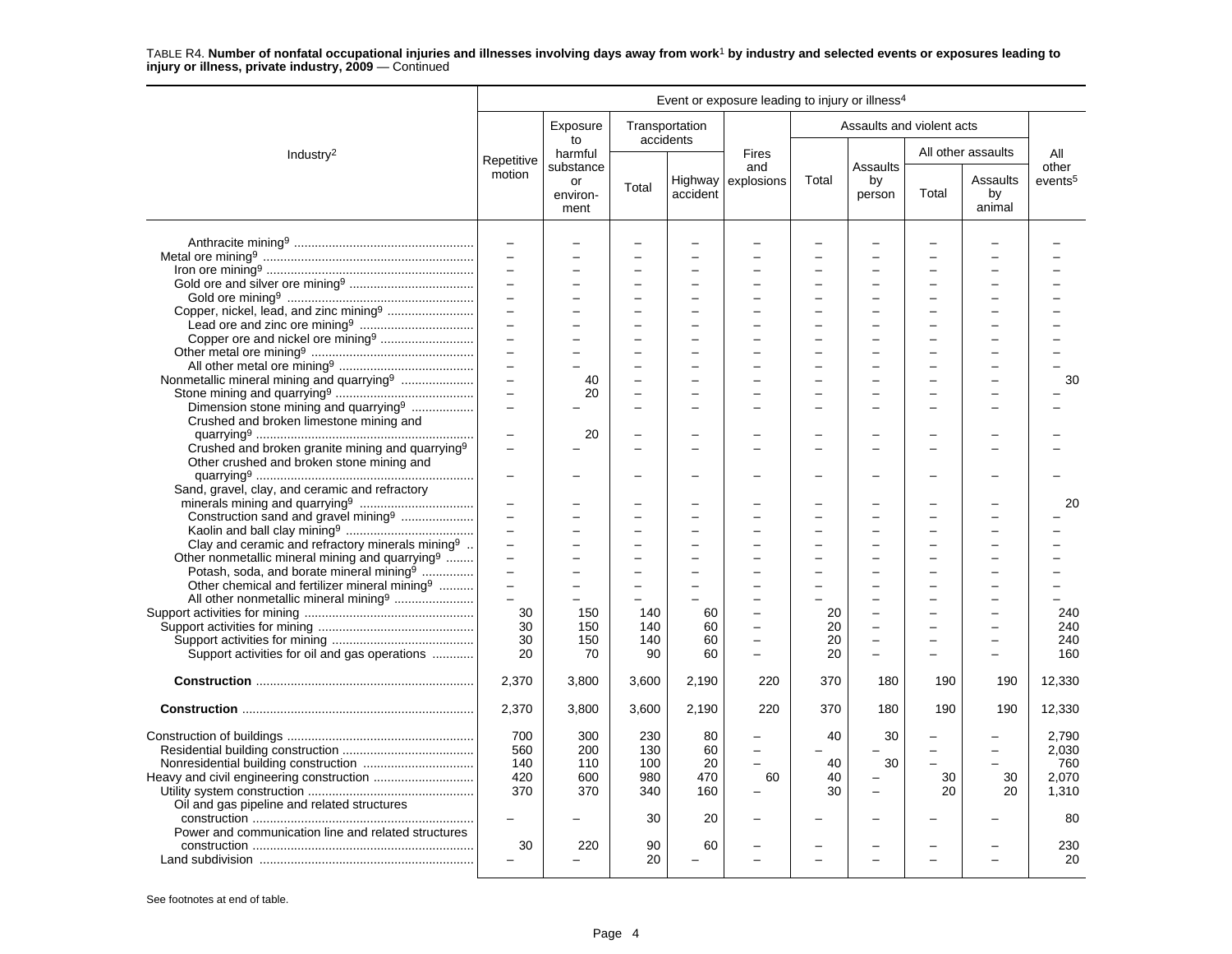|                                                              |                                            |                        |                                                      |                                | Event or exposure leading to injury or illness <sup>4</sup> |       |                           |       |                          |                     |
|--------------------------------------------------------------|--------------------------------------------|------------------------|------------------------------------------------------|--------------------------------|-------------------------------------------------------------|-------|---------------------------|-------|--------------------------|---------------------|
|                                                              |                                            | Exposure<br>to         | Transportation                                       | accidents                      |                                                             |       | Assaults and violent acts |       |                          |                     |
| Industry <sup>2</sup>                                        | Repetitive                                 | harmful<br>substance   |                                                      |                                | <b>Fires</b><br>and                                         |       | Assaults                  |       | All other assaults       | All<br>other        |
|                                                              | motion                                     | or<br>environ-<br>ment | Total                                                | accident                       | Highway explosions                                          | Total | by<br>person              | Total | Assaults<br>by<br>animal | events <sup>5</sup> |
|                                                              | $\overline{\phantom{0}}$                   |                        |                                                      |                                |                                                             |       |                           |       |                          |                     |
|                                                              | $\equiv$                                   |                        |                                                      |                                |                                                             |       |                           |       |                          |                     |
|                                                              | $\equiv$                                   |                        |                                                      |                                |                                                             |       |                           |       |                          |                     |
|                                                              | $\overline{a}$                             |                        |                                                      |                                |                                                             |       |                           |       |                          |                     |
|                                                              |                                            |                        |                                                      |                                |                                                             |       |                           |       |                          |                     |
|                                                              | $\equiv$                                   |                        | $\overline{\phantom{0}}$                             | $\overline{\phantom{0}}$       |                                                             | ÷     | $\overline{\phantom{a}}$  |       |                          |                     |
|                                                              | $\overline{a}$                             |                        | $\overline{\phantom{0}}$                             | $\overline{\phantom{0}}$       |                                                             | ÷     |                           |       |                          |                     |
|                                                              | $\qquad \qquad -$                          |                        |                                                      |                                |                                                             |       |                           |       |                          |                     |
|                                                              | $\equiv$                                   |                        | $\overline{\phantom{0}}$                             | $\overline{a}$                 |                                                             |       |                           |       |                          |                     |
|                                                              | $\overline{a}$                             |                        | ÷                                                    |                                |                                                             |       |                           |       |                          |                     |
|                                                              | $\overline{a}$                             | 40                     | ÷                                                    | $\overline{\phantom{0}}$       |                                                             | ÷     | $\overline{\phantom{a}}$  |       | $\overline{\phantom{a}}$ | 30                  |
|                                                              | $\overline{\phantom{0}}$                   | 20                     | $\overline{\phantom{0}}$                             | $\overline{\phantom{0}}$       |                                                             | ÷     | $\overline{\phantom{a}}$  |       | $\sim$                   |                     |
| Dimension stone mining and quarrying <sup>9</sup>            | $\equiv$                                   |                        |                                                      |                                |                                                             |       |                           |       |                          |                     |
| Crushed and broken limestone mining and                      |                                            |                        |                                                      |                                |                                                             |       |                           |       |                          |                     |
|                                                              |                                            | 20                     |                                                      |                                |                                                             |       |                           |       |                          |                     |
| Crushed and broken granite mining and quarrying <sup>9</sup> | $\overline{\phantom{0}}$                   |                        |                                                      |                                |                                                             | -     |                           |       |                          |                     |
| Other crushed and broken stone mining and                    |                                            |                        |                                                      |                                |                                                             |       |                           |       |                          |                     |
|                                                              | $\overline{\phantom{0}}$                   |                        |                                                      |                                |                                                             |       |                           |       |                          |                     |
| Sand, gravel, clay, and ceramic and refractory               |                                            |                        |                                                      |                                |                                                             |       |                           |       |                          |                     |
|                                                              | $\overline{\phantom{m}}$                   |                        |                                                      |                                |                                                             |       |                           |       |                          | 20                  |
|                                                              | $\overline{a}$                             |                        | L.                                                   |                                |                                                             |       |                           |       |                          |                     |
| Construction sand and gravel mining <sup>9</sup>             | $\equiv$                                   |                        | $\overline{\phantom{0}}$                             | $\overline{a}$                 |                                                             |       |                           |       |                          |                     |
|                                                              | $\overline{a}$                             |                        |                                                      |                                |                                                             |       |                           |       |                          |                     |
| Clay and ceramic and refractory minerals mining <sup>9</sup> | $\overline{\phantom{0}}$                   |                        | $\overline{\phantom{0}}$                             |                                |                                                             |       |                           |       |                          |                     |
| Other nonmetallic mineral mining and quarrying <sup>9</sup>  | $\overline{\phantom{0}}$                   |                        |                                                      |                                |                                                             |       |                           |       |                          |                     |
| Potash, soda, and borate mineral mining <sup>9</sup>         |                                            |                        |                                                      |                                |                                                             |       |                           |       |                          |                     |
| Other chemical and fertilizer mineral mining <sup>9</sup>    | $\overline{\phantom{0}}$<br>$\overline{a}$ |                        | $\overline{\phantom{0}}$<br>$\overline{\phantom{0}}$ | $\overline{\phantom{0}}$       |                                                             |       |                           |       |                          |                     |
|                                                              |                                            |                        |                                                      |                                |                                                             |       |                           |       |                          |                     |
|                                                              | 30                                         | 150                    | 140                                                  | 60                             |                                                             | 20    |                           |       |                          | 240                 |
|                                                              | 30                                         | 150                    | 140                                                  | 60                             |                                                             | 20    | $\overline{\phantom{0}}$  |       |                          | 240                 |
|                                                              | 30                                         | 150                    | 140                                                  | 60                             |                                                             | 20    |                           |       |                          | 240                 |
| Support activities for oil and gas operations                | 20                                         | 70                     | 90                                                   | 60                             | $\equiv$                                                    | 20    | -                         |       |                          | 160                 |
|                                                              | 2,370                                      | 3,800                  | 3,600                                                | 2,190                          | 220                                                         | 370   | 180                       | 190   | 190                      | 12,330              |
|                                                              | 2,370                                      | 3,800                  | 3,600                                                | 2,190                          | 220                                                         | 370   | 180                       | 190   | 190                      | 12,330              |
|                                                              | 700                                        | 300                    | 230                                                  | 80                             |                                                             | 40    | 30                        |       |                          | 2,790               |
|                                                              | 560                                        | 200                    | 130                                                  | 60                             |                                                             |       |                           |       |                          | 2,030               |
|                                                              | 140                                        | 110                    | 100                                                  | 20                             | $\equiv$                                                    | 40    | 30                        |       |                          | 760                 |
|                                                              | 420                                        | 600                    | 980                                                  | 470                            | 60                                                          | 40    | $\overline{\phantom{0}}$  | 30    | 30                       | 2,070               |
|                                                              | 370                                        | 370                    | 340                                                  | 160                            |                                                             | 30    | -                         | 20    | 20                       | 1,310               |
|                                                              |                                            |                        |                                                      |                                |                                                             |       |                           |       |                          |                     |
|                                                              |                                            |                        |                                                      | 20                             |                                                             |       |                           |       |                          | 80                  |
| Power and communication line and related structures          |                                            |                        | 30                                                   |                                |                                                             |       |                           |       |                          |                     |
|                                                              |                                            |                        |                                                      |                                |                                                             |       |                           |       |                          |                     |
|                                                              | 30                                         | 220                    | 90<br>20                                             | 60<br>$\overline{\phantom{0}}$ |                                                             |       | L                         |       |                          | 230<br>20           |
|                                                              |                                            |                        |                                                      |                                |                                                             |       |                           |       |                          |                     |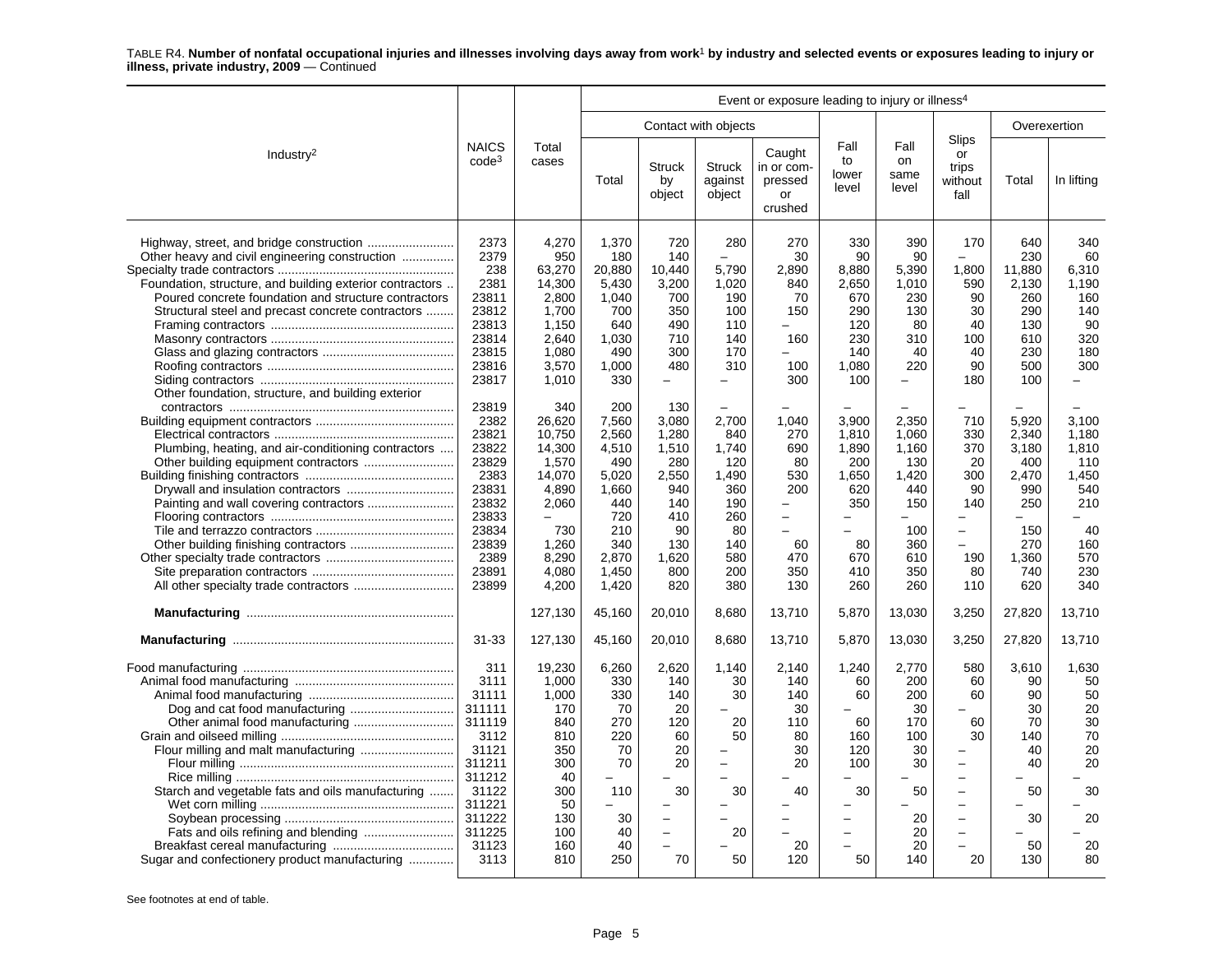|                                                                                                                                                                                                                                                                                | Event or exposure leading to injury or illness <sup>4</sup>                                                                           |                                                                                                                   |                                                                                                                |                                                                                                                           |                                                                                                                          |                                                                         |                                                                                              |                                                                                                      |                                                                                                                                                                                                             |                                                                                            |                                                                                         |
|--------------------------------------------------------------------------------------------------------------------------------------------------------------------------------------------------------------------------------------------------------------------------------|---------------------------------------------------------------------------------------------------------------------------------------|-------------------------------------------------------------------------------------------------------------------|----------------------------------------------------------------------------------------------------------------|---------------------------------------------------------------------------------------------------------------------------|--------------------------------------------------------------------------------------------------------------------------|-------------------------------------------------------------------------|----------------------------------------------------------------------------------------------|------------------------------------------------------------------------------------------------------|-------------------------------------------------------------------------------------------------------------------------------------------------------------------------------------------------------------|--------------------------------------------------------------------------------------------|-----------------------------------------------------------------------------------------|
|                                                                                                                                                                                                                                                                                |                                                                                                                                       |                                                                                                                   |                                                                                                                |                                                                                                                           | Contact with objects                                                                                                     |                                                                         |                                                                                              |                                                                                                      |                                                                                                                                                                                                             | Overexertion                                                                               |                                                                                         |
| Industry <sup>2</sup>                                                                                                                                                                                                                                                          | <b>NAICS</b><br>$code^3$                                                                                                              | Total<br>cases                                                                                                    | Total                                                                                                          | <b>Struck</b><br>by<br>object                                                                                             | <b>Struck</b><br>against<br>object                                                                                       | Caught<br>in or com-<br>pressed<br>or<br>crushed                        | Fall<br>to<br>lower<br>level                                                                 | Fall<br>on<br>same<br>level                                                                          | Slips<br>or<br>trips<br>without<br>fall                                                                                                                                                                     | Total                                                                                      | In lifting                                                                              |
| Other heavy and civil engineering construction<br>Foundation, structure, and building exterior contractors.<br>Poured concrete foundation and structure contractors<br>Structural steel and precast concrete contractors<br>Other foundation, structure, and building exterior | 2373<br>2379<br>238<br>2381<br>23811<br>23812<br>23813<br>23814<br>23815<br>23816<br>23817                                            | 4,270<br>950<br>63,270<br>14,300<br>2,800<br>1,700<br>1,150<br>2.640<br>1,080<br>3,570<br>1,010                   | 1,370<br>180<br>20.880<br>5,430<br>1,040<br>700<br>640<br>1.030<br>490<br>1.000<br>330                         | 720<br>140<br>10.440<br>3,200<br>700<br>350<br>490<br>710<br>300<br>480                                                   | 280<br>5.790<br>1,020<br>190<br>100<br>110<br>140<br>170<br>310<br>$\overline{\phantom{0}}$                              | 270<br>30<br>2.890<br>840<br>70<br>150<br>160<br>100<br>300             | 330<br>90<br>8.880<br>2,650<br>670<br>290<br>120<br>230<br>140<br>1.080<br>100               | 390<br>90<br>5.390<br>1,010<br>230<br>130<br>80<br>310<br>40<br>220<br>$\overline{\phantom{0}}$      | 170<br>1.800<br>590<br>90<br>30<br>40<br>100<br>40<br>90<br>180                                                                                                                                             | 640<br>230<br>11.880<br>2,130<br>260<br>290<br>130<br>610<br>230<br>500<br>100             | 340<br>60<br>6.310<br>1.190<br>160<br>140<br>90<br>320<br>180<br>300                    |
| Plumbing, heating, and air-conditioning contractors                                                                                                                                                                                                                            | 23819<br>2382<br>23821<br>23822<br>23829<br>2383<br>23831<br>23832<br>23833<br>23834<br>23839<br>2389<br>23891<br>23899               | 340<br>26.620<br>10.750<br>14,300<br>1,570<br>14,070<br>4,890<br>2,060<br>730<br>1,260<br>8.290<br>4.080<br>4,200 | 200<br>7,560<br>2.560<br>4,510<br>490<br>5,020<br>1,660<br>440<br>720<br>210<br>340<br>2.870<br>1.450<br>1,420 | 130<br>3.080<br>1.280<br>1,510<br>280<br>2,550<br>940<br>140<br>410<br>90<br>130<br>1.620<br>800<br>820                   | $\overline{\phantom{0}}$<br>2.700<br>840<br>1,740<br>120<br>1,490<br>360<br>190<br>260<br>80<br>140<br>580<br>200<br>380 | 1.040<br>270<br>690<br>80<br>530<br>200<br>-<br>60<br>470<br>350<br>130 | 3.900<br>1.810<br>1,890<br>200<br>1,650<br>620<br>350<br>$\equiv$<br>80<br>670<br>410<br>260 | $\equiv$<br>2.350<br>1.060<br>1,160<br>130<br>1,420<br>440<br>150<br>100<br>360<br>610<br>350<br>260 | 710<br>330<br>370<br>20<br>300<br>90<br>140<br>$\overline{\phantom{m}}$<br>$\equiv$<br>190<br>80<br>110                                                                                                     | 5.920<br>2.340<br>3,180<br>400<br>2,470<br>990<br>250<br>150<br>270<br>1.360<br>740<br>620 | 3.100<br>1.180<br>1,810<br>110<br>1,450<br>540<br>210<br>40<br>160<br>570<br>230<br>340 |
|                                                                                                                                                                                                                                                                                |                                                                                                                                       | 127,130                                                                                                           | 45,160                                                                                                         | 20,010                                                                                                                    | 8,680                                                                                                                    | 13,710                                                                  | 5,870                                                                                        | 13,030                                                                                               | 3,250                                                                                                                                                                                                       | 27,820                                                                                     | 13,710                                                                                  |
|                                                                                                                                                                                                                                                                                | 31-33                                                                                                                                 | 127,130                                                                                                           | 45,160                                                                                                         | 20,010                                                                                                                    | 8,680                                                                                                                    | 13,710                                                                  | 5,870                                                                                        | 13,030                                                                                               | 3,250                                                                                                                                                                                                       | 27,820                                                                                     | 13,710                                                                                  |
| Flour milling and malt manufacturing<br>Starch and vegetable fats and oils manufacturing<br>Sugar and confectionery product manufacturing                                                                                                                                      | 311<br>3111<br>31111<br>311111<br>311119<br>3112<br>31121<br>311211<br>311212<br>31122<br>311221<br>311222<br>311225<br>31123<br>3113 | 19,230<br>1,000<br>1,000<br>170<br>840<br>810<br>350<br>300<br>40<br>300<br>50<br>130<br>100<br>160<br>810        | 6.260<br>330<br>330<br>70<br>270<br>220<br>70<br>70<br>110<br>-<br>30<br>40<br>40<br>250                       | 2.620<br>140<br>140<br>20<br>120<br>60<br>20<br>20<br>30<br>$\qquad \qquad -$<br>$\overline{\phantom{m}}$<br>$\sim$<br>70 | 1.140<br>30<br>30<br>20<br>50<br>L.<br>$\overline{\phantom{0}}$<br>30<br>$\overline{\phantom{0}}$<br>20<br>50            | 2,140<br>140<br>140<br>30<br>110<br>80<br>30<br>20<br>40<br>20<br>120   | 1.240<br>60<br>60<br>60<br>160<br>120<br>100<br>30<br>$\overline{a}$<br>÷<br>$\equiv$<br>50  | 2,770<br>200<br>200<br>30<br>170<br>100<br>30<br>30<br>50<br>20<br>20<br>20<br>140                   | 580<br>60<br>60<br>60<br>30<br>$\overline{\phantom{0}}$<br>$\equiv$<br>$\overline{\phantom{0}}$<br>$\overline{\phantom{0}}$<br>$\overline{\phantom{m}}$<br>$\overline{\phantom{0}}$<br>$\overline{a}$<br>20 | 3,610<br>90<br>90<br>30<br>70<br>140<br>40<br>40<br>50<br>30<br>50<br>130                  | 1,630<br>50<br>50<br>20<br>30<br>70<br>20<br>20<br>30<br>20<br>20<br>80                 |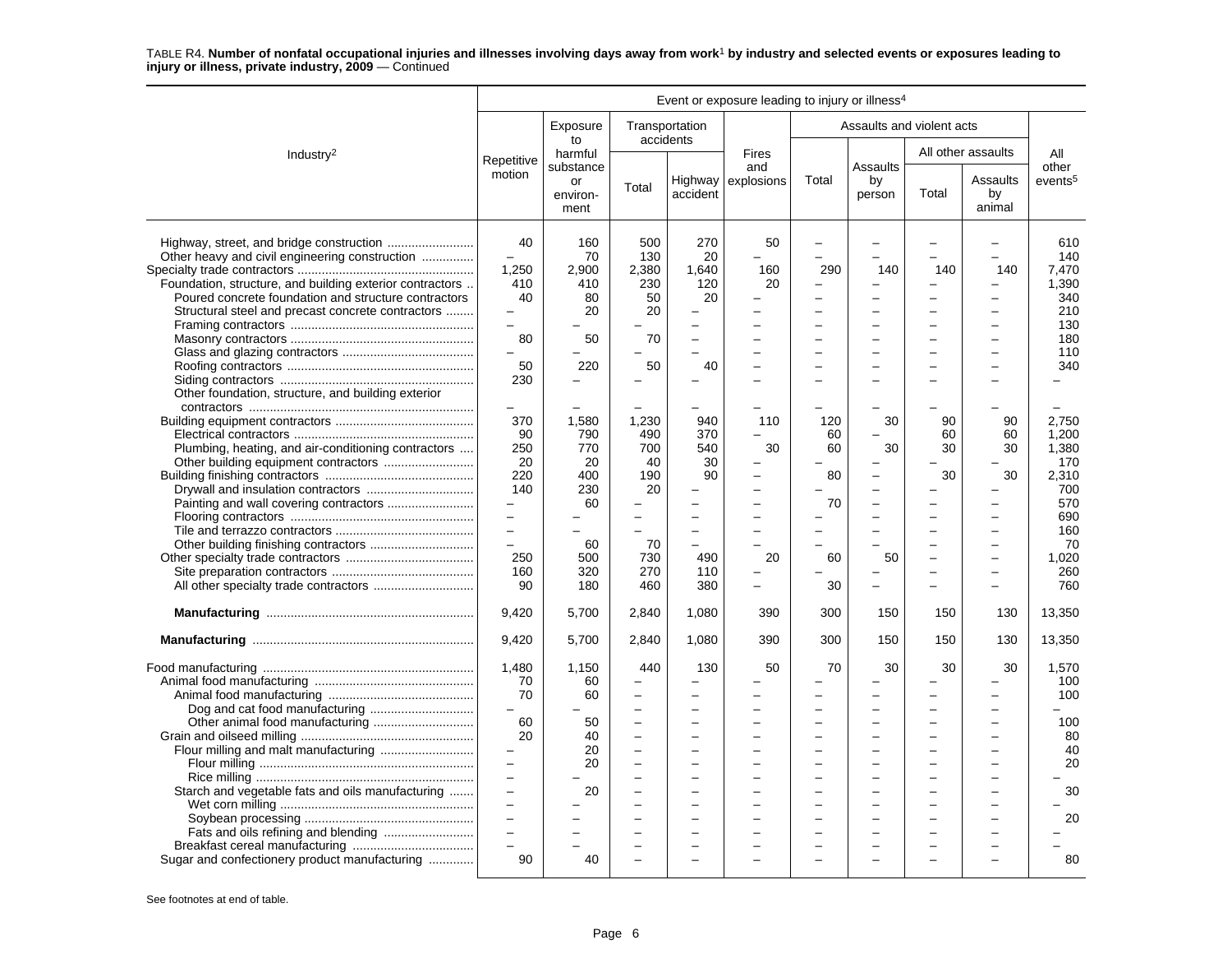|                                                                                                                                                                                                                                                                                                                           |                                                                                                                                                         |                                                                          |                                                                   |                                                                                                            | Event or exposure leading to injury or illness <sup>4</sup> |                                         |                                                                                                                |                      |                                |                                                                                                  |
|---------------------------------------------------------------------------------------------------------------------------------------------------------------------------------------------------------------------------------------------------------------------------------------------------------------------------|---------------------------------------------------------------------------------------------------------------------------------------------------------|--------------------------------------------------------------------------|-------------------------------------------------------------------|------------------------------------------------------------------------------------------------------------|-------------------------------------------------------------|-----------------------------------------|----------------------------------------------------------------------------------------------------------------|----------------------|--------------------------------|--------------------------------------------------------------------------------------------------|
|                                                                                                                                                                                                                                                                                                                           |                                                                                                                                                         | Exposure<br>to                                                           | Transportation                                                    | accidents                                                                                                  |                                                             |                                         | Assaults and violent acts                                                                                      |                      |                                |                                                                                                  |
| Industry <sup>2</sup>                                                                                                                                                                                                                                                                                                     | Repetitive                                                                                                                                              | harmful<br>substance                                                     |                                                                   |                                                                                                            | <b>Fires</b><br>and                                         |                                         | Assaults                                                                                                       |                      | All other assaults             | All<br>other                                                                                     |
|                                                                                                                                                                                                                                                                                                                           | motion                                                                                                                                                  | or<br>environ-<br>ment                                                   | Total                                                             | accident                                                                                                   | Highway explosions                                          | Total                                   | by<br>person                                                                                                   | Total                | Assaults<br>by<br>animal       | events <sup>5</sup>                                                                              |
| Highway, street, and bridge construction<br>Other heavy and civil engineering construction<br>Foundation, structure, and building exterior contractors<br>Poured concrete foundation and structure contractors<br>Structural steel and precast concrete contractors<br>Other foundation, structure, and building exterior | 40<br>1,250<br>410<br>40<br>$\equiv$<br>80<br>50<br>230                                                                                                 | 160<br>70<br>2,900<br>410<br>80<br>20<br>50<br>220                       | 500<br>130<br>2,380<br>230<br>50<br>20<br>70<br>50                | 270<br>20<br>1,640<br>120<br>20<br>$\overline{\phantom{0}}$<br>$\overline{\phantom{0}}$<br>40              | 50<br>160<br>20                                             | $\equiv$<br>290<br>$\equiv$<br>$\equiv$ | 140<br>$\equiv$<br>$\equiv$<br>$\equiv$                                                                        | 140                  | 140<br>-                       | 610<br>140<br>7,470<br>1.390<br>340<br>210<br>130<br>180<br>110<br>340                           |
| Plumbing, heating, and air-conditioning contractors<br>Other building equipment contractors                                                                                                                                                                                                                               | $\overline{\phantom{m}}$<br>370<br>90<br>250<br>20<br>220<br>140<br>$\qquad \qquad -$<br>$\overline{\phantom{0}}$<br>$\overline{a}$<br>250<br>160<br>90 | 1,580<br>790<br>770<br>20<br>400<br>230<br>60<br>60<br>500<br>320<br>180 | 1,230<br>490<br>700<br>40<br>190<br>20<br>70<br>730<br>270<br>460 | 940<br>370<br>540<br>30<br>90<br>$\overline{\phantom{0}}$<br>$\overline{\phantom{0}}$<br>490<br>110<br>380 | 110<br>30<br>20                                             | 120<br>60<br>60<br>80<br>70<br>60<br>30 | 30<br>30<br>$\overline{\phantom{0}}$<br>$\equiv$<br>$\overline{\phantom{0}}$<br>$\overline{\phantom{0}}$<br>50 | 90<br>60<br>30<br>30 | 90<br>60<br>30<br>30<br>-<br>- | 2,750<br>1.200<br>1,380<br>170<br>2,310<br>700<br>570<br>690<br>160<br>70<br>1,020<br>260<br>760 |
|                                                                                                                                                                                                                                                                                                                           | 9,420                                                                                                                                                   | 5,700                                                                    | 2,840                                                             | 1,080                                                                                                      | 390                                                         | 300                                     | 150                                                                                                            | 150                  | 130                            | 13,350                                                                                           |
|                                                                                                                                                                                                                                                                                                                           | 9,420                                                                                                                                                   | 5,700                                                                    | 2,840                                                             | 1,080                                                                                                      | 390                                                         | 300                                     | 150                                                                                                            | 150                  | 130                            | 13,350                                                                                           |
|                                                                                                                                                                                                                                                                                                                           | 1,480<br>70<br>70<br>$\overline{\phantom{m}}$<br>60<br>20                                                                                               | 1,150<br>60<br>60<br>50<br>40<br>20                                      | 440<br>L,<br>÷<br>$\overline{\phantom{0}}$<br>÷<br>L.<br>L,       | 130<br>$\overline{\phantom{0}}$<br>$\overline{a}$<br>$\overline{\phantom{0}}$<br>L.<br>$\sim$              | 50                                                          | 70<br>$\equiv$                          | 30<br>$\overline{a}$<br>-                                                                                      | 30                   | 30<br>-                        | 1,570<br>100<br>100<br>100<br>80<br>40                                                           |
| Starch and vegetable fats and oils manufacturing<br>Fats and oils refining and blending<br>Sugar and confectionery product manufacturing                                                                                                                                                                                  | $\equiv$<br>$\overline{\phantom{0}}$<br>$\overline{\phantom{0}}$<br>$\equiv$<br>$\sim$<br>$\overline{\phantom{0}}$<br>$\equiv$<br>90                    | 20<br>20<br>40                                                           | $\overline{\phantom{0}}$<br>L,                                    | $\overline{\phantom{a}}$<br>$\overline{\phantom{a}}$                                                       |                                                             | $\equiv$<br>$\equiv$                    | $\equiv$<br>-<br>$\equiv$<br>$\overline{\phantom{0}}$                                                          |                      | $\overline{\phantom{a}}$       | 20<br>30<br>20<br>80                                                                             |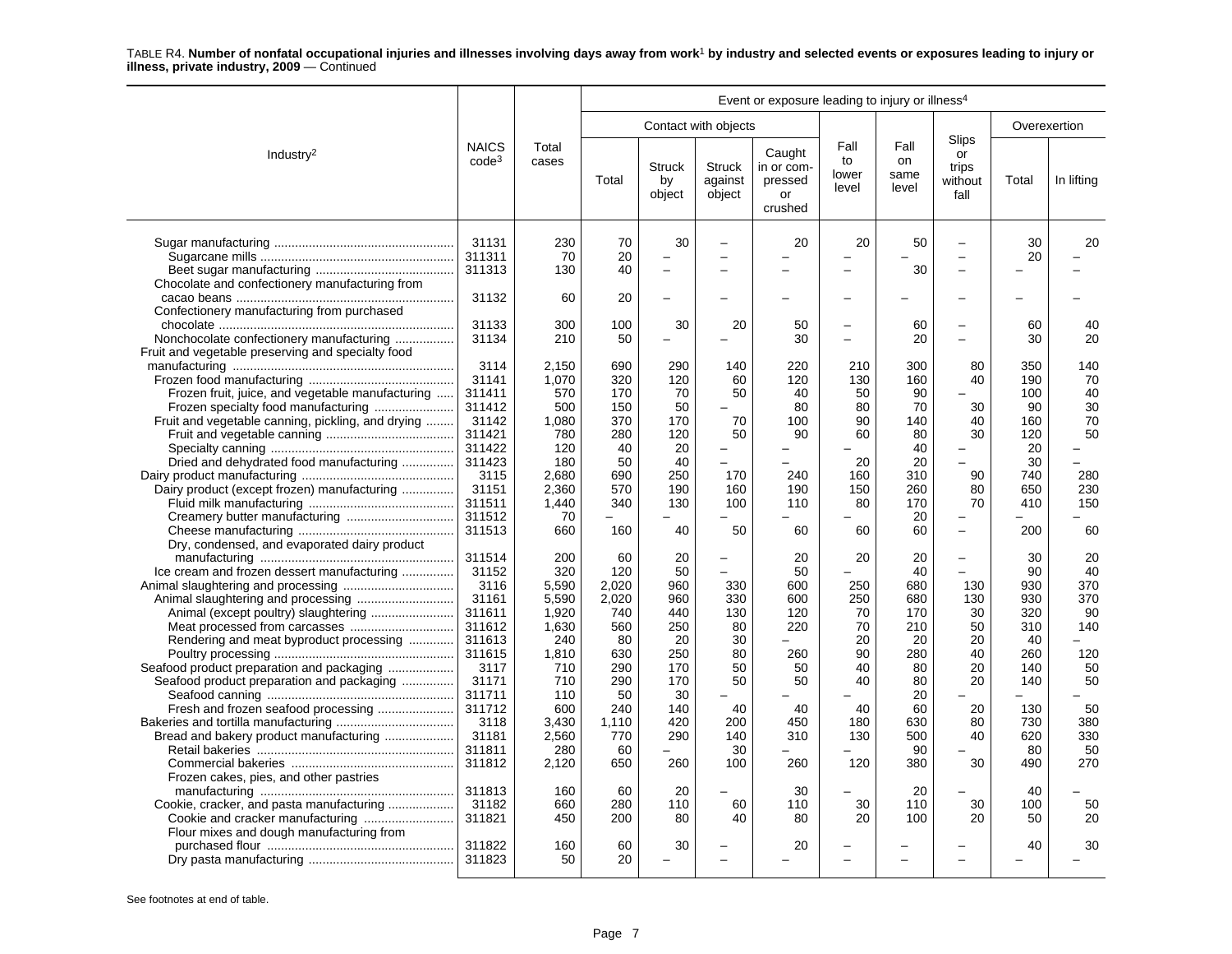|                                                   | Event or exposure leading to injury or illness <sup>4</sup> |                |       |                               |                                    |                                                  |                              |                             |                                                |       |              |
|---------------------------------------------------|-------------------------------------------------------------|----------------|-------|-------------------------------|------------------------------------|--------------------------------------------------|------------------------------|-----------------------------|------------------------------------------------|-------|--------------|
|                                                   |                                                             |                |       |                               | Contact with objects               |                                                  |                              |                             |                                                |       | Overexertion |
| Industry <sup>2</sup>                             | <b>NAICS</b><br>code <sup>3</sup>                           | Total<br>cases | Total | <b>Struck</b><br>by<br>object | <b>Struck</b><br>against<br>object | Caught<br>in or com-<br>pressed<br>or<br>crushed | Fall<br>to<br>lower<br>level | Fall<br>on<br>same<br>level | <b>Slips</b><br>or<br>trips<br>without<br>fall | Total | In lifting   |
|                                                   | 31131                                                       | 230            | 70    | 30                            |                                    | 20                                               | 20                           | 50                          | $\overline{\phantom{0}}$                       | 30    | 20           |
|                                                   | 311311                                                      | 70             | 20    |                               | $\equiv$                           |                                                  |                              |                             | L.                                             | 20    |              |
|                                                   | 311313                                                      | 130            | 40    | $\overline{\phantom{0}}$      | $\overline{\phantom{0}}$           |                                                  |                              | 30                          | $\overline{a}$                                 |       |              |
| Chocolate and confectionery manufacturing from    |                                                             |                |       |                               |                                    |                                                  |                              |                             |                                                |       |              |
|                                                   | 31132                                                       | 60             | 20    |                               |                                    |                                                  |                              |                             | -                                              |       |              |
| Confectionery manufacturing from purchased        |                                                             |                |       |                               |                                    |                                                  |                              |                             |                                                |       |              |
|                                                   | 31133                                                       | 300            | 100   | 30                            | 20                                 | 50                                               |                              | 60                          | $\overline{\phantom{0}}$                       | 60    | 40           |
| Nonchocolate confectionery manufacturing          | 31134                                                       | 210            | 50    |                               |                                    | 30                                               |                              | 20                          | -                                              | 30    | 20           |
| Fruit and vegetable preserving and specialty food |                                                             |                |       |                               |                                    |                                                  |                              |                             |                                                |       |              |
|                                                   | 3114                                                        | 2,150          | 690   | 290                           | 140                                | 220                                              | 210                          | 300                         | 80                                             | 350   | 140          |
|                                                   | 31141                                                       | 1,070          | 320   | 120                           | 60                                 | 120                                              | 130                          | 160                         | 40                                             | 190   | 70           |
| Frozen fruit, juice, and vegetable manufacturing  | 311411                                                      | 570            | 170   | 70                            | 50                                 | 40                                               | 50                           | 90                          |                                                | 100   | 40           |
|                                                   | 311412                                                      | 500            | 150   | 50                            |                                    | 80                                               | 80                           | 70                          | 30                                             | 90    | 30           |
| Fruit and vegetable canning, pickling, and drying | 31142                                                       | 1,080          | 370   | 170                           | 70                                 | 100                                              | 90                           | 140                         | 40                                             | 160   | 70           |
|                                                   | 311421                                                      | 780            | 280   | 120                           | 50                                 | 90                                               | 60                           | 80                          | 30                                             |       | 50           |
|                                                   |                                                             |                | 40    |                               |                                    |                                                  |                              |                             |                                                | 120   |              |
|                                                   | 311422                                                      | 120            |       | 20                            |                                    |                                                  |                              | 40                          |                                                | 20    |              |
| Dried and dehydrated food manufacturing           | 311423                                                      | 180            | 50    | 40                            |                                    |                                                  | 20                           | 20                          |                                                | 30    |              |
|                                                   | 3115                                                        | 2,680          | 690   | 250                           | 170                                | 240                                              | 160                          | 310                         | 90                                             | 740   | 280          |
| Dairy product (except frozen) manufacturing       | 31151                                                       | 2.360          | 570   | 190                           | 160                                | 190                                              | 150                          | 260                         | 80                                             | 650   | 230          |
|                                                   | 311511                                                      | 1.440          | 340   | 130                           | 100                                | 110                                              | 80                           | 170                         | 70                                             | 410   | 150          |
| Creamery butter manufacturing                     | 311512                                                      | 70             |       |                               |                                    |                                                  |                              | 20                          |                                                |       |              |
|                                                   | 311513                                                      | 660            | 160   | 40                            | 50                                 | 60                                               | 60                           | 60                          | $\overline{\phantom{0}}$                       | 200   | 60           |
| Dry, condensed, and evaporated dairy product      |                                                             |                |       |                               |                                    |                                                  |                              |                             |                                                |       |              |
|                                                   | 311514                                                      | 200            | 60    | 20                            | $\equiv$                           | 20                                               | 20                           | 20                          | L                                              | 30    | 20           |
| Ice cream and frozen dessert manufacturing        | 31152                                                       | 320            | 120   | 50                            |                                    | 50                                               |                              | 40                          | L.                                             | 90    | 40           |
|                                                   | 3116                                                        | 5.590          | 2.020 | 960                           | 330                                | 600                                              | 250                          | 680                         | 130                                            | 930   | 370          |
|                                                   | 31161                                                       | 5.590          | 2,020 | 960                           | 330                                | 600                                              | 250                          | 680                         | 130                                            | 930   | 370          |
|                                                   | 311611                                                      | 1,920          | 740   | 440                           | 130                                | 120                                              | 70                           | 170                         | 30                                             | 320   | 90           |
|                                                   | 311612                                                      | 1,630          | 560   | 250                           | 80                                 | 220                                              | 70                           | 210                         | 50                                             | 310   | 140          |
| Rendering and meat byproduct processing           | 311613                                                      | 240            | 80    | 20                            | 30                                 |                                                  | 20                           | 20                          | 20                                             | 40    |              |
|                                                   | 311615                                                      | 1,810          | 630   | 250                           | 80                                 | 260                                              | 90                           | 280                         | 40                                             | 260   | 120          |
| Seafood product preparation and packaging         | 3117                                                        | 710            | 290   | 170                           | 50                                 | 50                                               | 40                           | 80                          | 20                                             | 140   | 50           |
| Seafood product preparation and packaging         | 31171                                                       | 710            | 290   | 170                           | 50                                 | 50                                               | 40                           | 80                          | 20                                             | 140   | 50           |
|                                                   | 311711                                                      | 110            | 50    | 30                            |                                    |                                                  |                              | 20                          |                                                |       |              |
|                                                   | 311712                                                      | 600            | 240   | 140                           | 40                                 | 40                                               | 40                           | 60                          | 20                                             | 130   | 50           |
|                                                   | 3118                                                        |                |       |                               |                                    | 450                                              |                              |                             |                                                |       | 380          |
|                                                   |                                                             | 3,430          | 1,110 | 420                           | 200                                |                                                  | 180                          | 630                         | 80                                             | 730   |              |
| Bread and bakery product manufacturing            | 31181                                                       | 2,560          | 770   | 290                           | 140                                | 310                                              | 130                          | 500                         | 40                                             | 620   | 330          |
|                                                   | 311811                                                      | 280            | 60    |                               | 30                                 |                                                  |                              | 90                          |                                                | 80    | 50           |
|                                                   | 311812                                                      | 2,120          | 650   | 260                           | 100                                | 260                                              | 120                          | 380                         | 30                                             | 490   | 270          |
| Frozen cakes, pies, and other pastries            |                                                             |                |       |                               |                                    |                                                  |                              |                             |                                                |       |              |
|                                                   | 311813                                                      | 160            | 60    | 20                            |                                    | 30                                               |                              | 20                          |                                                | 40    |              |
|                                                   | 31182                                                       | 660            | 280   | 110                           | 60                                 | 110                                              | 30                           | 110                         | 30                                             | 100   | 50           |
|                                                   | 311821                                                      | 450            | 200   | 80                            | 40                                 | 80                                               | 20                           | 100                         | 20                                             | 50    | 20           |
| Flour mixes and dough manufacturing from          |                                                             |                |       |                               |                                    |                                                  |                              |                             |                                                |       |              |
|                                                   | 311822                                                      | 160            | 60    | 30                            |                                    | 20                                               |                              |                             |                                                | 40    | 30           |
|                                                   | 311823                                                      | 50             | 20    |                               |                                    |                                                  |                              |                             |                                                |       |              |
|                                                   |                                                             |                |       |                               |                                    |                                                  |                              |                             |                                                |       |              |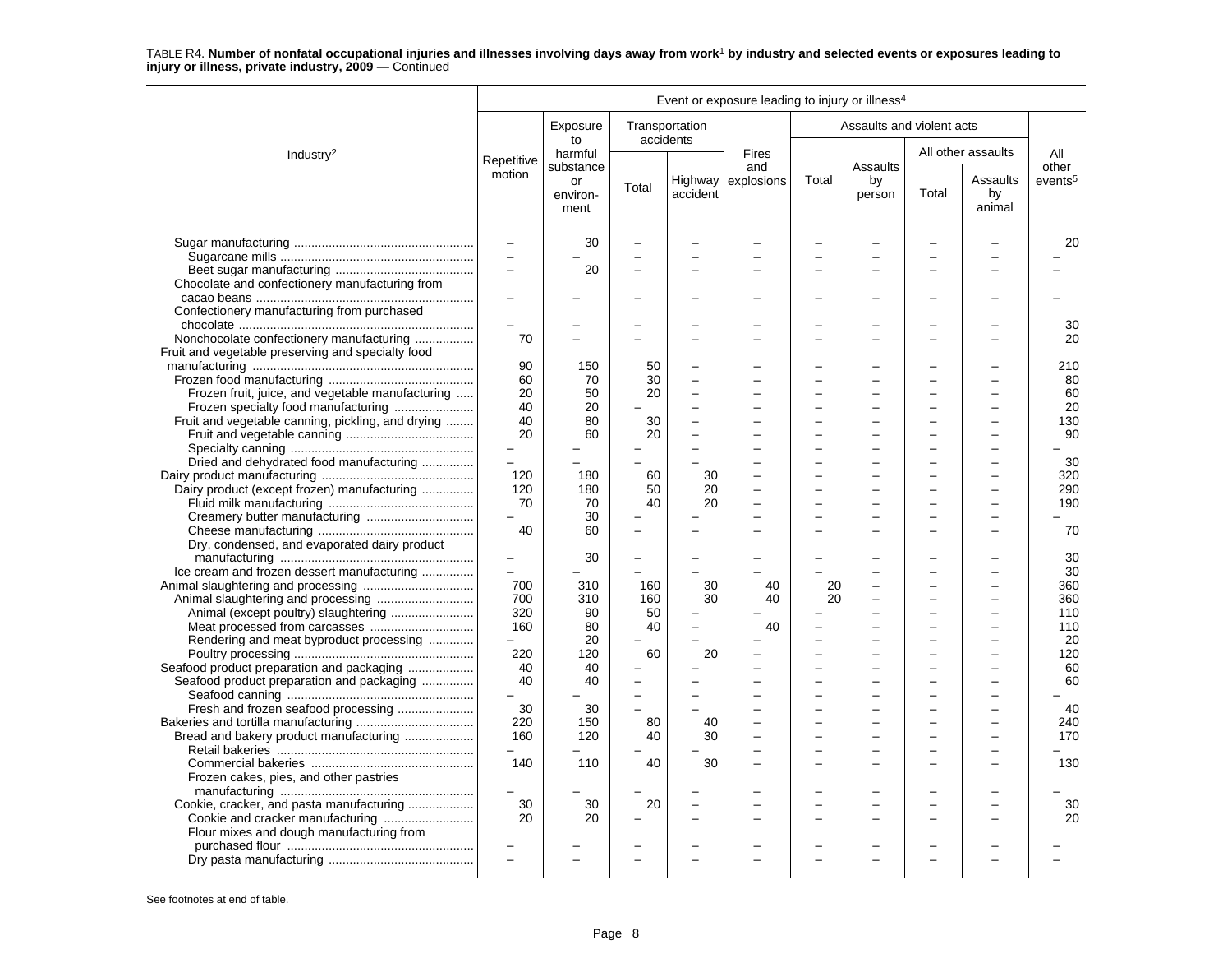|                                                   |                          |                        |                          |                             | Event or exposure leading to injury or illness <sup>4</sup> |                          |                           |       |                          |                     |
|---------------------------------------------------|--------------------------|------------------------|--------------------------|-----------------------------|-------------------------------------------------------------|--------------------------|---------------------------|-------|--------------------------|---------------------|
|                                                   |                          | Exposure<br>to         |                          | Transportation<br>accidents |                                                             |                          | Assaults and violent acts |       |                          |                     |
| Industry <sup>2</sup>                             | Repetitive               | harmful<br>substance   |                          |                             | Fires<br>and                                                |                          | Assaults                  |       | All other assaults       | All<br>other        |
|                                                   | motion                   | or<br>environ-<br>ment | Total                    | accident                    | Highway explosions                                          | Total                    | by<br>person              | Total | Assaults<br>by<br>animal | events <sup>5</sup> |
|                                                   | $\overline{\phantom{m}}$ | 30                     | $\overline{\phantom{0}}$ |                             |                                                             |                          |                           |       |                          | 20                  |
|                                                   | $\overline{\phantom{a}}$ |                        |                          |                             |                                                             |                          |                           |       |                          |                     |
|                                                   | $\overline{a}$           | 20                     |                          |                             |                                                             |                          |                           |       |                          |                     |
| Chocolate and confectionery manufacturing from    |                          |                        |                          |                             |                                                             |                          |                           |       |                          |                     |
|                                                   |                          |                        |                          |                             |                                                             |                          |                           |       |                          |                     |
|                                                   |                          |                        |                          |                             |                                                             |                          |                           |       |                          |                     |
| Confectionery manufacturing from purchased        |                          |                        |                          |                             |                                                             |                          |                           |       |                          |                     |
|                                                   | $\overline{a}$           |                        |                          | $\sim$                      |                                                             | $\equiv$                 | -                         |       |                          | 30                  |
| Nonchocolate confectionery manufacturing          | 70                       |                        |                          |                             |                                                             |                          |                           |       |                          | 20                  |
| Fruit and vegetable preserving and specialty food |                          |                        |                          |                             |                                                             |                          |                           |       |                          |                     |
|                                                   | 90                       | 150                    | 50                       | $\overline{\phantom{0}}$    |                                                             |                          |                           |       |                          | 210                 |
|                                                   | 60                       | 70                     | 30                       | L.                          |                                                             |                          | $\equiv$                  |       |                          | 80                  |
| Frozen fruit, juice, and vegetable manufacturing  | 20                       | 50                     | 20                       | $\overline{\phantom{0}}$    |                                                             |                          | $\overline{\phantom{0}}$  |       |                          | 60                  |
| Frozen specialty food manufacturing               | 40                       | 20                     |                          |                             |                                                             |                          |                           |       |                          | 20                  |
| Fruit and vegetable canning, pickling, and drying | 40                       | 80                     | 30                       |                             |                                                             |                          |                           |       |                          | 130                 |
|                                                   | 20                       | 60                     | 20                       |                             |                                                             |                          |                           |       |                          | 90                  |
|                                                   | $\overline{a}$           |                        |                          | $\overline{\phantom{0}}$    |                                                             | $\overline{\phantom{0}}$ | $\overline{\phantom{0}}$  |       | $\equiv$                 |                     |
|                                                   | $\overline{\phantom{0}}$ |                        |                          |                             |                                                             |                          |                           |       |                          |                     |
| Dried and dehydrated food manufacturing           |                          |                        |                          |                             |                                                             |                          | L.                        |       |                          | 30                  |
|                                                   | 120                      | 180                    | 60                       | 30                          |                                                             |                          |                           |       |                          | 320                 |
| Dairy product (except frozen) manufacturing       | 120                      | 180                    | 50                       | 20                          |                                                             |                          |                           |       |                          | 290                 |
|                                                   | 70                       | 70                     | 40                       | 20                          |                                                             |                          |                           |       |                          | 190                 |
| Creamery butter manufacturing                     |                          | 30                     |                          |                             |                                                             |                          |                           |       |                          |                     |
|                                                   | 40                       | 60                     |                          |                             |                                                             |                          | L.                        |       |                          | 70                  |
| Dry, condensed, and evaporated dairy product      |                          |                        |                          |                             |                                                             |                          |                           |       |                          |                     |
|                                                   | $\overline{\phantom{0}}$ | 30                     |                          |                             |                                                             |                          |                           |       |                          | 30                  |
| Ice cream and frozen dessert manufacturing        |                          |                        |                          |                             |                                                             |                          |                           |       |                          | 30                  |
|                                                   | 700                      | 310                    | 160                      | 30                          | 40                                                          | 20                       | $\overline{\phantom{0}}$  |       | $\equiv$                 | 360                 |
|                                                   | 700                      | 310                    | 160                      | 30                          | 40                                                          | 20                       | L,                        |       |                          | 360                 |
| Animal (except poultry) slaughtering              | 320                      | 90                     | 50                       |                             |                                                             |                          |                           |       |                          | 110                 |
|                                                   | 160                      | 80                     | 40                       | $\overline{\phantom{0}}$    | 40                                                          |                          |                           |       |                          | 110                 |
| Meat processed from carcasses                     |                          |                        |                          |                             |                                                             |                          |                           |       |                          |                     |
| Rendering and meat byproduct processing           | $-$                      | 20                     |                          |                             |                                                             |                          |                           |       |                          | 20                  |
|                                                   | 220                      | 120                    | 60                       | 20                          |                                                             |                          | $\overline{\phantom{0}}$  |       |                          | 120                 |
| Seafood product preparation and packaging         | 40                       | 40                     |                          |                             |                                                             |                          | -                         |       |                          | 60                  |
| Seafood product preparation and packaging         | 40                       | 40                     |                          |                             |                                                             |                          |                           |       |                          | 60                  |
|                                                   |                          |                        | $\equiv$                 | L.                          |                                                             |                          | ÷                         |       |                          |                     |
| Fresh and frozen seafood processing               | 30                       | 30                     |                          |                             |                                                             |                          | $\overline{\phantom{0}}$  |       |                          | 40                  |
|                                                   | 220                      | 150                    | 80                       | 40                          |                                                             |                          |                           |       |                          | 240                 |
| Bread and bakery product manufacturing            | 160                      | 120                    | 40                       | 30                          |                                                             | -                        | $\overline{a}$            |       |                          | 170                 |
|                                                   |                          |                        |                          |                             |                                                             |                          |                           |       |                          |                     |
|                                                   | 140                      | 110                    | 40                       | 30                          |                                                             |                          |                           |       |                          | 130                 |
| Frozen cakes, pies, and other pastries            |                          |                        |                          |                             |                                                             |                          |                           |       |                          |                     |
|                                                   | $\overline{\phantom{0}}$ |                        |                          |                             |                                                             |                          |                           |       |                          |                     |
| Cookie, cracker, and pasta manufacturing          | 30                       | 30                     | 20                       | ▃                           |                                                             |                          | $\overline{\phantom{0}}$  |       |                          | 30                  |
|                                                   | 20                       | 20                     |                          |                             |                                                             |                          |                           |       |                          | 20                  |
|                                                   |                          |                        |                          |                             |                                                             |                          |                           |       |                          |                     |
| Flour mixes and dough manufacturing from          |                          |                        |                          |                             |                                                             |                          |                           |       |                          |                     |
|                                                   |                          |                        |                          |                             |                                                             |                          |                           |       |                          |                     |
|                                                   | $\overline{a}$           |                        |                          | -                           |                                                             |                          |                           |       |                          |                     |
|                                                   |                          |                        |                          |                             |                                                             |                          |                           |       |                          |                     |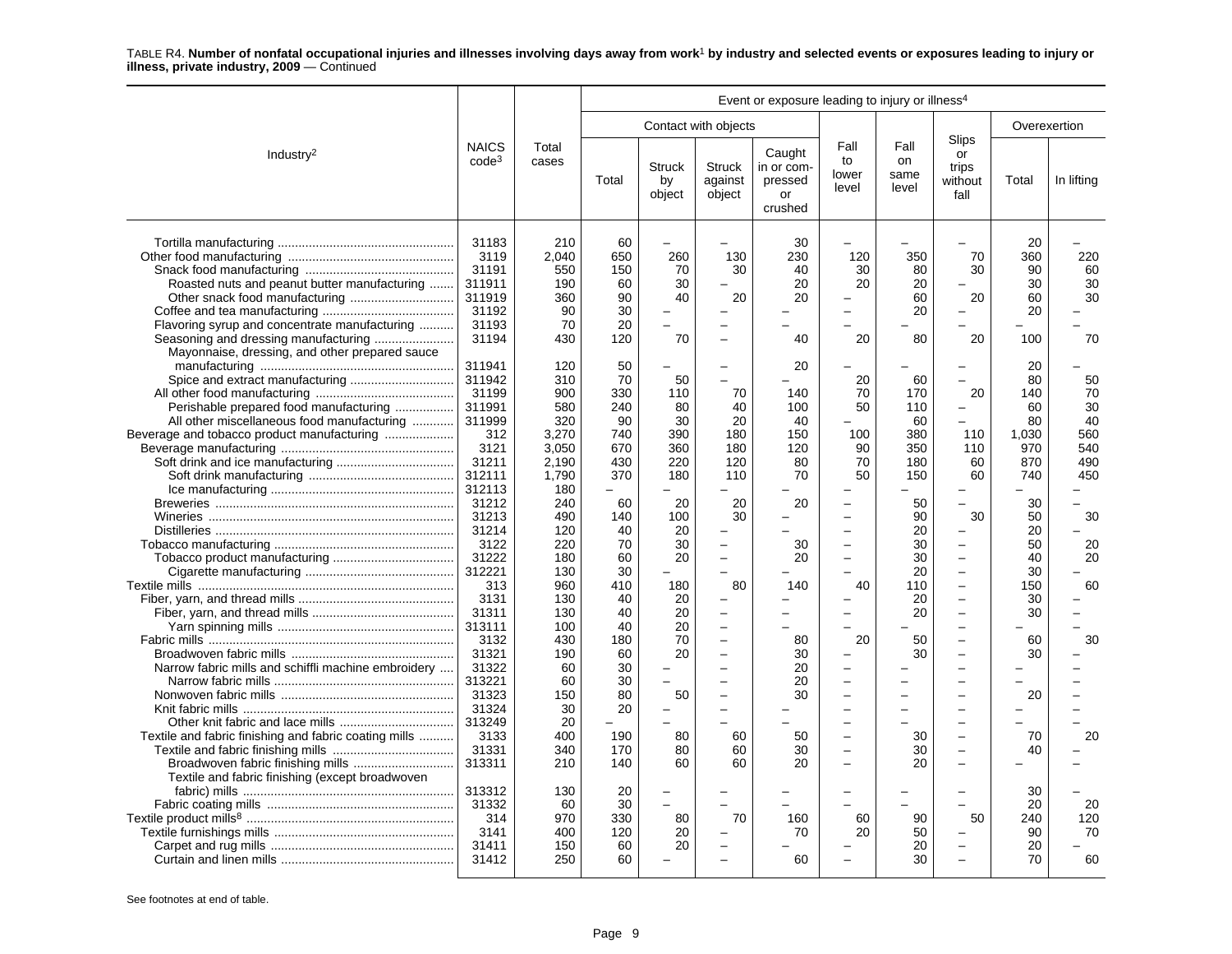|                                                                                                                                                                       | Event or exposure leading to injury or illness <sup>4</sup>           |                                                      |                                                 |                                                                        |                                                                                               |                                                  |                                                                                                          |                                      |                                                                                                                                                            |                                             |                                    |
|-----------------------------------------------------------------------------------------------------------------------------------------------------------------------|-----------------------------------------------------------------------|------------------------------------------------------|-------------------------------------------------|------------------------------------------------------------------------|-----------------------------------------------------------------------------------------------|--------------------------------------------------|----------------------------------------------------------------------------------------------------------|--------------------------------------|------------------------------------------------------------------------------------------------------------------------------------------------------------|---------------------------------------------|------------------------------------|
|                                                                                                                                                                       |                                                                       |                                                      |                                                 |                                                                        | Contact with objects                                                                          |                                                  |                                                                                                          |                                      |                                                                                                                                                            | Overexertion                                |                                    |
| Industry <sup>2</sup>                                                                                                                                                 | <b>NAICS</b><br>$code^3$                                              | Total<br>cases                                       | Total                                           | <b>Struck</b><br>by<br>object                                          | <b>Struck</b><br>against<br>object                                                            | Caught<br>in or com-<br>pressed<br>or<br>crushed | Fall<br>to<br>lower<br>level                                                                             | Fall<br>on<br>same<br>level          | Slips<br>or<br>trips<br>without<br>fall                                                                                                                    | Total                                       | In lifting                         |
| Roasted nuts and peanut butter manufacturing<br>Flavoring syrup and concentrate manufacturing<br>Mayonnaise, dressing, and other prepared sauce                       | 31183<br>3119<br>31191<br>311911<br>311919<br>31192<br>31193<br>31194 | 210<br>2,040<br>550<br>190<br>360<br>90<br>70<br>430 | 60<br>650<br>150<br>60<br>90<br>30<br>20<br>120 | 260<br>70<br>30<br>40<br>70                                            | 130<br>30<br>20<br>$\overline{a}$<br>$\overline{\phantom{0}}$                                 | 30<br>230<br>40<br>20<br>20<br>40                | 120<br>30<br>20<br>20                                                                                    | 350<br>80<br>20<br>60<br>20<br>80    | 70<br>30<br>20<br>20                                                                                                                                       | 20<br>360<br>90<br>30<br>60<br>20<br>100    | 220<br>60<br>30<br>30<br>70        |
| Spice and extract manufacturing<br>Perishable prepared food manufacturing<br>All other miscellaneous food manufacturing<br>Beverage and tobacco product manufacturing | 311941<br>311942<br>31199<br>311991<br>311999<br>312<br>3121          | 120<br>310<br>900<br>580<br>320<br>3,270<br>3,050    | 50<br>70<br>330<br>240<br>90<br>740<br>670      | 50<br>110<br>80<br>30<br>390<br>360                                    | $\overline{\phantom{0}}$<br>70<br>40<br>20<br>180<br>180                                      | 20<br>140<br>100<br>40<br>150<br>120             | 20<br>70<br>50<br>100<br>90                                                                              | 60<br>170<br>110<br>60<br>380<br>350 | $\overline{\phantom{0}}$<br>20<br>$\overline{\phantom{0}}$<br>110<br>110                                                                                   | 20<br>80<br>140<br>60<br>80<br>1,030<br>970 | 50<br>70<br>30<br>40<br>560<br>540 |
|                                                                                                                                                                       | 31211<br>312111<br>312113<br>31212<br>31213<br>31214                  | 2,190<br>1,790<br>180<br>240<br>490<br>120           | 430<br>370<br>60<br>140<br>40                   | 220<br>180<br>20<br>100<br>20                                          | 120<br>110<br>20<br>30                                                                        | 80<br>70<br>20                                   | 70<br>50<br>$\equiv$<br>-                                                                                | 180<br>150<br>50<br>90<br>20         | 60<br>60<br>$\overline{\phantom{0}}$<br>30<br>$\overline{\phantom{0}}$                                                                                     | 870<br>740<br>30<br>50<br>20                | 490<br>450<br>30                   |
|                                                                                                                                                                       | 3122<br>31222<br>312221<br>313<br>3131                                | 220<br>180<br>130<br>960<br>130                      | 70<br>60<br>30<br>410<br>40                     | 30<br>20<br>180<br>20                                                  | $\overline{\phantom{0}}$<br>$\overline{\phantom{0}}$<br>80<br>-                               | 30<br>20<br>140                                  | $\overline{\phantom{0}}$<br>40                                                                           | 30<br>30<br>20<br>110<br>20          | $\qquad \qquad -$<br>$\overline{\phantom{0}}$<br>$\rightarrow$<br>$\overline{\phantom{0}}$                                                                 | 50<br>40<br>30<br>150<br>30                 | 20<br>20<br>60                     |
| Narrow fabric mills and schiffli machine embroidery                                                                                                                   | 31311<br>313111<br>3132<br>31321<br>31322                             | 130<br>100<br>430<br>190<br>60                       | 40<br>40<br>180<br>60<br>30                     | 20<br>20<br>70<br>20                                                   | ÷<br>$\overline{\phantom{0}}$<br>$\overline{a}$<br>$\overline{a}$<br>$\overline{\phantom{0}}$ | 80<br>30<br>20                                   | $\overline{\phantom{0}}$<br>20<br>$\overline{\phantom{0}}$                                               | 20<br>50<br>30                       | $\overline{\phantom{0}}$<br>$\overline{\phantom{0}}$<br>$\overline{\phantom{a}}$<br>$\overline{\phantom{0}}$                                               | 30<br>60<br>30                              | 30                                 |
| Textile and fabric finishing and fabric coating mills                                                                                                                 | 313221<br>31323<br>31324<br>313249<br>3133<br>31331                   | 60<br>150<br>30<br>20<br>400<br>340                  | 30<br>80<br>20<br>190<br>170                    | 50<br>80<br>80                                                         | $\overline{\phantom{0}}$<br>$\overline{\phantom{0}}$<br>$\overline{a}$<br>60<br>60            | 20<br>30<br>50<br>30                             | $\overline{\phantom{0}}$<br>$\overline{\phantom{0}}$<br>$\equiv$<br>$\equiv$<br>$\overline{\phantom{0}}$ | 30<br>30                             | $\overline{\phantom{0}}$<br>$\overline{\phantom{0}}$<br>$\overline{a}$<br>$\overline{\phantom{a}}$<br>$\overline{\phantom{0}}$<br>$\overline{\phantom{0}}$ | 20<br>70<br>40                              | 20                                 |
| Textile and fabric finishing (except broadwoven                                                                                                                       | 313311<br>313312<br>31332<br>314<br>3141                              | 210<br>130<br>60<br>970<br>400                       | 140<br>20<br>30<br>330<br>120                   | 60<br>$\overline{\phantom{0}}$<br>$\overline{\phantom{0}}$<br>80<br>20 | 60<br>70                                                                                      | 20<br>160<br>70                                  | 60<br>20                                                                                                 | 20<br>90<br>50                       | $\sim$<br>$\overline{\phantom{0}}$<br>50<br>$\overline{\phantom{0}}$                                                                                       | 30<br>20<br>240<br>90                       | 20<br>120<br>70                    |
|                                                                                                                                                                       | 31411<br>31412                                                        | 150<br>250                                           | 60<br>60                                        | 20                                                                     |                                                                                               | 60                                               |                                                                                                          | 20<br>30                             | $\equiv$<br>$\overline{\phantom{a}}$                                                                                                                       | 20<br>70                                    | 60                                 |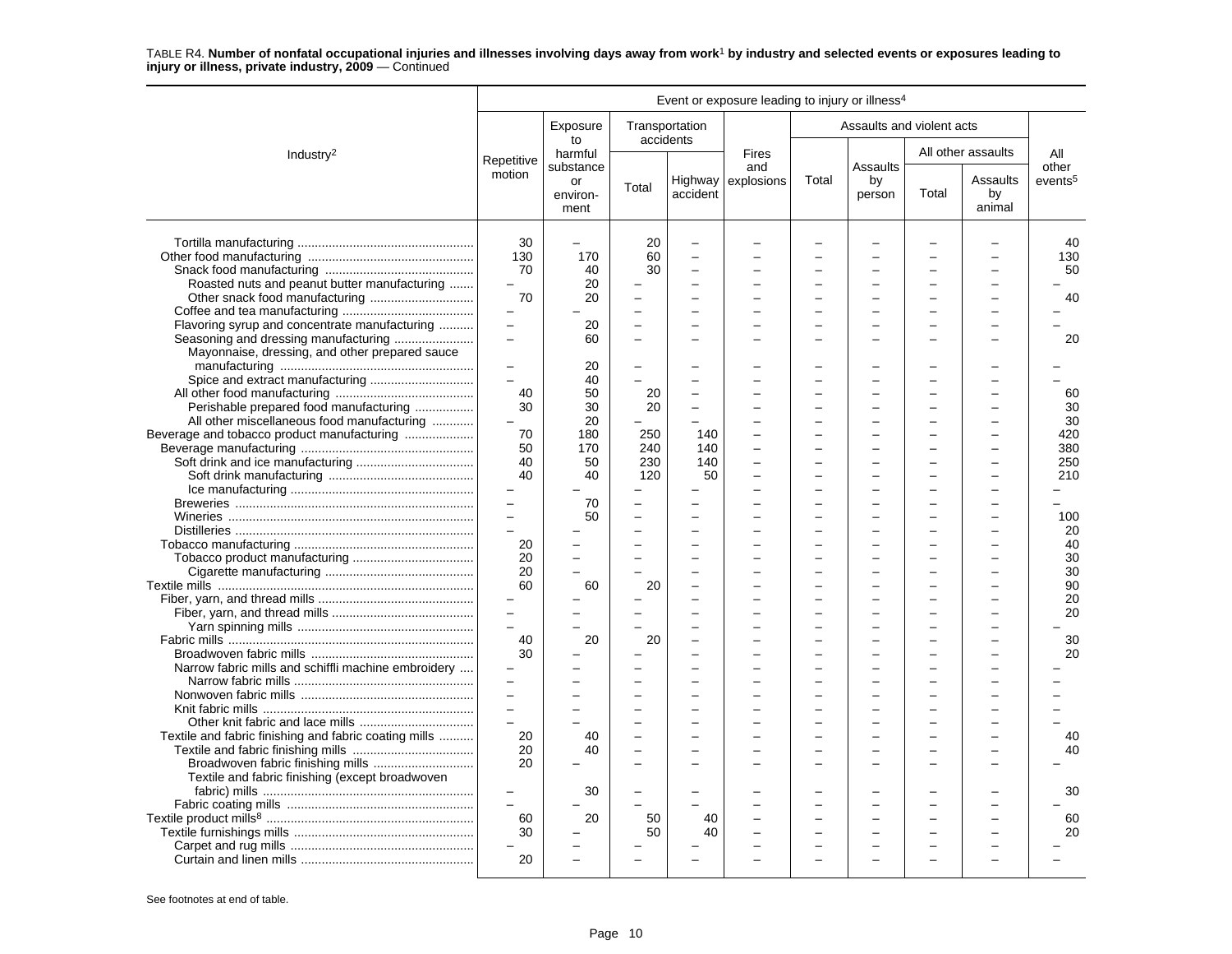|                                                                                                 |                                                   |                                     |                                        |                                | Event or exposure leading to injury or illness <sup>4</sup> |                          |                           |       |                          |                              |
|-------------------------------------------------------------------------------------------------|---------------------------------------------------|-------------------------------------|----------------------------------------|--------------------------------|-------------------------------------------------------------|--------------------------|---------------------------|-------|--------------------------|------------------------------|
|                                                                                                 |                                                   | Exposure<br>to                      |                                        | Transportation<br>accidents    |                                                             |                          | Assaults and violent acts |       |                          |                              |
| Industry <sup>2</sup>                                                                           | Repetitive                                        | harmful                             |                                        |                                | <b>Fires</b>                                                |                          |                           |       | All other assaults       | All                          |
|                                                                                                 | motion                                            | substance<br>or<br>environ-<br>ment | Total                                  | accident                       | and<br>Highway explosions                                   | Total                    | Assaults<br>by<br>person  | Total | Assaults<br>by<br>animal | other<br>events <sup>5</sup> |
| Roasted nuts and peanut butter manufacturing                                                    | 30<br>130<br>70<br>$\overline{\phantom{0}}$<br>70 | 170<br>40<br>20<br>20               | 20<br>60<br>30<br>÷                    | $\overline{a}$<br>÷<br>÷       |                                                             | $\equiv$                 | L.                        |       |                          | 40<br>130<br>50<br>40        |
| Flavoring syrup and concentrate manufacturing<br>Mayonnaise, dressing, and other prepared sauce | $\equiv$                                          | 20<br>60                            | L,                                     | L.                             |                                                             | L.                       |                           |       |                          | 20                           |
| Perishable prepared food manufacturing                                                          | $\sim$<br>40<br>30                                | 20<br>40<br>50<br>30                | 20<br>20                               | Ē,<br>$\overline{\phantom{0}}$ |                                                             |                          |                           |       |                          | 60<br>30                     |
| All other miscellaneous food manufacturing                                                      | 70<br>50                                          | 20<br>180<br>170                    | 250<br>240                             | 140<br>140                     |                                                             |                          |                           |       |                          | 30<br>420<br>380             |
|                                                                                                 | 40<br>40<br>$\overline{a}$                        | 50<br>40<br>70                      | 230<br>120<br>$\overline{\phantom{0}}$ | 140<br>50                      |                                                             |                          |                           |       |                          | 250<br>210                   |
|                                                                                                 | $\sim$<br>20                                      | 50                                  | $\overline{a}$                         | ÷                              |                                                             | L                        |                           |       |                          | 100<br>20<br>40              |
|                                                                                                 | 20<br>20<br>60                                    | 60                                  | 20                                     | Ē,                             |                                                             | $\overline{ }$           |                           |       |                          | 30<br>30<br>90               |
|                                                                                                 | $\overline{a}$                                    |                                     |                                        | ÷                              |                                                             | $\overline{\phantom{0}}$ |                           |       |                          | 20<br>20                     |
| Narrow fabric mills and schiffli machine embroidery                                             | 40<br>30<br>$\equiv$                              | 20                                  | 20                                     |                                |                                                             |                          |                           |       |                          | 30<br>20                     |
| Textile and fabric finishing and fabric coating mills                                           | 20                                                | 40                                  |                                        | ÷                              |                                                             |                          |                           |       |                          | 40                           |
| Textile and fabric finishing (except broadwoven                                                 | 20<br>20                                          | 40<br>30                            |                                        |                                |                                                             |                          |                           |       |                          | 40<br>30                     |
|                                                                                                 | $\equiv$<br>60<br>30                              | 20                                  | 50<br>50                               | 40<br>40                       |                                                             |                          |                           |       |                          | 60<br>20                     |
|                                                                                                 | 20                                                |                                     |                                        |                                |                                                             |                          |                           |       |                          |                              |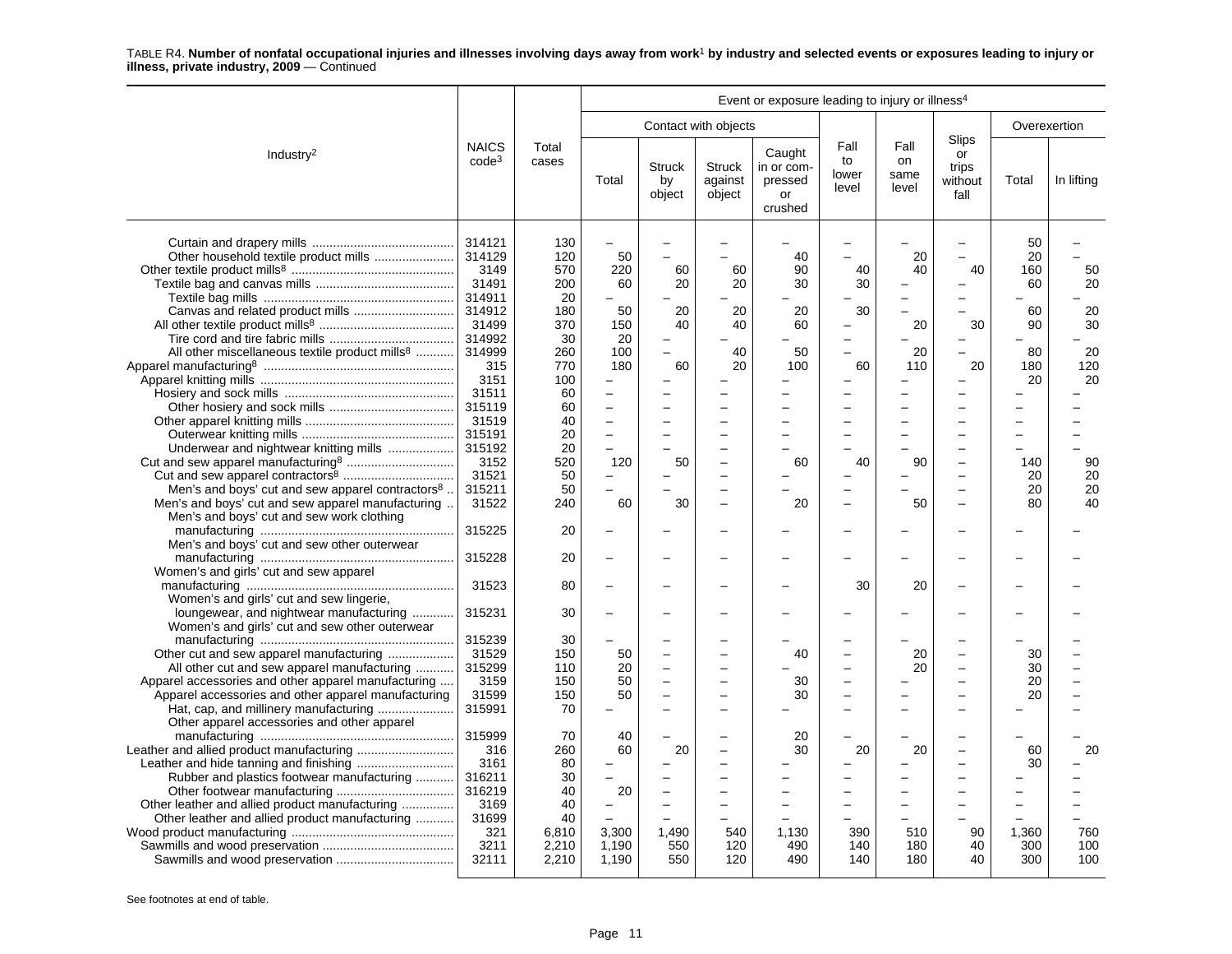|                                                                                                                                                                                                                                                                                                                                                                                                                                                                                                                                                                                                                                                                                                                     | Event or exposure leading to injury or illness <sup>4</sup>                                                                                                                                                                                                                |                                                                                                                                                                                           |                                                                                             |                                                    |                                       |                                                                       |                                  |                                                           |                                                                                                                                                                                                                                                                  |                                                                                                       |                                                                 |
|---------------------------------------------------------------------------------------------------------------------------------------------------------------------------------------------------------------------------------------------------------------------------------------------------------------------------------------------------------------------------------------------------------------------------------------------------------------------------------------------------------------------------------------------------------------------------------------------------------------------------------------------------------------------------------------------------------------------|----------------------------------------------------------------------------------------------------------------------------------------------------------------------------------------------------------------------------------------------------------------------------|-------------------------------------------------------------------------------------------------------------------------------------------------------------------------------------------|---------------------------------------------------------------------------------------------|----------------------------------------------------|---------------------------------------|-----------------------------------------------------------------------|----------------------------------|-----------------------------------------------------------|------------------------------------------------------------------------------------------------------------------------------------------------------------------------------------------------------------------------------------------------------------------|-------------------------------------------------------------------------------------------------------|-----------------------------------------------------------------|
|                                                                                                                                                                                                                                                                                                                                                                                                                                                                                                                                                                                                                                                                                                                     |                                                                                                                                                                                                                                                                            |                                                                                                                                                                                           |                                                                                             |                                                    | Contact with objects                  |                                                                       |                                  |                                                           |                                                                                                                                                                                                                                                                  | Overexertion                                                                                          |                                                                 |
| Industry <sup>2</sup>                                                                                                                                                                                                                                                                                                                                                                                                                                                                                                                                                                                                                                                                                               | <b>NAICS</b><br>$code^3$                                                                                                                                                                                                                                                   | Total<br>cases                                                                                                                                                                            | Total                                                                                       | <b>Struck</b><br>by<br>object                      | Struck<br>against<br>object           | Caught<br>in or com-<br>pressed<br>or<br>crushed                      | Fall<br>to<br>lower<br>level     | Fall<br>on<br>same<br>level                               | Slips<br>or<br>trips<br>without<br>fall                                                                                                                                                                                                                          | Total                                                                                                 | In lifting                                                      |
| All other miscellaneous textile product mills <sup>8</sup><br>Underwear and nightwear knitting mills<br>Men's and boys' cut and sew apparel contractors <sup>8</sup> .<br>Men's and boys' cut and sew apparel manufacturing.<br>Men's and boys' cut and sew work clothing<br>Men's and boys' cut and sew other outerwear<br>Women's and girls' cut and sew apparel<br>Women's and girls' cut and sew lingerie,<br>loungewear, and nightwear manufacturing<br>Women's and girls' cut and sew other outerwear<br>Other cut and sew apparel manufacturing<br>All other cut and sew apparel manufacturing<br>Apparel accessories and other apparel manufacturing<br>Apparel accessories and other apparel manufacturing | 314121<br>314129<br>3149<br>31491<br>314911<br>314912<br>31499<br>314992<br>314999<br>315<br>3151<br>31511<br>315119<br>31519<br>315191<br>315192<br>3152<br>31521<br>315211<br>31522<br>315225<br>315228<br>31523<br>315231<br>315239<br>31529<br>315299<br>3159<br>31599 | 130<br>120<br>570<br>200<br>20<br>180<br>370<br>30<br>260<br>770<br>100<br>60<br>60<br>40<br>20<br>20<br>520<br>50<br>50<br>240<br>20<br>20<br>80<br>30<br>30<br>150<br>110<br>150<br>150 | 50<br>220<br>60<br>50<br>150<br>20<br>100<br>180<br>L.<br>120<br>60<br>50<br>20<br>50<br>50 | 60<br>20<br>20<br>40<br>L.<br>60<br>50<br>30<br>L, | 60<br>20<br>20<br>40<br>40<br>20<br>- | 40<br>90<br>30<br>20<br>60<br>50<br>100<br>60<br>20<br>40<br>30<br>30 | 40<br>30<br>30<br>60<br>40<br>30 | 20<br>40<br>20<br>20<br>110<br>90<br>50<br>20<br>20<br>20 | $\overline{a}$<br>40<br>$\overline{\phantom{0}}$<br>$\overline{a}$<br>÷<br>30<br>-<br>$\overline{a}$<br>20<br>L.<br>÷<br>Ē,<br>-<br>$\overline{a}$<br>$\overline{\phantom{0}}$<br>$\overline{a}$<br>$\overline{a}$<br>$\overline{a}$<br>$\overline{\phantom{0}}$ | 50<br>20<br>160<br>60<br>60<br>90<br>80<br>180<br>20<br>140<br>20<br>20<br>80<br>30<br>30<br>20<br>20 | 50<br>20<br>20<br>30<br>20<br>120<br>20<br>90<br>20<br>20<br>40 |
| Other apparel accessories and other apparel<br>Rubber and plastics footwear manufacturing<br>Other leather and allied product manufacturing<br>Other leather and allied product manufacturing                                                                                                                                                                                                                                                                                                                                                                                                                                                                                                                       | 315991<br>315999<br>316<br>3161<br>316211<br>316219<br>3169<br>31699                                                                                                                                                                                                       | 70<br>70<br>260<br>80<br>30<br>40<br>40<br>40                                                                                                                                             | 40<br>60<br>20                                                                              | 20<br>÷                                            |                                       | 20<br>30                                                              | 20                               | 20                                                        | $\overline{\phantom{0}}$<br>$\overline{\phantom{0}}$<br>$\overline{\phantom{0}}$<br>$\overline{\phantom{0}}$                                                                                                                                                     | 60<br>30                                                                                              | 20                                                              |
|                                                                                                                                                                                                                                                                                                                                                                                                                                                                                                                                                                                                                                                                                                                     | 321<br>3211<br>32111                                                                                                                                                                                                                                                       | 6,810<br>2,210<br>2,210                                                                                                                                                                   | 3,300<br>1,190<br>1,190                                                                     | 1,490<br>550<br>550                                | 540<br>120<br>120                     | 1,130<br>490<br>490                                                   | 390<br>140<br>140                | 510<br>180<br>180                                         | 90<br>40<br>40                                                                                                                                                                                                                                                   | 1,360<br>300<br>300                                                                                   | 760<br>100<br>100                                               |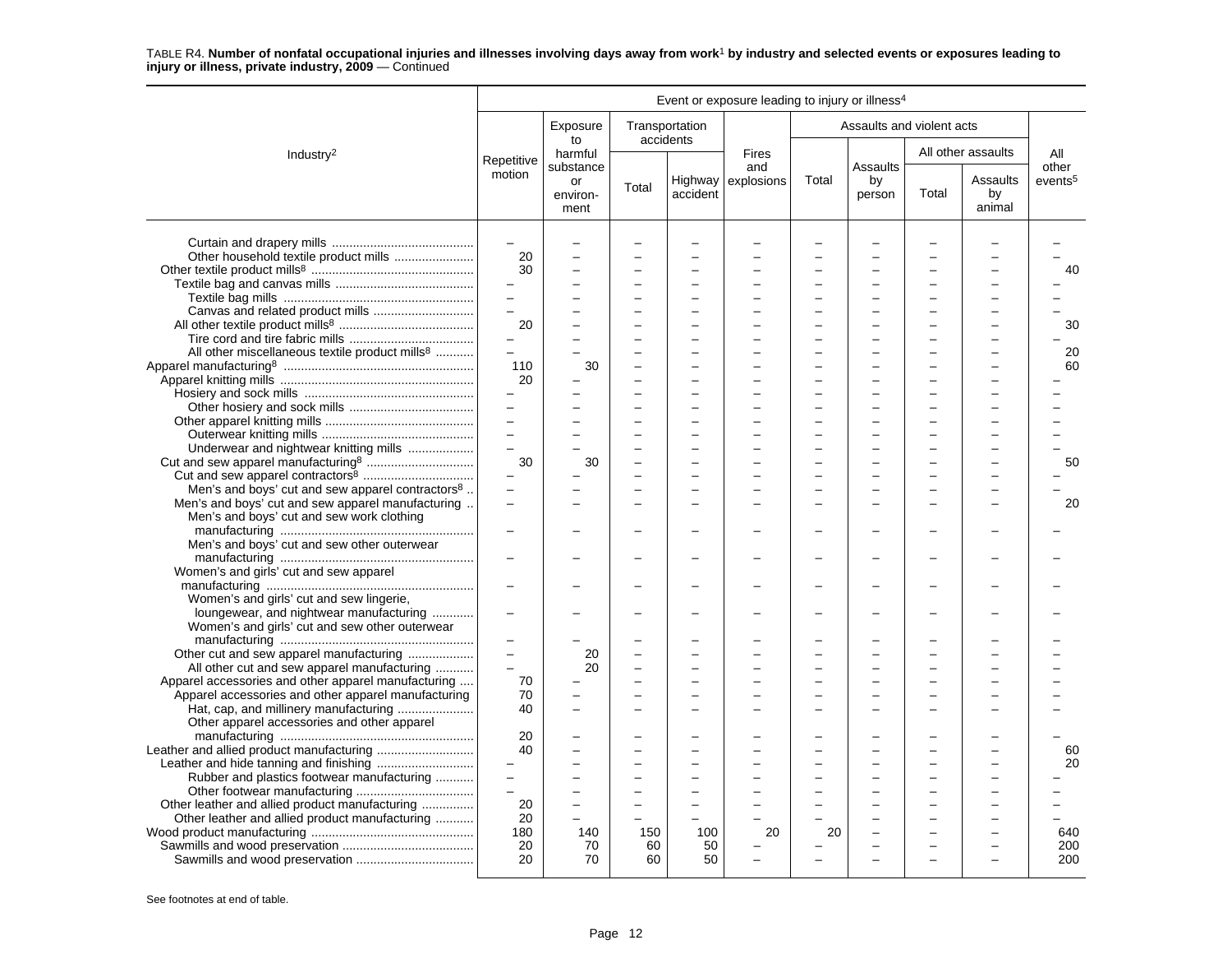|                                                              |                          |                        |                          |                             | Event or exposure leading to injury or illness <sup>4</sup> |          |                           |       |                          |                     |
|--------------------------------------------------------------|--------------------------|------------------------|--------------------------|-----------------------------|-------------------------------------------------------------|----------|---------------------------|-------|--------------------------|---------------------|
|                                                              |                          | Exposure<br>to         |                          | Transportation<br>accidents |                                                             |          | Assaults and violent acts |       |                          |                     |
| Industry <sup>2</sup>                                        | Repetitive               | harmful<br>substance   |                          |                             | <b>Fires</b><br>and                                         |          | Assaults                  |       | All other assaults       | All<br>other        |
|                                                              | motion                   | or<br>environ-<br>ment | Total                    | accident                    | Highway $\vert$ explosions                                  | Total    | by<br>person              | Total | Assaults<br>by<br>animal | events <sup>5</sup> |
|                                                              | $\overline{\phantom{0}}$ |                        |                          |                             |                                                             |          |                           |       |                          |                     |
| Other household textile product mills                        | 20                       |                        |                          |                             |                                                             |          |                           |       |                          |                     |
|                                                              | 30                       |                        |                          |                             |                                                             |          |                           |       |                          | 40                  |
|                                                              |                          |                        |                          |                             |                                                             |          |                           |       |                          |                     |
|                                                              |                          |                        |                          |                             |                                                             |          |                           |       |                          |                     |
|                                                              | $\overline{a}$           |                        | ÷                        | $\sim$                      |                                                             | $\equiv$ | $\overline{\phantom{a}}$  |       |                          |                     |
|                                                              | 20                       |                        |                          |                             |                                                             |          |                           |       |                          | 30                  |
|                                                              | $\equiv$                 |                        |                          |                             |                                                             |          |                           |       |                          |                     |
| All other miscellaneous textile product mills <sup>8</sup>   | $\overline{a}$           |                        |                          |                             |                                                             |          |                           |       |                          | 20                  |
|                                                              | 110                      | 30                     | L,                       |                             |                                                             |          |                           |       |                          | 60                  |
|                                                              | 20                       |                        |                          |                             |                                                             |          |                           |       |                          |                     |
|                                                              |                          |                        |                          |                             |                                                             |          |                           |       |                          |                     |
|                                                              | $\overline{a}$           |                        |                          |                             |                                                             |          |                           |       |                          |                     |
|                                                              | $\overline{a}$           |                        |                          |                             |                                                             |          |                           |       |                          |                     |
|                                                              | $\equiv$                 |                        |                          | ÷                           |                                                             |          |                           |       |                          |                     |
| Underwear and nightwear knitting mills                       | $\equiv$                 |                        |                          |                             |                                                             |          |                           |       |                          |                     |
|                                                              | 30                       | 30                     |                          |                             |                                                             |          |                           |       |                          | 50                  |
|                                                              |                          |                        |                          |                             |                                                             |          |                           |       |                          |                     |
| Men's and boys' cut and sew apparel contractors <sup>8</sup> |                          |                        |                          |                             |                                                             |          |                           |       |                          |                     |
| Men's and boys' cut and sew apparel manufacturing            | $\overline{\phantom{0}}$ |                        |                          |                             |                                                             |          |                           |       |                          | 20                  |
| Men's and boys' cut and sew work clothing                    |                          |                        |                          |                             |                                                             |          |                           |       |                          |                     |
|                                                              |                          |                        |                          |                             |                                                             |          |                           |       |                          |                     |
| Men's and boys' cut and sew other outerwear                  |                          |                        |                          |                             |                                                             |          |                           |       |                          |                     |
|                                                              | $\overline{\phantom{0}}$ |                        |                          |                             |                                                             |          |                           |       |                          |                     |
| Women's and girls' cut and sew apparel                       |                          |                        |                          |                             |                                                             |          |                           |       |                          |                     |
|                                                              |                          |                        |                          |                             |                                                             |          |                           |       |                          |                     |
| Women's and girls' cut and sew lingerie,                     |                          |                        |                          |                             |                                                             |          |                           |       |                          |                     |
| loungewear, and nightwear manufacturing                      |                          |                        |                          |                             |                                                             |          |                           |       |                          |                     |
| Women's and girls' cut and sew other outerwear               |                          |                        |                          |                             |                                                             |          |                           |       |                          |                     |
|                                                              | $\overline{\phantom{0}}$ |                        |                          |                             |                                                             |          |                           |       |                          |                     |
| Other cut and sew apparel manufacturing                      | $\overline{a}$           | 20                     |                          |                             |                                                             |          |                           |       |                          |                     |
| All other cut and sew apparel manufacturing                  |                          | 20                     |                          |                             |                                                             |          |                           |       |                          |                     |
| Apparel accessories and other apparel manufacturing          | 70                       |                        |                          |                             |                                                             |          |                           |       |                          |                     |
| Apparel accessories and other apparel manufacturing          | 70                       |                        |                          |                             |                                                             |          |                           |       |                          |                     |
| Hat, cap, and millinery manufacturing                        | 40                       |                        |                          |                             |                                                             |          |                           |       |                          |                     |
| Other apparel accessories and other apparel                  |                          |                        |                          |                             |                                                             |          |                           |       |                          |                     |
|                                                              | 20                       |                        |                          |                             |                                                             |          |                           |       |                          |                     |
|                                                              | 40                       |                        |                          |                             |                                                             |          |                           |       |                          | 60                  |
|                                                              | $\overline{\phantom{0}}$ |                        |                          |                             |                                                             |          |                           |       |                          | 20                  |
| Rubber and plastics footwear manufacturing                   |                          |                        |                          |                             |                                                             |          |                           |       |                          |                     |
|                                                              |                          |                        | $\overline{\phantom{0}}$ |                             |                                                             |          |                           |       |                          |                     |
| Other leather and allied product manufacturing               | 20                       |                        |                          |                             |                                                             |          |                           |       |                          |                     |
| Other leather and allied product manufacturing               | 20                       |                        | ÷                        |                             |                                                             |          |                           |       |                          |                     |
|                                                              | 180                      | 140                    | 150                      | 100                         | 20                                                          | 20       |                           |       |                          | 640                 |
|                                                              | 20                       | 70<br>70               | 60                       | 50<br>50                    |                                                             |          |                           |       |                          | 200                 |
|                                                              | 20                       |                        | 60                       |                             |                                                             |          |                           |       |                          | 200                 |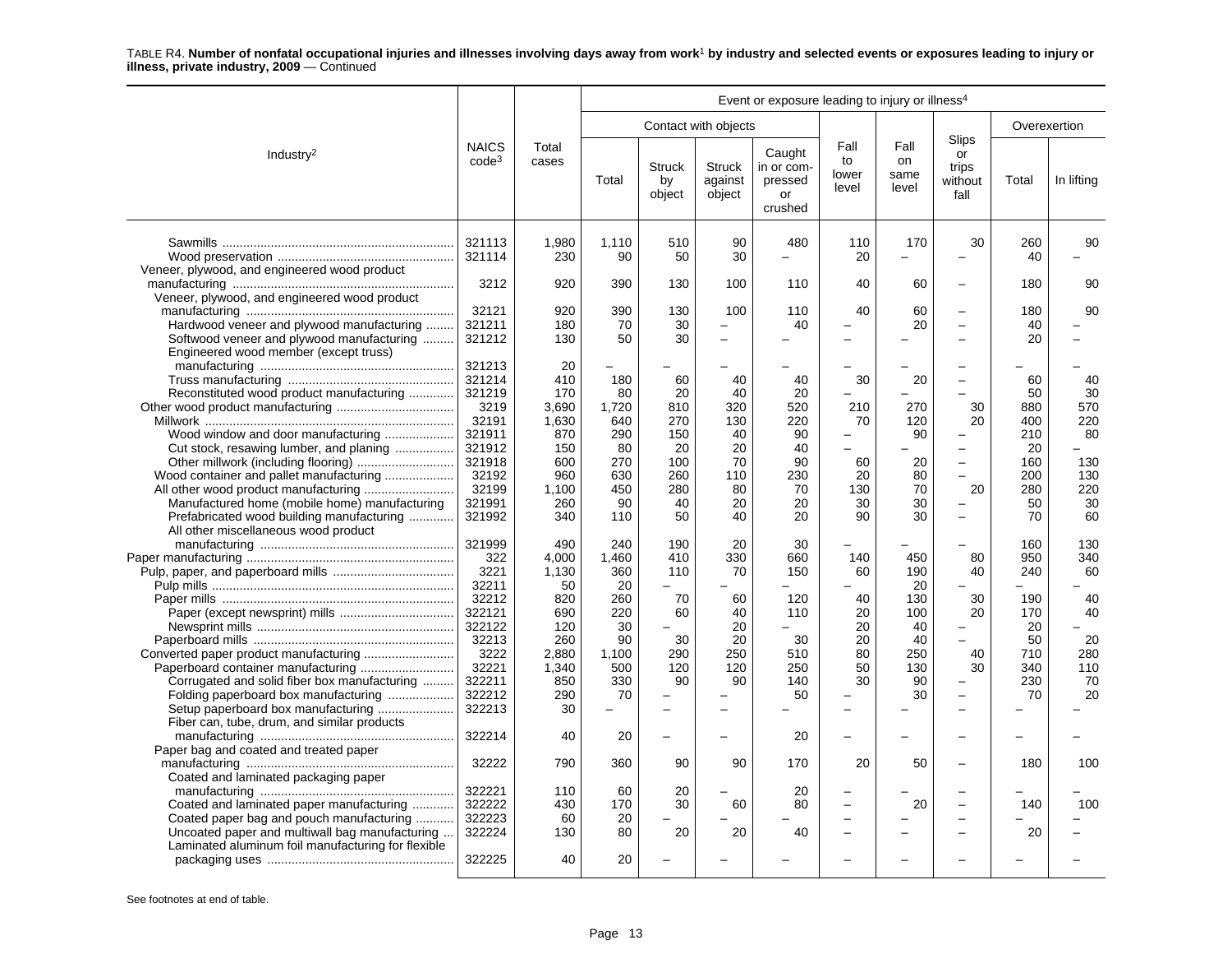|                                                                                              |                          |                |             |                               |                                    | Event or exposure leading to injury or illness <sup>4</sup> |                              |                             |                                         |              |            |
|----------------------------------------------------------------------------------------------|--------------------------|----------------|-------------|-------------------------------|------------------------------------|-------------------------------------------------------------|------------------------------|-----------------------------|-----------------------------------------|--------------|------------|
|                                                                                              |                          |                |             |                               | Contact with objects               |                                                             |                              |                             |                                         | Overexertion |            |
| Industry <sup>2</sup>                                                                        | <b>NAICS</b><br>$code^3$ | Total<br>cases | Total       | <b>Struck</b><br>by<br>object | <b>Struck</b><br>against<br>object | Caught<br>in or com-<br>pressed<br>or<br>crushed            | Fall<br>to<br>lower<br>level | Fall<br>on<br>same<br>level | Slips<br>or<br>trips<br>without<br>fall | Total        | In lifting |
|                                                                                              | 321113<br>321114         | 1.980<br>230   | 1.110<br>90 | 510<br>50                     | 90<br>30                           | 480                                                         | 110<br>20                    | 170                         | 30<br>Ē,                                | 260<br>40    | 90         |
| Veneer, plywood, and engineered wood product<br>Veneer, plywood, and engineered wood product | 3212                     | 920            | 390         | 130                           | 100                                | 110                                                         | 40                           | 60                          | $\overline{\phantom{0}}$                | 180          | 90         |
|                                                                                              | 32121                    | 920            | 390         | 130                           | 100                                | 110                                                         | 40                           | 60                          | $\overline{\phantom{0}}$                | 180          | 90         |
| Hardwood veneer and plywood manufacturing                                                    | 321211                   | 180            | 70          | 30                            | $\overline{\phantom{0}}$           | 40                                                          |                              | 20                          | Ĭ.                                      | 40           |            |
| Softwood veneer and plywood manufacturing<br>Engineered wood member (except truss)           | 321212                   | 130            | 50          | 30                            | $\equiv$                           |                                                             |                              |                             | $\overline{a}$                          | 20           |            |
|                                                                                              | 321213                   | 20             |             |                               |                                    |                                                             |                              |                             | -                                       |              |            |
|                                                                                              | 321214                   | 410            | 180         | 60                            | 40                                 | 40                                                          | 30                           | 20                          | $\overline{\phantom{0}}$                | 60           | 40         |
| Reconstituted wood product manufacturing                                                     | 321219                   | 170            | 80          | 20                            | 40                                 | 20                                                          |                              |                             | L.                                      | 50           | 30         |
|                                                                                              | 3219                     | 3,690          | 1,720       | 810                           | 320                                | 520                                                         | 210                          | 270                         | 30                                      | 880          | 570        |
|                                                                                              | 32191                    | 1,630          | 640         | 270                           | 130                                | 220                                                         | 70                           | 120                         | 20                                      | 400          | 220        |
| Wood window and door manufacturing                                                           | 321911                   | 870            | 290         | 150                           | 40                                 | 90                                                          |                              | 90                          | -                                       | 210          | 80         |
| Cut stock, resawing lumber, and planing                                                      | 321912                   | 150            | 80          | 20                            | 20                                 | 40                                                          |                              |                             | $\overline{a}$                          | 20           |            |
|                                                                                              | 321918                   | 600            | 270         | 100                           | 70                                 | 90                                                          | 60                           | 20                          | $\overline{\phantom{0}}$                | 160          | 130        |
| Wood container and pallet manufacturing                                                      | 32192                    | 960            | 630         | 260                           | 110                                | 230                                                         | 20                           | 80                          | $\overline{\phantom{0}}$                | 200          | 130        |
|                                                                                              | 32199                    | 1,100          | 450         | 280                           | 80                                 | 70                                                          | 130                          | 70                          | 20                                      | 280          | 220        |
| Manufactured home (mobile home) manufacturing                                                | 321991                   | 260            | 90          | 40                            | 20                                 | 20                                                          | 30                           | 30                          | $\overline{\phantom{0}}$                | 50           | 30         |
| Prefabricated wood building manufacturing<br>All other miscellaneous wood product            | 321992                   | 340            | 110         | 50                            | 40                                 | 20                                                          | 90                           | 30                          | $\overline{\phantom{0}}$                | 70           | 60         |
|                                                                                              | 321999                   | 490            | 240         | 190                           | 20                                 | 30                                                          |                              |                             |                                         | 160          | 130        |
|                                                                                              | 322                      | 4,000          | 1,460       | 410                           | 330                                | 660                                                         | 140                          | 450                         | 80                                      | 950          | 340        |
|                                                                                              | 3221                     | 1,130          | 360         | 110                           | 70                                 | 150                                                         | 60                           | 190                         | 40                                      | 240          | 60         |
|                                                                                              | 32211                    | 50             | 20          | $\overline{a}$                |                                    |                                                             |                              | 20                          | Ē,                                      |              |            |
|                                                                                              | 32212                    | 820            | 260         | 70                            | 60                                 | 120                                                         | 40                           | 130                         | 30                                      | 190          | 40         |
|                                                                                              | 322121                   | 690            | 220         | 60                            | 40                                 | 110                                                         | 20                           | 100                         | 20                                      | 170          | 40         |
|                                                                                              | 322122                   | 120            | 30          | $\overline{\phantom{0}}$      | 20                                 |                                                             | 20                           | 40                          | ÷                                       | 20           |            |
|                                                                                              | 32213                    | 260            | 90          | 30                            | 20                                 | 30                                                          | 20                           | 40                          |                                         | 50           | 20         |
| Converted paper product manufacturing                                                        | 3222                     | 2,880          | 1,100       | 290                           | 250                                | 510                                                         | 80                           | 250                         | 40                                      | 710          | 280        |
|                                                                                              | 32221                    | 1,340          | 500         | 120                           | 120                                | 250                                                         | 50                           | 130                         | 30                                      | 340          | 110        |
| Corrugated and solid fiber box manufacturing                                                 | 322211                   | 850            | 330         | 90                            | 90                                 | 140                                                         | 30                           | 90                          | Ē,                                      | 230          | 70         |
| Folding paperboard box manufacturing                                                         | 322212                   | 290            | 70          | $\overline{\phantom{0}}$      | $\overline{\phantom{0}}$           | 50                                                          |                              | 30                          | $\overline{\phantom{0}}$                | 70           | 20         |
| Setup paperboard box manufacturing                                                           | 322213                   | 30             |             | $\overline{\phantom{0}}$      | -                                  |                                                             |                              |                             | $\overline{\phantom{0}}$                |              |            |
| Fiber can, tube, drum, and similar products                                                  |                          |                |             |                               |                                    |                                                             |                              |                             |                                         |              |            |
|                                                                                              | 322214                   | 40             | 20          |                               |                                    | 20                                                          |                              |                             | $\overline{\phantom{0}}$                |              |            |
| Paper bag and coated and treated paper                                                       |                          |                |             |                               |                                    |                                                             |                              |                             |                                         |              |            |
| Coated and laminated packaging paper                                                         | 32222                    | 790            | 360         | 90                            | 90                                 | 170                                                         | 20                           | 50                          | $\overline{\phantom{0}}$                | 180          | 100        |
|                                                                                              | 322221                   | 110            | 60          | 20                            |                                    | 20                                                          |                              |                             | L.                                      |              |            |
| Coated and laminated paper manufacturing                                                     | 322222                   | 430            | 170         | 30                            | 60                                 | 80                                                          |                              | 20                          |                                         | 140          | 100        |
| Coated paper bag and pouch manufacturing                                                     | 322223                   | 60             | 20          |                               |                                    |                                                             |                              |                             | $\overline{\phantom{0}}$                |              |            |
| Uncoated paper and multiwall bag manufacturing                                               | 322224                   | 130            | 80          | 20                            | 20                                 | 40                                                          |                              |                             |                                         | 20           |            |
| Laminated aluminum foil manufacturing for flexible                                           |                          |                |             |                               |                                    |                                                             |                              |                             |                                         |              |            |
|                                                                                              | 322225                   | 40             | 20          |                               |                                    |                                                             |                              |                             |                                         |              |            |
|                                                                                              |                          |                |             |                               |                                    |                                                             |                              |                             |                                         |              |            |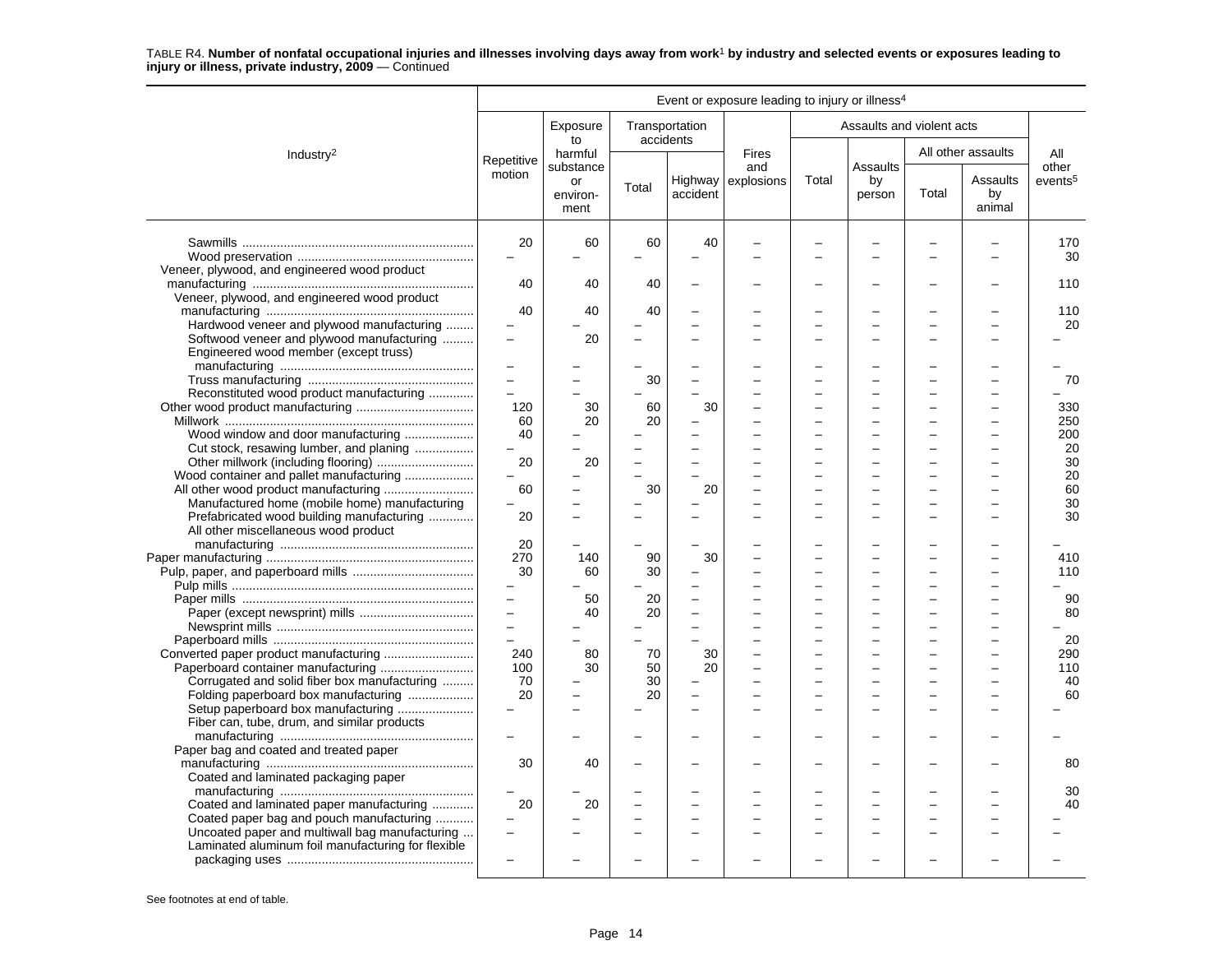|                                                                                                      |                                 |                        |          |                                                      | Event or exposure leading to injury or illness <sup>4</sup> |        |                                                      |       |                          |                     |
|------------------------------------------------------------------------------------------------------|---------------------------------|------------------------|----------|------------------------------------------------------|-------------------------------------------------------------|--------|------------------------------------------------------|-------|--------------------------|---------------------|
|                                                                                                      |                                 | Exposure<br>to         |          | Transportation<br>accidents                          |                                                             |        | Assaults and violent acts                            |       |                          |                     |
| Industry <sup>2</sup>                                                                                | Repetitive                      | harmful<br>substance   |          |                                                      | <b>Fires</b><br>and                                         |        | <b>Assaults</b>                                      |       | All other assaults       | All<br>other        |
|                                                                                                      | motion                          | or<br>environ-<br>ment | Total    | accident                                             | Highway explosions                                          | Total  | by<br>person                                         | Total | Assaults<br>by<br>animal | events <sup>5</sup> |
|                                                                                                      | 20<br>$\equiv$                  | 60                     | 60       | 40                                                   |                                                             |        |                                                      |       |                          | 170<br>30           |
| Veneer, plywood, and engineered wood product                                                         | 40                              | 40                     | 40       |                                                      |                                                             |        |                                                      |       |                          | 110                 |
| Veneer, plywood, and engineered wood product                                                         | 40                              | 40                     | 40       |                                                      |                                                             |        |                                                      |       |                          | 110                 |
| Hardwood veneer and plywood manufacturing<br>Softwood veneer and plywood manufacturing               |                                 | 20                     |          | $\overline{a}$                                       |                                                             | -      |                                                      |       |                          | 20                  |
| Engineered wood member (except truss)                                                                | $\frac{1}{2}$                   |                        |          |                                                      |                                                             |        |                                                      |       |                          |                     |
|                                                                                                      | $\equiv$                        |                        | 30       |                                                      |                                                             |        |                                                      |       |                          | 70                  |
| Reconstituted wood product manufacturing                                                             | $\overline{\phantom{0}}$<br>120 | 30                     | 60       | 30                                                   |                                                             |        |                                                      |       |                          | 330                 |
| Wood window and door manufacturing                                                                   | 60<br>40                        | 20                     | 20       |                                                      |                                                             |        |                                                      |       |                          | 250<br>200          |
| Cut stock, resawing lumber, and planing                                                              | $\overline{a}$<br>20            | 20                     |          | $\overline{\phantom{0}}$                             |                                                             | ÷      | L                                                    |       |                          | 20<br>30            |
| Wood container and pallet manufacturing                                                              | 60                              |                        | 30       | 20                                                   |                                                             | ÷      |                                                      |       |                          | 20<br>60            |
| Manufactured home (mobile home) manufacturing                                                        |                                 |                        |          |                                                      |                                                             |        |                                                      |       |                          | 30                  |
| Prefabricated wood building manufacturing<br>All other miscellaneous wood product                    | 20                              |                        |          |                                                      |                                                             |        |                                                      |       |                          | 30                  |
|                                                                                                      | 20<br>270                       | 140                    | 90       | 30                                                   |                                                             |        |                                                      |       |                          | 410                 |
|                                                                                                      | 30                              | 60                     | 30       | $\overline{\phantom{0}}$                             |                                                             |        |                                                      |       |                          | 110                 |
|                                                                                                      | $\equiv$                        | 50<br>40               | 20<br>20 |                                                      |                                                             |        |                                                      |       |                          | 90<br>80            |
|                                                                                                      | $\equiv$<br>$\equiv$            |                        |          | ÷<br>$\overline{\phantom{0}}$                        |                                                             | L      | L                                                    |       | ÷                        | 20                  |
| Converted paper product manufacturing                                                                | 240                             | 80                     | 70       | 30                                                   |                                                             |        |                                                      |       |                          | 290                 |
| Paperboard container manufacturing<br>Corrugated and solid fiber box manufacturing                   | 100<br>70                       | 30                     | 50<br>30 | 20                                                   |                                                             |        |                                                      |       |                          | 110<br>40           |
| Folding paperboard box manufacturing<br>Setup paperboard box manufacturing                           | 20                              | $\equiv$               | 20       | $\overline{\phantom{0}}$<br>$\overline{\phantom{0}}$ |                                                             | ÷<br>÷ | $\overline{\phantom{0}}$<br>$\overline{\phantom{a}}$ |       | $\overline{\phantom{a}}$ | 60                  |
| Fiber can, tube, drum, and similar products                                                          | $\overline{a}$                  |                        |          |                                                      |                                                             |        |                                                      |       |                          |                     |
| Paper bag and coated and treated paper                                                               | 30                              | 40                     |          |                                                      |                                                             |        |                                                      |       |                          | 80                  |
| Coated and laminated packaging paper                                                                 |                                 |                        |          |                                                      |                                                             |        |                                                      |       |                          | 30                  |
| Coated and laminated paper manufacturing<br>Coated paper bag and pouch manufacturing                 | 20                              | 20                     |          | $\overline{\phantom{0}}$                             |                                                             |        |                                                      |       |                          | 40                  |
| Uncoated paper and multiwall bag manufacturing<br>Laminated aluminum foil manufacturing for flexible | $\overline{\phantom{0}}$        |                        |          | $\equiv$                                             |                                                             |        |                                                      |       |                          |                     |
|                                                                                                      |                                 |                        |          |                                                      |                                                             |        |                                                      |       |                          |                     |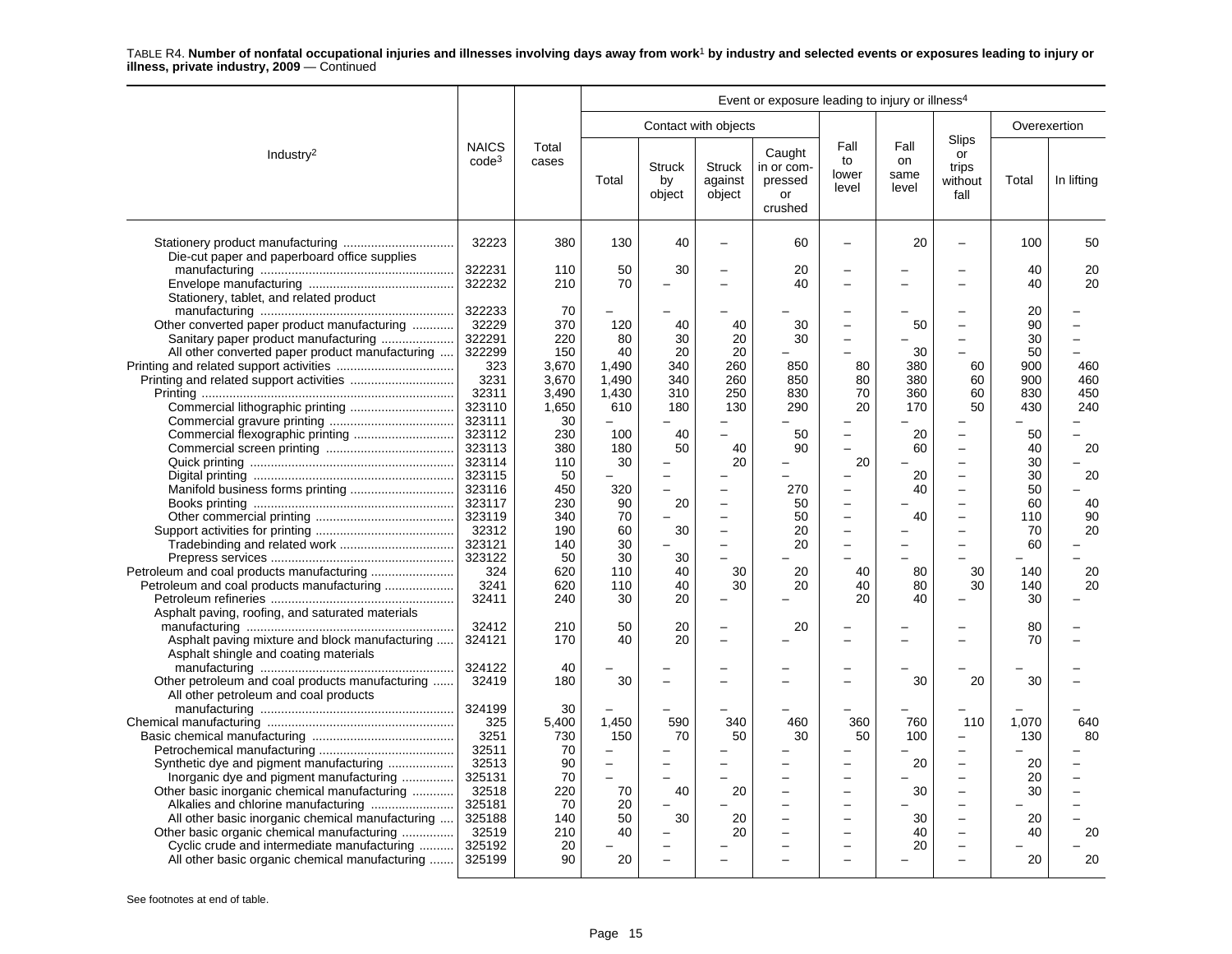|                                                                                                                                             | Event or exposure leading to injury or illness <sup>4</sup> |                                |                                          |                        |                                                                        |                                                  |                                                      |                             |                                                                                                              |                      |                   |
|---------------------------------------------------------------------------------------------------------------------------------------------|-------------------------------------------------------------|--------------------------------|------------------------------------------|------------------------|------------------------------------------------------------------------|--------------------------------------------------|------------------------------------------------------|-----------------------------|--------------------------------------------------------------------------------------------------------------|----------------------|-------------------|
|                                                                                                                                             |                                                             |                                |                                          |                        | Contact with objects                                                   |                                                  |                                                      |                             |                                                                                                              |                      | Overexertion      |
| Industry <sup>2</sup>                                                                                                                       | <b>NAICS</b><br>$code^3$                                    | Total<br>cases                 | Total                                    | Struck<br>by<br>object | <b>Struck</b><br>against<br>object                                     | Caught<br>in or com-<br>pressed<br>or<br>crushed | Fall<br>to<br>lower<br>level                         | Fall<br>on<br>same<br>level | Slips<br>or<br>trips<br>without<br>fall                                                                      | Total                | In lifting        |
| Die-cut paper and paperboard office supplies                                                                                                | 32223                                                       | 380                            | 130                                      | 40                     | $\overline{\phantom{0}}$                                               | 60                                               |                                                      | 20                          |                                                                                                              | 100                  | 50                |
| Stationery, tablet, and related product                                                                                                     | 322231<br>322232                                            | 110<br>210                     | 50<br>70                                 | 30                     | $\overline{\phantom{0}}$<br>$\overline{\phantom{0}}$                   | 20<br>40                                         |                                                      |                             |                                                                                                              | 40<br>40             | 20<br>20          |
| Other converted paper product manufacturing<br>Sanitary paper product manufacturing<br>All other converted paper product manufacturing      | 322233<br>32229<br>322291<br>322299                         | 70<br>370<br>220<br>150        | 120<br>80<br>40                          | 40<br>30<br>20         | 40<br>20<br>20                                                         | 30<br>30                                         | $\equiv$<br>-                                        | 50<br>30                    | $\equiv$<br>$\overline{\phantom{0}}$                                                                         | 20<br>90<br>30<br>50 |                   |
|                                                                                                                                             | 323<br>3231<br>32311                                        | 3,670<br>3,670<br>3,490        | 1.490<br>1,490<br>1,430                  | 340<br>340<br>310      | 260<br>260<br>250                                                      | 850<br>850<br>830                                | 80<br>80<br>70                                       | 380<br>380<br>360           | 60<br>60<br>60                                                                                               | 900<br>900<br>830    | 460<br>460<br>450 |
| Commercial flexographic printing                                                                                                            | 323110<br>323111<br>323112<br>323113                        | 1,650<br>30<br>230<br>380      | 610<br>100<br>180                        | 180<br>40<br>50        | 130<br>$\overline{a}$<br>40                                            | 290<br>50<br>90                                  | 20<br>$\overline{\phantom{m}}$                       | 170<br>20<br>60             | 50<br>$\overline{\phantom{0}}$<br>$\overline{\phantom{0}}$                                                   | 430<br>50<br>40      | 240<br>20         |
|                                                                                                                                             | 323114<br>323115<br>323116<br>323117                        | 110<br>50<br>450<br>230        | 30<br>320<br>90                          | 20                     | 20<br>$\overline{\phantom{0}}$                                         | 270<br>50                                        | 20<br>-<br>$\overline{\phantom{0}}$                  | 20<br>40                    | $\overline{\phantom{0}}$<br>$\overline{\phantom{0}}$<br>$\overline{\phantom{0}}$<br>$\overline{a}$           | 30<br>30<br>50<br>60 | 20<br>40          |
|                                                                                                                                             | 323119<br>32312<br>323121                                   | 340<br>190<br>140              | 70<br>60<br>30                           | 30                     | $\overline{\phantom{0}}$<br>$\overline{a}$<br>$\overline{\phantom{0}}$ | 50<br>20<br>20                                   | $\equiv$                                             | 40                          | $\equiv$                                                                                                     | 110<br>70<br>60      | 90<br>20          |
|                                                                                                                                             | 323122<br>324<br>3241<br>32411                              | 50<br>620<br>620<br>240        | 30<br>110<br>110<br>30                   | 30<br>40<br>40<br>20   | L.<br>30<br>30<br>÷                                                    | 20<br>20                                         | 40<br>40<br>20                                       | 80<br>80<br>40              | 30<br>30                                                                                                     | 140<br>140<br>30     | 20<br>20          |
| Asphalt paving, roofing, and saturated materials<br>Asphalt paving mixture and block manufacturing<br>Asphalt shingle and coating materials | 32412<br>324121                                             | 210<br>170                     | 50<br>40                                 | 20<br>20               | Ē,<br>Ē,                                                               | 20                                               |                                                      |                             |                                                                                                              | 80<br>70             |                   |
| Other petroleum and coal products manufacturing<br>All other petroleum and coal products                                                    | 324122<br>32419                                             | 40<br>180                      | 30                                       |                        |                                                                        |                                                  |                                                      | 30                          | 20                                                                                                           | 30                   |                   |
|                                                                                                                                             | 324199<br>325<br>3251<br>32511<br>32513                     | 30<br>5,400<br>730<br>70<br>90 | 1,450<br>150<br>$\overline{\phantom{0}}$ | 590<br>70              | 340<br>50<br>$\overline{\phantom{0}}$                                  | 460<br>30                                        | 360<br>50<br>-                                       | 760<br>100<br>20            | 110<br>$\overline{\phantom{0}}$<br>$\overline{\phantom{0}}$<br>$\overline{\phantom{0}}$                      | 1.070<br>130<br>20   | 640<br>80         |
| Inorganic dye and pigment manufacturing<br>Other basic inorganic chemical manufacturing<br>All other basic inorganic chemical manufacturing | 325131<br>32518<br>325181<br>325188                         | 70<br>220<br>70<br>140         | 70<br>20<br>50                           | 40<br>30               | 20<br>20                                                               |                                                  | $\overline{\phantom{0}}$<br>$\sim$<br>$\overline{a}$ | 30<br>30                    | $\overline{\phantom{0}}$<br>$\overline{\phantom{0}}$<br>$\overline{\phantom{0}}$<br>$\overline{\phantom{0}}$ | 20<br>30<br>20       |                   |
| Other basic organic chemical manufacturing<br>Cyclic crude and intermediate manufacturing<br>All other basic organic chemical manufacturing | 32519<br>325192<br>325199                                   | 210<br>20<br>90                | 40<br>20                                 |                        | 20                                                                     |                                                  | $\overline{a}$<br>$\equiv$                           | 40<br>20                    | $\overline{a}$                                                                                               | 40<br>20             | 20<br>20          |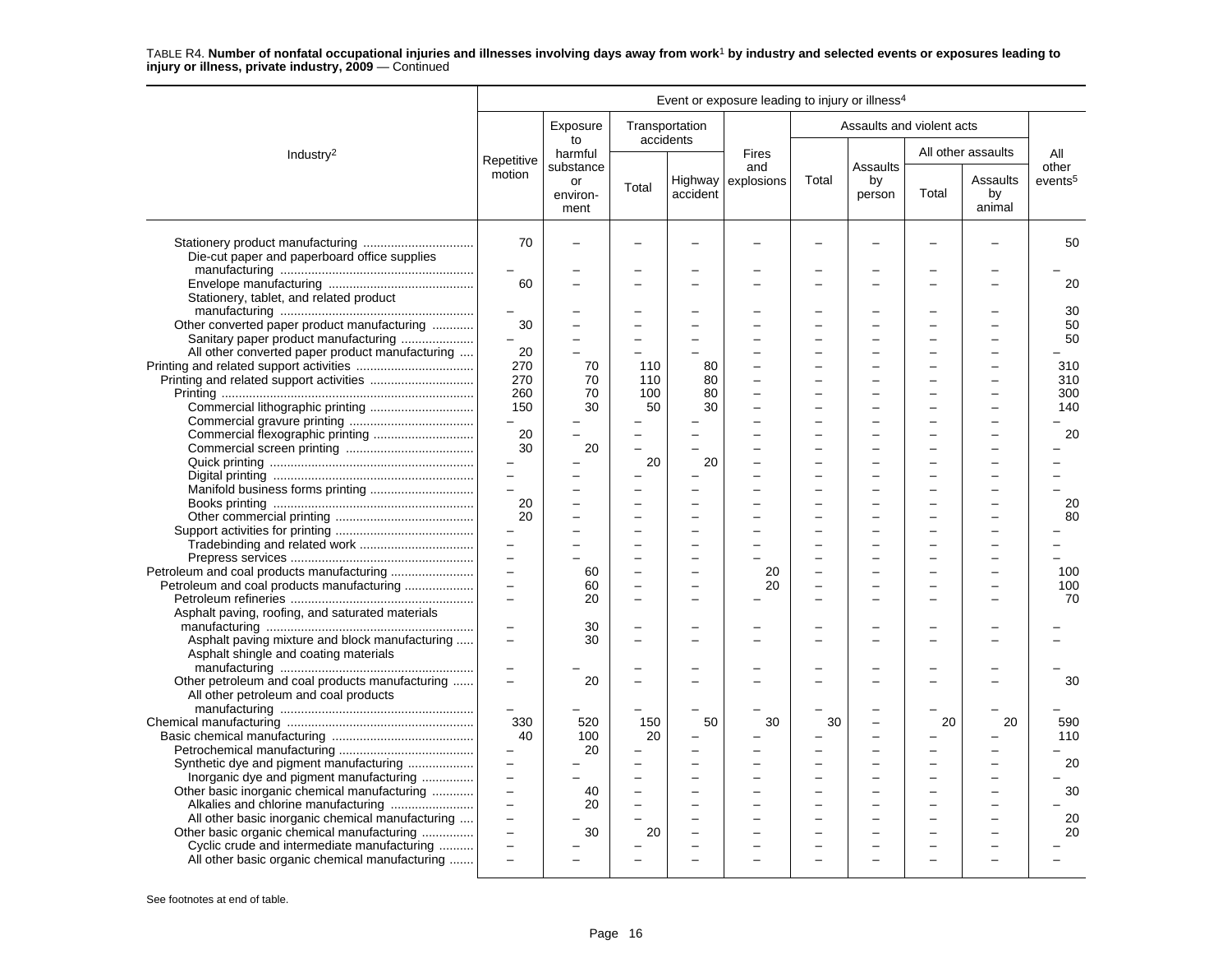|                                                                                                                                                                                                 |                                                       |                            |                                      |                                | Event or exposure leading to injury or illness <sup>4</sup> |          |                           |       |                          |                     |
|-------------------------------------------------------------------------------------------------------------------------------------------------------------------------------------------------|-------------------------------------------------------|----------------------------|--------------------------------------|--------------------------------|-------------------------------------------------------------|----------|---------------------------|-------|--------------------------|---------------------|
|                                                                                                                                                                                                 |                                                       | Exposure                   | Transportation                       |                                |                                                             |          | Assaults and violent acts |       |                          |                     |
| Industry <sup>2</sup>                                                                                                                                                                           | Repetitive                                            | to<br>harmful<br>substance | accidents                            |                                | <b>Fires</b><br>and                                         |          | Assaults                  |       | All other assaults       | All<br>other        |
|                                                                                                                                                                                                 | motion                                                | or<br>environ-<br>ment     | Total                                | accident                       | Highway explosions                                          | Total    | by<br>person              | Total | Assaults<br>by<br>animal | events <sup>5</sup> |
| Die-cut paper and paperboard office supplies                                                                                                                                                    | 70                                                    |                            |                                      |                                |                                                             |          |                           |       |                          | 50                  |
| Stationery, tablet, and related product                                                                                                                                                         | 60                                                    |                            |                                      |                                |                                                             |          |                           |       |                          | 20<br>30            |
| Other converted paper product manufacturing<br>Sanitary paper product manufacturing                                                                                                             | 30                                                    |                            |                                      |                                |                                                             |          |                           |       |                          | 50<br>50            |
| All other converted paper product manufacturing<br>Printing and related support activities                                                                                                      | 20<br>270<br>270                                      | 70<br>70                   | 110<br>110                           | 80<br>80                       |                                                             |          |                           |       |                          | 310<br>310          |
|                                                                                                                                                                                                 | 260<br>150<br>$\equiv$                                | 70<br>30                   | 100<br>50                            | 80<br>30                       |                                                             |          |                           |       |                          | 300<br>140          |
|                                                                                                                                                                                                 | 20<br>30                                              | 20                         | $\overline{\phantom{0}}$<br>L.<br>20 | $\overline{\phantom{0}}$<br>20 |                                                             | $\equiv$ | ÷                         |       | $\overline{\phantom{a}}$ | 20                  |
|                                                                                                                                                                                                 | $\equiv$<br>$\equiv$<br>20                            |                            |                                      |                                |                                                             |          |                           |       |                          | 20                  |
|                                                                                                                                                                                                 | 20<br>$\equiv$                                        |                            |                                      | ۳                              |                                                             |          |                           |       |                          | 80                  |
| Petroleum and coal products manufacturing                                                                                                                                                       | $\equiv$<br>$\equiv$<br>$\equiv$                      | 60<br>60                   | $\overline{\phantom{a}}$             | $\overline{\phantom{0}}$       | 20<br>20                                                    |          |                           |       |                          | 100<br>100          |
| Asphalt paving, roofing, and saturated materials                                                                                                                                                | $\overline{\phantom{0}}$                              | 20                         |                                      |                                |                                                             |          |                           |       |                          | 70                  |
| Asphalt paving mixture and block manufacturing<br>Asphalt shingle and coating materials                                                                                                         | $\overline{\phantom{0}}$<br>$\overline{\phantom{0}}$  | 30<br>30                   |                                      |                                |                                                             |          |                           |       |                          |                     |
| Other petroleum and coal products manufacturing<br>All other petroleum and coal products                                                                                                        | $\overline{\phantom{0}}$<br>$\overline{a}$            | 20                         |                                      |                                |                                                             |          |                           |       |                          | 30                  |
|                                                                                                                                                                                                 | 330<br>40<br>$\qquad \qquad -$                        | 520<br>100<br>20           | 150<br>20                            | 50                             | 30                                                          | 30       |                           | 20    | 20                       | 590<br>110<br>20    |
| Synthetic dye and pigment manufacturing<br>Inorganic dye and pigment manufacturing<br>Other basic inorganic chemical manufacturing                                                              | $\qquad \qquad -$<br>$\overline{a}$<br>$\overline{a}$ | 40<br>20                   | $\overline{a}$                       | L.                             |                                                             |          |                           |       |                          | 30                  |
| All other basic inorganic chemical manufacturing<br>Other basic organic chemical manufacturing<br>Cyclic crude and intermediate manufacturing<br>All other basic organic chemical manufacturing | $\overline{\phantom{0}}$<br>$\overline{\phantom{0}}$  | 30                         | 20                                   |                                |                                                             | $\equiv$ |                           |       |                          | 20<br>20            |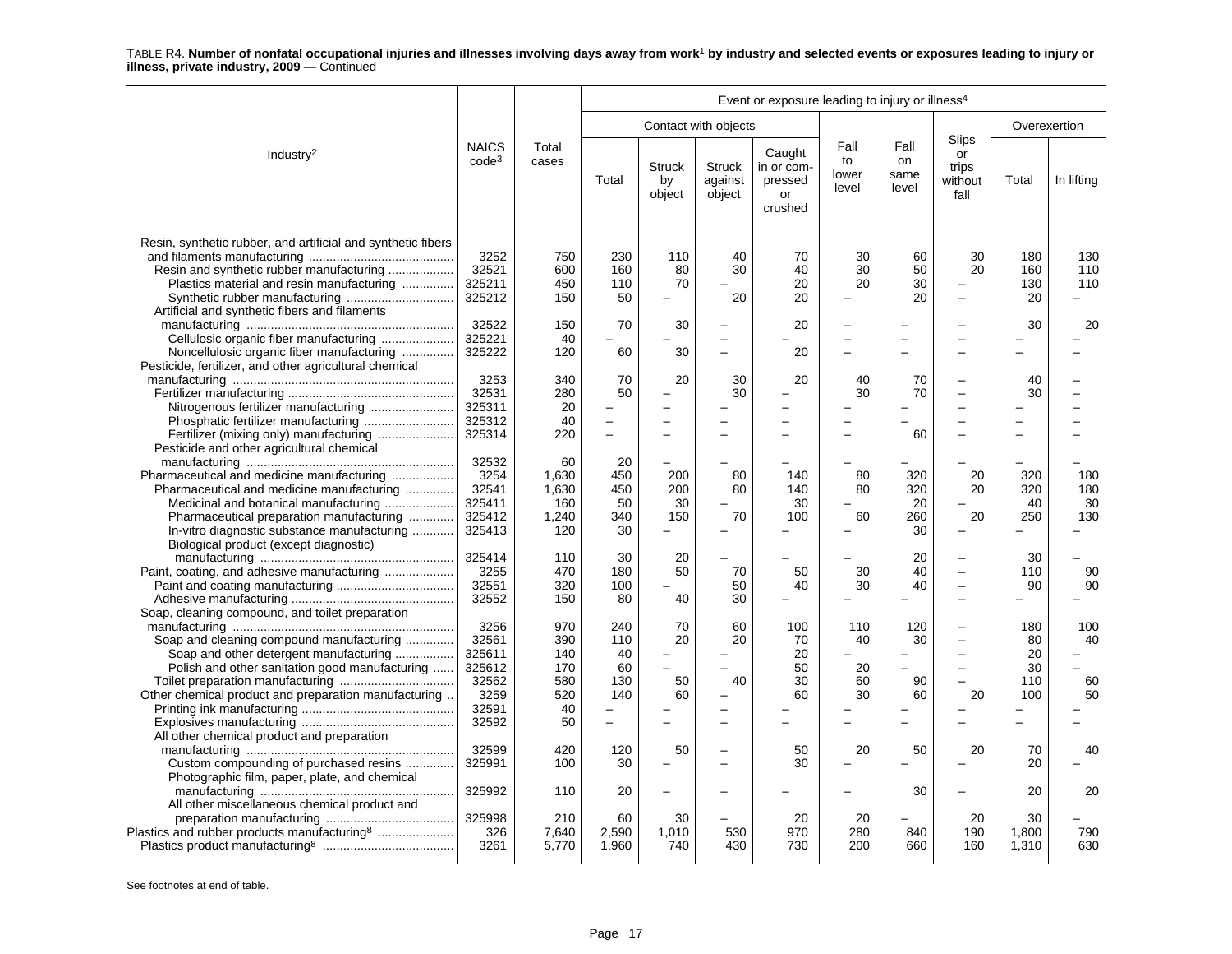|                                                                                 |                                   |                |            |                               |                                    | Event or exposure leading to injury or illness <sup>4</sup> |                              |                             |                                         |              |            |
|---------------------------------------------------------------------------------|-----------------------------------|----------------|------------|-------------------------------|------------------------------------|-------------------------------------------------------------|------------------------------|-----------------------------|-----------------------------------------|--------------|------------|
|                                                                                 |                                   |                |            |                               | Contact with objects               |                                                             |                              |                             |                                         | Overexertion |            |
| Industry <sup>2</sup>                                                           | <b>NAICS</b><br>code <sup>3</sup> | Total<br>cases | Total      | <b>Struck</b><br>by<br>object | <b>Struck</b><br>against<br>object | Caught<br>in or com-<br>pressed<br>or<br>crushed            | Fall<br>to<br>lower<br>level | Fall<br>on<br>same<br>level | Slips<br>or<br>trips<br>without<br>fall | Total        | In lifting |
| Resin, synthetic rubber, and artificial and synthetic fibers                    |                                   |                |            |                               |                                    |                                                             |                              |                             |                                         |              |            |
| Resin and synthetic rubber manufacturing                                        | 3252<br>32521                     | 750<br>600     | 230<br>160 | 110<br>80                     | 40<br>30                           | 70<br>40                                                    | 30<br>30                     | 60<br>50                    | 30<br>20                                | 180<br>160   | 130<br>110 |
|                                                                                 | 325211                            | 450            | 110        |                               |                                    | 20                                                          | 20                           | 30                          | $\overline{\phantom{0}}$                | 130          | 110        |
| Plastics material and resin manufacturing                                       | 325212                            | 150            | 50         | 70<br>-                       | 20                                 | 20                                                          |                              | 20                          | $\overline{\phantom{0}}$                | 20           |            |
| Synthetic rubber manufacturing<br>Artificial and synthetic fibers and filaments |                                   |                |            |                               |                                    |                                                             |                              |                             |                                         |              |            |
|                                                                                 | 32522                             | 150            | 70         | 30                            | $\overline{\phantom{0}}$           | 20                                                          |                              |                             |                                         | 30           | 20         |
| Cellulosic organic fiber manufacturing                                          | 325221                            | 40             |            |                               | $\overline{\phantom{0}}$           |                                                             |                              |                             | $\overline{\phantom{0}}$                |              |            |
| Noncellulosic organic fiber manufacturing                                       | 325222                            | 120            | 60         | 30                            | $\overline{\phantom{0}}$           | 20                                                          |                              |                             |                                         |              |            |
| Pesticide, fertilizer, and other agricultural chemical                          |                                   |                |            |                               |                                    |                                                             |                              |                             |                                         |              |            |
|                                                                                 | 3253                              | 340            | 70         | 20                            | 30                                 | 20                                                          | 40                           | 70                          | $\overline{\phantom{0}}$                | 40           |            |
|                                                                                 | 32531                             | 280            | 50         |                               | 30                                 |                                                             | 30                           | 70                          | $\overline{\phantom{0}}$                | 30           |            |
|                                                                                 | 325311                            | 20             |            |                               |                                    |                                                             |                              |                             | $\overline{\phantom{0}}$                |              |            |
|                                                                                 | 325312                            | 40             |            |                               |                                    |                                                             |                              |                             |                                         |              |            |
|                                                                                 | 325314                            | 220            | $\equiv$   |                               | $\sim$                             |                                                             |                              | 60                          | ۳                                       |              |            |
| Pesticide and other agricultural chemical                                       |                                   |                |            |                               |                                    |                                                             |                              |                             |                                         |              |            |
|                                                                                 | 32532                             | 60             | 20         |                               |                                    |                                                             |                              |                             |                                         |              |            |
| Pharmaceutical and medicine manufacturing                                       | 3254                              | 1,630          | 450        | 200                           | 80                                 | 140                                                         | 80                           | 320                         | 20                                      | 320          | 180        |
| Pharmaceutical and medicine manufacturing                                       | 32541                             | 1,630          | 450        | 200                           | 80                                 | 140                                                         | 80                           | 320                         | 20                                      | 320          | 180        |
| Medicinal and botanical manufacturing                                           | 325411                            | 160            | 50         | 30                            |                                    | 30                                                          |                              | 20                          |                                         | 40           | 30         |
| Pharmaceutical preparation manufacturing                                        | 325412                            | 1,240          | 340        | 150                           | 70                                 | 100                                                         | 60                           | 260                         | 20                                      | 250          | 130        |
| In-vitro diagnostic substance manufacturing                                     | 325413                            | 120            | 30         |                               |                                    |                                                             |                              | 30                          |                                         |              |            |
| Biological product (except diagnostic)                                          |                                   |                |            |                               |                                    |                                                             |                              |                             |                                         |              |            |
|                                                                                 | 325414                            | 110            | 30         | 20                            |                                    |                                                             |                              | 20                          |                                         | 30           |            |
|                                                                                 | 3255                              | 470            | 180        | 50                            | 70                                 | 50                                                          | 30                           | 40                          | $\overline{\phantom{0}}$                | 110          | 90         |
|                                                                                 | 32551                             | 320            | 100        |                               | 50                                 | 40                                                          | 30                           | 40                          | $\equiv$                                | 90           | 90         |
|                                                                                 | 32552                             | 150            | 80         | 40                            | 30                                 |                                                             |                              |                             | $\overline{\phantom{0}}$                |              |            |
| Soap, cleaning compound, and toilet preparation                                 |                                   |                |            |                               |                                    |                                                             |                              |                             |                                         |              |            |
|                                                                                 | 3256                              | 970            | 240        | 70                            | 60                                 | 100                                                         | 110                          | 120                         | $\overline{\phantom{0}}$                | 180          | 100        |
| Soap and cleaning compound manufacturing                                        | 32561                             | 390            | 110        | 20                            | 20                                 | 70                                                          | 40                           | 30                          | $\overline{a}$                          | 80           | 40         |
| Soap and other detergent manufacturing                                          | 325611                            | 140            | 40         |                               |                                    | 20                                                          |                              |                             | $\overline{\phantom{0}}$                | 20           |            |
| Polish and other sanitation good manufacturing                                  | 325612                            | 170            | 60         |                               |                                    | 50                                                          | 20                           |                             | $\overline{\phantom{0}}$                | 30           |            |
|                                                                                 | 32562                             | 580            | 130        | 50                            | 40                                 | 30                                                          | 60                           | 90                          | $\overline{\phantom{a}}$                | 110          | 60         |
| Other chemical product and preparation manufacturing                            | 3259                              | 520            | 140        | 60                            | $\overline{\phantom{0}}$           | 60                                                          | 30                           | 60                          | 20                                      | 100          | 50         |
|                                                                                 | 32591                             | 40             |            |                               | $\overline{\phantom{0}}$           |                                                             |                              |                             | $\overline{\phantom{0}}$                |              |            |
|                                                                                 | 32592                             | 50             | $\equiv$   | $\equiv$                      | $\overline{\phantom{0}}$           |                                                             | $\equiv$                     | $\overline{\phantom{0}}$    | $\overline{\phantom{0}}$                | L.           |            |
| All other chemical product and preparation                                      |                                   |                |            |                               |                                    |                                                             |                              |                             |                                         |              |            |
|                                                                                 | 32599                             | 420            | 120        | 50                            | $\overline{\phantom{0}}$           | 50                                                          | 20                           | 50                          | 20                                      | 70           | 40         |
| Custom compounding of purchased resins                                          | 325991                            | 100            | 30         |                               | $\overline{\phantom{0}}$           | 30                                                          |                              |                             | Ē,                                      | 20           |            |
| Photographic film, paper, plate, and chemical                                   |                                   |                |            |                               |                                    |                                                             |                              |                             |                                         |              |            |
| All other miscellaneous chemical product and                                    | 325992                            | 110            | 20         |                               |                                    |                                                             |                              | 30                          |                                         | 20           | 20         |
|                                                                                 | 325998                            | 210            | 60         | 30                            |                                    | 20                                                          | 20                           |                             | 20                                      | 30           |            |
| Plastics and rubber products manufacturing <sup>8</sup>                         | 326                               | 7,640          | 2,590      | 1,010                         | 530                                | 970                                                         | 280                          | 840                         | 190                                     | 1,800        | 790        |
|                                                                                 | 3261                              | 5.770          | 1,960      | 740                           | 430                                | 730                                                         | 200                          | 660                         | 160                                     | 1,310        | 630        |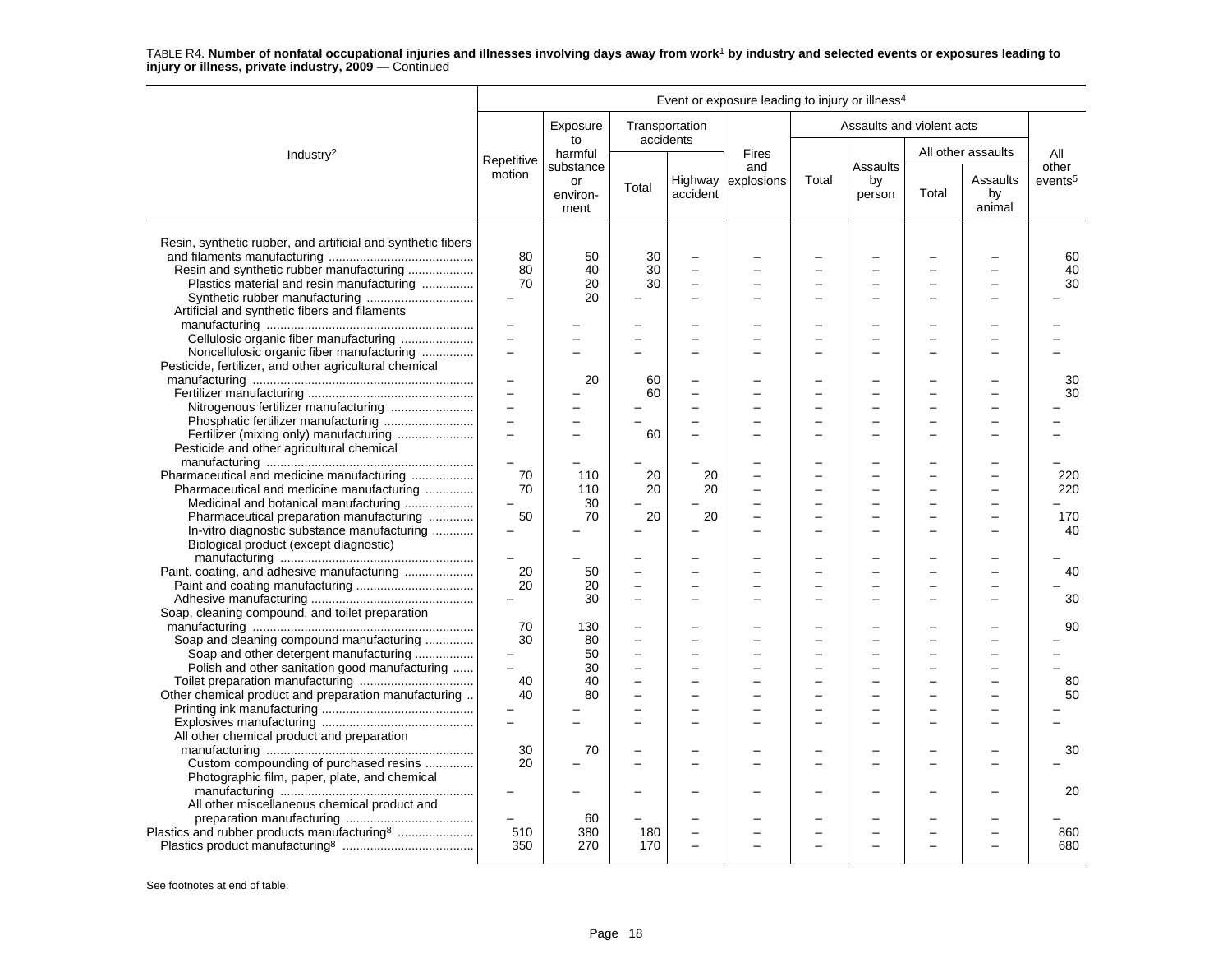|                                                              |                   |                        |          |                             | Event or exposure leading to injury or illness <sup>4</sup> |       |                           |       |                          |                     |
|--------------------------------------------------------------|-------------------|------------------------|----------|-----------------------------|-------------------------------------------------------------|-------|---------------------------|-------|--------------------------|---------------------|
|                                                              |                   | Exposure<br>to         |          | Transportation<br>accidents |                                                             |       | Assaults and violent acts |       |                          |                     |
| Industry <sup>2</sup>                                        | Repetitive        | harmful<br>substance   |          |                             | <b>Fires</b><br>and                                         |       | Assaults                  |       | All other assaults       | All<br>other        |
|                                                              | motion            | or<br>environ-<br>ment | Total    | accident                    | Highway explosions                                          | Total | by<br>person              | Total | Assaults<br>by<br>animal | events <sup>5</sup> |
| Resin, synthetic rubber, and artificial and synthetic fibers |                   |                        |          |                             |                                                             |       |                           |       |                          |                     |
|                                                              | 80                | 50                     | 30       |                             |                                                             |       |                           |       |                          | 60                  |
| Resin and synthetic rubber manufacturing                     | 80                | 40                     | 30       | $\equiv$                    |                                                             |       |                           |       |                          | 40                  |
| Plastics material and resin manufacturing                    | 70                | 20                     | 30       |                             |                                                             |       |                           |       |                          | 30                  |
|                                                              |                   | 20                     |          |                             |                                                             |       |                           |       |                          |                     |
| Artificial and synthetic fibers and filaments                |                   |                        |          |                             |                                                             |       |                           |       |                          |                     |
|                                                              | $\qquad \qquad -$ |                        |          |                             |                                                             |       |                           |       |                          |                     |
| Cellulosic organic fiber manufacturing                       | $\overline{a}$    |                        |          |                             |                                                             |       |                           |       |                          |                     |
| Noncellulosic organic fiber manufacturing                    | $\overline{a}$    |                        |          |                             |                                                             |       |                           |       |                          |                     |
| Pesticide, fertilizer, and other agricultural chemical       |                   |                        |          |                             |                                                             |       |                           |       |                          |                     |
|                                                              |                   | 20                     | 60       |                             |                                                             |       |                           |       |                          | 30                  |
|                                                              |                   |                        | 60       |                             |                                                             |       |                           |       |                          | 30                  |
|                                                              | $\qquad \qquad -$ |                        |          |                             |                                                             |       |                           |       |                          |                     |
|                                                              | $\overline{a}$    |                        |          |                             |                                                             |       |                           |       |                          |                     |
|                                                              |                   |                        | 60       |                             |                                                             |       |                           |       |                          |                     |
| Pesticide and other agricultural chemical                    |                   |                        |          |                             |                                                             |       |                           |       |                          |                     |
|                                                              |                   |                        |          |                             |                                                             |       |                           |       |                          |                     |
| Pharmaceutical and medicine manufacturing                    | 70                | 110                    | 20       | 20                          |                                                             |       |                           |       |                          | 220                 |
| Pharmaceutical and medicine manufacturing                    | 70                | 110                    | 20       | 20                          |                                                             |       |                           |       |                          | 220                 |
| Medicinal and botanical manufacturing                        | $\equiv$          | 30                     |          |                             |                                                             |       | $\overline{\phantom{0}}$  |       |                          |                     |
| Pharmaceutical preparation manufacturing                     | 50                | 70                     | 20       | 20                          |                                                             |       |                           |       |                          | 170                 |
| In-vitro diagnostic substance manufacturing                  |                   |                        |          |                             |                                                             |       |                           |       |                          | 40                  |
| Biological product (except diagnostic)                       |                   |                        |          |                             |                                                             |       |                           |       |                          |                     |
|                                                              |                   |                        |          |                             |                                                             |       |                           |       |                          |                     |
|                                                              |                   |                        |          |                             |                                                             |       |                           |       |                          |                     |
| Paint, coating, and adhesive manufacturing                   | 20                | 50                     |          |                             |                                                             |       |                           |       |                          | 40                  |
|                                                              | 20                | 20                     |          | $\equiv$                    |                                                             |       | L.                        |       |                          |                     |
|                                                              |                   | 30                     |          | $\equiv$                    |                                                             |       |                           |       |                          | 30                  |
| Soap, cleaning compound, and toilet preparation              |                   |                        |          |                             |                                                             |       |                           |       |                          |                     |
|                                                              | 70                | 130                    |          |                             |                                                             |       |                           |       |                          | 90                  |
| Soap and cleaning compound manufacturing                     | 30                | 80                     | $\equiv$ | $\equiv$                    |                                                             |       |                           |       |                          |                     |
| Soap and other detergent manufacturing                       |                   | 50                     |          |                             |                                                             |       |                           |       |                          |                     |
| Polish and other sanitation good manufacturing               | $\overline{a}$    | 30                     |          |                             |                                                             |       |                           |       |                          |                     |
|                                                              | 40                | 40                     |          |                             |                                                             |       |                           |       |                          | 80                  |
| Other chemical product and preparation manufacturing         | 40                | 80                     |          |                             |                                                             |       |                           |       |                          | 50                  |
|                                                              |                   |                        |          |                             |                                                             |       |                           |       |                          |                     |
|                                                              | $\overline{a}$    |                        |          | $\overline{\phantom{0}}$    |                                                             |       |                           |       |                          |                     |
| All other chemical product and preparation                   |                   |                        |          |                             |                                                             |       |                           |       |                          |                     |
|                                                              | 30                | 70                     |          |                             |                                                             |       |                           |       |                          | 30                  |
| Custom compounding of purchased resins                       | 20                |                        |          |                             |                                                             |       |                           |       |                          |                     |
| Photographic film, paper, plate, and chemical                |                   |                        |          |                             |                                                             |       |                           |       |                          |                     |
|                                                              |                   |                        |          |                             |                                                             |       |                           |       |                          | 20                  |
| All other miscellaneous chemical product and                 |                   |                        |          |                             |                                                             |       |                           |       |                          |                     |
|                                                              |                   |                        |          |                             |                                                             |       |                           |       |                          |                     |
|                                                              |                   | 60                     |          |                             |                                                             |       |                           |       |                          |                     |
| Plastics and rubber products manufacturing <sup>8</sup>      | 510               | 380                    | 180      |                             |                                                             |       |                           |       |                          | 860                 |
|                                                              | 350               | 270                    | 170      |                             |                                                             |       |                           |       |                          | 680                 |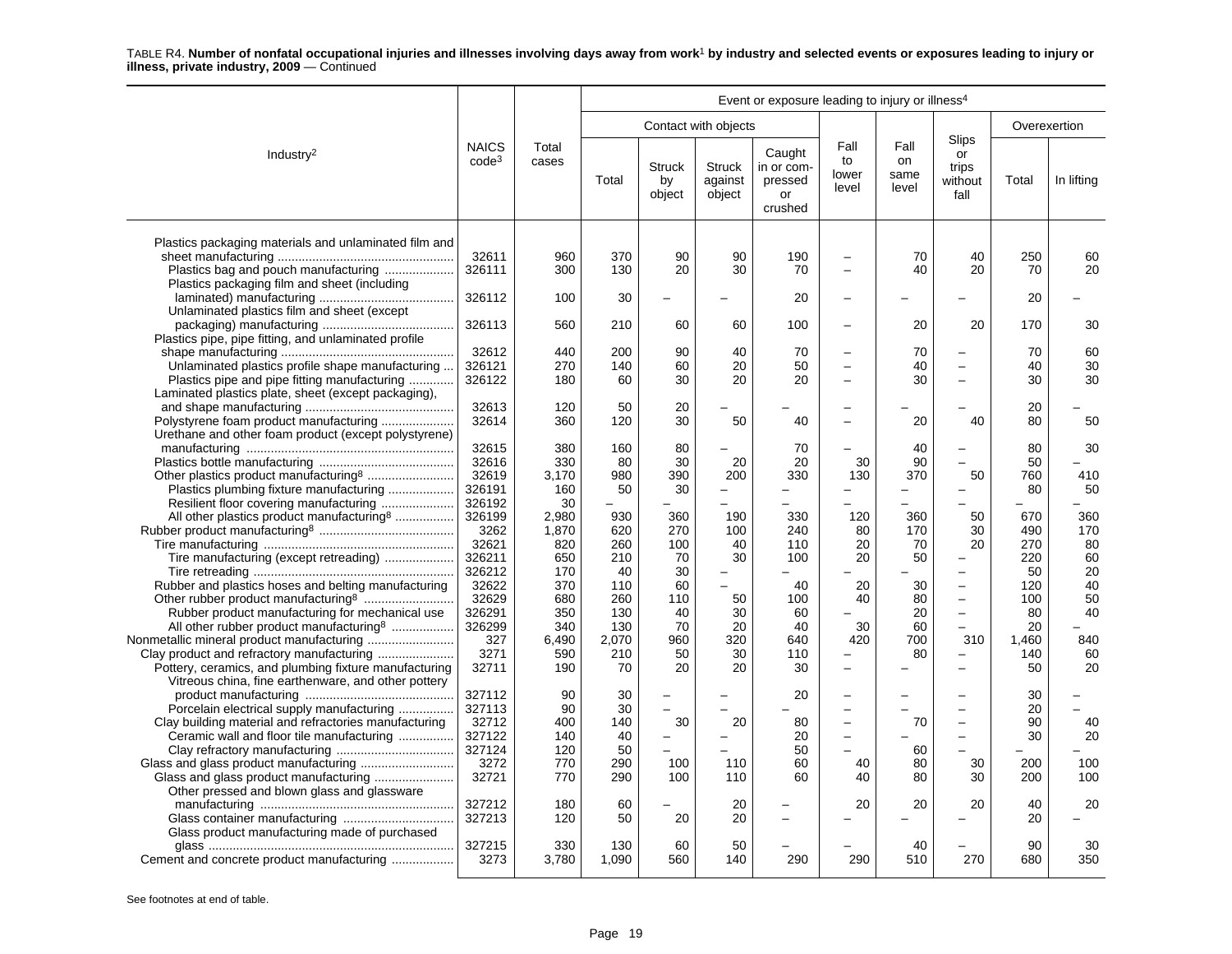| Event or exposure leading to injury or illness <sup>4</sup>                                                                                                                                            |                                   |                            |                           |                               |                                    |                                                  |                                      |                             |                                                                  |                          |                       |
|--------------------------------------------------------------------------------------------------------------------------------------------------------------------------------------------------------|-----------------------------------|----------------------------|---------------------------|-------------------------------|------------------------------------|--------------------------------------------------|--------------------------------------|-----------------------------|------------------------------------------------------------------|--------------------------|-----------------------|
|                                                                                                                                                                                                        |                                   |                            |                           |                               | Contact with objects               |                                                  |                                      |                             |                                                                  | Overexertion             |                       |
| Industry <sup>2</sup>                                                                                                                                                                                  | <b>NAICS</b><br>$code^3$          | Total<br>cases             | Total                     | <b>Struck</b><br>by<br>object | <b>Struck</b><br>against<br>object | Caught<br>in or com-<br>pressed<br>or<br>crushed | Fall<br>to<br>lower<br>level         | Fall<br>on<br>same<br>level | Slips<br>or<br>trips<br>without<br>fall                          | Total                    | In lifting            |
| Plastics packaging materials and unlaminated film and<br>Plastics bag and pouch manufacturing<br>Plastics packaging film and sheet (including                                                          | 32611<br>326111                   | 960<br>300                 | 370<br>130                | 90<br>20                      | 90<br>30                           | 190<br>70                                        | $\equiv$<br>$\overline{\phantom{0}}$ | 70<br>40                    | 40<br>20                                                         | 250<br>70                | 60<br>20              |
| Unlaminated plastics film and sheet (except                                                                                                                                                            | 326112                            | 100                        | 30                        |                               |                                    | 20                                               | $\equiv$                             |                             |                                                                  | 20                       |                       |
| Plastics pipe, pipe fitting, and unlaminated profile                                                                                                                                                   | 326113                            | 560                        | 210                       | 60                            | 60                                 | 100                                              | $\overline{\phantom{0}}$             | 20                          | 20                                                               | 170                      | 30                    |
| Unlaminated plastics profile shape manufacturing<br>Plastics pipe and pipe fitting manufacturing<br>Laminated plastics plate, sheet (except packaging),                                                | 32612<br>326121<br>326122         | 440<br>270<br>180          | 200<br>140<br>60          | 90<br>60<br>30                | 40<br>20<br>20                     | 70<br>50<br>20                                   | $\overline{\phantom{0}}$<br>$\equiv$ | 70<br>40<br>30              | $\equiv$                                                         | 70<br>40<br>30           | 60<br>30<br>30        |
| Polystyrene foam product manufacturing<br>Urethane and other foam product (except polystyrene)                                                                                                         | 32613<br>32614                    | 120<br>360                 | 50<br>120                 | 20<br>30                      | 50                                 | 40                                               | $\equiv$                             | 20                          | 40                                                               | 20<br>80                 | 50                    |
| Other plastics product manufacturing8                                                                                                                                                                  | 32615<br>32616<br>32619           | 380<br>330<br>3,170        | 160<br>80<br>980          | 80<br>30<br>390               | 20<br>200                          | 70<br>20<br>330                                  | 30<br>130                            | 40<br>90<br>370             | 50                                                               | 80<br>50<br>760          | 30<br>410             |
| Plastics plumbing fixture manufacturing<br>All other plastics product manufacturing <sup>8</sup>                                                                                                       | 326191<br>326192<br>326199        | 160<br>30<br>2,980         | 50<br>930                 | 30<br>360                     | 190                                | 330                                              | 120                                  | 360                         | ÷<br>50                                                          | 80<br>670                | 50<br>360             |
| Tire manufacturing (except retreading)                                                                                                                                                                 | 3262<br>32621<br>326211<br>326212 | 1,870<br>820<br>650<br>170 | 620<br>260<br>210<br>40   | 270<br>100<br>70<br>30        | 100<br>40<br>30<br>-               | 240<br>110<br>100                                | 80<br>20<br>20                       | 170<br>70<br>50             | 30<br>20<br>÷<br>$\equiv$                                        | 490<br>270<br>220<br>50  | 170<br>80<br>60<br>20 |
| Rubber and plastics hoses and belting manufacturing<br>Rubber product manufacturing for mechanical use                                                                                                 | 32622<br>32629<br>326291          | 370<br>680<br>350          | 110<br>260<br>130         | 60<br>110<br>40               | 50<br>30                           | 40<br>100<br>60                                  | 20<br>40                             | 30<br>80<br>20              | $\overline{\phantom{0}}$<br>$\overline{\phantom{0}}$<br>$\equiv$ | 120<br>100<br>80         | 40<br>50<br>40        |
| All other rubber product manufacturing <sup>8</sup><br>Nonmetallic mineral product manufacturing<br>Clay product and refractory manufacturing<br>Pottery, ceramics, and plumbing fixture manufacturing | 326299<br>327<br>3271<br>32711    | 340<br>6,490<br>590<br>190 | 130<br>2,070<br>210<br>70 | 70<br>960<br>50<br>20         | 20<br>320<br>30<br>20              | 40<br>640<br>110<br>30                           | 30<br>420                            | 60<br>700<br>80             | 310                                                              | 20<br>1,460<br>140<br>50 | 840<br>60<br>20       |
| Vitreous china, fine earthenware, and other pottery<br>Porcelain electrical supply manufacturing                                                                                                       | 327112<br>327113                  | 90<br>90                   | 30<br>30                  |                               |                                    | 20                                               | $\equiv$<br>$\overline{\phantom{0}}$ |                             | $\overline{\phantom{0}}$                                         | 30<br>20                 |                       |
| Clay building material and refractories manufacturing<br>Ceramic wall and floor tile manufacturing                                                                                                     | 32712<br>327122<br>327124         | 400<br>140<br>120          | 140<br>40<br>50           | 30                            | 20                                 | 80<br>20<br>50                                   | $\overline{\phantom{0}}$<br>$\equiv$ | 70<br>60                    | $\qquad \qquad -$<br>$\equiv$                                    | 90<br>30                 | 40<br>20              |
| Other pressed and blown glass and glassware                                                                                                                                                            | 3272<br>32721                     | 770<br>770                 | 290<br>290                | 100<br>100                    | 110<br>110                         | 60<br>60                                         | 40<br>40                             | 80<br>80                    | 30<br>30                                                         | 200<br>200               | 100<br>100            |
| Glass product manufacturing made of purchased                                                                                                                                                          | 327212<br>327213                  | 180<br>120                 | 60<br>50                  | 20                            | 20<br>20                           |                                                  | 20                                   | 20                          | 20                                                               | 40<br>20                 | 20                    |
| Cement and concrete product manufacturing                                                                                                                                                              | 327215<br>3273                    | 330<br>3,780               | 130<br>1,090              | 60<br>560                     | 50<br>140                          | 290                                              | 290                                  | 40<br>510                   | 270                                                              | 90<br>680                | 30<br>350             |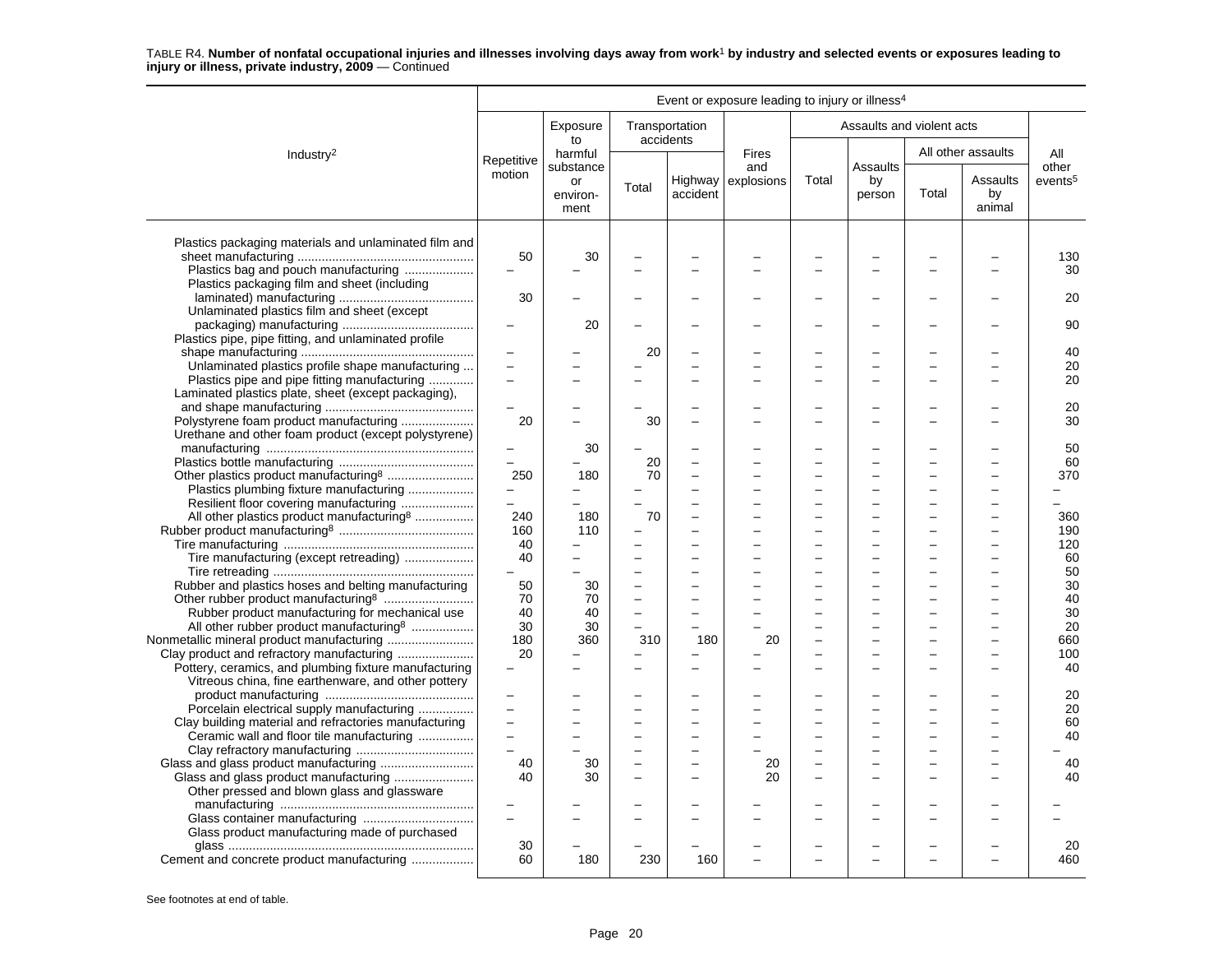|                                                                                                                                                          |                                             |                                     |                                                                        |                                                      | Event or exposure leading to injury or illness <sup>4</sup> |                               |                           |       |                          |                              |
|----------------------------------------------------------------------------------------------------------------------------------------------------------|---------------------------------------------|-------------------------------------|------------------------------------------------------------------------|------------------------------------------------------|-------------------------------------------------------------|-------------------------------|---------------------------|-------|--------------------------|------------------------------|
|                                                                                                                                                          |                                             | Exposure<br>to                      | Transportation<br>accidents                                            |                                                      |                                                             |                               | Assaults and violent acts |       |                          |                              |
| Industry <sup>2</sup>                                                                                                                                    | Repetitive                                  | harmful                             |                                                                        |                                                      | <b>Fires</b>                                                |                               |                           |       | All other assaults       | All                          |
|                                                                                                                                                          | motion                                      | substance<br>or<br>environ-<br>ment | Total                                                                  | accident                                             | and<br>Highway $\vert$ explosions                           | Total                         | Assaults<br>by<br>person  | Total | Assaults<br>by<br>animal | other<br>events <sup>5</sup> |
| Plastics packaging materials and unlaminated film and<br>Plastics bag and pouch manufacturing                                                            | 50                                          | 30                                  |                                                                        |                                                      |                                                             |                               |                           |       |                          | 130<br>30                    |
| Plastics packaging film and sheet (including                                                                                                             | 30                                          |                                     |                                                                        |                                                      |                                                             |                               |                           |       |                          | 20                           |
| Unlaminated plastics film and sheet (except                                                                                                              | $\overline{\phantom{m}}$                    | 20                                  |                                                                        |                                                      |                                                             |                               |                           |       |                          | 90                           |
| Plastics pipe, pipe fitting, and unlaminated profile<br>Unlaminated plastics profile shape manufacturing<br>Plastics pipe and pipe fitting manufacturing |                                             |                                     | 20                                                                     |                                                      |                                                             |                               |                           |       |                          | 40<br>20<br>20               |
| Laminated plastics plate, sheet (except packaging),<br>Polystyrene foam product manufacturing                                                            | $\equiv$<br>20                              |                                     | 30                                                                     |                                                      |                                                             |                               |                           |       |                          | 20<br>30                     |
| Urethane and other foam product (except polystyrene)                                                                                                     | $\qquad \qquad -$<br>$\equiv$               | 30                                  | 20                                                                     | ۳                                                    |                                                             |                               |                           |       |                          | 50<br>60                     |
| Plastics plumbing fixture manufacturing<br>Resilient floor covering manufacturing                                                                        | 250<br>$\overline{\phantom{m}}$<br>$\equiv$ | 180                                 | 70                                                                     | ÷<br>$\overline{a}$                                  |                                                             | L<br>$\overline{\phantom{0}}$ |                           |       |                          | 370                          |
| All other plastics product manufacturing <sup>8</sup>                                                                                                    | 240<br>160<br>40                            | 180<br>110                          | 70                                                                     | $\overline{\phantom{0}}$                             |                                                             |                               |                           |       |                          | 360<br>190<br>120            |
| Tire manufacturing (except retreading)<br>Rubber and plastics hoses and belting manufacturing                                                            | 40<br>50                                    | 30                                  | $\overline{a}$<br>$\overline{\phantom{0}}$                             | $\overline{\phantom{0}}$                             |                                                             |                               |                           |       |                          | 60<br>50<br>30               |
| Rubber product manufacturing for mechanical use<br>All other rubber product manufacturing <sup>8</sup>                                                   | 70<br>40<br>30                              | 70<br>40<br>30                      | $\overline{\phantom{0}}$<br>$\overline{a}$<br>$\overline{\phantom{0}}$ | $\overline{\phantom{0}}$                             |                                                             |                               |                           |       |                          | 40<br>30<br>20               |
| Clay product and refractory manufacturing<br>Pottery, ceramics, and plumbing fixture manufacturing                                                       | 180<br>20                                   | 360                                 | 310                                                                    | 180<br>$\overline{\phantom{0}}$                      | 20                                                          |                               |                           |       |                          | 660<br>100<br>40             |
| Vitreous china, fine earthenware, and other pottery<br>Porcelain electrical supply manufacturing                                                         | $\qquad \qquad -$<br>$\equiv$               |                                     |                                                                        |                                                      |                                                             |                               |                           |       |                          | 20<br>20                     |
| Clay building material and refractories manufacturing<br>Ceramic wall and floor tile manufacturing                                                       | $\overline{\phantom{0}}$                    |                                     | $\overline{\phantom{0}}$                                               | $\overline{a}$<br>$\overline{a}$                     |                                                             | -                             | -                         |       |                          | 60<br>40                     |
| Glass and glass product manufacturing<br>Other pressed and blown glass and glassware                                                                     | 40<br>40                                    | 30<br>30                            | -<br>L                                                                 | $\overline{\phantom{0}}$<br>$\overline{\phantom{0}}$ | 20<br>20                                                    | L<br>L.                       | $\overline{\phantom{a}}$  |       |                          | 40<br>40                     |
| Glass product manufacturing made of purchased                                                                                                            | $\equiv$                                    |                                     |                                                                        |                                                      |                                                             |                               |                           |       |                          |                              |
| Cement and concrete product manufacturing                                                                                                                | 30<br>60                                    | 180                                 | 230                                                                    | 160                                                  |                                                             |                               |                           |       |                          | 20<br>460                    |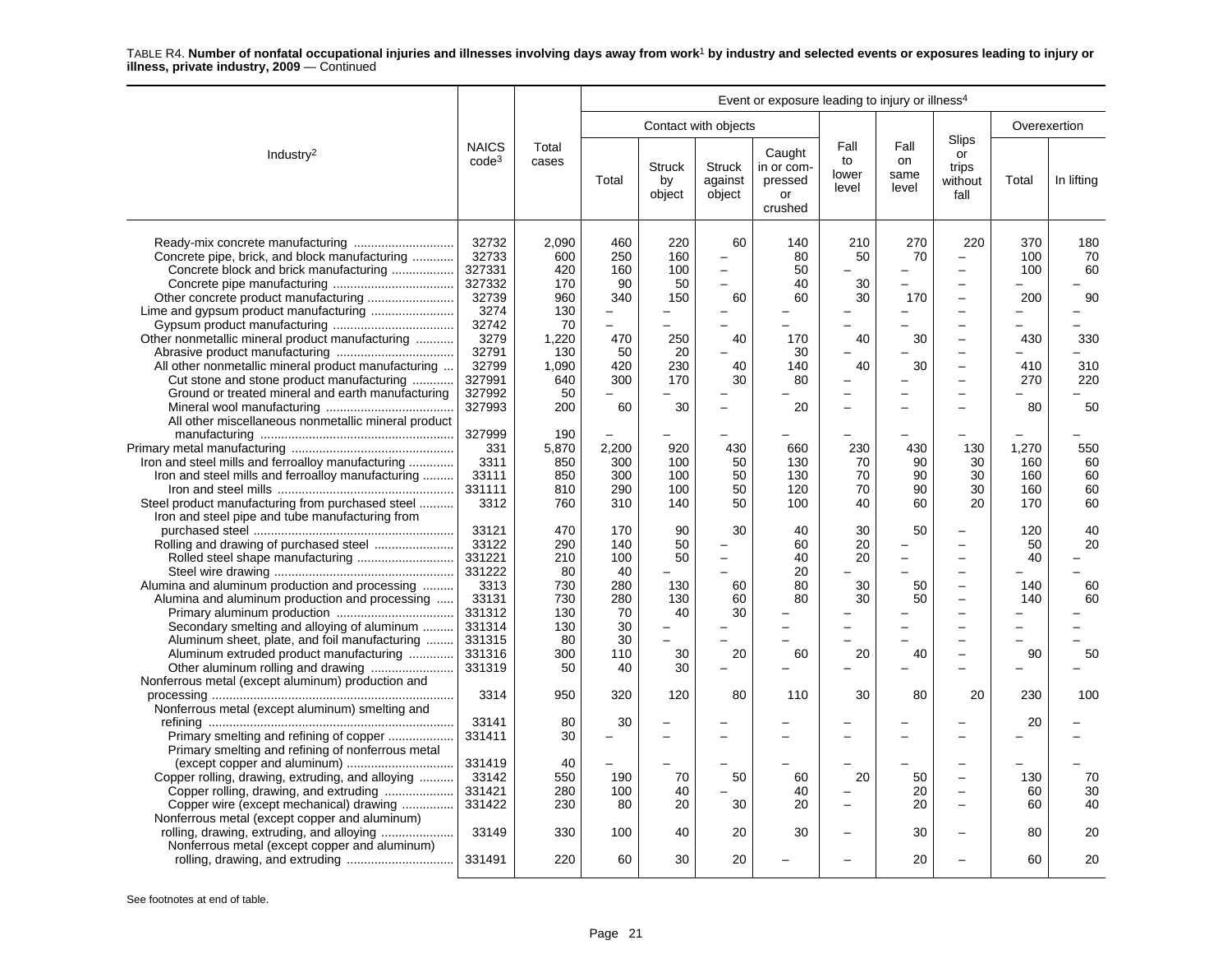|                                                                                                                                                                                                                                                                                                     | Event or exposure leading to injury or illness <sup>4</sup>                                                          |                                                                                             |                                                                             |                                                                                                         |                                                                                                                 |                                                             |                                   |                                                          |                                                                                                                                                                                                                                                                                                             |                                                     |                                                  |
|-----------------------------------------------------------------------------------------------------------------------------------------------------------------------------------------------------------------------------------------------------------------------------------------------------|----------------------------------------------------------------------------------------------------------------------|---------------------------------------------------------------------------------------------|-----------------------------------------------------------------------------|---------------------------------------------------------------------------------------------------------|-----------------------------------------------------------------------------------------------------------------|-------------------------------------------------------------|-----------------------------------|----------------------------------------------------------|-------------------------------------------------------------------------------------------------------------------------------------------------------------------------------------------------------------------------------------------------------------------------------------------------------------|-----------------------------------------------------|--------------------------------------------------|
|                                                                                                                                                                                                                                                                                                     |                                                                                                                      |                                                                                             |                                                                             |                                                                                                         | Contact with objects                                                                                            |                                                             |                                   |                                                          |                                                                                                                                                                                                                                                                                                             | Overexertion                                        |                                                  |
| Industry <sup>2</sup>                                                                                                                                                                                                                                                                               | <b>NAICS</b><br>$code^3$                                                                                             | Total<br>cases                                                                              | Total                                                                       | <b>Struck</b><br>by<br>object                                                                           | <b>Struck</b><br>against<br>object                                                                              | Caught<br>in or com-<br>pressed<br>or<br>crushed            | Fall<br>to<br>lower<br>level      | Fall<br><b>on</b><br>same<br>level                       | Slips<br>or<br>trips<br>without<br>fall                                                                                                                                                                                                                                                                     | Total                                               | In lifting                                       |
| Concrete pipe, brick, and block manufacturing<br>Concrete block and brick manufacturing<br>Other nonmetallic mineral product manufacturing<br>All other nonmetallic mineral product manufacturing<br>Cut stone and stone product manufacturing<br>Ground or treated mineral and earth manufacturing | 32732<br>32733<br>327331<br>327332<br>32739<br>3274<br>32742<br>3279<br>32791<br>32799<br>327991<br>327992<br>327993 | 2,090<br>600<br>420<br>170<br>960<br>130<br>70<br>1,220<br>130<br>1,090<br>640<br>50<br>200 | 460<br>250<br>160<br>90<br>340<br>$\equiv$<br>470<br>50<br>420<br>300<br>60 | 220<br>160<br>100<br>50<br>150<br>$\overline{\phantom{0}}$<br>$\equiv$<br>250<br>20<br>230<br>170<br>30 | 60<br>$\equiv$<br>$\equiv$<br>$\overline{\phantom{0}}$<br>60<br>-<br>40<br>40<br>30<br>$\overline{\phantom{0}}$ | 140<br>80<br>50<br>40<br>60<br>170<br>30<br>140<br>80<br>20 | 210<br>50<br>30<br>30<br>40<br>40 | 270<br>70<br>$\overline{\phantom{0}}$<br>170<br>30<br>30 | 220<br>$\overline{a}$<br>$\overline{\phantom{0}}$<br>$\overline{\phantom{0}}$<br>$\overline{\phantom{0}}$<br>$\overline{\phantom{0}}$<br>$\overline{a}$<br>$\overline{\phantom{0}}$<br>$\overline{\phantom{0}}$<br>$\overline{a}$<br>$\overline{a}$<br>$\overline{\phantom{0}}$<br>$\overline{\phantom{0}}$ | 370<br>100<br>100<br>200<br>430<br>410<br>270<br>80 | 180<br>70<br>60<br>90<br>330<br>310<br>220<br>50 |
| All other miscellaneous nonmetallic mineral product<br>Iron and steel mills and ferroalloy manufacturing<br>Iron and steel mills and ferroalloy manufacturing<br>Steel product manufacturing from purchased steel                                                                                   | 327999<br>331<br>3311<br>33111<br>331111<br>3312                                                                     | 190<br>5,870<br>850<br>850<br>810<br>760                                                    | 2,200<br>300<br>300<br>290<br>310                                           | 920<br>100<br>100<br>100<br>140                                                                         | -<br>430<br>50<br>50<br>50<br>50                                                                                | 660<br>130<br>130<br>120<br>100                             | 230<br>70<br>70<br>70<br>40       | 430<br>90<br>90<br>90<br>60                              | ÷<br>130<br>30<br>30<br>30<br>20                                                                                                                                                                                                                                                                            | 1,270<br>160<br>160<br>160<br>170                   | 550<br>60<br>60<br>60<br>60                      |
| Iron and steel pipe and tube manufacturing from<br>Alumina and aluminum production and processing<br>Alumina and aluminum production and processing                                                                                                                                                 | 33121<br>33122<br>331221<br>331222<br>3313<br>33131<br>331312                                                        | 470<br>290<br>210<br>80<br>730<br>730<br>130                                                | 170<br>140<br>100<br>40<br>280<br>280<br>70                                 | 90<br>50<br>50<br>130<br>130<br>40                                                                      | 30<br>-<br>$\overline{\phantom{0}}$<br>60<br>60<br>30                                                           | 40<br>60<br>40<br>20<br>80<br>80                            | 30<br>20<br>20<br>30<br>30        | 50<br>$\equiv$<br>50<br>50                               | -<br>$\overline{\phantom{0}}$<br>$\overline{a}$<br>$\overline{a}$<br>$\overline{\phantom{0}}$<br>$\overline{a}$<br>$\overline{\phantom{0}}$                                                                                                                                                                 | 120<br>50<br>40<br>140<br>140                       | 40<br>20<br>60<br>60                             |
| Secondary smelting and alloying of aluminum<br>Aluminum sheet, plate, and foil manufacturing<br>Aluminum extruded product manufacturing<br>Other aluminum rolling and drawing<br>Nonferrous metal (except aluminum) production and                                                                  | 331314<br>331315<br>331316<br>331319<br>3314                                                                         | 130<br>80<br>300<br>50<br>950                                                               | 30<br>30<br>110<br>40<br>320                                                | $\overline{\phantom{0}}$<br>30<br>30<br>120                                                             | -<br>20<br>80                                                                                                   | 60<br>110                                                   | 20<br>30                          | 40<br>80                                                 | $\overline{\phantom{0}}$<br>$\overline{\phantom{0}}$<br>L.<br>$\overline{\phantom{0}}$<br>20                                                                                                                                                                                                                | 90<br>230                                           | 50<br>100                                        |
| Nonferrous metal (except aluminum) smelting and<br>Primary smelting and refining of nonferrous metal                                                                                                                                                                                                | 33141<br>331411                                                                                                      | 80<br>30                                                                                    | 30                                                                          | $\overline{\phantom{a}}$                                                                                | $\overline{a}$                                                                                                  |                                                             |                                   |                                                          | ÷<br>$\overline{a}$                                                                                                                                                                                                                                                                                         | 20                                                  |                                                  |
| Copper rolling, drawing, extruding, and alloying<br>Copper rolling, drawing, and extruding<br>Copper wire (except mechanical) drawing                                                                                                                                                               | 331419<br>33142<br>331421<br>331422                                                                                  | 40<br>550<br>280<br>230                                                                     | 190<br>100<br>80                                                            | 70<br>40<br>20                                                                                          | 50<br>30                                                                                                        | 60<br>40<br>20                                              | 20                                | 50<br>20<br>20                                           | $\overline{\phantom{0}}$<br>$\overline{\phantom{0}}$<br>$\overline{a}$<br>$\overline{a}$                                                                                                                                                                                                                    | 130<br>60<br>60                                     | 70<br>30<br>40                                   |
| Nonferrous metal (except copper and aluminum)<br>rolling, drawing, extruding, and alloying<br>Nonferrous metal (except copper and aluminum)                                                                                                                                                         | 33149<br>331491                                                                                                      | 330<br>220                                                                                  | 100<br>60                                                                   | 40<br>30                                                                                                | 20<br>20                                                                                                        | 30                                                          |                                   | 30<br>20                                                 | -                                                                                                                                                                                                                                                                                                           | 80<br>60                                            | 20<br>20                                         |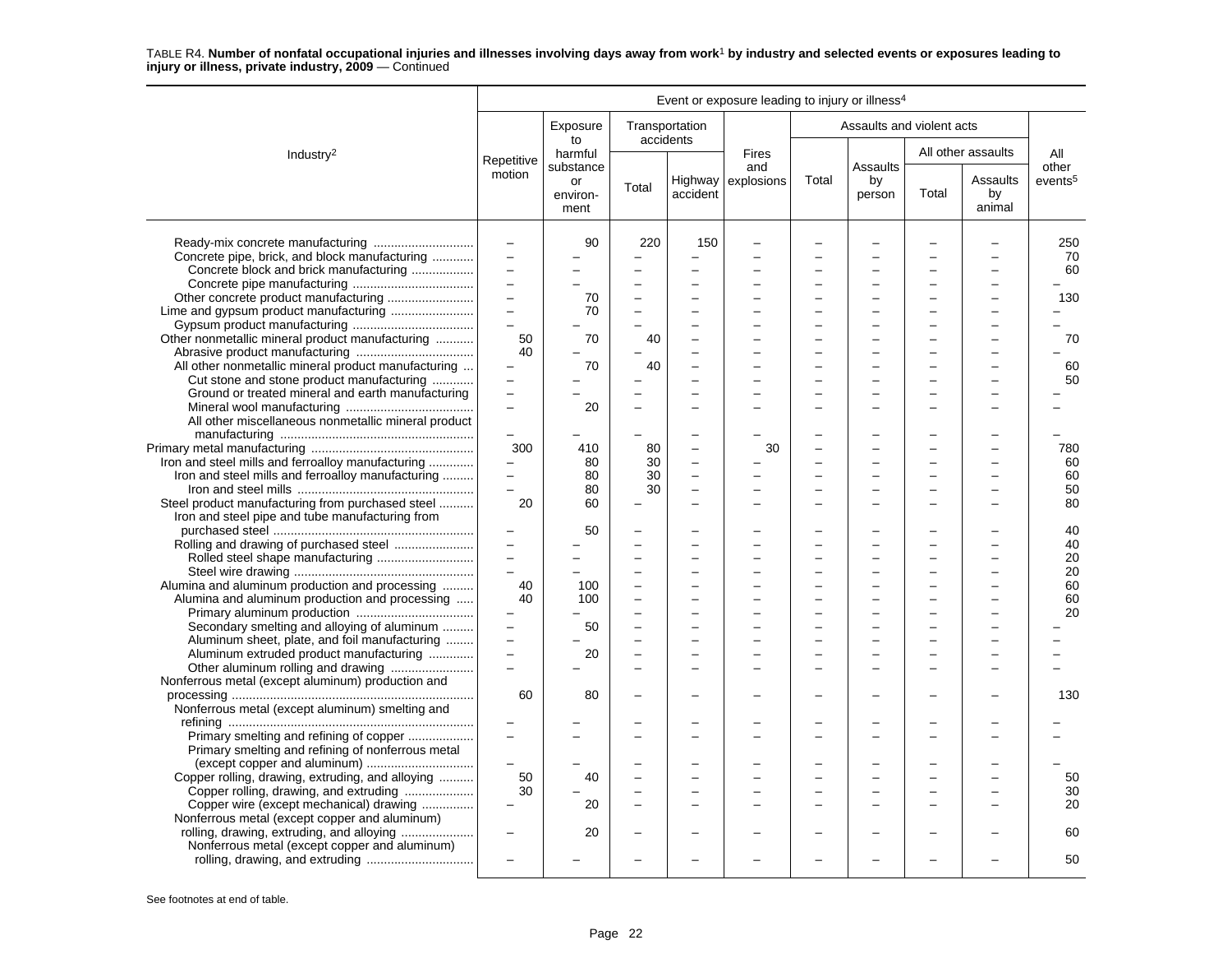|                                                                                                                                         |                                                                           |                        |                          |                                            | Event or exposure leading to injury or illness <sup>4</sup> |        |                               |       |                          |                     |
|-----------------------------------------------------------------------------------------------------------------------------------------|---------------------------------------------------------------------------|------------------------|--------------------------|--------------------------------------------|-------------------------------------------------------------|--------|-------------------------------|-------|--------------------------|---------------------|
|                                                                                                                                         |                                                                           | Exposure<br>to         |                          | Transportation<br>accidents                |                                                             |        | Assaults and violent acts     |       |                          |                     |
| Industry <sup>2</sup>                                                                                                                   | Repetitive                                                                | harmful<br>substance   |                          |                                            | <b>Fires</b><br>and                                         |        | <b>Assaults</b>               |       | All other assaults       | All<br>other        |
|                                                                                                                                         | motion                                                                    | or<br>environ-<br>ment | Total                    | accident                                   | Highway explosions                                          | Total  | by<br>person                  | Total | Assaults<br>by<br>animal | events <sup>5</sup> |
| Concrete pipe, brick, and block manufacturing  <br>Concrete block and brick manufacturing                                               | $\equiv$<br>$\equiv$<br>$\overline{a}$<br>$\overline{\phantom{0}}$        | 90                     | 220<br>L                 | 150<br>-<br>$\overline{\phantom{0}}$<br>L. |                                                             | L      | -                             |       |                          | 250<br>70<br>60     |
|                                                                                                                                         | $\qquad \qquad -$<br>$\overline{\phantom{0}}$<br>$\overline{\phantom{0}}$ | 70<br>70               | $\overline{\phantom{0}}$ |                                            |                                                             |        |                               |       |                          | 130                 |
| Other nonmetallic mineral product manufacturing<br>All other nonmetallic mineral product manufacturing                                  | 50<br>40                                                                  | 70<br>70               | 40<br>40                 | L.<br>L.                                   |                                                             | L.     | L                             |       |                          | 70<br>60            |
| Cut stone and stone product manufacturing<br>Ground or treated mineral and earth manufacturing                                          | $\overline{\phantom{0}}$                                                  | 20                     |                          | -                                          |                                                             |        |                               |       |                          | 50                  |
| All other miscellaneous nonmetallic mineral product                                                                                     | $\overline{\phantom{0}}$<br>300                                           | 410                    | 80                       | $\qquad \qquad -$                          | 30                                                          |        |                               |       |                          | 780                 |
| Iron and steel mills and ferroalloy manufacturing<br>Iron and steel mills and ferroalloy manufacturing                                  | $\equiv$<br>$\overline{a}$                                                | 80<br>80<br>80         | 30<br>30<br>30           | $\overline{\phantom{0}}$<br>$\equiv$       |                                                             |        | -                             |       | $\equiv$                 | 60<br>60<br>50      |
| Steel product manufacturing from purchased steel<br>Iron and steel pipe and tube manufacturing from                                     | 20                                                                        | 60<br>50               |                          | -                                          |                                                             |        |                               |       |                          | 80<br>40            |
|                                                                                                                                         | $\overline{a}$<br>$\overline{a}$<br>$\overline{a}$                        |                        | L<br>÷                   | $\overline{\phantom{0}}$<br>-<br>-         |                                                             | L<br>÷ | L<br>$\overline{\phantom{a}}$ |       |                          | 40<br>20<br>20      |
| Alumina and aluminum production and processing<br>Alumina and aluminum production and processing                                        | 40<br>40                                                                  | 100<br>100             | -                        | -                                          |                                                             |        |                               |       |                          | 60<br>60<br>20      |
| Secondary smelting and alloying of aluminum<br>Aluminum sheet, plate, and foil manufacturing<br>Aluminum extruded product manufacturing | $\overline{\phantom{0}}$<br>$\overline{\phantom{0}}$                      | 50<br>20               | L.                       | L.<br>$\overline{\phantom{0}}$             |                                                             | ÷      | L                             |       |                          |                     |
| Nonferrous metal (except aluminum) production and                                                                                       | 60                                                                        | 80                     |                          |                                            |                                                             |        |                               |       |                          | 130                 |
| Nonferrous metal (except aluminum) smelting and                                                                                         |                                                                           |                        |                          | L.                                         |                                                             |        |                               |       |                          |                     |
| Primary smelting and refining of copper<br>Primary smelting and refining of nonferrous metal<br>(except copper and aluminum)            | $\overline{\phantom{a}}$                                                  |                        |                          |                                            |                                                             |        |                               |       |                          |                     |
| Copper rolling, drawing, extruding, and alloying<br>Copper rolling, drawing, and extruding<br>Copper wire (except mechanical) drawing   | 50<br>30                                                                  | 40<br>20               |                          | $\overline{\phantom{0}}$<br>L.             |                                                             |        |                               |       |                          | 50<br>30<br>20      |
| Nonferrous metal (except copper and aluminum)<br>Nonferrous metal (except copper and aluminum)                                          |                                                                           | 20                     |                          |                                            |                                                             |        |                               |       |                          | 60                  |
|                                                                                                                                         |                                                                           |                        |                          |                                            |                                                             |        |                               |       |                          | 50                  |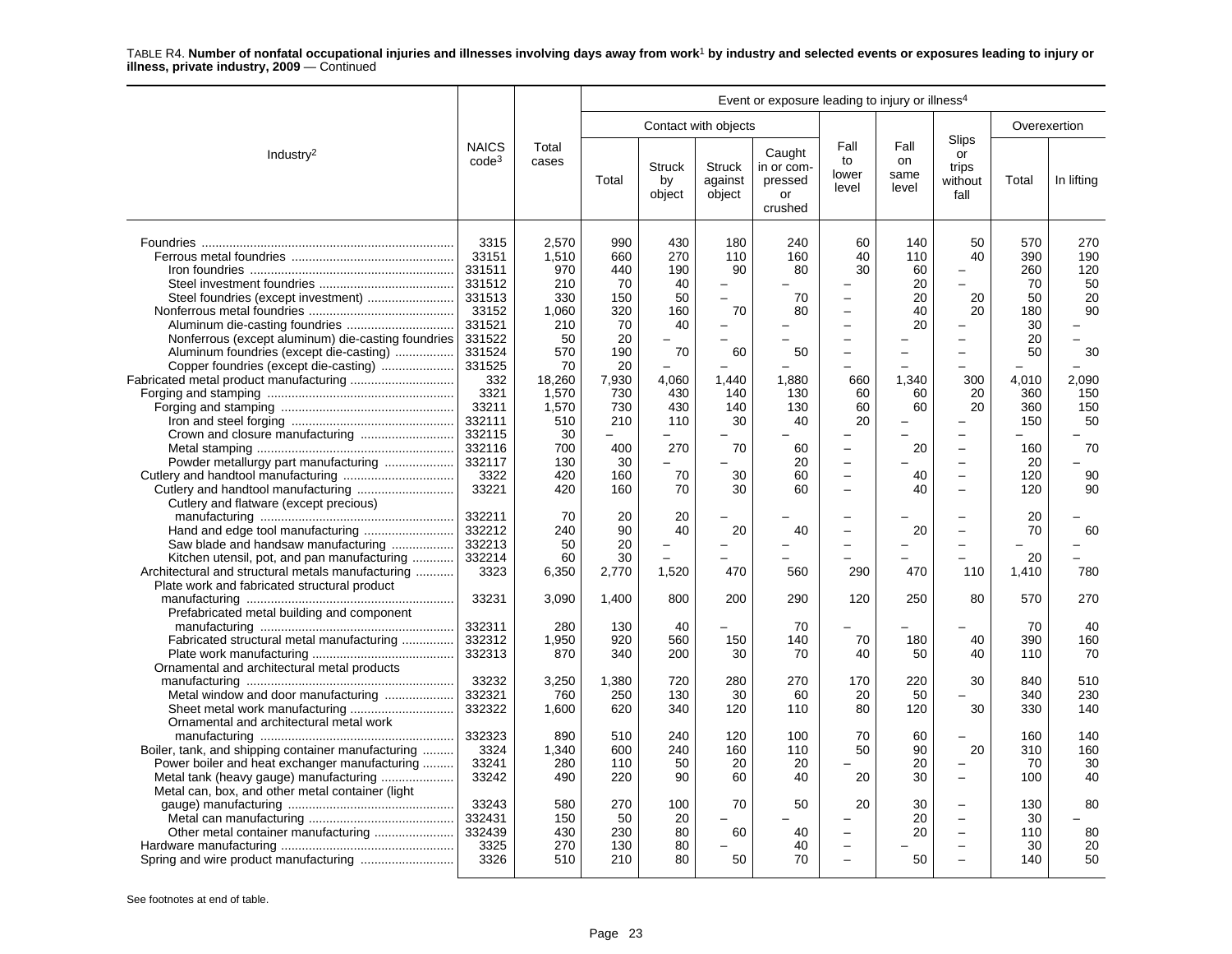|                                                                                                                                                                                                                                                                                                    |                                                                                                                                                                      |                                                                                                                                      |                                                                                                                  |                                                                                                                         |                                                                                        | Event or exposure leading to injury or illness <sup>4</sup>                       |                                                                                                                                                                                            |                                                                           |                                                                                                                                                                                                                                |                                                                                                          |                                                                                    |
|----------------------------------------------------------------------------------------------------------------------------------------------------------------------------------------------------------------------------------------------------------------------------------------------------|----------------------------------------------------------------------------------------------------------------------------------------------------------------------|--------------------------------------------------------------------------------------------------------------------------------------|------------------------------------------------------------------------------------------------------------------|-------------------------------------------------------------------------------------------------------------------------|----------------------------------------------------------------------------------------|-----------------------------------------------------------------------------------|--------------------------------------------------------------------------------------------------------------------------------------------------------------------------------------------|---------------------------------------------------------------------------|--------------------------------------------------------------------------------------------------------------------------------------------------------------------------------------------------------------------------------|----------------------------------------------------------------------------------------------------------|------------------------------------------------------------------------------------|
|                                                                                                                                                                                                                                                                                                    |                                                                                                                                                                      |                                                                                                                                      |                                                                                                                  |                                                                                                                         | Contact with objects                                                                   |                                                                                   |                                                                                                                                                                                            |                                                                           |                                                                                                                                                                                                                                | Overexertion                                                                                             |                                                                                    |
| Industry <sup>2</sup>                                                                                                                                                                                                                                                                              | <b>NAICS</b><br>$code^3$                                                                                                                                             | Total<br>cases                                                                                                                       | Total                                                                                                            | <b>Struck</b><br>by<br>object                                                                                           | <b>Struck</b><br>against<br>object                                                     | Caught<br>in or com-<br>pressed<br>or<br>crushed                                  | Fall<br>to<br>lower<br>level                                                                                                                                                               | Fall<br><b>on</b><br>same<br>level                                        | Slips<br>or<br>trips<br>without<br>fall                                                                                                                                                                                        | Total                                                                                                    | In lifting                                                                         |
| Steel foundries (except investment)<br>Nonferrous (except aluminum) die-casting foundries<br>Aluminum foundries (except die-casting)<br>Copper foundries (except die-casting)<br>Fabricated metal product manufacturing<br>Crown and closure manufacturing<br>Powder metallurgy part manufacturing | 3315<br>33151<br>331511<br>331512<br>331513<br>33152<br>331521<br>331522<br>331524<br>331525<br>332<br>3321<br>33211<br>332111<br>332115<br>332116<br>332117<br>3322 | 2,570<br>1,510<br>970<br>210<br>330<br>1,060<br>210<br>50<br>570<br>70<br>18,260<br>1,570<br>1,570<br>510<br>30<br>700<br>130<br>420 | 990<br>660<br>440<br>70<br>150<br>320<br>70<br>20<br>190<br>20<br>7,930<br>730<br>730<br>210<br>400<br>30<br>160 | 430<br>270<br>190<br>40<br>50<br>160<br>40<br>70<br>4,060<br>430<br>430<br>110<br>270<br>$\overline{\phantom{0}}$<br>70 | 180<br>110<br>90<br>$\equiv$<br>70<br>-<br>60<br>1,440<br>140<br>140<br>30<br>70<br>30 | 240<br>160<br>80<br>70<br>80<br>50<br>1,880<br>130<br>130<br>40<br>60<br>20<br>60 | 60<br>40<br>30<br>$\qquad \qquad -$<br>$\overline{\phantom{0}}$<br>$\equiv$<br>660<br>60<br>60<br>20<br>$\overline{\phantom{0}}$<br>$\overline{a}$<br>$\overline{\phantom{0}}$<br>$\equiv$ | 140<br>110<br>60<br>20<br>20<br>40<br>20<br>1,340<br>60<br>60<br>20<br>40 | 50<br>40<br>-<br>20<br>20<br>$\overline{\phantom{0}}$<br>$\overline{\phantom{0}}$<br>÷<br>300<br>20<br>20<br>÷<br>$\overline{\phantom{0}}$<br>$\overline{\phantom{0}}$<br>$\overline{\phantom{0}}$<br>$\overline{\phantom{0}}$ | 570<br>390<br>260<br>70<br>50<br>180<br>30<br>20<br>50<br>4,010<br>360<br>360<br>150<br>160<br>20<br>120 | 270<br>190<br>120<br>50<br>20<br>90<br>30<br>2,090<br>150<br>150<br>50<br>70<br>90 |
| Cutlery and flatware (except precious)                                                                                                                                                                                                                                                             | 33221<br>332211                                                                                                                                                      | 420<br>70                                                                                                                            | 160<br>20                                                                                                        | 70<br>20                                                                                                                | 30<br>-                                                                                | 60                                                                                | $\overline{\phantom{0}}$                                                                                                                                                                   | 40                                                                        | $\overline{a}$<br>$\overline{\phantom{0}}$                                                                                                                                                                                     | 120<br>20                                                                                                | 90                                                                                 |
| Hand and edge tool manufacturing<br>Saw blade and handsaw manufacturing<br>Kitchen utensil, pot, and pan manufacturing<br>Architectural and structural metals manufacturing<br>Plate work and fabricated structural product                                                                        | 332212<br>332213<br>332214<br>3323                                                                                                                                   | 240<br>50<br>60<br>6,350                                                                                                             | 90<br>20<br>30<br>2,770                                                                                          | 40<br>1,520                                                                                                             | 20<br>▃<br>470                                                                         | 40<br>560                                                                         | $\overline{\phantom{0}}$<br>290                                                                                                                                                            | 20<br>470                                                                 | $\overline{\phantom{0}}$<br>$\overline{\phantom{0}}$<br>110                                                                                                                                                                    | 70<br>20<br>1,410                                                                                        | 60<br>780                                                                          |
| Prefabricated metal building and component                                                                                                                                                                                                                                                         | 33231                                                                                                                                                                | 3,090                                                                                                                                | 1,400                                                                                                            | 800                                                                                                                     | 200                                                                                    | 290                                                                               | 120                                                                                                                                                                                        | 250                                                                       | 80                                                                                                                                                                                                                             | 570                                                                                                      | 270                                                                                |
| Fabricated structural metal manufacturing<br>Ornamental and architectural metal products                                                                                                                                                                                                           | 332311<br>332312<br>332313                                                                                                                                           | 280<br>1,950<br>870                                                                                                                  | 130<br>920<br>340                                                                                                | 40<br>560<br>200                                                                                                        | 150<br>30                                                                              | 70<br>140<br>70                                                                   | 70<br>40                                                                                                                                                                                   | 180<br>50                                                                 | 40<br>40                                                                                                                                                                                                                       | 70<br>390<br>110                                                                                         | 40<br>160<br>70                                                                    |
| Sheet metal work manufacturing<br>Ornamental and architectural metal work                                                                                                                                                                                                                          | 33232<br>332321<br>332322                                                                                                                                            | 3,250<br>760<br>1,600                                                                                                                | 1,380<br>250<br>620                                                                                              | 720<br>130<br>340                                                                                                       | 280<br>30<br>120                                                                       | 270<br>60<br>110                                                                  | 170<br>20<br>80                                                                                                                                                                            | 220<br>50<br>120                                                          | 30<br>30                                                                                                                                                                                                                       | 840<br>340<br>330                                                                                        | 510<br>230<br>140                                                                  |
| Boiler, tank, and shipping container manufacturing<br>Power boiler and heat exchanger manufacturing<br>Metal tank (heavy gauge) manufacturing                                                                                                                                                      | 332323<br>3324<br>33241<br>33242                                                                                                                                     | 890<br>1,340<br>280<br>490                                                                                                           | 510<br>600<br>110<br>220                                                                                         | 240<br>240<br>50<br>90                                                                                                  | 120<br>160<br>20<br>60                                                                 | 100<br>110<br>20<br>40                                                            | 70<br>50<br>20                                                                                                                                                                             | 60<br>90<br>20<br>30                                                      | $\overline{a}$<br>20<br>-<br>$\overline{\phantom{0}}$                                                                                                                                                                          | 160<br>310<br>70<br>100                                                                                  | 140<br>160<br>30<br>40                                                             |
| Metal can, box, and other metal container (light)<br>Spring and wire product manufacturing                                                                                                                                                                                                         | 33243<br>332431<br>332439<br>3325<br>3326                                                                                                                            | 580<br>150<br>430<br>270<br>510                                                                                                      | 270<br>50<br>230<br>130<br>210                                                                                   | 100<br>20<br>80<br>80<br>80                                                                                             | 70<br>60<br>50                                                                         | 50<br>40<br>40<br>70                                                              | 20<br>$\overline{\phantom{0}}$<br>$\overline{a}$<br>$\equiv$                                                                                                                               | 30<br>20<br>20<br>50                                                      | $\overline{\phantom{0}}$<br>$\overline{\phantom{0}}$<br>$\overline{\phantom{0}}$<br>$\overline{a}$                                                                                                                             | 130<br>30<br>110<br>30<br>140                                                                            | 80<br>80<br>20<br>50                                                               |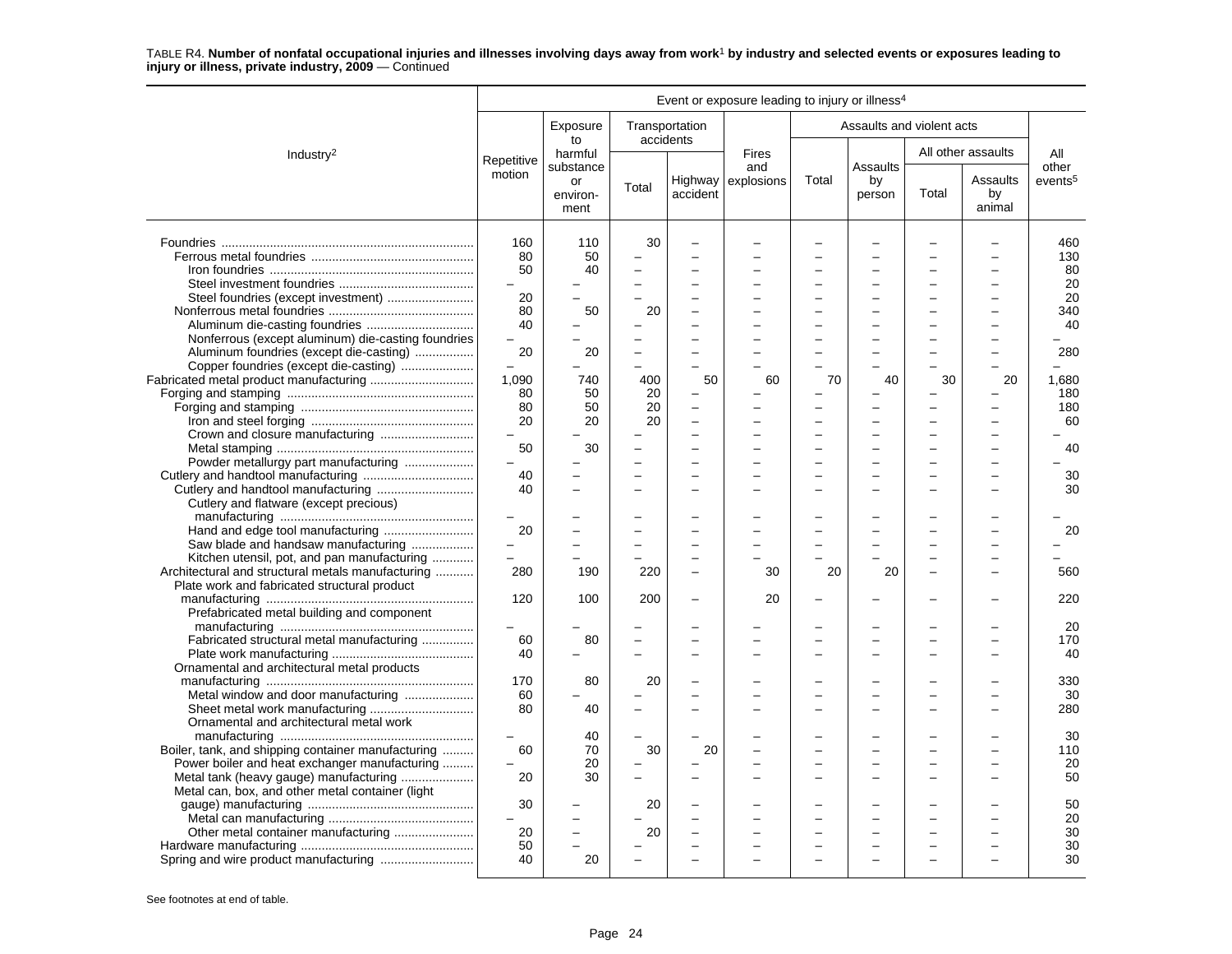|                                                    |               |                        |                |                          | Event or exposure leading to injury or illness <sup>4</sup> |       |                           |       |                          |                     |
|----------------------------------------------------|---------------|------------------------|----------------|--------------------------|-------------------------------------------------------------|-------|---------------------------|-------|--------------------------|---------------------|
|                                                    |               | Exposure<br>to         | accidents      | Transportation           |                                                             |       | Assaults and violent acts |       |                          |                     |
| Industry <sup>2</sup>                              | Repetitive    | harmful<br>substance   |                |                          | <b>Fires</b><br>and                                         |       | Assaults                  |       | All other assaults       | All<br>other        |
|                                                    | motion        | or<br>environ-<br>ment | Total          | accident                 | Highway $\vert$ explosions                                  | Total | by<br>person              | Total | Assaults<br>by<br>animal | events <sup>5</sup> |
|                                                    | 160           | 110                    | 30             |                          |                                                             |       |                           |       |                          | 460                 |
|                                                    | 80            | 50                     |                | -                        |                                                             |       |                           |       |                          | 130                 |
|                                                    | $50^{\circ}$  | 40                     |                |                          |                                                             |       |                           |       |                          | 80                  |
|                                                    |               |                        |                |                          |                                                             |       | L                         |       |                          | 20                  |
|                                                    | 20            |                        |                |                          |                                                             |       |                           |       |                          | 20                  |
|                                                    | 80            | 50                     | 20             |                          |                                                             |       |                           |       |                          | 340                 |
|                                                    | 40            |                        |                |                          |                                                             |       |                           |       |                          | 40                  |
|                                                    |               |                        |                |                          |                                                             |       |                           |       |                          |                     |
| Nonferrous (except aluminum) die-casting foundries |               |                        |                |                          |                                                             |       |                           |       |                          |                     |
| Aluminum foundries (except die-casting)            | 20            | 20                     | $\overline{a}$ | L.                       |                                                             |       | $\equiv$                  |       |                          | 280                 |
| Copper foundries (except die-casting)              |               |                        | $\overline{a}$ |                          |                                                             |       |                           |       |                          |                     |
|                                                    | 1,090         | 740                    | 400            | 50                       | 60                                                          | 70    | 40                        | 30    | 20                       | 1,680               |
|                                                    | 80            | 50                     | 20             | -                        |                                                             |       |                           |       |                          | 180                 |
|                                                    | 80            | 50                     | 20             | $\overline{\phantom{0}}$ |                                                             |       |                           |       |                          | 180                 |
|                                                    | 20            | 20                     | 20             | $\overline{\phantom{0}}$ |                                                             |       | L                         |       |                          | 60                  |
|                                                    | $\frac{1}{2}$ |                        |                | -                        |                                                             |       | L                         |       |                          |                     |
|                                                    | 50            | 30                     |                | $\overline{\phantom{0}}$ |                                                             |       |                           |       |                          | 40                  |
| Powder metallurgy part manufacturing               |               |                        |                |                          |                                                             |       |                           |       |                          |                     |
|                                                    | 40            |                        |                |                          |                                                             |       |                           |       |                          | 30                  |
|                                                    | 40            |                        |                | L.                       |                                                             |       |                           |       |                          | 30                  |
| Cutlery and flatware (except precious)             |               |                        |                |                          |                                                             |       |                           |       |                          |                     |
|                                                    |               |                        |                |                          |                                                             |       |                           |       |                          |                     |
| Hand and edge tool manufacturing                   | 20            |                        |                |                          |                                                             |       |                           |       |                          | 20                  |
| Saw blade and handsaw manufacturing                |               |                        |                | ÷                        |                                                             |       |                           |       |                          |                     |
| Kitchen utensil, pot, and pan manufacturing        | $=$           |                        |                |                          |                                                             |       |                           |       |                          |                     |
| Architectural and structural metals manufacturing  | 280           | 190                    | 220            | $\equiv$                 | 30                                                          | 20    | 20                        |       | $\equiv$                 | 560                 |
| Plate work and fabricated structural product       |               |                        |                |                          |                                                             |       |                           |       |                          |                     |
|                                                    | 120           | 100                    | 200            | $\overline{a}$           | 20                                                          |       |                           |       |                          | 220                 |
| Prefabricated metal building and component         |               |                        |                |                          |                                                             |       |                           |       |                          |                     |
|                                                    |               |                        |                |                          |                                                             |       |                           |       |                          |                     |
|                                                    |               |                        |                |                          |                                                             |       |                           |       |                          | 20                  |
| Fabricated structural metal manufacturing          | 60            | 80                     |                |                          |                                                             |       |                           |       |                          | 170                 |
|                                                    | 40            |                        |                |                          |                                                             |       |                           |       |                          | 40                  |
| Ornamental and architectural metal products        |               |                        |                |                          |                                                             |       |                           |       |                          |                     |
|                                                    | 170           | 80                     | 20             | $\overline{\phantom{0}}$ |                                                             |       |                           |       |                          | 330                 |
| Metal window and door manufacturing                | 60            |                        |                |                          |                                                             |       |                           |       |                          | 30                  |
| Sheet metal work manufacturing                     | 80            | 40                     |                |                          |                                                             |       | ÷                         |       |                          | 280                 |
| Ornamental and architectural metal work            |               |                        |                |                          |                                                             |       |                           |       |                          |                     |
|                                                    |               | 40                     |                |                          |                                                             |       |                           |       |                          | 30                  |
| Boiler, tank, and shipping container manufacturing | 60            | 70                     | 30             | 20                       |                                                             |       |                           |       |                          | 110                 |
| Power boiler and heat exchanger manufacturing      |               | 20                     |                |                          |                                                             |       | $\overline{\phantom{0}}$  |       |                          | 20                  |
| Metal tank (heavy gauge) manufacturing             | 20            | 30                     |                | $\overline{\phantom{0}}$ |                                                             |       | L                         |       |                          | 50                  |
| Metal can, box, and other metal container (light   |               |                        |                |                          |                                                             |       |                           |       |                          |                     |
|                                                    | 30            |                        | 20             |                          |                                                             |       |                           |       |                          | 50                  |
|                                                    |               |                        |                | $\overline{\phantom{0}}$ |                                                             |       | ÷                         |       |                          | 20                  |
| Other metal container manufacturing                | 20            |                        | 20             |                          |                                                             |       |                           |       |                          | 30                  |
|                                                    | 50            |                        |                | $\overline{\phantom{0}}$ |                                                             |       | $\overline{\phantom{0}}$  |       |                          | 30                  |
|                                                    | 40            | 20                     |                |                          |                                                             |       |                           |       |                          | 30                  |
|                                                    |               |                        |                |                          |                                                             |       |                           |       |                          |                     |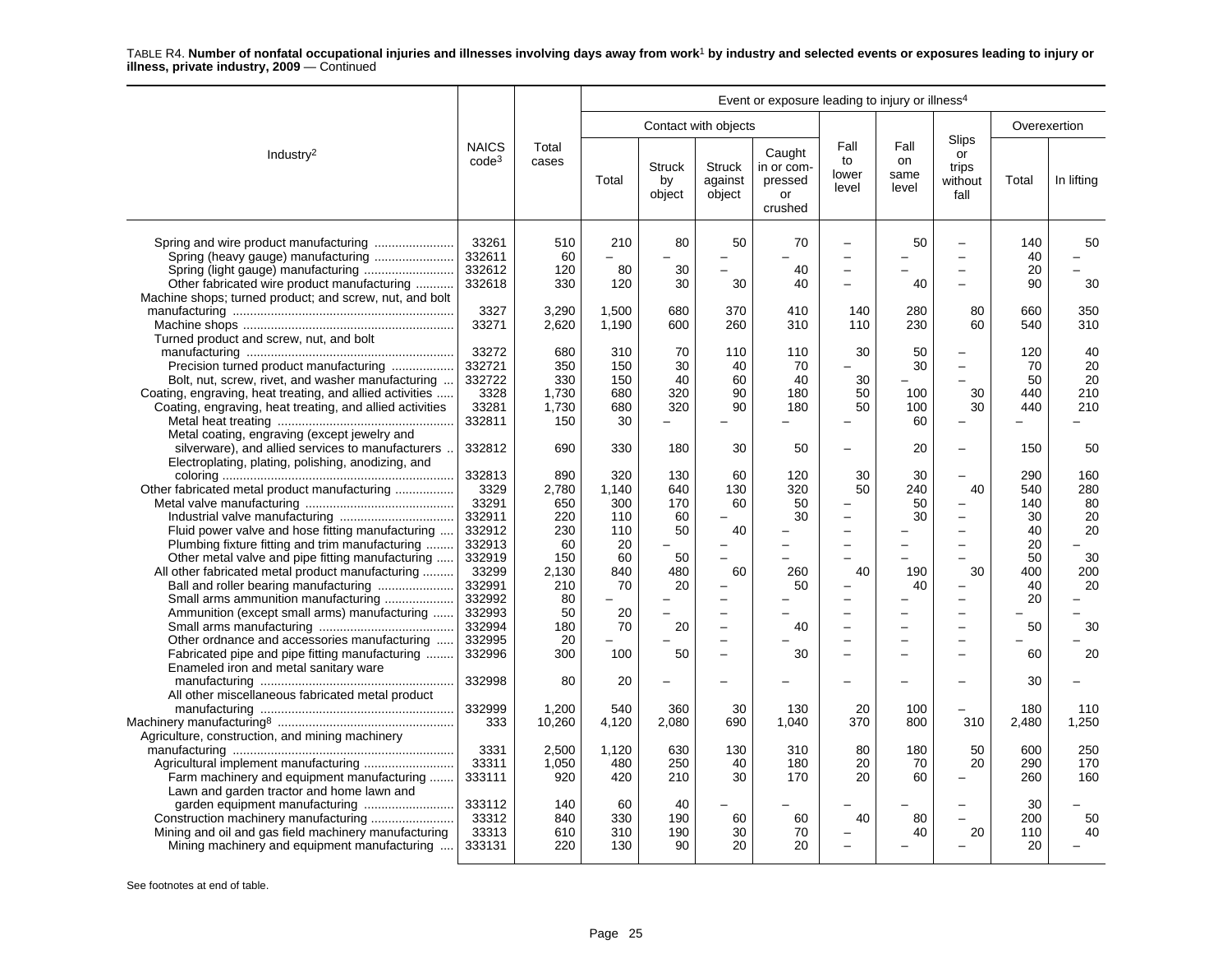|                                                                                                                                                                                                                     | Event or exposure leading to injury or illness <sup>4</sup> |                                            |                                       |                               |                                            |                                                  |                                                 |                              |                                                                                        |                               |                              |  |
|---------------------------------------------------------------------------------------------------------------------------------------------------------------------------------------------------------------------|-------------------------------------------------------------|--------------------------------------------|---------------------------------------|-------------------------------|--------------------------------------------|--------------------------------------------------|-------------------------------------------------|------------------------------|----------------------------------------------------------------------------------------|-------------------------------|------------------------------|--|
|                                                                                                                                                                                                                     |                                                             |                                            |                                       |                               | Contact with objects                       |                                                  |                                                 |                              |                                                                                        |                               | Overexertion                 |  |
| Industry <sup>2</sup>                                                                                                                                                                                               | <b>NAICS</b><br>code <sup>3</sup>                           | Total<br>cases                             | Total                                 | <b>Struck</b><br>by<br>object | <b>Struck</b><br>against<br>object         | Caught<br>in or com-<br>pressed<br>or<br>crushed | Fall<br>to<br>lower<br>level                    | Fall<br>on<br>same<br>level  | Slips<br>or<br>trips<br>without<br>fall                                                | Total                         | In lifting                   |  |
| Spring (heavy gauge) manufacturing<br>Other fabricated wire product manufacturing<br>Machine shops; turned product; and screw, nut, and bolt                                                                        | 33261<br>332611<br>332612<br>332618                         | 510<br>60<br>120<br>330                    | 210<br>80<br>120                      | 80<br>30<br>30                | 50<br>$\overline{\phantom{0}}$<br>L.<br>30 | 70<br>40<br>40                                   | $\overline{a}$<br>-<br>$\overline{\phantom{0}}$ | 50<br>40                     | $\overline{a}$<br>$\sim$<br>$\overline{\phantom{0}}$<br>$\overline{a}$                 | 140<br>40<br>20<br>90         | 50<br>30                     |  |
| Turned product and screw, nut, and bolt                                                                                                                                                                             | 3327<br>33271                                               | 3,290<br>2,620                             | 1,500<br>1,190                        | 680<br>600                    | 370<br>260                                 | 410<br>310                                       | 140<br>110                                      | 280<br>230                   | 80<br>60                                                                               | 660<br>540                    | 350<br>310                   |  |
| Precision turned product manufacturing<br>Bolt, nut, screw, rivet, and washer manufacturing<br>Coating, engraving, heat treating, and allied activities<br>Coating, engraving, heat treating, and allied activities | 33272<br>332721<br>332722<br>3328<br>33281<br>332811        | 680<br>350<br>330<br>1,730<br>1,730<br>150 | 310<br>150<br>150<br>680<br>680<br>30 | 70<br>30<br>40<br>320<br>320  | 110<br>40<br>60<br>90<br>90                | 110<br>70<br>40<br>180<br>180                    | 30<br>30<br>50<br>50                            | 50<br>30<br>100<br>100<br>60 | ÷<br>$\overline{\phantom{0}}$<br>30<br>30                                              | 120<br>70<br>50<br>440<br>440 | 40<br>20<br>20<br>210<br>210 |  |
| Metal coating, engraving (except jewelry and<br>silverware), and allied services to manufacturers<br>Electroplating, plating, polishing, anodizing, and                                                             | 332812                                                      | 690                                        | 330                                   | 180                           | 30                                         | 50                                               |                                                 | 20                           | $\overline{\phantom{0}}$                                                               | 150                           | 50                           |  |
| Other fabricated metal product manufacturing                                                                                                                                                                        | 332813<br>3329<br>33291<br>332911                           | 890<br>2,780<br>650<br>220                 | 320<br>1,140<br>300<br>110            | 130<br>640<br>170<br>60       | 60<br>130<br>60                            | 120<br>320<br>50<br>30                           | 30<br>50                                        | 30<br>240<br>50<br>30        | $\overline{\phantom{0}}$<br>40<br>$\overline{\phantom{0}}$<br>$\overline{\phantom{0}}$ | 290<br>540<br>140<br>30       | 160<br>280<br>80<br>20       |  |
| Fluid power valve and hose fitting manufacturing<br>Plumbing fixture fitting and trim manufacturing<br>Other metal valve and pipe fitting manufacturing<br>All other fabricated metal product manufacturing         | 332912<br>332913<br>332919<br>33299                         | 230<br>60<br>150<br>2,130                  | 110<br>20<br>60<br>840                | 50<br>50<br>480               | 40<br>-<br>$\overline{\phantom{0}}$<br>60  | 260                                              | $\equiv$<br>40                                  | 190                          | $\overline{\phantom{0}}$<br>$\overline{\phantom{0}}$<br>$\overline{\phantom{0}}$<br>30 | 40<br>20<br>50<br>400         | 20<br>30<br>200              |  |
| Ball and roller bearing manufacturing<br>Small arms ammunition manufacturing<br>Ammunition (except small arms) manufacturing                                                                                        | 332991<br>332992<br>332993                                  | 210<br>80<br>50                            | 70<br>20                              | 20                            | $\overline{\phantom{0}}$<br>-<br>L.        | 50                                               | $\overline{\phantom{0}}$                        | 40                           | $\overline{\phantom{0}}$<br>$\overline{\phantom{0}}$<br>L.                             | 40<br>20                      | 20                           |  |
| Other ordnance and accessories manufacturing<br>Fabricated pipe and pipe fitting manufacturing<br>Enameled iron and metal sanitary ware                                                                             | 332994<br>332995<br>332996                                  | 180<br>20<br>300                           | 70<br>100                             | 20<br>50                      | $\overline{a}$<br>$\overline{a}$           | 40<br>30                                         | $\overline{\phantom{0}}$                        |                              | $\overline{\phantom{0}}$<br>$\overline{\phantom{0}}$                                   | 50<br>60                      | 30<br>20                     |  |
| All other miscellaneous fabricated metal product                                                                                                                                                                    | 332998                                                      | 80                                         | 20                                    |                               |                                            |                                                  |                                                 |                              |                                                                                        | 30                            |                              |  |
| Agriculture, construction, and mining machinery                                                                                                                                                                     | 332999<br>333                                               | 1,200<br>10,260                            | 540<br>4,120                          | 360<br>2,080                  | 30<br>690                                  | 130<br>1,040                                     | 20<br>370                                       | 100<br>800                   | 310                                                                                    | 180<br>2,480                  | 110<br>1,250                 |  |
| Farm machinery and equipment manufacturing<br>Lawn and garden tractor and home lawn and                                                                                                                             | 3331<br>33311<br>333111                                     | 2,500<br>1,050<br>920                      | 1,120<br>480<br>420                   | 630<br>250<br>210             | 130<br>40<br>30                            | 310<br>180<br>170                                | 80<br>20<br>20                                  | 180<br>70<br>60              | 50<br>20<br>$\overline{\phantom{0}}$                                                   | 600<br>290<br>260             | 250<br>170<br>160            |  |
| Mining and oil and gas field machinery manufacturing<br>Mining machinery and equipment manufacturing                                                                                                                | 333112<br>33312<br>33313<br>333131                          | 140<br>840<br>610<br>220                   | 60<br>330<br>310<br>130               | 40<br>190<br>190<br>90        | 60<br>30<br>20                             | 60<br>70<br>20                                   | 40                                              | 80<br>40                     | 20                                                                                     | 30<br>200<br>110<br>20        | 50<br>40                     |  |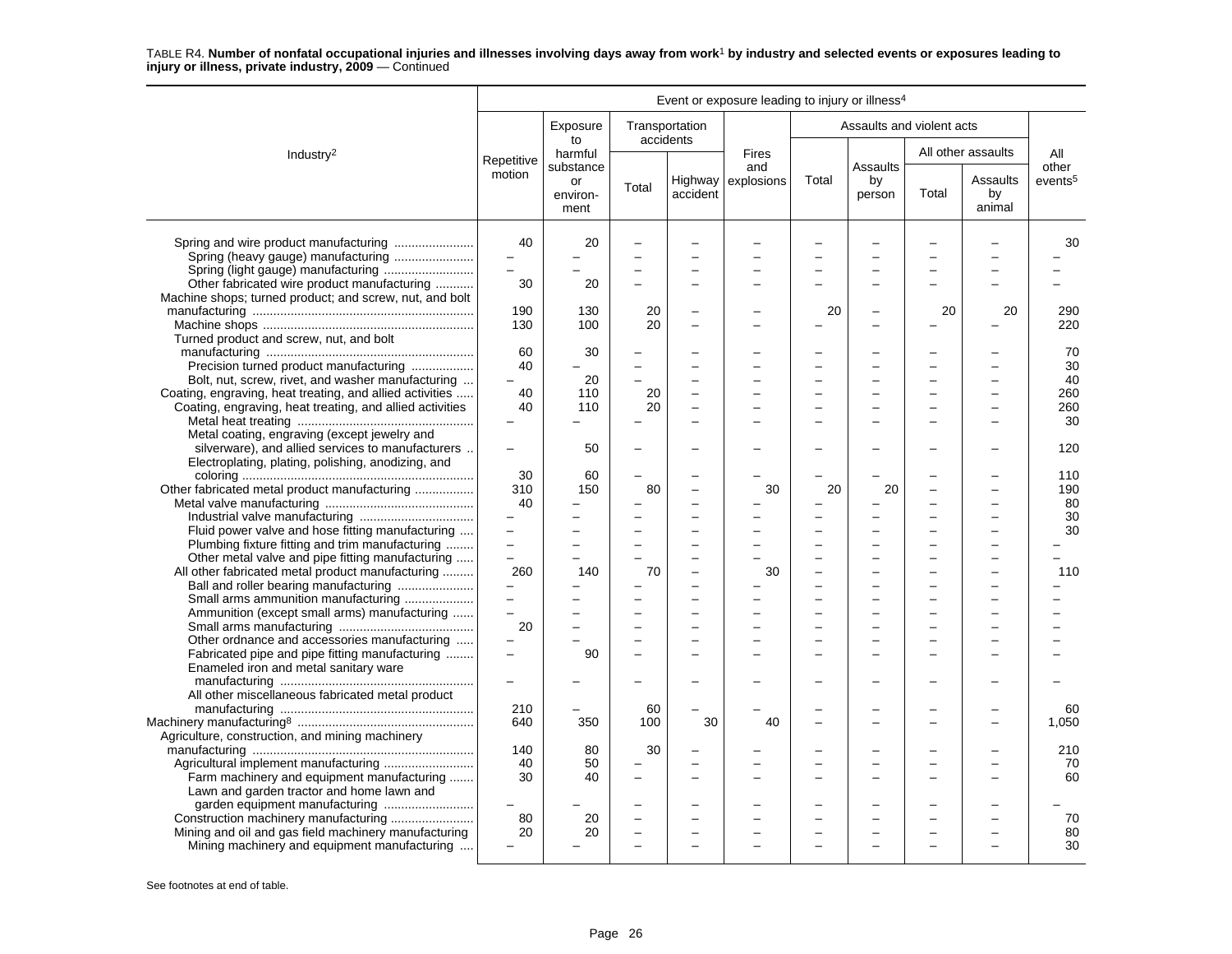|                                                                                                                                                                           |                                                   |                          |           |                                                           | Event or exposure leading to injury or illness <sup>4</sup> |       |                           |       |                          |                     |
|---------------------------------------------------------------------------------------------------------------------------------------------------------------------------|---------------------------------------------------|--------------------------|-----------|-----------------------------------------------------------|-------------------------------------------------------------|-------|---------------------------|-------|--------------------------|---------------------|
|                                                                                                                                                                           |                                                   | Exposure<br>to           | accidents | Transportation                                            |                                                             |       | Assaults and violent acts |       |                          |                     |
| Industry <sup>2</sup>                                                                                                                                                     | Repetitive                                        | harmful<br>substance     |           |                                                           | <b>Fires</b><br>and                                         |       | Assaults                  |       | All other assaults       | All<br>other        |
|                                                                                                                                                                           | motion                                            | or<br>environ-<br>ment   | Total     | accident                                                  | Highway explosions                                          | Total | by<br>person              | Total | Assaults<br>by<br>animal | events <sup>5</sup> |
| Spring and wire product manufacturing<br>Spring (heavy gauge) manufacturing                                                                                               | 40<br>$\overline{\phantom{a}}$<br>$\equiv$        | 20                       |           | -                                                         |                                                             |       |                           |       |                          | 30                  |
| Other fabricated wire product manufacturing<br>Machine shops; turned product; and screw, nut, and bolt                                                                    | 30                                                | 20                       |           | -                                                         |                                                             |       |                           |       |                          |                     |
| Turned product and screw, nut, and bolt                                                                                                                                   | 190<br>130                                        | 130<br>100               | 20<br>20  |                                                           |                                                             | 20    |                           | 20    | 20                       | 290<br>220          |
| Precision turned product manufacturing                                                                                                                                    | 60<br>40                                          | 30                       |           | $\overline{\phantom{0}}$<br>$\overline{\phantom{0}}$      |                                                             |       | ÷                         |       |                          | 70<br>30            |
| Bolt, nut, screw, rivet, and washer manufacturing<br>Coating, engraving, heat treating, and allied activities<br>Coating, engraving, heat treating, and allied activities | 40<br>40                                          | 20<br>110<br>110         | 20<br>20  | $\overline{a}$<br>$\overline{a}$                          |                                                             |       |                           |       |                          | 40<br>260<br>260    |
| Metal coating, engraving (except jewelry and<br>silverware), and allied services to manufacturers                                                                         | $\overline{\phantom{m}}$                          | 50                       |           |                                                           |                                                             |       |                           |       |                          | 30<br>120           |
| Electroplating, plating, polishing, anodizing, and                                                                                                                        | 30<br>310                                         | 60<br>150                | 80        | $\overline{a}$                                            | 30                                                          | 20    | 20                        |       |                          | 110<br>190          |
| Other fabricated metal product manufacturing                                                                                                                              | 40                                                |                          |           |                                                           |                                                             |       |                           |       |                          | 80<br>30            |
| Fluid power valve and hose fitting manufacturing<br>Plumbing fixture fitting and trim manufacturing                                                                       | $\overline{\phantom{0}}$<br>$\equiv$              | $\overline{\phantom{0}}$ |           | -                                                         |                                                             |       | $\overline{\phantom{0}}$  |       |                          | 30                  |
| Other metal valve and pipe fitting manufacturing<br>All other fabricated metal product manufacturing<br>Ball and roller bearing manufacturing                             | $\overline{a}$<br>260<br>$\overline{\phantom{0}}$ | 140                      | 70        | -                                                         | 30                                                          |       | $\equiv$                  |       |                          | 110                 |
| Small arms ammunition manufacturing<br>Ammunition (except small arms) manufacturing                                                                                       | $\equiv$<br>$\overline{a}$                        |                          |           | $\overline{a}$                                            |                                                             |       |                           |       |                          |                     |
| Other ordnance and accessories manufacturing<br>Fabricated pipe and pipe fitting manufacturing                                                                            | 20<br>$\equiv$                                    | 90                       |           | $\overline{a}$<br>$\overline{a}$                          |                                                             |       | $\overline{\phantom{0}}$  |       |                          |                     |
| Enameled iron and metal sanitary ware<br>All other miscellaneous fabricated metal product                                                                                 |                                                   |                          |           |                                                           |                                                             |       |                           |       |                          |                     |
|                                                                                                                                                                           | 210<br>640                                        | 350                      | 60<br>100 | 30                                                        | 40                                                          |       | L.                        |       |                          | 60<br>1,050         |
| Agriculture, construction, and mining machinery<br>Farm machinery and equipment manufacturing                                                                             | 140<br>40<br>30                                   | 80<br>50<br>40           | 30        | $\equiv$<br>$\overline{\phantom{0}}$                      |                                                             |       | ÷                         |       |                          | 210<br>70<br>60     |
| Lawn and garden tractor and home lawn and<br>garden equipment manufacturing<br>Mining and oil and gas field machinery manufacturing                                       | 80<br>20                                          | 20<br>20                 |           | $\overline{\phantom{0}}$<br>$\overline{\phantom{0}}$<br>- |                                                             |       | $\equiv$                  |       |                          | 70<br>80            |
| Mining machinery and equipment manufacturing                                                                                                                              |                                                   |                          |           |                                                           |                                                             |       |                           |       |                          | 30                  |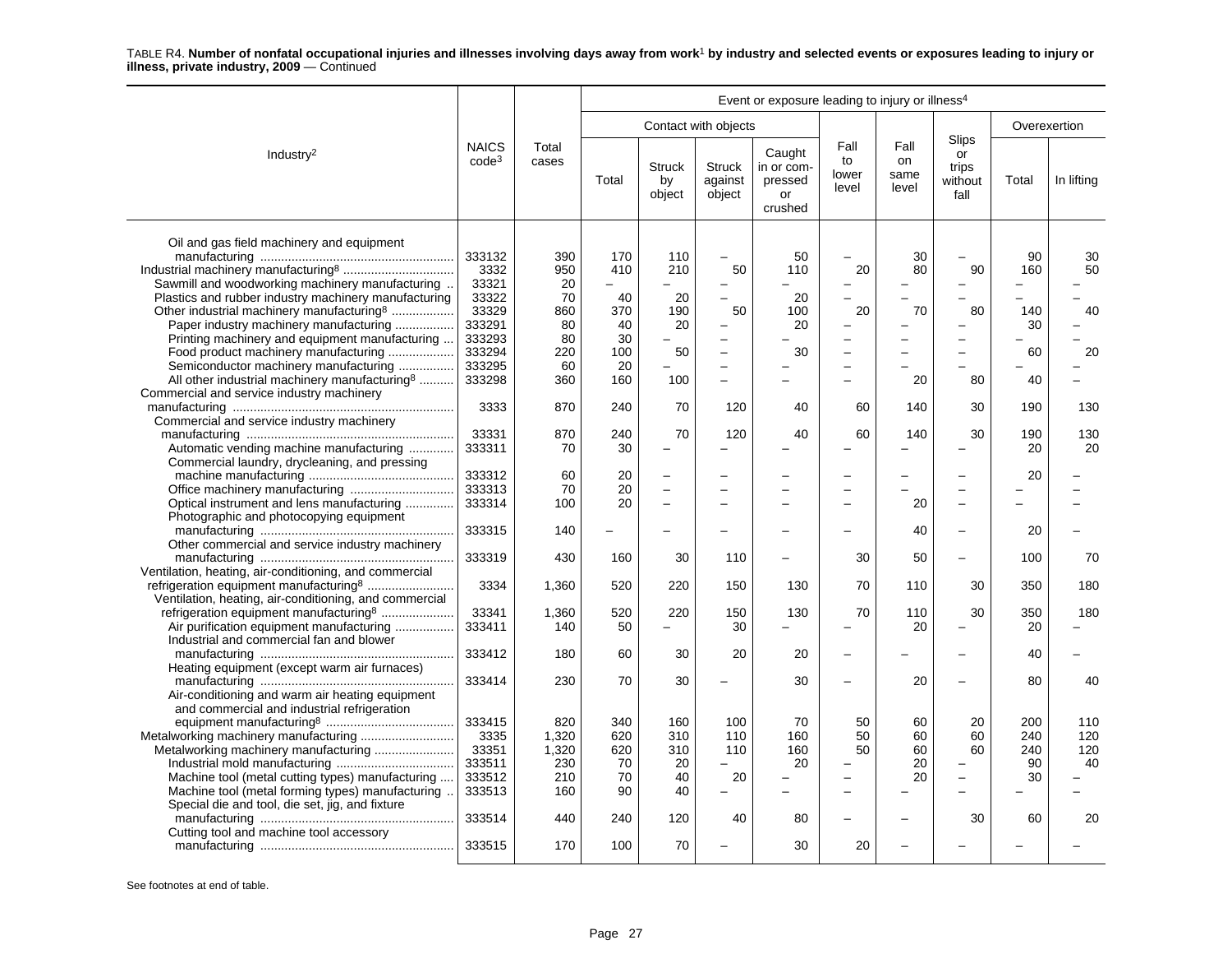|                                                           | Event or exposure leading to injury or illness <sup>4</sup> |                |       |                               |                                    |                                                  |                              |                             |                                                |              |            |
|-----------------------------------------------------------|-------------------------------------------------------------|----------------|-------|-------------------------------|------------------------------------|--------------------------------------------------|------------------------------|-----------------------------|------------------------------------------------|--------------|------------|
|                                                           |                                                             |                |       |                               | Contact with objects               |                                                  |                              |                             |                                                | Overexertion |            |
| Industry <sup>2</sup>                                     | <b>NAICS</b><br>code <sup>3</sup>                           | Total<br>cases | Total | <b>Struck</b><br>by<br>object | <b>Struck</b><br>against<br>object | Caught<br>in or com-<br>pressed<br>or<br>crushed | Fall<br>to<br>lower<br>level | Fall<br>on<br>same<br>level | <b>Slips</b><br>or<br>trips<br>without<br>fall | Total        | In lifting |
| Oil and gas field machinery and equipment                 |                                                             |                |       |                               |                                    |                                                  |                              |                             |                                                |              |            |
|                                                           | 333132                                                      | 390            | 170   | 110                           |                                    | 50                                               |                              | 30                          |                                                | 90           | 30         |
|                                                           | 3332                                                        | 950            | 410   | 210                           | 50                                 | 110                                              | 20                           | 80                          | 90                                             | 160          | 50         |
| Sawmill and woodworking machinery manufacturing           | 33321                                                       | 20             |       |                               |                                    |                                                  |                              |                             | -                                              |              |            |
| Plastics and rubber industry machinery manufacturing      | 33322                                                       | 70             | 40    | 20                            | $\equiv$                           | 20                                               |                              |                             | L                                              |              |            |
| Other industrial machinery manufacturing <sup>8</sup>     | 33329                                                       | 860            | 370   | 190                           | 50                                 | 100                                              | 20                           | 70                          | 80                                             | 140          | 40         |
| Paper industry machinery manufacturing                    | 333291                                                      | 80             | 40    | 20                            |                                    | 20                                               |                              |                             | -                                              | 30           |            |
| Printing machinery and equipment manufacturing            | 333293                                                      | 80             | 30    |                               | $\overline{\phantom{0}}$           |                                                  |                              |                             | $\overline{\phantom{0}}$                       |              |            |
| Food product machinery manufacturing                      | 333294                                                      | 220            | 100   | 50                            | $\equiv$                           | 30                                               | $\equiv$                     |                             | L.                                             | 60           | 20         |
| Semiconductor machinery manufacturing                     | 333295                                                      | 60             | 20    |                               | $\overline{\phantom{0}}$           |                                                  | $\overline{\phantom{0}}$     |                             |                                                |              |            |
| All other industrial machinery manufacturing <sup>8</sup> | 333298                                                      | 360            | 160   | 100                           |                                    |                                                  |                              | 20                          | 80                                             | 40           |            |
| Commercial and service industry machinery                 |                                                             |                |       |                               |                                    |                                                  |                              |                             |                                                |              |            |
|                                                           | 3333                                                        | 870            | 240   | 70                            | 120                                | 40                                               | 60                           | 140                         | 30                                             | 190          | 130        |
| Commercial and service industry machinery                 |                                                             |                |       |                               |                                    |                                                  |                              |                             |                                                |              |            |
|                                                           | 33331                                                       | 870            | 240   | 70                            | 120                                | 40                                               | 60                           | 140                         | 30                                             | 190          | 130        |
| Automatic vending machine manufacturing                   | 333311                                                      | 70             | 30    |                               |                                    |                                                  |                              |                             |                                                | 20           | 20         |
| Commercial laundry, drycleaning, and pressing             |                                                             |                |       |                               |                                    |                                                  |                              |                             |                                                |              |            |
|                                                           | 333312                                                      | 60             | 20    |                               |                                    |                                                  |                              |                             |                                                | 20           |            |
|                                                           | 333313                                                      | 70             | 20    |                               |                                    |                                                  |                              |                             | $\overline{\phantom{0}}$                       |              |            |
| Optical instrument and lens manufacturing                 | 333314                                                      | 100            | 20    | $\overline{a}$                | $\overline{\phantom{0}}$           |                                                  |                              | 20                          | $\overline{\phantom{0}}$                       |              |            |
| Photographic and photocopying equipment                   |                                                             |                |       |                               |                                    |                                                  |                              |                             |                                                |              |            |
|                                                           | 333315                                                      | 140            |       |                               |                                    |                                                  |                              | 40                          | $\overline{\phantom{0}}$                       | 20           |            |
| Other commercial and service industry machinery           |                                                             |                |       |                               |                                    |                                                  |                              |                             |                                                |              |            |
|                                                           | 333319                                                      | 430            | 160   | 30                            | 110                                |                                                  | 30                           | 50                          | -                                              | 100          | 70         |
| Ventilation, heating, air-conditioning, and commercial    |                                                             |                |       |                               |                                    |                                                  |                              |                             |                                                |              |            |
|                                                           | 3334                                                        | 1,360          | 520   | 220                           | 150                                | 130                                              | 70                           | 110                         | 30                                             | 350          | 180        |
| Ventilation, heating, air-conditioning, and commercial    |                                                             |                |       |                               |                                    |                                                  |                              |                             |                                                |              |            |
| refrigeration equipment manufacturing <sup>8</sup>        | 33341                                                       | 1,360          | 520   | 220                           | 150                                | 130                                              | 70                           | 110                         | 30                                             | 350          | 180        |
| Air purification equipment manufacturing                  | 333411                                                      | 140            | 50    | $\equiv$                      | 30                                 |                                                  |                              | 20                          | $\overline{\phantom{0}}$                       | 20           |            |
| Industrial and commercial fan and blower                  |                                                             |                |       |                               |                                    |                                                  |                              |                             |                                                |              |            |
|                                                           | 333412                                                      | 180            | 60    | 30                            | 20                                 | 20                                               |                              |                             |                                                | 40           |            |
| Heating equipment (except warm air furnaces)              |                                                             |                |       |                               |                                    |                                                  |                              |                             |                                                |              |            |
|                                                           | 333414                                                      | 230            | 70    | 30                            |                                    | 30                                               |                              | 20                          | $\overline{\phantom{0}}$                       | 80           | 40         |
| Air-conditioning and warm air heating equipment           |                                                             |                |       |                               |                                    |                                                  |                              |                             |                                                |              |            |
| and commercial and industrial refrigeration               |                                                             |                |       |                               |                                    |                                                  |                              |                             |                                                |              |            |
|                                                           | 333415                                                      | 820            | 340   | 160                           | 100                                | 70                                               | 50                           | 60                          | 20                                             | 200          | 110        |
| Metalworking machinery manufacturing                      | 3335                                                        | 1,320          | 620   | 310                           | 110                                | 160                                              | 50                           | 60                          | 60                                             | 240          | 120        |
|                                                           | 33351                                                       | 1,320          | 620   | 310                           | 110                                | 160                                              | 50                           | 60                          | 60                                             | 240          | 120        |
|                                                           | 333511                                                      | 230            | 70    | 20                            |                                    | 20                                               |                              | 20                          |                                                | 90           | 40         |
| Machine tool (metal cutting types) manufacturing          | 333512                                                      | 210            | 70    | 40                            | 20                                 |                                                  |                              | 20                          | $\overline{\phantom{0}}$                       | 30           |            |
| Machine tool (metal forming types) manufacturing          | 333513                                                      | 160            | 90    | 40                            |                                    |                                                  |                              |                             |                                                |              |            |
| Special die and tool, die set, jig, and fixture           |                                                             |                |       |                               |                                    |                                                  |                              |                             | 30                                             |              | 20         |
| Cutting tool and machine tool accessory                   | 333514                                                      | 440            | 240   | 120                           | 40                                 | 80                                               |                              |                             |                                                | 60           |            |
|                                                           | 333515                                                      | 170            | 100   | 70                            |                                    | 30                                               | 20                           |                             |                                                |              |            |
|                                                           |                                                             |                |       |                               |                                    |                                                  |                              |                             |                                                |              |            |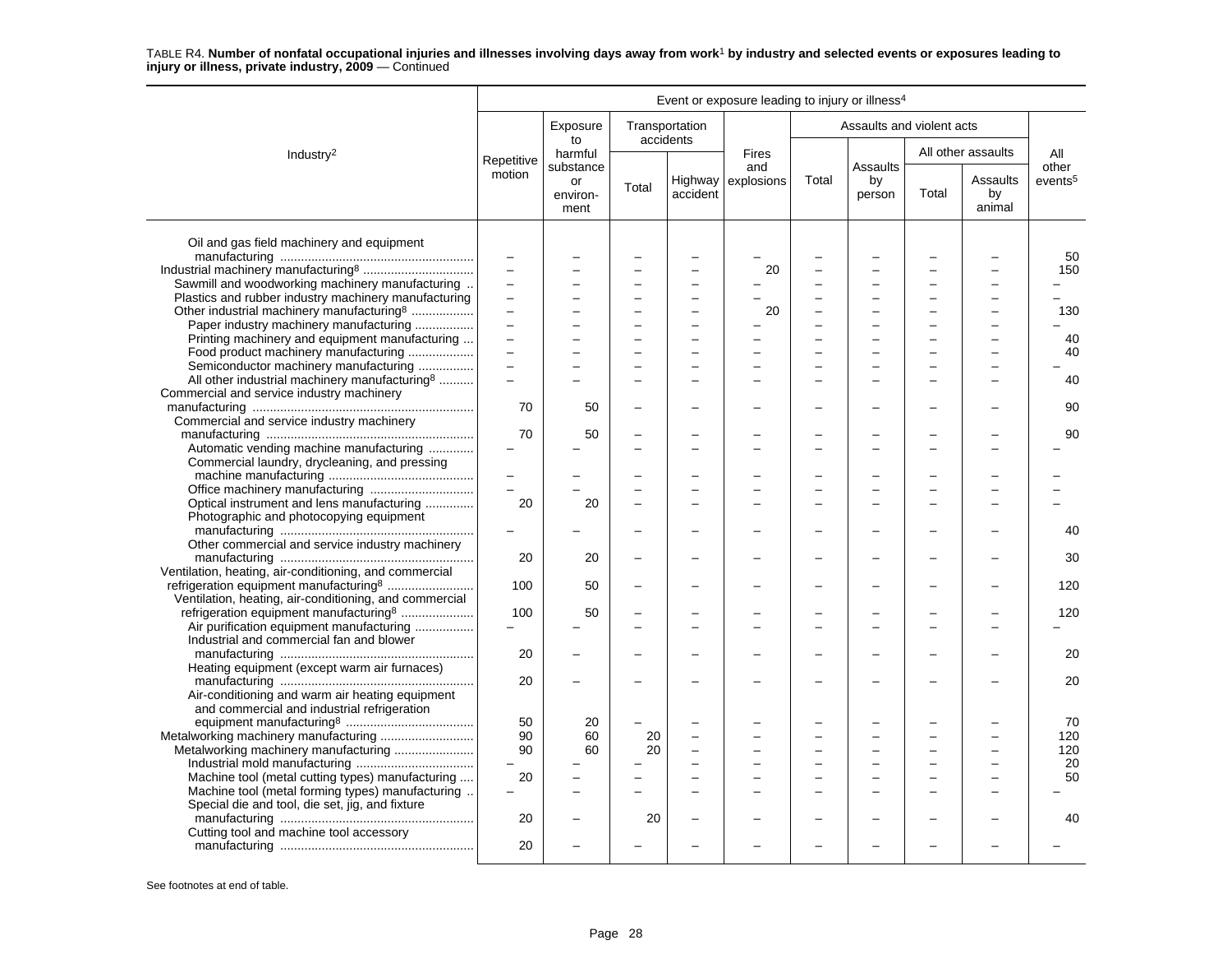|                                                           |                            |                        |                          |                             | Event or exposure leading to injury or illness <sup>4</sup> |          |                           |       |                          |                     |
|-----------------------------------------------------------|----------------------------|------------------------|--------------------------|-----------------------------|-------------------------------------------------------------|----------|---------------------------|-------|--------------------------|---------------------|
|                                                           |                            | Exposure<br>to         |                          | Transportation<br>accidents |                                                             |          | Assaults and violent acts |       |                          |                     |
| Industry <sup>2</sup>                                     | Repetitive                 | harmful<br>substance   |                          |                             | <b>Fires</b><br>and                                         |          | Assaults                  |       | All other assaults       | All<br>other        |
|                                                           | motion                     | or<br>environ-<br>ment | Total                    | accident                    | Highway explosions                                          | Total    | by<br>person              | Total | Assaults<br>by<br>animal | events <sup>5</sup> |
| Oil and gas field machinery and equipment                 |                            |                        |                          |                             |                                                             |          |                           |       |                          |                     |
|                                                           | $\qquad \qquad -$          |                        |                          |                             |                                                             |          |                           |       |                          | 50                  |
|                                                           |                            |                        |                          |                             | 20                                                          |          |                           |       |                          | 150                 |
| Sawmill and woodworking machinery manufacturing           | $\overline{\phantom{0}}$   |                        | $\overline{\phantom{0}}$ | <u>.</u>                    |                                                             |          |                           |       | -                        |                     |
| Plastics and rubber industry machinery manufacturing      | $\overline{a}$             | L.                     | $\overline{\phantom{0}}$ | $\overline{\phantom{0}}$    |                                                             |          | $\overline{\phantom{0}}$  |       | -                        |                     |
| Other industrial machinery manufacturing <sup>8</sup>     | $\overline{a}$<br>$\equiv$ |                        |                          |                             | 20                                                          |          |                           |       |                          | 130                 |
| Paper industry machinery manufacturing                    |                            |                        | $\overline{\phantom{0}}$ | <u>.</u>                    |                                                             |          |                           |       |                          |                     |
| Printing machinery and equipment manufacturing            | $\equiv$                   |                        |                          |                             |                                                             |          |                           |       |                          | 40                  |
| Food product machinery manufacturing                      | $\equiv$                   |                        |                          | $\overline{\phantom{0}}$    |                                                             |          |                           |       |                          | 40                  |
| Semiconductor machinery manufacturing                     | $\equiv$                   |                        |                          |                             |                                                             |          |                           |       |                          |                     |
| All other industrial machinery manufacturing <sup>8</sup> |                            |                        |                          | ÷                           |                                                             |          |                           |       | -                        | 40                  |
| Commercial and service industry machinery                 |                            |                        |                          |                             |                                                             |          |                           |       |                          |                     |
|                                                           | 70                         | 50                     |                          |                             |                                                             |          |                           |       |                          | 90                  |
| Commercial and service industry machinery                 |                            |                        |                          |                             |                                                             |          |                           |       |                          |                     |
|                                                           | 70                         | 50                     |                          | $\overline{\phantom{0}}$    |                                                             | ÷        |                           |       |                          | 90                  |
| Automatic vending machine manufacturing                   |                            |                        |                          | $\overline{\phantom{0}}$    |                                                             |          |                           |       |                          |                     |
| Commercial laundry, drycleaning, and pressing             |                            |                        |                          |                             |                                                             |          |                           |       |                          |                     |
|                                                           | $\equiv$                   |                        |                          |                             |                                                             |          |                           |       |                          |                     |
| Office machinery manufacturing                            |                            |                        |                          |                             |                                                             |          |                           |       |                          |                     |
| Optical instrument and lens manufacturing                 | 20                         | 20                     |                          |                             |                                                             |          |                           |       |                          |                     |
| Photographic and photocopying equipment                   |                            |                        |                          |                             |                                                             |          |                           |       |                          | 40                  |
| Other commercial and service industry machinery           |                            |                        |                          |                             |                                                             |          |                           |       |                          |                     |
|                                                           | 20                         |                        |                          |                             |                                                             |          |                           |       |                          | 30                  |
| Ventilation, heating, air-conditioning, and commercial    |                            | 20                     |                          |                             |                                                             |          |                           |       |                          |                     |
| refrigeration equipment manufacturing <sup>8</sup>        | 100                        | 50                     |                          | $\overline{\phantom{0}}$    |                                                             |          |                           |       |                          | 120                 |
| Ventilation, heating, air-conditioning, and commercial    |                            |                        |                          |                             |                                                             |          |                           |       |                          |                     |
| refrigeration equipment manufacturing <sup>8</sup>        | 100                        | 50                     |                          |                             |                                                             |          |                           |       |                          | 120                 |
| Air purification equipment manufacturing                  |                            |                        |                          | L.                          |                                                             | ÷        |                           |       |                          |                     |
| Industrial and commercial fan and blower                  |                            |                        |                          |                             |                                                             |          |                           |       |                          |                     |
|                                                           | 20                         |                        |                          |                             |                                                             |          |                           |       |                          | 20                  |
| Heating equipment (except warm air furnaces)              |                            |                        |                          |                             |                                                             |          |                           |       |                          |                     |
|                                                           | 20                         |                        |                          |                             |                                                             |          |                           |       |                          | 20                  |
| Air-conditioning and warm air heating equipment           |                            |                        |                          |                             |                                                             |          |                           |       |                          |                     |
| and commercial and industrial refrigeration               |                            |                        |                          |                             |                                                             |          |                           |       |                          |                     |
|                                                           | 50                         | 20                     |                          |                             |                                                             |          |                           |       |                          | 70                  |
| Metalworking machinery manufacturing                      | 90                         | 60                     | 20                       |                             |                                                             |          |                           |       |                          | 120                 |
| Metalworking machinery manufacturing                      | 90                         | 60                     | 20                       | <u>.</u>                    |                                                             |          |                           |       |                          | 120                 |
|                                                           |                            |                        |                          | $\overline{a}$              |                                                             | $\equiv$ | $\overline{\phantom{0}}$  |       | $\overline{\phantom{0}}$ | 20                  |
| Machine tool (metal cutting types) manufacturing          | 20                         |                        |                          |                             |                                                             |          |                           |       |                          | 50                  |
| Machine tool (metal forming types) manufacturing          |                            |                        |                          |                             |                                                             |          |                           |       |                          |                     |
| Special die and tool, die set, jig, and fixture           |                            |                        |                          |                             |                                                             |          |                           |       |                          |                     |
|                                                           | 20                         |                        | 20                       | $\overline{\phantom{0}}$    |                                                             |          |                           |       |                          | 40                  |
| Cutting tool and machine tool accessory                   |                            |                        |                          |                             |                                                             |          |                           |       |                          |                     |
|                                                           | 20                         |                        |                          |                             |                                                             |          |                           |       |                          |                     |
|                                                           |                            |                        |                          |                             |                                                             |          |                           |       |                          |                     |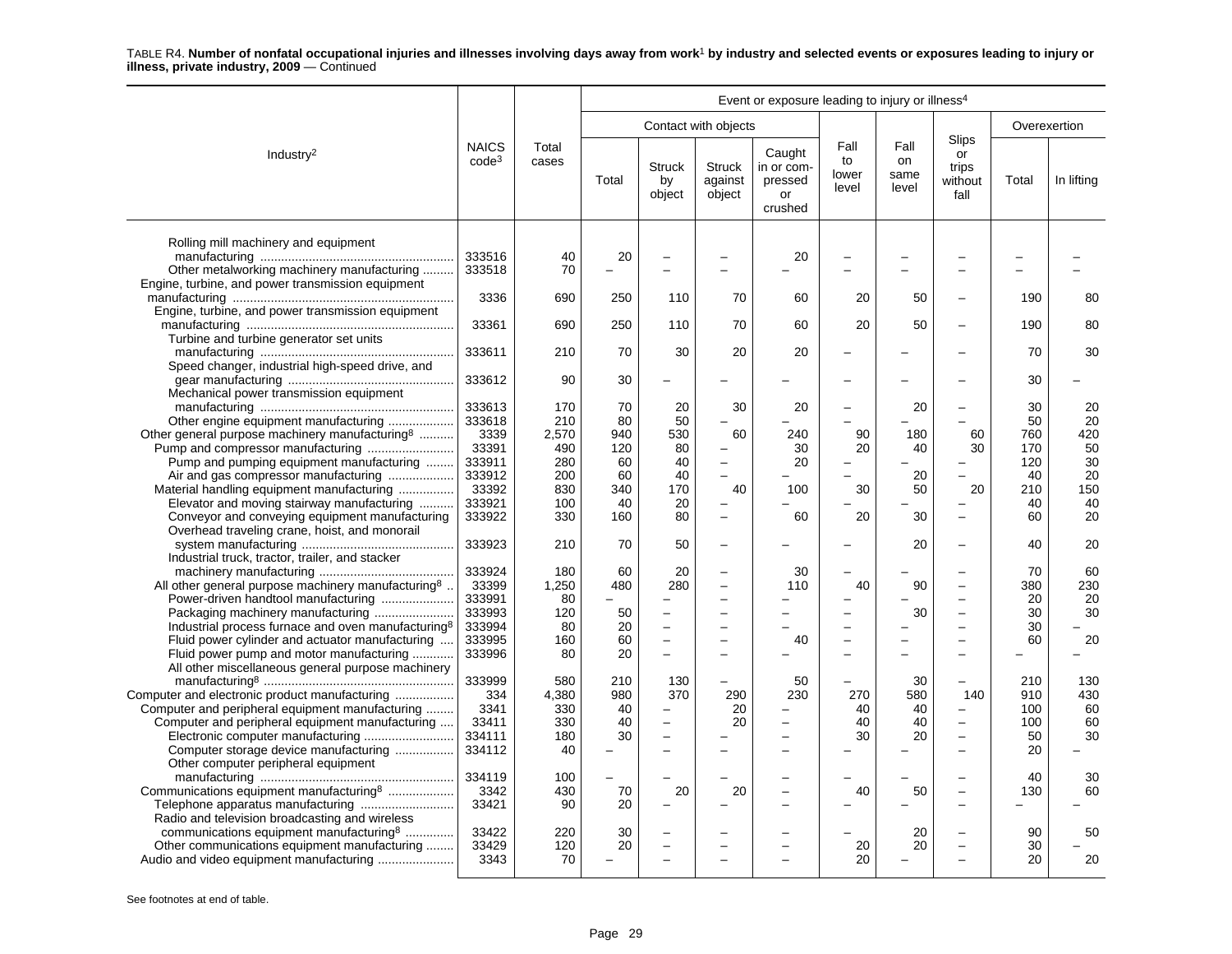|                                                                                                        | Event or exposure leading to injury or illness <sup>4</sup> |                |       |                               |                                    |                                                  |                              |                             |                                         |              |            |
|--------------------------------------------------------------------------------------------------------|-------------------------------------------------------------|----------------|-------|-------------------------------|------------------------------------|--------------------------------------------------|------------------------------|-----------------------------|-----------------------------------------|--------------|------------|
|                                                                                                        |                                                             |                |       |                               | Contact with objects               |                                                  |                              |                             |                                         | Overexertion |            |
| Industry <sup>2</sup>                                                                                  | <b>NAICS</b><br>$code^3$                                    | Total<br>cases | Total | <b>Struck</b><br>by<br>object | <b>Struck</b><br>against<br>object | Caught<br>in or com-<br>pressed<br>or<br>crushed | Fall<br>to<br>lower<br>level | Fall<br>on<br>same<br>level | Slips<br>or<br>trips<br>without<br>fall | Total        | In lifting |
| Rolling mill machinery and equipment                                                                   | 333516                                                      | 40             | 20    |                               |                                    | 20                                               |                              |                             |                                         |              |            |
| Other metalworking machinery manufacturing                                                             | 333518                                                      | 70             |       |                               |                                    |                                                  |                              |                             | $\overline{\phantom{a}}$                |              |            |
| Engine, turbine, and power transmission equipment<br>Engine, turbine, and power transmission equipment | 3336                                                        | 690            | 250   | 110                           | 70                                 | 60                                               | 20                           | 50                          | $\overline{\phantom{0}}$                | 190          | 80         |
| Turbine and turbine generator set units                                                                | 33361                                                       | 690            | 250   | 110                           | 70                                 | 60                                               | 20                           | 50                          |                                         | 190          | 80         |
| Speed changer, industrial high-speed drive, and                                                        | 333611                                                      | 210            | 70    | 30                            | 20                                 | 20                                               |                              |                             |                                         | 70           | 30         |
| Mechanical power transmission equipment                                                                | 333612                                                      | 90             | 30    |                               |                                    |                                                  |                              |                             |                                         | 30           |            |
|                                                                                                        | 333613                                                      | 170            | 70    | 20                            | 30                                 | 20                                               |                              | 20                          |                                         | 30           | 20         |
| Other engine equipment manufacturing                                                                   | 333618                                                      | 210            | 80    | 50                            |                                    |                                                  |                              |                             |                                         | 50           | 20         |
| Other general purpose machinery manufacturing <sup>8</sup>                                             | 3339                                                        | 2,570          | 940   | 530                           | 60                                 | 240                                              | 90                           | 180                         | 60                                      | 760          | 420        |
|                                                                                                        | 33391                                                       | 490            | 120   | 80                            |                                    | 30                                               | 20                           | 40                          | 30                                      | 170          | 50         |
| Pump and pumping equipment manufacturing                                                               | 333911                                                      | 280            | 60    | 40                            | $\overline{\phantom{0}}$           | 20                                               |                              |                             |                                         | 120          | 30         |
| Air and gas compressor manufacturing                                                                   | 333912                                                      | 200            | 60    | 40                            | $\overline{\phantom{0}}$           |                                                  |                              | 20                          |                                         | 40           | 20         |
| Material handling equipment manufacturing                                                              | 33392                                                       | 830            | 340   | 170                           | 40                                 | 100                                              | 30                           | 50                          | 20                                      | 210          | 150        |
| Elevator and moving stairway manufacturing                                                             | 333921                                                      | 100            | 40    | 20                            |                                    |                                                  |                              |                             | $\overline{\phantom{0}}$                | 40           | 40         |
| Conveyor and conveying equipment manufacturing<br>Overhead traveling crane, hoist, and monorail        | 333922                                                      | 330            | 160   | 80                            | $\overline{a}$                     | 60                                               | 20                           | 30                          | $\sim$                                  | 60           | 20         |
| Industrial truck, tractor, trailer, and stacker                                                        | 333923                                                      | 210            | 70    | 50                            | $\overline{\phantom{0}}$           |                                                  |                              | 20                          |                                         | 40           | 20         |
|                                                                                                        | 333924                                                      | 180            | 60    | 20                            |                                    | 30                                               |                              |                             |                                         | 70           | 60         |
| All other general purpose machinery manufacturing <sup>8</sup> .                                       | 33399                                                       | 1,250          | 480   | 280                           | $\overline{a}$                     | 110                                              | 40                           | 90                          | $\frac{1}{2}$                           | 380          | 230        |
| Power-driven handtool manufacturing                                                                    | 333991                                                      | 80             |       |                               | $\overline{\phantom{0}}$           |                                                  |                              |                             | $\overline{\phantom{0}}$                | 20           | 20         |
| Packaging machinery manufacturing                                                                      | 333993                                                      | 120            | 50    | $\overline{\phantom{0}}$      |                                    |                                                  |                              | 30                          | $\overline{\phantom{0}}$                | 30           | 30         |
| Industrial process furnace and oven manufacturing <sup>8</sup>                                         | 333994                                                      | 80             | 20    | $\qquad \qquad -$             | <u>.</u>                           |                                                  |                              |                             | $\frac{1}{2}$                           | 30           |            |
| Fluid power cylinder and actuator manufacturing                                                        | 333995                                                      | 160            | 60    | $\equiv$                      | $\overline{\phantom{0}}$           | 40                                               |                              |                             | $\frac{1}{2}$                           | 60           | 20         |
| Fluid power pump and motor manufacturing                                                               | 333996                                                      | 80             | 20    | $\overline{a}$                | <u>.</u>                           |                                                  |                              |                             | $\overline{\phantom{a}}$                |              |            |
| All other miscellaneous general purpose machinery                                                      |                                                             |                |       |                               |                                    |                                                  |                              |                             |                                         |              |            |
|                                                                                                        | 333999                                                      | 580            | 210   | 130                           |                                    | 50                                               |                              | 30                          | ÷                                       | 210          | 130        |
| Computer and electronic product manufacturing                                                          | 334                                                         | 4,380          | 980   | 370                           | 290                                | 230                                              | 270                          | 580                         | 140                                     | 910          | 430        |
| Computer and peripheral equipment manufacturing                                                        | 3341                                                        | 330            | 40    |                               | 20                                 |                                                  | 40                           | 40                          |                                         | 100          | 60         |
| Computer and peripheral equipment manufacturing                                                        | 33411                                                       | 330            | 40    | $\overline{\phantom{0}}$      | 20                                 |                                                  | 40                           | 40                          | $\overline{\phantom{0}}$                | 100          | 60         |
|                                                                                                        | 334111                                                      | 180            | 30    | $\overline{\phantom{0}}$      |                                    |                                                  | 30                           | 20                          | $\overline{\phantom{0}}$                | 50           | 30         |
| Computer storage device manufacturing                                                                  | 334112                                                      | 40             |       | $\equiv$                      |                                    |                                                  |                              |                             | $\sim$                                  | 20           |            |
| Other computer peripheral equipment                                                                    | 334119                                                      | 100            |       |                               |                                    |                                                  |                              |                             |                                         | 40           | 30         |
| Communications equipment manufacturing <sup>8</sup>                                                    | 3342                                                        | 430            | 70    | 20                            | 20                                 |                                                  | 40                           | 50                          | $\overline{a}$                          | 130          | 60         |
| Telephone apparatus manufacturing                                                                      | 33421                                                       | 90             | 20    |                               |                                    |                                                  |                              |                             | $\equiv$                                |              |            |
| Radio and television broadcasting and wireless                                                         |                                                             |                |       |                               |                                    |                                                  |                              |                             |                                         |              |            |
| communications equipment manufacturing <sup>8</sup>                                                    | 33422                                                       | 220            | 30    |                               |                                    |                                                  |                              | 20                          |                                         | 90           | 50         |
| Other communications equipment manufacturing                                                           | 33429                                                       | 120            | 20    |                               |                                    |                                                  | 20                           | 20                          |                                         | 30           |            |
|                                                                                                        | 3343                                                        | 70             |       |                               |                                    |                                                  | 20                           |                             |                                         | 20           | 20         |
|                                                                                                        |                                                             |                |       |                               |                                    |                                                  |                              |                             |                                         |              |            |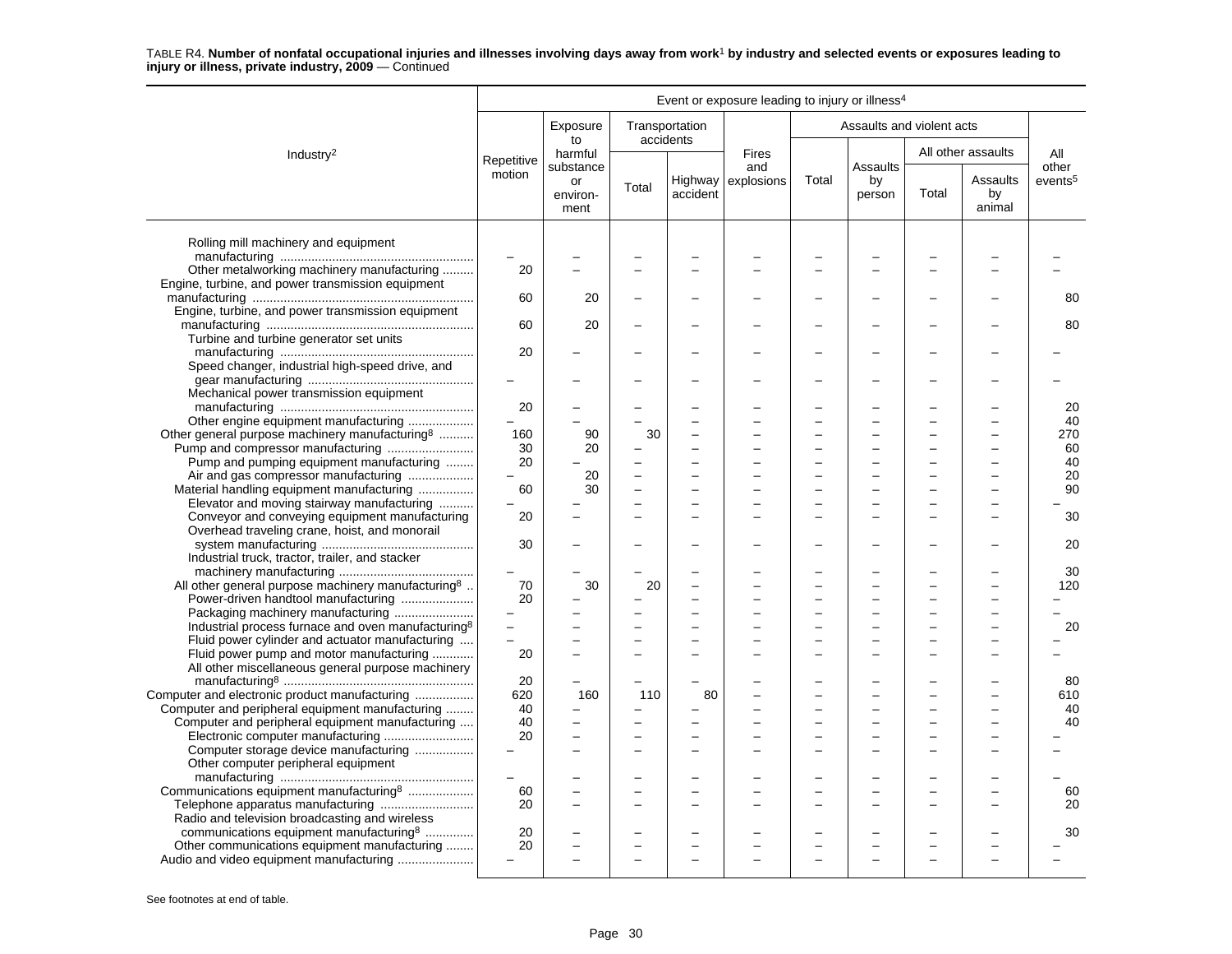|                                                                                                 | Event or exposure leading to injury or illness <sup>4</sup> |                          |                          |                               |                     |                          |                           |       |                          |                     |
|-------------------------------------------------------------------------------------------------|-------------------------------------------------------------|--------------------------|--------------------------|-------------------------------|---------------------|--------------------------|---------------------------|-------|--------------------------|---------------------|
|                                                                                                 |                                                             | Exposure<br>to           |                          | Transportation<br>accidents   |                     |                          | Assaults and violent acts |       |                          |                     |
| Industry <sup>2</sup>                                                                           | Repetitive                                                  | harmful<br>substance     |                          |                               | <b>Fires</b><br>and |                          | Assaults                  |       | All other assaults       | All<br>other        |
|                                                                                                 | motion                                                      | or<br>environ-<br>ment   | Total                    | accident                      | Highway explosions  | Total                    | by<br>person              | Total | Assaults<br>by<br>animal | events <sup>5</sup> |
| Rolling mill machinery and equipment                                                            | $\overline{\phantom{0}}$                                    |                          |                          |                               |                     |                          |                           |       |                          |                     |
| Other metalworking machinery manufacturing                                                      | 20                                                          |                          |                          |                               |                     |                          |                           |       |                          |                     |
| Engine, turbine, and power transmission equipment                                               |                                                             |                          |                          |                               |                     |                          |                           |       |                          |                     |
|                                                                                                 | 60                                                          | 20                       |                          |                               |                     |                          |                           |       |                          | 80                  |
| Engine, turbine, and power transmission equipment                                               |                                                             |                          |                          |                               |                     |                          |                           |       |                          |                     |
|                                                                                                 | 60                                                          | 20                       | $\overline{\phantom{0}}$ | $\overline{\phantom{0}}$      |                     | -                        |                           |       |                          | 80                  |
| Turbine and turbine generator set units                                                         |                                                             |                          |                          |                               |                     |                          |                           |       |                          |                     |
|                                                                                                 | 20                                                          |                          |                          |                               |                     |                          |                           |       |                          |                     |
| Speed changer, industrial high-speed drive, and                                                 |                                                             |                          |                          |                               |                     |                          |                           |       |                          |                     |
|                                                                                                 |                                                             |                          |                          |                               |                     |                          |                           |       |                          |                     |
| Mechanical power transmission equipment                                                         |                                                             |                          |                          |                               |                     |                          |                           |       |                          |                     |
|                                                                                                 | 20                                                          |                          |                          |                               |                     |                          |                           |       |                          | 20                  |
| Other engine equipment manufacturing                                                            |                                                             |                          |                          | -                             |                     |                          |                           |       |                          | 40                  |
| Other general purpose machinery manufacturing <sup>8</sup>                                      | 160                                                         | 90                       | 30                       |                               |                     |                          |                           |       |                          | 270                 |
|                                                                                                 | 30                                                          | 20                       |                          | $\overline{\phantom{0}}$      |                     |                          | L                         |       |                          | 60                  |
| Pump and pumping equipment manufacturing                                                        | 20                                                          |                          |                          | L.                            |                     |                          |                           |       |                          | 40                  |
| Air and gas compressor manufacturing                                                            |                                                             | 20                       |                          |                               |                     |                          |                           |       |                          | 20                  |
| Material handling equipment manufacturing                                                       | 60                                                          | 30                       |                          |                               |                     |                          |                           |       |                          | 90                  |
| Elevator and moving stairway manufacturing                                                      |                                                             |                          |                          |                               |                     |                          |                           |       |                          |                     |
| Conveyor and conveying equipment manufacturing<br>Overhead traveling crane, hoist, and monorail | 20                                                          |                          |                          |                               |                     |                          |                           |       |                          | 30                  |
|                                                                                                 | 30                                                          |                          |                          |                               |                     |                          |                           |       |                          | 20                  |
| Industrial truck, tractor, trailer, and stacker                                                 |                                                             |                          |                          |                               |                     |                          |                           |       |                          |                     |
|                                                                                                 |                                                             |                          |                          |                               |                     |                          |                           |       |                          | 30                  |
| All other general purpose machinery manufacturing <sup>8</sup>                                  | 70<br>20                                                    | 30                       | 20                       | -<br>$\overline{\phantom{0}}$ |                     |                          |                           |       |                          | 120                 |
| Power-driven handtool manufacturing<br>Packaging machinery manufacturing                        |                                                             |                          |                          | L.                            |                     |                          | ÷                         |       |                          |                     |
| Industrial process furnace and oven manufacturing <sup>8</sup>                                  | $\overline{a}$                                              |                          |                          | -                             |                     | $\overline{\phantom{0}}$ | ÷                         |       |                          | 20                  |
| Fluid power cylinder and actuator manufacturing                                                 |                                                             |                          |                          |                               |                     |                          |                           |       |                          |                     |
| Fluid power pump and motor manufacturing                                                        | 20                                                          |                          |                          |                               |                     |                          |                           |       |                          |                     |
| All other miscellaneous general purpose machinery                                               |                                                             |                          |                          |                               |                     |                          |                           |       |                          |                     |
|                                                                                                 | 20                                                          |                          |                          |                               |                     |                          |                           |       |                          | 80                  |
| Computer and electronic product manufacturing                                                   | 620                                                         | 160                      | 110                      | 80                            |                     |                          | L                         |       |                          | 610                 |
| Computer and peripheral equipment manufacturing                                                 | 40                                                          |                          |                          |                               |                     |                          |                           |       |                          | 40                  |
| Computer and peripheral equipment manufacturing                                                 | 40                                                          |                          |                          |                               |                     |                          |                           |       |                          | 40                  |
|                                                                                                 | 20                                                          | $\overline{\phantom{a}}$ |                          | $\overline{\phantom{0}}$      |                     |                          |                           |       |                          |                     |
| Computer storage device manufacturing                                                           |                                                             |                          | $\overline{\phantom{0}}$ | L.                            |                     |                          |                           |       |                          |                     |
| Other computer peripheral equipment                                                             |                                                             |                          |                          |                               |                     |                          |                           |       |                          |                     |
| Communications equipment manufacturing <sup>8</sup>                                             | 60                                                          |                          |                          |                               |                     |                          |                           |       |                          | 60                  |
| Telephone apparatus manufacturing                                                               | 20                                                          |                          |                          | $\overline{\phantom{0}}$      |                     |                          |                           |       |                          | 20                  |
| Radio and television broadcasting and wireless                                                  |                                                             |                          |                          |                               |                     |                          |                           |       |                          |                     |
| communications equipment manufacturing <sup>8</sup>                                             | 20                                                          |                          |                          |                               |                     |                          |                           |       |                          | 30                  |
| Other communications equipment manufacturing                                                    | 20                                                          |                          |                          |                               |                     |                          |                           |       |                          |                     |
|                                                                                                 |                                                             |                          |                          |                               |                     |                          |                           |       |                          |                     |
|                                                                                                 |                                                             |                          |                          |                               |                     |                          |                           |       |                          |                     |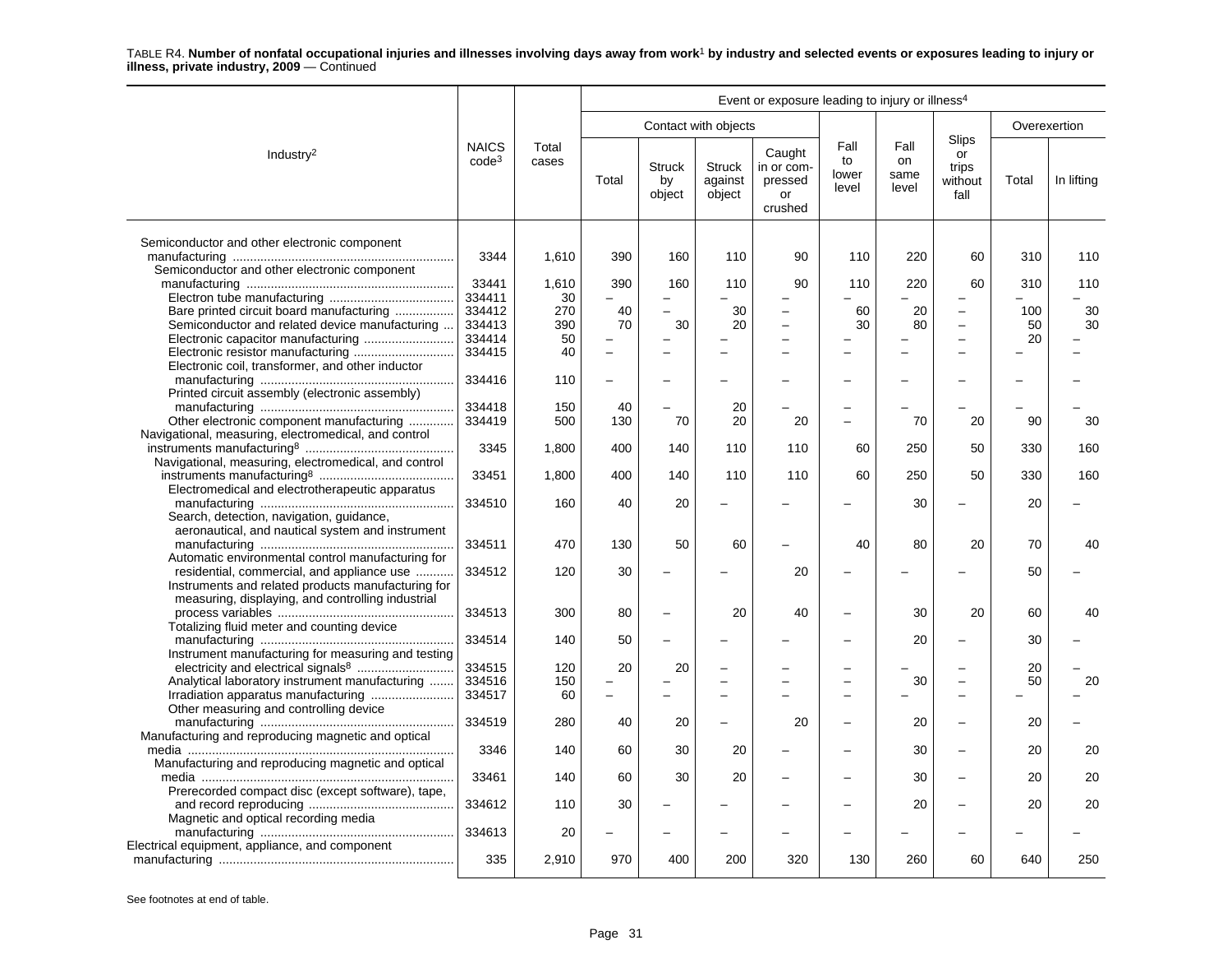|                                                      |                          |                |          |                               |                                    | Event or exposure leading to injury or illness <sup>4</sup> |                              |                             |                                                |              |            |
|------------------------------------------------------|--------------------------|----------------|----------|-------------------------------|------------------------------------|-------------------------------------------------------------|------------------------------|-----------------------------|------------------------------------------------|--------------|------------|
|                                                      |                          |                |          |                               | Contact with objects               |                                                             |                              |                             |                                                | Overexertion |            |
| Industry <sup>2</sup>                                | <b>NAICS</b><br>$code^3$ | Total<br>cases | Total    | <b>Struck</b><br>by<br>object | <b>Struck</b><br>against<br>object | Caught<br>in or com-<br>pressed<br>or<br>crushed            | Fall<br>to<br>lower<br>level | Fall<br>on<br>same<br>level | <b>Slips</b><br>or<br>trips<br>without<br>fall | Total        | In lifting |
| Semiconductor and other electronic component         |                          |                |          |                               |                                    |                                                             |                              |                             |                                                |              |            |
| Semiconductor and other electronic component         | 3344                     | 1,610          | 390      | 160                           | 110                                | 90                                                          | 110                          | 220                         | 60                                             | 310          | 110        |
|                                                      | 33441                    | 1,610          | 390      | 160                           | 110                                | 90                                                          | 110                          | 220                         | 60                                             | 310          | 110        |
|                                                      | 334411                   | 30             |          |                               |                                    |                                                             |                              |                             |                                                |              |            |
| Bare printed circuit board manufacturing             | 334412                   | 270            | 40       |                               | 30                                 |                                                             | 60                           | 20                          | $\overline{\phantom{0}}$                       | 100          | 30         |
| Semiconductor and related device manufacturing       | 334413                   | 390            | 70       | 30                            | 20                                 | L.                                                          | 30                           | 80                          | $\overline{\phantom{0}}$                       | 50           | 30         |
|                                                      | 334414                   | 50             |          |                               |                                    |                                                             |                              |                             | $\overline{\phantom{0}}$                       | 20           |            |
|                                                      | 334415                   | 40             |          |                               |                                    |                                                             |                              |                             | ÷                                              |              |            |
| Electronic coil, transformer, and other inductor     |                          |                |          |                               |                                    |                                                             |                              |                             |                                                |              |            |
|                                                      | 334416                   | 110            |          |                               |                                    |                                                             |                              |                             |                                                |              |            |
| Printed circuit assembly (electronic assembly)       |                          |                |          |                               |                                    |                                                             |                              |                             |                                                |              |            |
|                                                      | 334418                   | 150            | 40       |                               | 20                                 |                                                             |                              |                             |                                                |              |            |
| Other electronic component manufacturing             | 334419                   | 500            | 130      | 70                            | 20                                 | 20                                                          |                              | 70                          | 20                                             | 90           | 30         |
| Navigational, measuring, electromedical, and control |                          |                |          |                               |                                    |                                                             |                              |                             |                                                |              |            |
|                                                      | 3345                     | 1,800          | 400      | 140                           | 110                                | 110                                                         | 60                           | 250                         | 50                                             | 330          | 160        |
| Navigational, measuring, electromedical, and control |                          |                |          |                               |                                    |                                                             |                              |                             |                                                |              |            |
|                                                      | 33451                    | 1,800          | 400      | 140                           | 110                                | 110                                                         | 60                           | 250                         | 50                                             | 330          | 160        |
| Electromedical and electrotherapeutic apparatus      |                          |                |          |                               |                                    |                                                             |                              |                             |                                                |              |            |
|                                                      | 334510                   | 160            | 40       | 20                            |                                    |                                                             |                              | 30                          | ÷                                              | 20           |            |
| Search, detection, navigation, guidance,             |                          |                |          |                               |                                    |                                                             |                              |                             |                                                |              |            |
| aeronautical, and nautical system and instrument     |                          |                |          |                               |                                    |                                                             |                              |                             |                                                |              |            |
|                                                      | 334511                   | 470            | 130      | 50                            | 60                                 |                                                             | 40                           | 80                          | 20                                             | 70           | 40         |
| Automatic environmental control manufacturing for    |                          |                |          |                               |                                    |                                                             |                              |                             |                                                |              |            |
| residential, commercial, and appliance use           | 334512                   | 120            | 30       |                               |                                    | 20                                                          |                              |                             |                                                | 50           |            |
| Instruments and related products manufacturing for   |                          |                |          |                               |                                    |                                                             |                              |                             |                                                |              |            |
| measuring, displaying, and controlling industrial    |                          | 300            | 80       |                               | 20                                 |                                                             |                              |                             | 20                                             |              | 40         |
| Totalizing fluid meter and counting device           | 334513                   |                |          |                               |                                    | 40                                                          |                              | 30                          |                                                | 60           |            |
|                                                      | 334514                   | 140            | 50       |                               |                                    |                                                             |                              | 20                          | ÷                                              | 30           |            |
| Instrument manufacturing for measuring and testing   |                          |                |          |                               |                                    |                                                             |                              |                             |                                                |              |            |
|                                                      | 334515                   | 120            | 20       | 20                            |                                    |                                                             |                              |                             |                                                | 20           |            |
| Analytical laboratory instrument manufacturing       | 334516                   | 150            |          |                               |                                    |                                                             |                              | 30                          | $\overline{\phantom{0}}$                       | 50           | 20         |
| Irradiation apparatus manufacturing                  | 334517                   | 60             | $\equiv$ |                               |                                    |                                                             |                              |                             | $\overline{\phantom{0}}$                       |              |            |
| Other measuring and controlling device               |                          |                |          |                               |                                    |                                                             |                              |                             |                                                |              |            |
|                                                      | 334519                   | 280            | 40       | 20                            |                                    | 20                                                          |                              | 20                          | $\overline{a}$                                 | 20           |            |
| Manufacturing and reproducing magnetic and optical   |                          |                |          |                               |                                    |                                                             |                              |                             |                                                |              |            |
|                                                      | 3346                     | 140            | 60       | 30                            | 20                                 |                                                             |                              | 30                          |                                                | 20           | 20         |
| Manufacturing and reproducing magnetic and optical   |                          |                |          |                               |                                    |                                                             |                              |                             |                                                |              |            |
|                                                      | 33461                    | 140            | 60       | 30                            | 20                                 |                                                             |                              | 30                          | Ē,                                             | 20           | 20         |
| Prerecorded compact disc (except software), tape,    |                          |                |          |                               |                                    |                                                             |                              |                             |                                                |              |            |
|                                                      | 334612                   | 110            | 30       |                               |                                    |                                                             |                              | 20                          |                                                | 20           | 20         |
| Magnetic and optical recording media                 |                          |                |          |                               |                                    |                                                             |                              |                             |                                                |              |            |
|                                                      | 334613                   | 20             |          |                               |                                    |                                                             |                              |                             |                                                |              |            |
| Electrical equipment, appliance, and component       |                          |                |          |                               |                                    |                                                             |                              |                             |                                                |              |            |
|                                                      | 335                      | 2,910          | 970      | 400                           | 200                                | 320                                                         | 130                          | 260                         | 60                                             | 640          | 250        |
|                                                      |                          |                |          |                               |                                    |                                                             |                              |                             |                                                |              |            |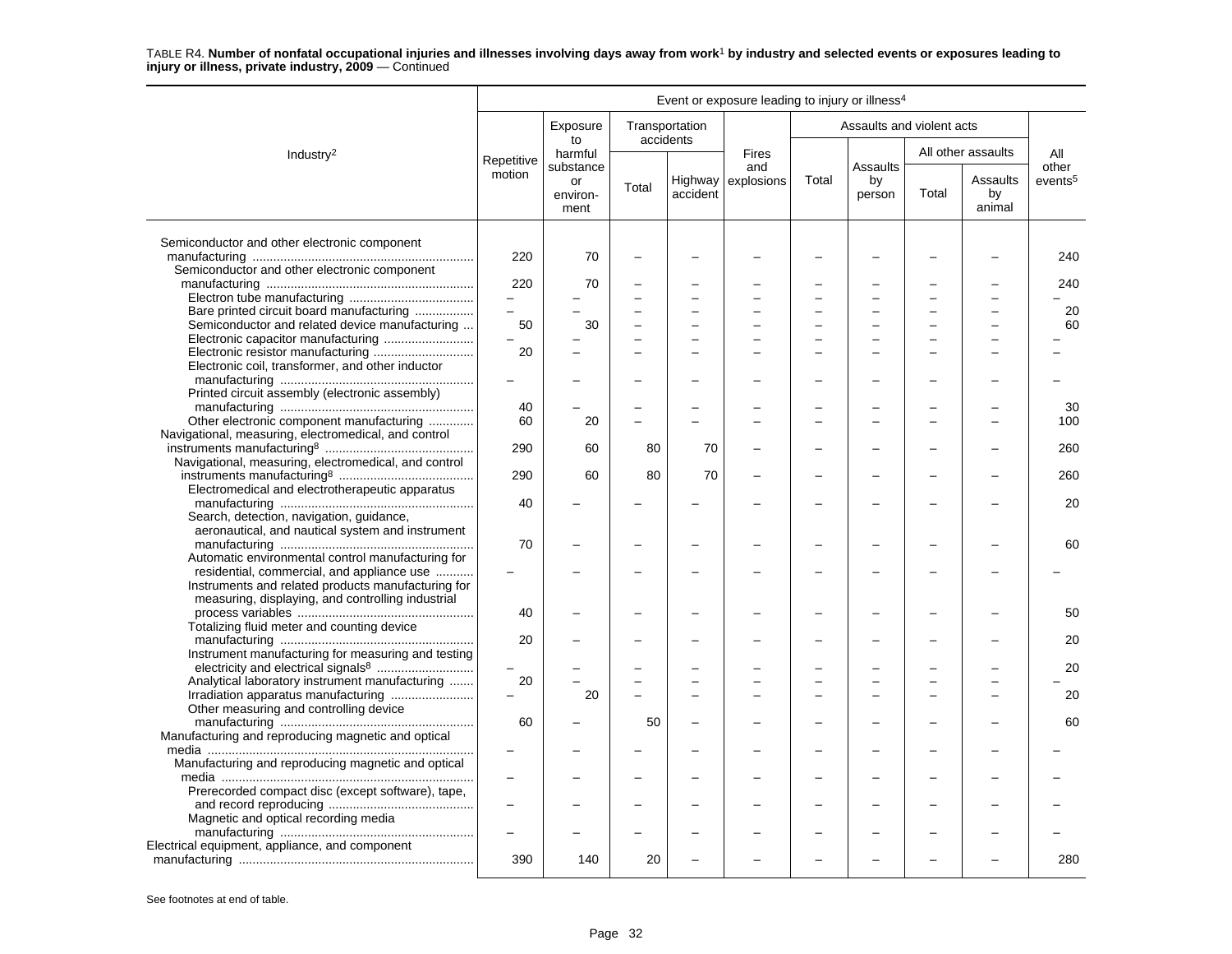|                                                      |                          |                        |       |                             | Event or exposure leading to injury or illness <sup>4</sup> |       |                           |       |                          |                     |
|------------------------------------------------------|--------------------------|------------------------|-------|-----------------------------|-------------------------------------------------------------|-------|---------------------------|-------|--------------------------|---------------------|
|                                                      |                          | Exposure<br>to         |       | Transportation<br>accidents |                                                             |       | Assaults and violent acts |       |                          |                     |
| Industry <sup>2</sup>                                | Repetitive               | harmful<br>substance   |       |                             | <b>Fires</b><br>and                                         |       | Assaults                  |       | All other assaults       | All<br>other        |
|                                                      | motion                   | or<br>environ-<br>ment | Total | accident                    | Highway explosions                                          | Total | by<br>person              | Total | Assaults<br>by<br>animal | events <sup>5</sup> |
| Semiconductor and other electronic component         |                          |                        |       |                             |                                                             |       |                           |       |                          |                     |
| Semiconductor and other electronic component         | 220                      | 70                     |       |                             |                                                             |       |                           |       |                          | 240                 |
|                                                      | 220                      | 70                     |       |                             |                                                             |       |                           |       |                          | 240                 |
|                                                      | $\overline{\phantom{0}}$ |                        |       |                             |                                                             |       |                           |       |                          |                     |
| Bare printed circuit board manufacturing             | $\overline{a}$           |                        |       |                             |                                                             |       | L.                        |       |                          | 20                  |
| Semiconductor and related device manufacturing       | 50                       | 30                     |       |                             |                                                             |       |                           |       |                          | 60                  |
| Electronic capacitor manufacturing                   |                          |                        |       |                             |                                                             |       | L                         |       |                          |                     |
|                                                      | 20                       |                        |       |                             |                                                             |       |                           |       |                          |                     |
| Electronic coil, transformer, and other inductor     |                          |                        |       |                             |                                                             |       |                           |       |                          |                     |
|                                                      |                          |                        |       |                             |                                                             |       |                           |       |                          |                     |
| Printed circuit assembly (electronic assembly)       |                          |                        |       |                             |                                                             |       |                           |       |                          |                     |
|                                                      | 40                       |                        |       |                             |                                                             |       |                           |       |                          | 30                  |
| Other electronic component manufacturing             | 60                       | 20                     |       | $\overline{\phantom{0}}$    |                                                             |       |                           |       |                          | 100                 |
| Navigational, measuring, electromedical, and control |                          |                        |       |                             |                                                             |       |                           |       |                          |                     |
|                                                      | 290                      | 60                     | 80    | 70                          |                                                             |       |                           |       |                          | 260                 |
| Navigational, measuring, electromedical, and control |                          |                        |       |                             |                                                             |       |                           |       |                          |                     |
|                                                      | 290                      | 60                     | 80    | 70                          |                                                             |       |                           |       |                          | 260                 |
| Electromedical and electrotherapeutic apparatus      |                          |                        |       |                             |                                                             |       |                           |       |                          |                     |
|                                                      | 40                       |                        |       |                             |                                                             |       |                           |       |                          | 20                  |
| Search, detection, navigation, quidance,             |                          |                        |       |                             |                                                             |       |                           |       |                          |                     |
| aeronautical, and nautical system and instrument     |                          |                        |       |                             |                                                             |       |                           |       |                          |                     |
|                                                      | 70                       |                        |       |                             |                                                             |       |                           |       |                          | 60                  |
|                                                      |                          |                        |       |                             |                                                             |       |                           |       |                          |                     |
| Automatic environmental control manufacturing for    |                          |                        |       |                             |                                                             |       |                           |       |                          |                     |
| residential, commercial, and appliance use           |                          |                        |       |                             |                                                             |       |                           |       |                          |                     |
| Instruments and related products manufacturing for   |                          |                        |       |                             |                                                             |       |                           |       |                          |                     |
| measuring, displaying, and controlling industrial    |                          |                        |       |                             |                                                             |       |                           |       |                          |                     |
|                                                      | 40                       |                        |       |                             |                                                             |       |                           |       |                          | 50                  |
| Totalizing fluid meter and counting device           |                          |                        |       |                             |                                                             |       |                           |       |                          |                     |
|                                                      | 20                       |                        |       |                             |                                                             |       |                           |       |                          | 20                  |
| Instrument manufacturing for measuring and testing   |                          |                        |       |                             |                                                             |       |                           |       |                          |                     |
|                                                      |                          |                        |       |                             |                                                             |       |                           |       |                          | 20                  |
| Analytical laboratory instrument manufacturing       | 20                       |                        |       |                             |                                                             |       | ÷                         |       |                          |                     |
| Irradiation apparatus manufacturing                  |                          | 20                     |       | $\overline{\phantom{0}}$    |                                                             |       |                           |       |                          | 20                  |
| Other measuring and controlling device               |                          |                        |       |                             |                                                             |       |                           |       |                          |                     |
|                                                      | 60                       |                        | 50    |                             |                                                             |       |                           |       |                          | 60                  |
|                                                      |                          |                        |       |                             |                                                             |       |                           |       |                          |                     |
| Manufacturing and reproducing magnetic and optical   |                          |                        |       |                             |                                                             |       |                           |       |                          |                     |
|                                                      |                          |                        |       |                             |                                                             |       |                           |       |                          |                     |
| Manufacturing and reproducing magnetic and optical   |                          |                        |       |                             |                                                             |       |                           |       |                          |                     |
|                                                      |                          |                        |       |                             |                                                             |       |                           |       |                          |                     |
| Prerecorded compact disc (except software), tape,    |                          |                        |       |                             |                                                             |       |                           |       |                          |                     |
|                                                      |                          |                        |       |                             |                                                             |       |                           |       |                          |                     |
| Magnetic and optical recording media                 |                          |                        |       |                             |                                                             |       |                           |       |                          |                     |
|                                                      |                          |                        |       |                             |                                                             |       |                           |       |                          |                     |
| Electrical equipment, appliance, and component       |                          |                        |       |                             |                                                             |       |                           |       |                          |                     |
|                                                      | 390                      | 140                    | 20    |                             |                                                             |       |                           |       |                          | 280                 |
|                                                      |                          |                        |       |                             |                                                             |       |                           |       |                          |                     |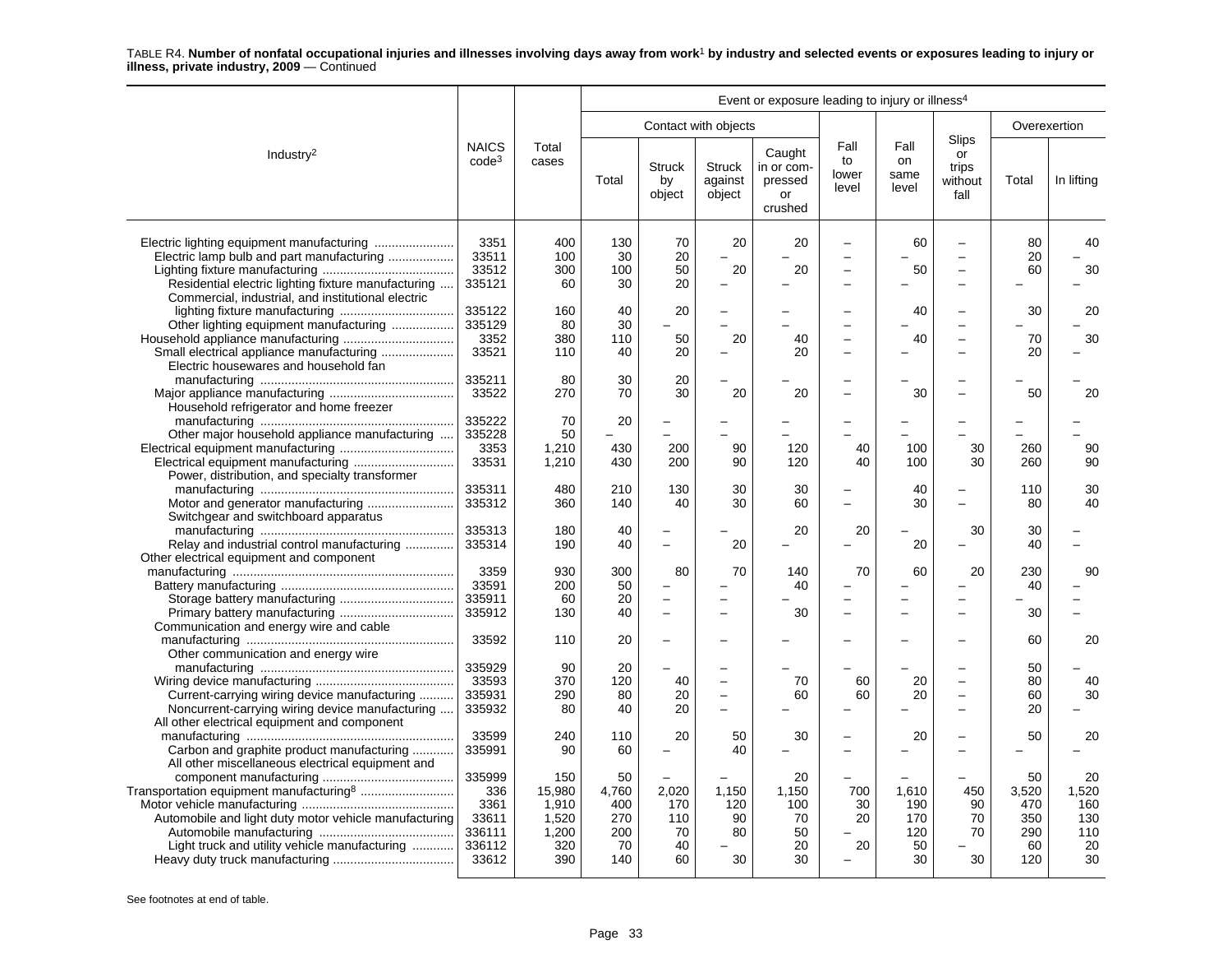|                                                                                                                                                               | Event or exposure leading to injury or illness <sup>4</sup> |                                                        |                                               |                                       |                                      |                                                  |                              |                                        |                                                                |                                               |                                              |
|---------------------------------------------------------------------------------------------------------------------------------------------------------------|-------------------------------------------------------------|--------------------------------------------------------|-----------------------------------------------|---------------------------------------|--------------------------------------|--------------------------------------------------|------------------------------|----------------------------------------|----------------------------------------------------------------|-----------------------------------------------|----------------------------------------------|
|                                                                                                                                                               |                                                             |                                                        |                                               |                                       | Contact with objects                 |                                                  |                              |                                        |                                                                | Overexertion                                  |                                              |
| Industry <sup>2</sup>                                                                                                                                         | <b>NAICS</b><br>code <sup>3</sup>                           | Total<br>cases                                         | Total                                         | <b>Struck</b><br>by<br>object         | <b>Struck</b><br>against<br>object   | Caught<br>in or com-<br>pressed<br>or<br>crushed | Fall<br>to<br>lower<br>level | Fall<br>on<br>same<br>level            | <b>Slips</b><br>or<br>trips<br>without<br>fall                 | Total                                         | In lifting                                   |
| Electric lamp bulb and part manufacturing<br>Residential electric lighting fixture manufacturing<br>Commercial, industrial, and institutional electric        | 3351<br>33511<br>33512<br>335121                            | 400<br>100<br>300<br>60                                | 130<br>30<br>100<br>30                        | 70<br>20<br>50<br>20                  | 20<br>20                             | 20<br>20                                         |                              | 60<br>50                               | L<br>$\overline{\phantom{0}}$                                  | 80<br>20<br>60                                | 40<br>30                                     |
| Other lighting equipment manufacturing<br>Electric housewares and household fan                                                                               | 335122<br>335129<br>3352<br>33521                           | 160<br>80<br>380<br>110                                | 40<br>30<br>110<br>40                         | 20<br>50<br>20                        | 20                                   | 40<br>20                                         |                              | 40<br>40                               | $\overline{\phantom{0}}$<br>L<br>-<br>$\overline{\phantom{0}}$ | 30<br>70<br>20                                | 20<br>30                                     |
| Household refrigerator and home freezer                                                                                                                       | 335211<br>33522                                             | 80<br>270                                              | 30<br>70                                      | 20<br>30                              | 20                                   | 20                                               |                              | 30                                     | -                                                              | 50                                            | 20                                           |
| Other major household appliance manufacturing                                                                                                                 | 335222<br>335228<br>3353<br>33531                           | 70<br>50<br>1,210<br>1,210                             | 20<br>430<br>430                              | 200<br>200                            | 90<br>90                             | 120<br>120                                       | 40<br>40                     | 100<br>100                             | 30<br>30                                                       | 260<br>260                                    | 90<br>90                                     |
| Power, distribution, and specialty transformer<br>Motor and generator manufacturing<br>Switchgear and switchboard apparatus                                   | 335311<br>335312                                            | 480<br>360                                             | 210<br>140                                    | 130<br>40                             | 30<br>30                             | 30<br>60                                         |                              | 40<br>30                               | $\overline{\phantom{0}}$<br>-                                  | 110<br>80                                     | 30<br>40                                     |
| Relay and industrial control manufacturing<br>Other electrical equipment and component                                                                        | 335313<br>335314                                            | 180<br>190                                             | 40<br>40                                      | $\overline{a}$                        | 20                                   | 20                                               | 20                           | 20                                     | 30<br>$\overline{a}$                                           | 30<br>40                                      |                                              |
|                                                                                                                                                               | 3359<br>33591<br>335911<br>335912                           | 930<br>200<br>60<br>130                                | 300<br>50<br>20<br>40                         | 80                                    | 70                                   | 140<br>40<br>30                                  | 70                           | 60                                     | 20<br>-<br>$\overline{\phantom{0}}$                            | 230<br>40<br>30                               | 90                                           |
| Communication and energy wire and cable<br>Other communication and energy wire                                                                                | 33592                                                       | 110                                                    | 20                                            |                                       | $\overline{\phantom{0}}$             |                                                  |                              |                                        | $\overline{\phantom{0}}$                                       | 60                                            | 20                                           |
| Current-carrying wiring device manufacturing<br>Noncurrent-carrying wiring device manufacturing                                                               | 335929<br>33593<br>335931<br>335932                         | 90<br>370<br>290<br>80                                 | 20<br>120<br>80<br>40                         | 40<br>20<br>20                        | $\equiv$<br>$\overline{\phantom{0}}$ | 70<br>60                                         | 60<br>60                     | 20<br>20                               | $\overline{\phantom{0}}$<br>$\overline{\phantom{0}}$<br>÷      | 50<br>80<br>60<br>20                          | 40<br>30                                     |
| All other electrical equipment and component<br>Carbon and graphite product manufacturing<br>All other miscellaneous electrical equipment and                 | 33599<br>335991                                             | 240<br>90                                              | 110<br>60                                     | 20                                    | 50<br>40                             | 30                                               |                              | 20                                     | -                                                              | 50                                            | 20                                           |
| Transportation equipment manufacturing <sup>8</sup><br>Automobile and light duty motor vehicle manufacturing<br>Light truck and utility vehicle manufacturing | 335999<br>336<br>3361<br>33611<br>336111<br>336112<br>33612 | 150<br>15.980<br>1.910<br>1,520<br>1,200<br>320<br>390 | 50<br>4,760<br>400<br>270<br>200<br>70<br>140 | 2.020<br>170<br>110<br>70<br>40<br>60 | 1.150<br>120<br>90<br>80<br>30       | 20<br>1.150<br>100<br>70<br>50<br>20<br>30       | 700<br>30<br>20<br>20        | 1.610<br>190<br>170<br>120<br>50<br>30 | 450<br>90<br>70<br>70<br>30                                    | 50<br>3.520<br>470<br>350<br>290<br>60<br>120 | 20<br>1.520<br>160<br>130<br>110<br>20<br>30 |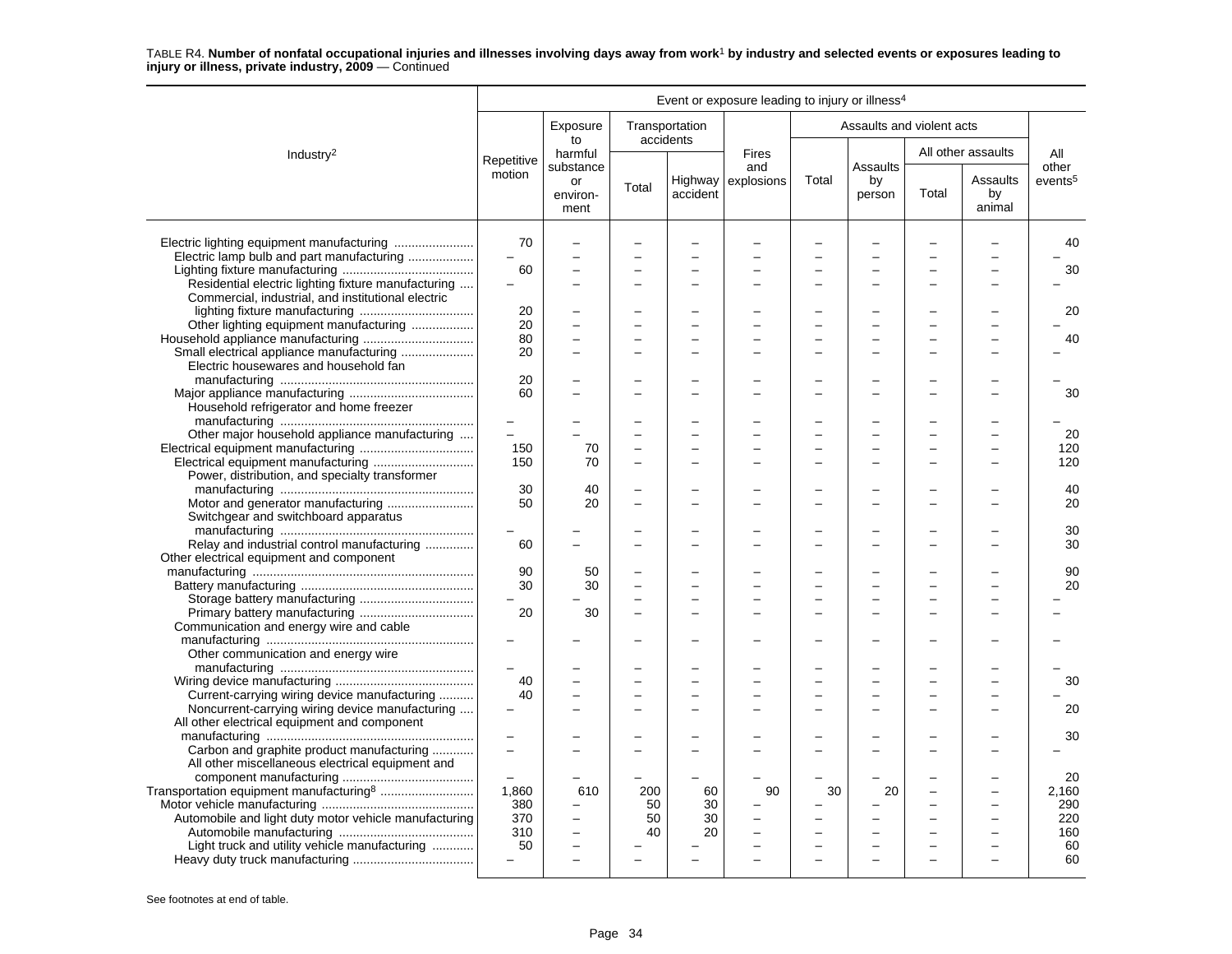|                                                       |                          |                                     |                          |                             | Event or exposure leading to injury or illness <sup>4</sup> |       |                           |       |                          |                     |
|-------------------------------------------------------|--------------------------|-------------------------------------|--------------------------|-----------------------------|-------------------------------------------------------------|-------|---------------------------|-------|--------------------------|---------------------|
|                                                       |                          | Exposure<br>to                      |                          | Transportation<br>accidents |                                                             |       | Assaults and violent acts |       |                          |                     |
| Industry <sup>2</sup>                                 | Repetitive               | harmful                             |                          |                             | <b>Fires</b>                                                |       | Assaults                  |       | All other assaults       | All<br>other        |
|                                                       | motion                   | substance<br>or<br>environ-<br>ment | Total                    | accident                    | and<br>Highway explosions                                   | Total | by<br>person              | Total | Assaults<br>by<br>animal | events <sup>5</sup> |
|                                                       | 70                       |                                     |                          | $\overline{\phantom{0}}$    |                                                             |       |                           |       |                          | 40                  |
| Electric lamp bulb and part manufacturing             | $\overline{\phantom{0}}$ |                                     |                          |                             |                                                             |       |                           |       |                          |                     |
|                                                       | 60                       |                                     |                          | $\overline{\phantom{0}}$    |                                                             |       |                           |       |                          | 30                  |
| Residential electric lighting fixture manufacturing   |                          |                                     | $\equiv$                 | $\overline{\phantom{0}}$    |                                                             |       |                           |       |                          |                     |
| Commercial, industrial, and institutional electric    |                          |                                     |                          |                             |                                                             |       |                           |       |                          |                     |
|                                                       | 20                       |                                     |                          |                             |                                                             |       |                           |       |                          | 20                  |
| Other lighting equipment manufacturing                | 20                       |                                     |                          | $\overline{\phantom{0}}$    |                                                             |       |                           |       |                          |                     |
|                                                       | 80                       |                                     |                          |                             |                                                             |       |                           |       |                          | 40                  |
| Small electrical appliance manufacturing              | 20                       |                                     | $\equiv$                 | $\overline{\phantom{0}}$    |                                                             |       | $\equiv$                  |       |                          |                     |
| Electric housewares and household fan                 |                          |                                     |                          |                             |                                                             |       |                           |       |                          |                     |
|                                                       | 20                       |                                     |                          |                             |                                                             |       |                           |       |                          |                     |
|                                                       | 60                       |                                     |                          |                             |                                                             |       |                           |       |                          | 30                  |
| Household refrigerator and home freezer               |                          |                                     |                          |                             |                                                             |       |                           |       |                          |                     |
|                                                       |                          |                                     |                          |                             |                                                             |       |                           |       |                          |                     |
| Other major household appliance manufacturing         | $\overline{\phantom{a}}$ |                                     | $\overline{\phantom{0}}$ | $\overline{\phantom{0}}$    |                                                             |       | $\equiv$                  |       |                          | 20                  |
|                                                       | 150                      | 70                                  |                          | $\overline{\phantom{0}}$    |                                                             |       |                           |       |                          | 120                 |
|                                                       | 150                      | 70                                  |                          |                             |                                                             |       |                           |       |                          | 120                 |
| Power, distribution, and specialty transformer        |                          |                                     |                          |                             |                                                             |       |                           |       |                          |                     |
|                                                       | 30                       | 40                                  |                          |                             |                                                             |       |                           |       |                          | 40                  |
| Motor and generator manufacturing                     | 50                       | 20                                  | $\overline{\phantom{0}}$ | $\overline{\phantom{0}}$    |                                                             |       |                           |       |                          | 20                  |
| Switchgear and switchboard apparatus                  |                          |                                     |                          |                             |                                                             |       |                           |       |                          |                     |
|                                                       |                          |                                     |                          | $\overline{\phantom{0}}$    |                                                             |       |                           |       |                          | 30                  |
| Relay and industrial control manufacturing            | 60                       |                                     |                          | $\overline{\phantom{0}}$    |                                                             |       |                           |       |                          | 30                  |
| Other electrical equipment and component              |                          |                                     |                          |                             |                                                             |       |                           |       |                          |                     |
|                                                       | 90                       | 50                                  |                          |                             |                                                             |       |                           |       |                          | 90                  |
|                                                       | 30                       | 30                                  |                          |                             |                                                             |       |                           |       |                          | 20                  |
|                                                       |                          |                                     |                          |                             |                                                             |       |                           |       |                          |                     |
|                                                       | 20                       | 30                                  | $\equiv$                 | -                           |                                                             |       |                           |       |                          |                     |
| Communication and energy wire and cable               |                          |                                     |                          |                             |                                                             |       |                           |       |                          |                     |
|                                                       | $\overline{\phantom{m}}$ |                                     |                          | $\overline{\phantom{0}}$    |                                                             |       |                           |       |                          |                     |
| Other communication and energy wire                   |                          |                                     |                          |                             |                                                             |       |                           |       |                          |                     |
|                                                       |                          |                                     |                          |                             |                                                             |       |                           |       |                          |                     |
|                                                       | 40                       |                                     |                          | $\overline{\phantom{0}}$    |                                                             |       |                           |       |                          | 30                  |
| Current-carrying wiring device manufacturing          | 40                       |                                     |                          | <u>.</u>                    |                                                             |       |                           |       |                          |                     |
| Noncurrent-carrying wiring device manufacturing       |                          |                                     |                          |                             |                                                             |       |                           |       |                          | 20                  |
| All other electrical equipment and component          |                          |                                     |                          |                             |                                                             |       |                           |       |                          |                     |
|                                                       |                          |                                     |                          |                             |                                                             |       |                           |       |                          | 30                  |
| Carbon and graphite product manufacturing             | $\equiv$                 |                                     |                          | -                           |                                                             |       |                           |       |                          |                     |
| All other miscellaneous electrical equipment and      |                          |                                     |                          |                             |                                                             |       |                           |       |                          |                     |
|                                                       |                          |                                     |                          |                             |                                                             |       |                           |       |                          | 20                  |
| Transportation equipment manufacturing <sup>8</sup>   | 1,860                    | 610                                 | 200                      | 60                          | 90                                                          | 30    | 20                        |       |                          | 2.160               |
|                                                       | 380                      |                                     | 50                       | 30                          |                                                             |       |                           |       |                          | 290                 |
| Automobile and light duty motor vehicle manufacturing | 370                      | Ē,                                  | 50                       | 30                          |                                                             |       |                           |       |                          | 220                 |
|                                                       | 310                      |                                     | 40                       | 20                          |                                                             |       |                           |       |                          | 160                 |
| Light truck and utility vehicle manufacturing         | 50                       |                                     |                          |                             |                                                             |       |                           |       |                          | 60                  |
|                                                       |                          |                                     |                          |                             |                                                             |       |                           |       |                          | 60                  |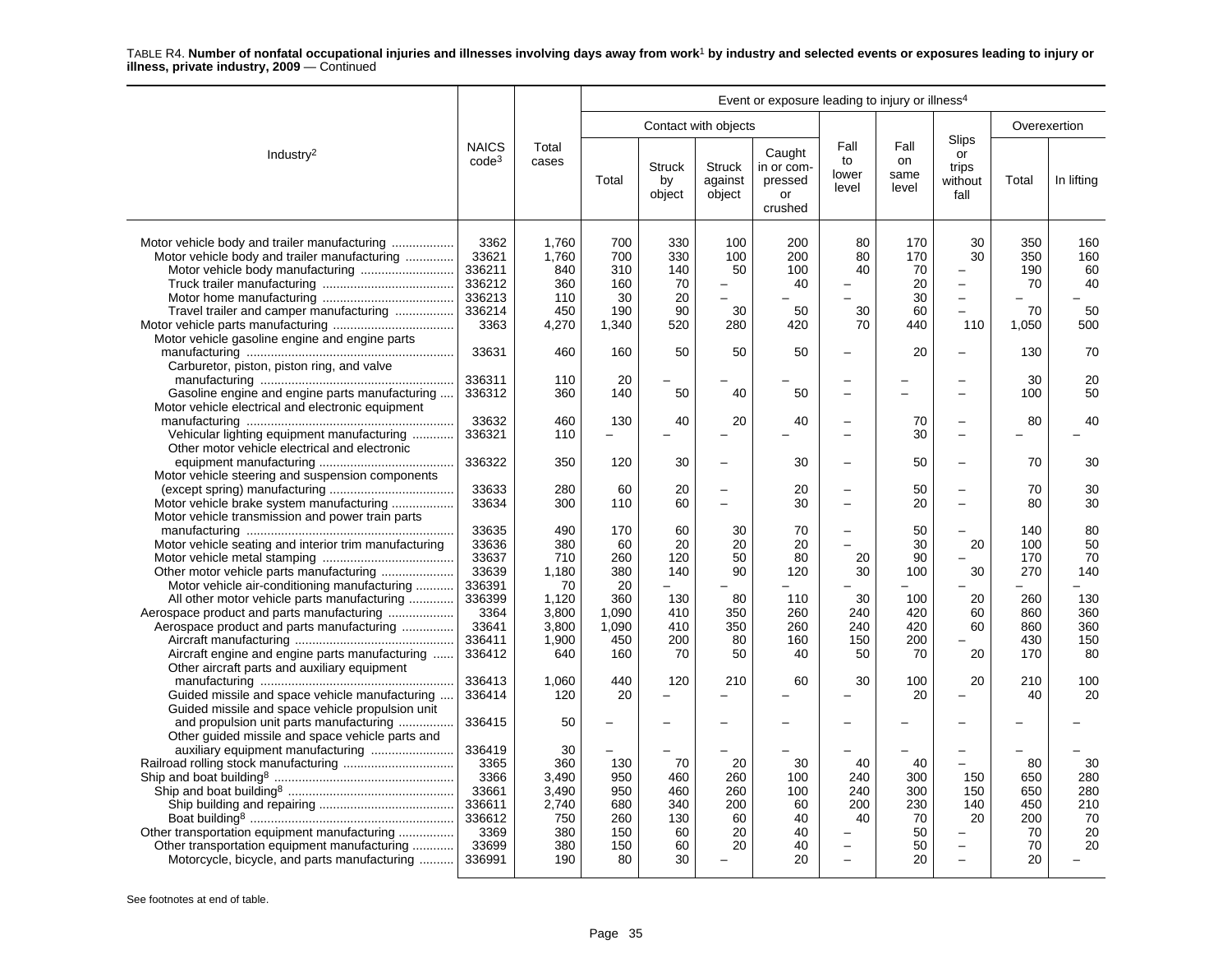|                                                                                                                                                                                                                               |                                                                                | Event or exposure leading to injury or illness <sup>4</sup>      |                                                     |                                                  |                                                                 |                                                  |                                                                                       |                                                 |                                                                       |                                                  |                                           |
|-------------------------------------------------------------------------------------------------------------------------------------------------------------------------------------------------------------------------------|--------------------------------------------------------------------------------|------------------------------------------------------------------|-----------------------------------------------------|--------------------------------------------------|-----------------------------------------------------------------|--------------------------------------------------|---------------------------------------------------------------------------------------|-------------------------------------------------|-----------------------------------------------------------------------|--------------------------------------------------|-------------------------------------------|
|                                                                                                                                                                                                                               |                                                                                |                                                                  |                                                     |                                                  | Contact with objects                                            |                                                  |                                                                                       |                                                 |                                                                       |                                                  | Overexertion                              |
| Industry <sup>2</sup>                                                                                                                                                                                                         | <b>NAICS</b><br>$code^3$                                                       | Total<br>cases                                                   | Total                                               | <b>Struck</b><br>by<br>object                    | <b>Struck</b><br>against<br>object                              | Caught<br>in or com-<br>pressed<br>or<br>crushed | Fall<br>to<br>lower<br>level                                                          | Fall<br>on<br>same<br>level                     | <b>Slips</b><br>or<br>trips<br>without<br>fall                        | Total                                            | In lifting                                |
| Motor vehicle body and trailer manufacturing<br>Motor vehicle body and trailer manufacturing<br>Motor vehicle body manufacturing<br>Travel trailer and camper manufacturing<br>Motor vehicle gasoline engine and engine parts | 3362<br>33621<br>336211<br>336212<br>336213<br>336214<br>3363                  | 1,760<br>1,760<br>840<br>360<br>110<br>450<br>4,270              | 700<br>700<br>310<br>160<br>30<br>190<br>1,340      | 330<br>330<br>140<br>70<br>20<br>90<br>520       | 100<br>100<br>50<br>$\overline{\phantom{0}}$<br>Ĭ.<br>30<br>280 | 200<br>200<br>100<br>40<br>50<br>420             | 80<br>80<br>40<br>30<br>70                                                            | 170<br>170<br>70<br>20<br>30<br>60<br>440       | 30<br>30<br>L.<br>$\qquad \qquad -$<br>110                            | 350<br>350<br>190<br>70<br>70<br>1,050           | 160<br>160<br>60<br>40<br>50<br>500       |
| Carburetor, piston, piston ring, and valve                                                                                                                                                                                    | 33631                                                                          | 460                                                              | 160                                                 | 50                                               | 50                                                              | 50                                               |                                                                                       | 20                                              | $\overline{\phantom{0}}$                                              | 130                                              | 70                                        |
| Gasoline engine and engine parts manufacturing<br>Motor vehicle electrical and electronic equipment                                                                                                                           | 336311<br>336312                                                               | 110<br>360                                                       | 20<br>140                                           | 50                                               | 40                                                              | 50                                               |                                                                                       |                                                 | $\overline{\phantom{0}}$                                              | 30<br>100                                        | 20<br>50                                  |
| Vehicular lighting equipment manufacturing<br>Other motor vehicle electrical and electronic                                                                                                                                   | 33632<br>336321                                                                | 460<br>110                                                       | 130<br>$=$                                          | 40                                               | 20<br>÷                                                         | 40                                               | $\equiv$                                                                              | 70<br>30                                        | L.<br>$\overline{a}$                                                  | 80                                               | 40                                        |
| Motor vehicle steering and suspension components                                                                                                                                                                              | 336322                                                                         | 350                                                              | 120                                                 | 30                                               | $\overline{\phantom{0}}$                                        | 30                                               |                                                                                       | 50                                              | $\overline{\phantom{0}}$                                              | 70                                               | 30                                        |
| Motor vehicle brake system manufacturing<br>Motor vehicle transmission and power train parts                                                                                                                                  | 33633<br>33634                                                                 | 280<br>300                                                       | 60<br>110                                           | 20<br>60                                         | $\overline{\phantom{0}}$<br>L.                                  | 20<br>30                                         | $\overline{\phantom{0}}$<br>$\overline{\phantom{0}}$                                  | 50<br>20                                        | $\overline{\phantom{0}}$<br>$\overline{\phantom{a}}$                  | 70<br>80                                         | 30<br>30                                  |
| Motor vehicle seating and interior trim manufacturing<br>Motor vehicle air-conditioning manufacturing                                                                                                                         | 33635<br>33636<br>33637<br>33639<br>336391                                     | 490<br>380<br>710<br>1.180<br>70                                 | 170<br>60<br>260<br>380<br>20                       | 60<br>20<br>120<br>140<br>$\equiv$               | 30<br>20<br>50<br>90                                            | 70<br>20<br>80<br>120                            | $\equiv$<br>20<br>30                                                                  | 50<br>30<br>90<br>100                           | $\overline{\phantom{a}}$<br>20<br>30                                  | 140<br>100<br>170<br>270<br>L.                   | 80<br>50<br>70<br>140                     |
| All other motor vehicle parts manufacturing<br>Aerospace product and parts manufacturing<br>Aerospace product and parts manufacturing<br>Aircraft engine and engine parts manufacturing                                       | 336399<br>3364<br>33641<br>336411<br>336412                                    | 1,120<br>3,800<br>3,800<br>1,900<br>640                          | 360<br>1,090<br>1,090<br>450<br>160                 | 130<br>410<br>410<br>200<br>70                   | 80<br>350<br>350<br>80<br>50                                    | 110<br>260<br>260<br>160<br>40                   | 30<br>240<br>240<br>150<br>50                                                         | 100<br>420<br>420<br>200<br>70                  | 20<br>60<br>60<br>20                                                  | 260<br>860<br>860<br>430<br>170                  | 130<br>360<br>360<br>150<br>80            |
| Other aircraft parts and auxiliary equipment<br>Guided missile and space vehicle manufacturing<br>Guided missile and space vehicle propulsion unit                                                                            | 336413<br>336414                                                               | 1,060<br>120                                                     | 440<br>20                                           | 120                                              | 210<br>$\overline{\phantom{0}}$                                 | 60                                               | 30                                                                                    | 100<br>20                                       | 20<br>$\overline{\phantom{0}}$                                        | 210<br>40                                        | 100<br>20                                 |
| and propulsion unit parts manufacturing                                                                                                                                                                                       | 336415                                                                         | 50                                                               |                                                     |                                                  |                                                                 |                                                  |                                                                                       |                                                 |                                                                       |                                                  |                                           |
| Other guided missile and space vehicle parts and<br>Other transportation equipment manufacturing<br>Other transportation equipment manufacturing<br>Motorcycle, bicycle, and parts manufacturing                              | 336419<br>3365<br>3366<br>33661<br>336611<br>336612<br>3369<br>33699<br>336991 | 30<br>360<br>3,490<br>3,490<br>2,740<br>750<br>380<br>380<br>190 | 130<br>950<br>950<br>680<br>260<br>150<br>150<br>80 | 70<br>460<br>460<br>340<br>130<br>60<br>60<br>30 | 20<br>260<br>260<br>200<br>60<br>20<br>20                       | 30<br>100<br>100<br>60<br>40<br>40<br>40<br>20   | 40<br>240<br>240<br>200<br>40<br>$\overline{\phantom{0}}$<br>$\overline{\phantom{0}}$ | 40<br>300<br>300<br>230<br>70<br>50<br>50<br>20 | $\overline{\phantom{0}}$<br>150<br>150<br>140<br>20<br>$\overline{a}$ | 80<br>650<br>650<br>450<br>200<br>70<br>70<br>20 | 30<br>280<br>280<br>210<br>70<br>20<br>20 |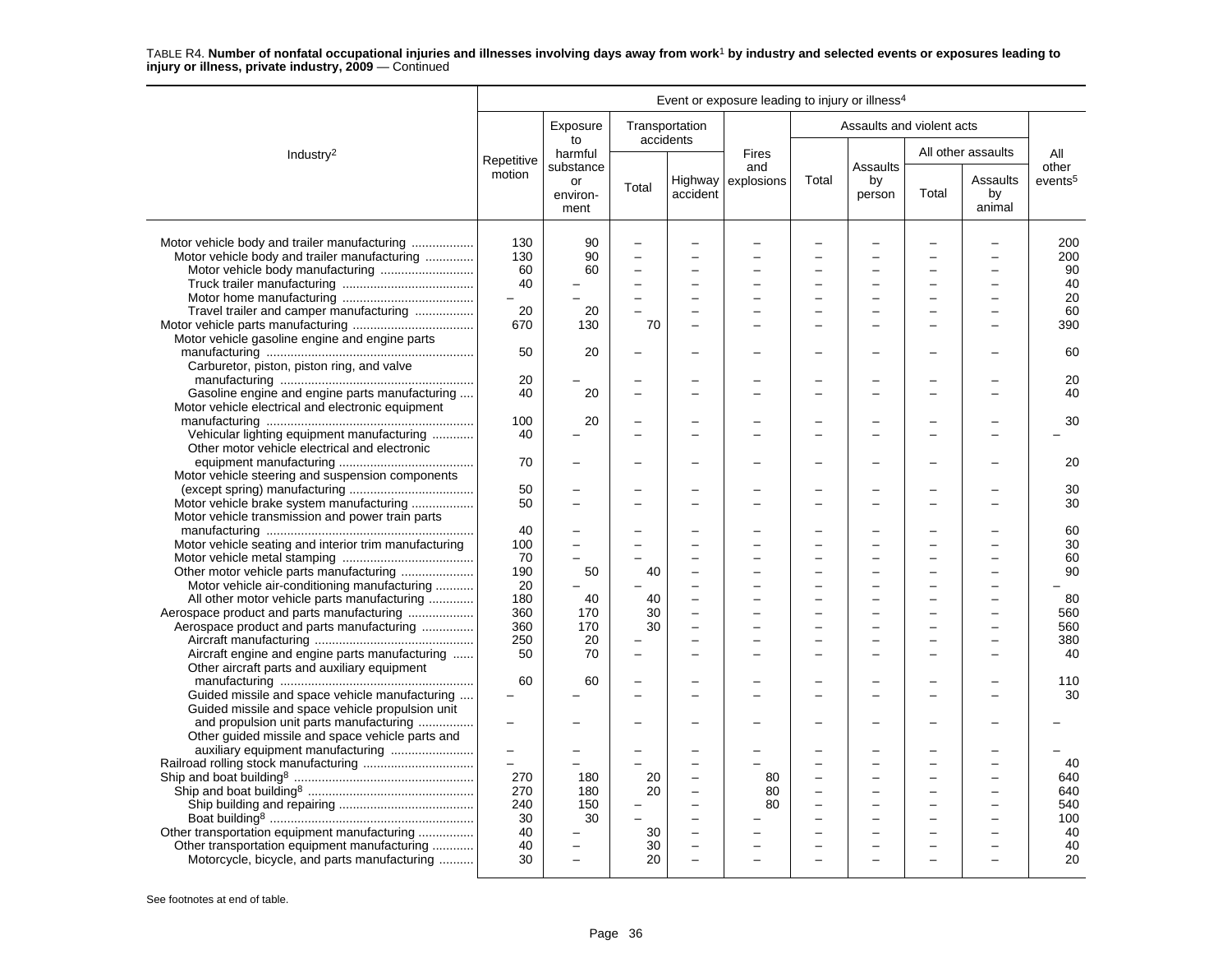|                                                                                                                                              |                                                    |                          |                |                                      | Event or exposure leading to injury or illness <sup>4</sup> |                          |                                                      |       |                          |                        |
|----------------------------------------------------------------------------------------------------------------------------------------------|----------------------------------------------------|--------------------------|----------------|--------------------------------------|-------------------------------------------------------------|--------------------------|------------------------------------------------------|-------|--------------------------|------------------------|
|                                                                                                                                              |                                                    | Exposure<br>to           | Transportation | accidents                            |                                                             |                          | Assaults and violent acts                            |       |                          |                        |
| Industry <sup>2</sup>                                                                                                                        | Repetitive                                         | harmful<br>substance     |                |                                      | Fires<br>and                                                |                          | Assaults                                             |       | All other assaults       | All<br>other           |
|                                                                                                                                              | motion                                             | or<br>environ-<br>ment   | Total          | accident                             | Highway explosions                                          | Total                    | by<br>person                                         | Total | Assaults<br>by<br>animal | events <sup>5</sup>    |
| Motor vehicle body and trailer manufacturing<br>Motor vehicle body and trailer manufacturing<br>Motor vehicle body manufacturing             | 130<br>130<br>60<br>40                             | 90<br>90<br>60           | ÷<br>÷         | $\equiv$                             |                                                             |                          | L.                                                   |       | $\overline{a}$           | 200<br>200<br>90<br>40 |
| Travel trailer and camper manufacturing                                                                                                      | 20                                                 | 20                       |                |                                      |                                                             | $\overline{\phantom{0}}$ |                                                      |       | $\sim$                   | 20<br>60               |
| Motor vehicle gasoline engine and engine parts                                                                                               | 670                                                | 130                      | 70             |                                      |                                                             |                          |                                                      |       |                          | 390                    |
| Carburetor, piston, piston ring, and valve                                                                                                   | 50                                                 | 20                       |                |                                      |                                                             |                          |                                                      |       |                          | 60                     |
| Gasoline engine and engine parts manufacturing<br>Motor vehicle electrical and electronic equipment                                          | 20<br>40                                           | 20                       |                |                                      |                                                             |                          |                                                      |       |                          | 20<br>40               |
| Vehicular lighting equipment manufacturing                                                                                                   | 100<br>40                                          | 20                       |                |                                      |                                                             |                          |                                                      |       |                          | 30                     |
| Other motor vehicle electrical and electronic<br>Motor vehicle steering and suspension components                                            | 70                                                 |                          |                |                                      |                                                             |                          |                                                      |       |                          | 20                     |
| Motor vehicle brake system manufacturing                                                                                                     | 50<br>50                                           |                          |                |                                      |                                                             |                          |                                                      |       |                          | 30<br>30               |
| Motor vehicle transmission and power train parts<br>Motor vehicle seating and interior trim manufacturing                                    | 40<br>100                                          | $\equiv$                 |                |                                      |                                                             |                          |                                                      |       |                          | 60<br>30               |
| Other motor vehicle parts manufacturing                                                                                                      | 70<br>190                                          | 50                       | 40             |                                      |                                                             |                          |                                                      |       |                          | 60<br>90               |
| Motor vehicle air-conditioning manufacturing<br>All other motor vehicle parts manufacturing<br>Aerospace product and parts manufacturing     | 20<br>180<br>360                                   | 40<br>170                | 40<br>30       | $\equiv$                             |                                                             | $\overline{\phantom{a}}$ |                                                      |       | $\equiv$                 | 80<br>560              |
| Aerospace product and parts manufacturing                                                                                                    | 360<br>250                                         | 170<br>20                | 30             |                                      |                                                             |                          |                                                      |       |                          | 560<br>380             |
| Aircraft engine and engine parts manufacturing<br>Other aircraft parts and auxiliary equipment                                               | 50                                                 | 70                       |                |                                      |                                                             |                          |                                                      |       |                          | 40                     |
| Guided missile and space vehicle manufacturing<br>Guided missile and space vehicle propulsion unit                                           | 60                                                 | 60                       |                | $\equiv$                             |                                                             | $\overline{\phantom{0}}$ |                                                      |       | $\equiv$                 | 110<br>30              |
| and propulsion unit parts manufacturing<br>Other guided missile and space vehicle parts and                                                  |                                                    |                          |                |                                      |                                                             |                          |                                                      |       |                          |                        |
| auxiliary equipment manufacturing                                                                                                            | $\equiv$<br>$\overline{\phantom{0}}$<br>270<br>270 | 180<br>180               | 20<br>20       | $\equiv$                             | 80<br>80                                                    | $\overline{\phantom{0}}$ | $\overline{\phantom{a}}$<br>$\overline{\phantom{a}}$ |       | $\sim$                   | 40<br>640<br>640       |
|                                                                                                                                              | 240<br>30<br>40                                    | 150<br>30                | 30             | $\equiv$<br>$\overline{\phantom{0}}$ | 80                                                          | $\sim$                   | $\overline{a}$                                       |       | $\equiv$                 | 540<br>100<br>40       |
| Other transportation equipment manufacturing<br>Other transportation equipment manufacturing<br>Motorcycle, bicycle, and parts manufacturing | 40<br>30                                           | $\overline{\phantom{0}}$ | 30<br>20       |                                      |                                                             |                          |                                                      |       |                          | 40<br>20               |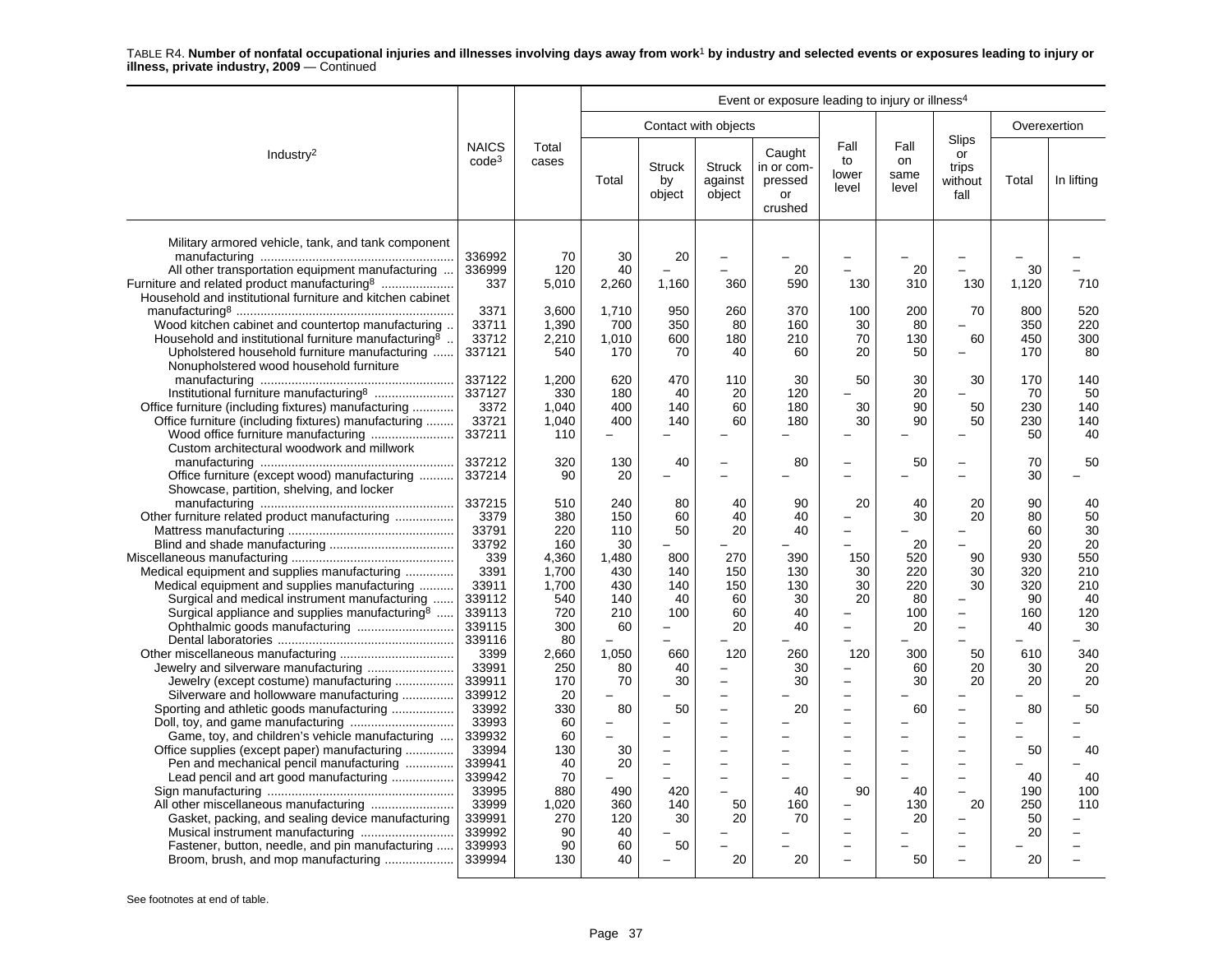|                                                                                                                                                                                                                                 | Event or exposure leading to injury or illness <sup>4</sup>      |                                              |                                      |                                |                                                                                                    |                                                  |                                                        |                               |                                                                                  |                                    |                               |
|---------------------------------------------------------------------------------------------------------------------------------------------------------------------------------------------------------------------------------|------------------------------------------------------------------|----------------------------------------------|--------------------------------------|--------------------------------|----------------------------------------------------------------------------------------------------|--------------------------------------------------|--------------------------------------------------------|-------------------------------|----------------------------------------------------------------------------------|------------------------------------|-------------------------------|
|                                                                                                                                                                                                                                 |                                                                  |                                              |                                      |                                | Contact with objects                                                                               |                                                  |                                                        |                               |                                                                                  | Overexertion                       |                               |
| Industry <sup>2</sup>                                                                                                                                                                                                           | <b>NAICS</b><br>$code^3$                                         | Total<br>cases                               | Total                                | <b>Struck</b><br>by<br>object  | <b>Struck</b><br>against<br>object                                                                 | Caught<br>in or com-<br>pressed<br>or<br>crushed | Fall<br>to<br>lower<br>level                           | Fall<br>on<br>same<br>level   | Slips<br>or<br>trips<br>without<br>fall                                          | Total                              | In lifting                    |
| Military armored vehicle, tank, and tank component<br>All other transportation equipment manufacturing<br>Furniture and related product manufacturing <sup>8</sup><br>Household and institutional furniture and kitchen cabinet | 336992<br>336999<br>337                                          | 70<br>120<br>5,010                           | 30<br>40<br>2,260                    | 20<br>1,160                    | $\overline{\phantom{0}}$<br>360                                                                    | 20<br>590                                        | 130                                                    | 20<br>310                     | 130                                                                              | 30<br>1,120                        | 710                           |
| Wood kitchen cabinet and countertop manufacturing.<br>Household and institutional furniture manufacturing <sup>8</sup> .<br>Upholstered household furniture manufacturing<br>Nonupholstered wood household furniture            | 3371<br>33711<br>33712<br>337121                                 | 3,600<br>1,390<br>2,210<br>540               | 1,710<br>700<br>1,010<br>170         | 950<br>350<br>600<br>70        | 260<br>80<br>180<br>40                                                                             | 370<br>160<br>210<br>60                          | 100<br>30<br>70<br>20                                  | 200<br>80<br>130<br>50        | 70<br>60<br>$\sim$                                                               | 800<br>350<br>450<br>170           | 520<br>220<br>300<br>80       |
| Institutional furniture manufacturing <sup>8</sup><br>Office furniture (including fixtures) manufacturing<br>Office furniture (including fixtures) manufacturing<br>Wood office furniture manufacturing                         | 337122<br>337127<br>3372<br>33721<br>337211                      | 1,200<br>330<br>1,040<br>1,040<br>110        | 620<br>180<br>400<br>400<br>$\equiv$ | 470<br>40<br>140<br>140        | 110<br>20<br>60<br>60<br>-                                                                         | 30<br>120<br>180<br>180                          | 50<br>30<br>30                                         | 30<br>20<br>90<br>90          | 30<br>50<br>50<br>$\overline{\phantom{0}}$                                       | 170<br>70<br>230<br>230<br>50      | 140<br>50<br>140<br>140<br>40 |
| Custom architectural woodwork and millwork<br>Office furniture (except wood) manufacturing                                                                                                                                      | 337212<br>337214                                                 | 320<br>90                                    | 130<br>20                            | 40                             | ÷<br>$\overline{a}$                                                                                | 80                                               |                                                        | 50                            |                                                                                  | 70<br>30                           | 50                            |
| Showcase, partition, shelving, and locker<br>Other furniture related product manufacturing                                                                                                                                      | 337215<br>3379<br>33791<br>33792<br>339                          | 510<br>380<br>220<br>160<br>4,360            | 240<br>150<br>110<br>30<br>1,480     | 80<br>60<br>50<br>800          | 40<br>40<br>20<br>270                                                                              | 90<br>40<br>40<br>390                            | 20<br>-<br>150                                         | 40<br>30<br>20<br>520         | 20<br>20<br>90                                                                   | 90<br>80<br>60<br>20<br>930        | 40<br>50<br>30<br>20<br>550   |
| Medical equipment and supplies manufacturing<br>Medical equipment and supplies manufacturing<br>Surgical and medical instrument manufacturing<br>Surgical appliance and supplies manufacturing <sup>8</sup>                     | 3391<br>33911<br>339112<br>339113<br>339115                      | 1,700<br>1,700<br>540<br>720<br>300          | 430<br>430<br>140<br>210<br>60       | 140<br>140<br>40<br>100        | 150<br>150<br>60<br>60<br>20                                                                       | 130<br>130<br>30<br>40<br>40                     | 30<br>30<br>20<br>$\qquad \qquad -$                    | 220<br>220<br>80<br>100<br>20 | 30<br>30<br>$\overline{\phantom{0}}$                                             | 320<br>320<br>90<br>160<br>40      | 210<br>210<br>40<br>120<br>30 |
| Jewelry (except costume) manufacturing<br>Silverware and hollowware manufacturing                                                                                                                                               | 339116<br>3399<br>33991<br>339911<br>339912                      | 80<br>2,660<br>250<br>170<br>20              | 1,050<br>80<br>70                    | 660<br>40<br>30                | 120<br>-<br>$\overline{a}$<br>$\overline{a}$                                                       | 260<br>30<br>30                                  | 120<br>-<br>$\overline{\phantom{0}}$<br>$\overline{a}$ | 300<br>60<br>30               | 50<br>20<br>20                                                                   | 610<br>30<br>20                    | 340<br>20<br>20               |
| Sporting and athletic goods manufacturing<br>Game, toy, and children's vehicle manufacturing<br>Office supplies (except paper) manufacturing<br>Pen and mechanical pencil manufacturing                                         | 33992<br>33993<br>339932<br>33994<br>339941                      | 330<br>60<br>60<br>130<br>40                 | 80<br>30<br>20                       | 50<br>$\overline{\phantom{0}}$ | $\overline{\phantom{0}}$<br>$\overline{\phantom{0}}$<br>$\overline{a}$<br>$\overline{\phantom{0}}$ | 20                                               | -<br>$\overline{a}$                                    | 60<br>$\overline{a}$          | $\overline{\phantom{0}}$<br>$\sim$<br>$\overline{a}$<br>$\overline{\phantom{m}}$ | 80<br>50                           | 50<br>40                      |
| Lead pencil and art good manufacturing<br>Gasket, packing, and sealing device manufacturing<br>Fastener, button, needle, and pin manufacturing<br>Broom, brush, and mop manufacturing                                           | 339942<br>33995<br>33999<br>339991<br>339992<br>339993<br>339994 | 70<br>880<br>1,020<br>270<br>90<br>90<br>130 | 490<br>360<br>120<br>40<br>60<br>40  | 420<br>140<br>30<br>50         | ÷<br>50<br>20<br>20                                                                                | 40<br>160<br>70<br>20                            | 90<br>$\overline{\phantom{0}}$<br>$\equiv$             | 40<br>130<br>20<br>50         | $\overline{a}$<br>20<br>$\overline{\phantom{a}}$<br>$\overline{\phantom{a}}$     | 40<br>190<br>250<br>50<br>20<br>20 | 40<br>100<br>110              |
|                                                                                                                                                                                                                                 |                                                                  |                                              |                                      |                                |                                                                                                    |                                                  |                                                        |                               |                                                                                  |                                    |                               |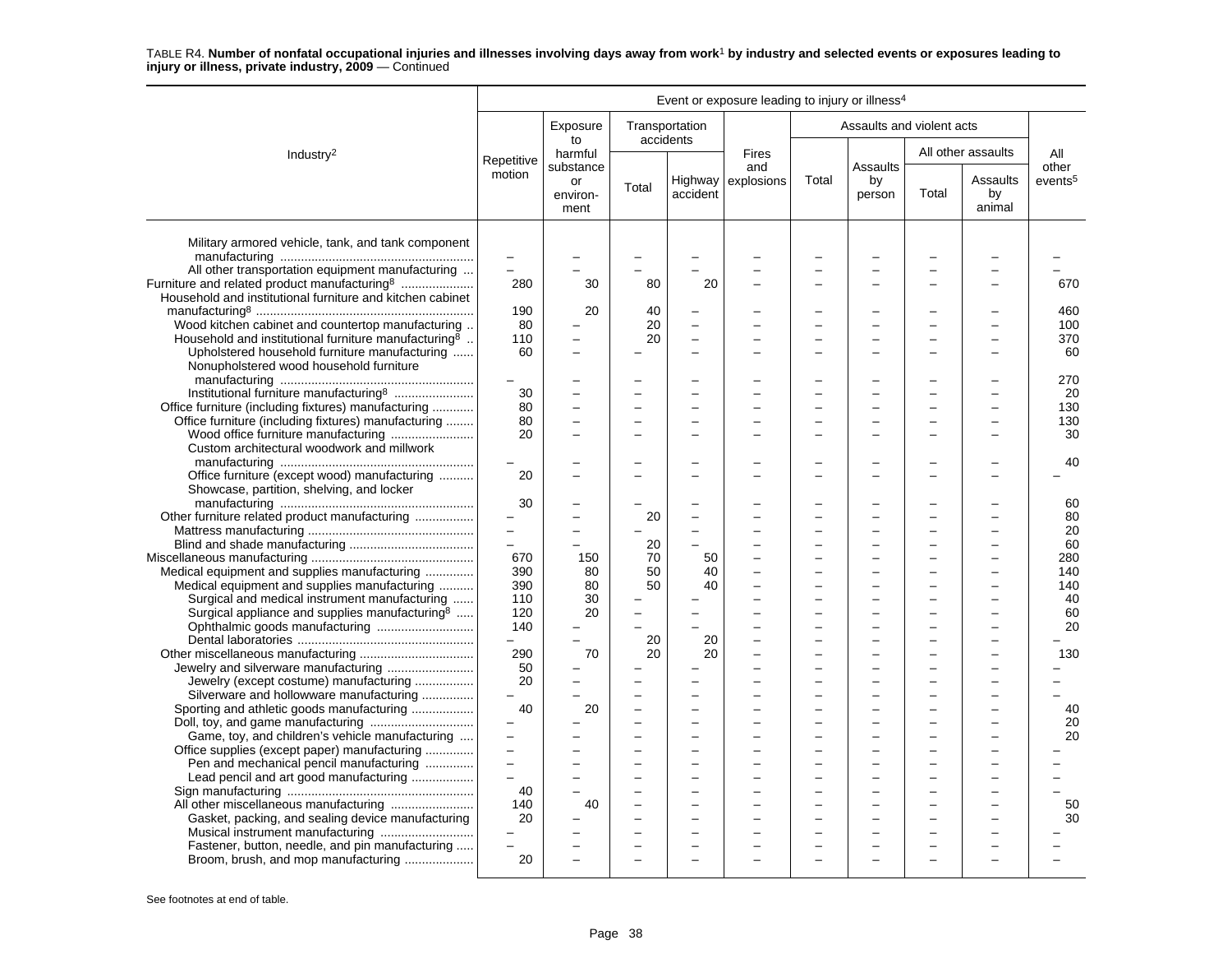|                                                                                           |                                            |                                     |       |                             | Event or exposure leading to injury or illness <sup>4</sup> |                          |                                 |       |                          |                              |
|-------------------------------------------------------------------------------------------|--------------------------------------------|-------------------------------------|-------|-----------------------------|-------------------------------------------------------------|--------------------------|---------------------------------|-------|--------------------------|------------------------------|
|                                                                                           |                                            | Exposure<br>to                      |       | Transportation<br>accidents |                                                             |                          | Assaults and violent acts       |       |                          |                              |
| Industry <sup>2</sup>                                                                     | Repetitive                                 | harmful                             |       |                             | <b>Fires</b>                                                |                          |                                 |       | All other assaults       | All                          |
|                                                                                           | motion                                     | substance<br>or<br>environ-<br>ment | Total | accident                    | and<br>Highway explosions                                   | Total                    | <b>Assaults</b><br>by<br>person | Total | Assaults<br>by<br>animal | other<br>events <sup>5</sup> |
| Military armored vehicle, tank, and tank component                                        | $\overline{\phantom{0}}$                   |                                     |       |                             |                                                             |                          |                                 |       |                          |                              |
| All other transportation equipment manufacturing                                          | $\equiv$                                   |                                     |       |                             |                                                             |                          |                                 |       |                          |                              |
| Furniture and related product manufacturing <sup>8</sup>                                  | 280                                        | 30                                  | 80    | 20                          |                                                             |                          |                                 |       |                          | 670                          |
| Household and institutional furniture and kitchen cabinet                                 |                                            |                                     |       |                             |                                                             |                          |                                 |       |                          |                              |
|                                                                                           | 190                                        | 20                                  | 40    |                             |                                                             |                          |                                 |       |                          | 460                          |
| Wood kitchen cabinet and countertop manufacturing                                         | 80                                         |                                     | 20    | $\overline{a}$              |                                                             |                          |                                 |       |                          | 100                          |
| Household and institutional furniture manufacturing <sup>8</sup>                          | 110                                        |                                     | 20    |                             |                                                             |                          |                                 |       |                          | 370                          |
| Upholstered household furniture manufacturing                                             | 60                                         | $\overline{a}$                      |       | $\overline{a}$              |                                                             |                          |                                 |       |                          | 60                           |
| Nonupholstered wood household furniture                                                   |                                            |                                     |       |                             |                                                             |                          |                                 |       |                          |                              |
|                                                                                           |                                            |                                     |       |                             |                                                             |                          |                                 |       |                          | 270                          |
| Institutional furniture manufacturing <sup>8</sup>                                        | 30                                         |                                     |       |                             |                                                             |                          |                                 |       |                          | 20                           |
| Office furniture (including fixtures) manufacturing                                       | 80                                         |                                     |       |                             |                                                             |                          |                                 |       |                          | 130                          |
| Office furniture (including fixtures) manufacturing                                       | 80                                         |                                     |       |                             |                                                             |                          |                                 |       |                          | 130                          |
|                                                                                           | 20                                         |                                     |       | ۳                           |                                                             |                          |                                 |       |                          | 30                           |
| Custom architectural woodwork and millwork                                                |                                            |                                     |       |                             |                                                             |                          |                                 |       |                          |                              |
|                                                                                           |                                            |                                     |       |                             |                                                             |                          |                                 |       |                          | 40                           |
|                                                                                           | 20                                         |                                     |       |                             |                                                             |                          |                                 |       |                          |                              |
| Office furniture (except wood) manufacturing<br>Showcase, partition, shelving, and locker |                                            |                                     |       |                             |                                                             |                          |                                 |       |                          |                              |
|                                                                                           |                                            |                                     |       |                             |                                                             |                          |                                 |       |                          |                              |
|                                                                                           | 30                                         |                                     |       |                             |                                                             |                          |                                 |       |                          | 60                           |
| Other furniture related product manufacturing                                             |                                            |                                     | 20    | L.                          |                                                             |                          |                                 |       |                          | 80                           |
|                                                                                           | $\overline{\phantom{m}}$<br>$\overline{a}$ | L.                                  |       | $\overline{a}$              |                                                             |                          |                                 |       |                          | 20                           |
|                                                                                           |                                            |                                     | 20    |                             |                                                             |                          |                                 |       |                          | 60                           |
|                                                                                           | 670                                        | 150                                 | 70    | 50                          |                                                             |                          |                                 |       |                          | 280                          |
| Medical equipment and supplies manufacturing                                              | 390                                        | 80                                  | 50    | 40                          |                                                             | L                        |                                 |       |                          | 140                          |
| Medical equipment and supplies manufacturing                                              | 390                                        | 80                                  | 50    | 40                          |                                                             |                          |                                 |       |                          | 140                          |
| Surgical and medical instrument manufacturing                                             | 110                                        | 30                                  |       |                             |                                                             |                          |                                 |       |                          | 40                           |
| Surgical appliance and supplies manufacturing <sup>8</sup>                                | 120                                        | 20                                  |       |                             |                                                             |                          |                                 |       |                          | 60                           |
|                                                                                           | 140                                        |                                     |       |                             |                                                             |                          |                                 |       |                          | 20                           |
|                                                                                           | $\equiv$                                   |                                     | 20    | 20                          |                                                             |                          |                                 |       |                          |                              |
|                                                                                           | 290                                        | 70                                  | 20    | 20                          |                                                             | ÷                        | $\overline{\phantom{0}}$        |       |                          | 130                          |
|                                                                                           | 50                                         |                                     |       |                             |                                                             |                          |                                 |       |                          |                              |
| Jewelry (except costume) manufacturing                                                    | 20                                         |                                     |       |                             |                                                             |                          |                                 |       |                          |                              |
| Silverware and hollowware manufacturing                                                   |                                            |                                     |       |                             |                                                             |                          |                                 |       |                          |                              |
| Sporting and athletic goods manufacturing                                                 | 40                                         | 20                                  | L     | ۳                           |                                                             |                          |                                 |       |                          | 40                           |
|                                                                                           | $\overline{\phantom{0}}$                   |                                     |       | $\overline{a}$              |                                                             |                          |                                 |       |                          | 20                           |
| Game, toy, and children's vehicle manufacturing                                           | $\overline{a}$                             |                                     | −     | $\overline{a}$              |                                                             | $\overline{\phantom{0}}$ |                                 |       |                          | 20                           |
| Office supplies (except paper) manufacturing                                              |                                            |                                     |       |                             |                                                             |                          |                                 |       |                          |                              |
| Pen and mechanical pencil manufacturing                                                   | $\overline{a}$                             |                                     | L     | $\overline{\phantom{0}}$    |                                                             | L                        |                                 |       |                          |                              |
| Lead pencil and art good manufacturing                                                    |                                            |                                     | -     | $\overline{\phantom{0}}$    |                                                             |                          |                                 |       |                          |                              |
|                                                                                           | 40                                         |                                     |       |                             |                                                             |                          |                                 |       |                          |                              |
| All other miscellaneous manufacturing                                                     | 140                                        | 40                                  |       |                             |                                                             |                          |                                 |       |                          | 50                           |
| Gasket, packing, and sealing device manufacturing                                         | 20                                         |                                     |       |                             |                                                             |                          |                                 |       |                          | 30                           |
|                                                                                           |                                            |                                     |       |                             |                                                             |                          |                                 |       |                          |                              |
| Fastener, button, needle, and pin manufacturing                                           | $\equiv$                                   |                                     |       |                             |                                                             |                          |                                 |       |                          |                              |
| Broom, brush, and mop manufacturing                                                       | 20                                         |                                     |       | $\overline{a}$              |                                                             |                          | -                               |       |                          |                              |
|                                                                                           |                                            |                                     |       |                             |                                                             |                          |                                 |       |                          |                              |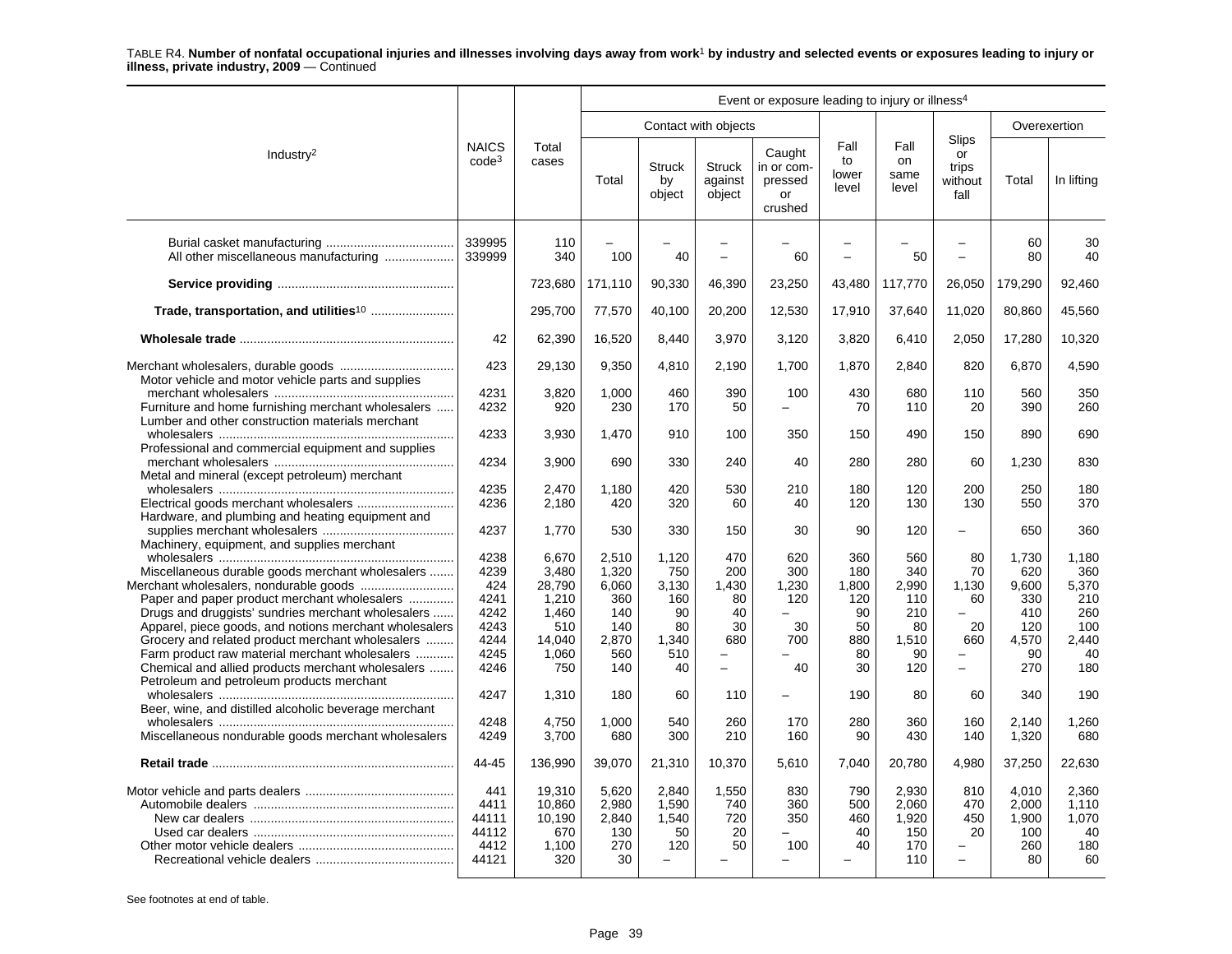|                                                                                                                                                         |                                                |                                                   |                                             |                                            |                                    | Event or exposure leading to injury or illness <sup>4</sup> |                               |                                              |                                                     |                                             |                                            |
|---------------------------------------------------------------------------------------------------------------------------------------------------------|------------------------------------------------|---------------------------------------------------|---------------------------------------------|--------------------------------------------|------------------------------------|-------------------------------------------------------------|-------------------------------|----------------------------------------------|-----------------------------------------------------|---------------------------------------------|--------------------------------------------|
|                                                                                                                                                         |                                                |                                                   |                                             |                                            | Contact with objects               |                                                             |                               |                                              |                                                     |                                             | Overexertion                               |
| Industry $2$                                                                                                                                            | <b>NAICS</b><br>code <sup>3</sup>              | Total<br>cases                                    | Total                                       | <b>Struck</b><br>by<br>object              | <b>Struck</b><br>against<br>object | Caught<br>in or com-<br>pressed<br>or<br>crushed            | Fall<br>to<br>lower<br>level  | Fall<br>on<br>same<br>level                  | Slips<br>or<br>trips<br>without<br>fall             | Total                                       | In lifting                                 |
|                                                                                                                                                         | 339995<br>339999                               | 110<br>340                                        | 100                                         | 40                                         | $\overline{\phantom{0}}$           | 60                                                          | $\overline{\phantom{0}}$      | 50                                           | $\overline{\phantom{0}}$                            | 60<br>80                                    | 30<br>40                                   |
|                                                                                                                                                         |                                                | 723,680                                           | 171,110                                     | 90,330                                     | 46,390                             | 23,250                                                      | 43,480                        | 117,770                                      | 26,050                                              | 179,290                                     | 92,460                                     |
| Trade, transportation, and utilities <sup>10</sup>                                                                                                      |                                                | 295,700                                           | 77,570                                      | 40,100                                     | 20,200                             | 12,530                                                      | 17,910                        | 37,640                                       | 11,020                                              | 80,860                                      | 45,560                                     |
|                                                                                                                                                         | 42                                             | 62,390                                            | 16,520                                      | 8,440                                      | 3,970                              | 3,120                                                       | 3,820                         | 6,410                                        | 2,050                                               | 17,280                                      | 10,320                                     |
| Motor vehicle and motor vehicle parts and supplies                                                                                                      | 423                                            | 29,130                                            | 9,350                                       | 4,810                                      | 2,190                              | 1,700                                                       | 1,870                         | 2,840                                        | 820                                                 | 6,870                                       | 4,590                                      |
| Furniture and home furnishing merchant wholesalers<br>Lumber and other construction materials merchant                                                  | 4231<br>4232                                   | 3,820<br>920                                      | 1.000<br>230                                | 460<br>170                                 | 390<br>50                          | 100<br>$\equiv$                                             | 430<br>70                     | 680<br>110                                   | 110<br>20                                           | 560<br>390                                  | 350<br>260                                 |
| Professional and commercial equipment and supplies                                                                                                      | 4233                                           | 3,930                                             | 1,470                                       | 910                                        | 100                                | 350                                                         | 150                           | 490                                          | 150                                                 | 890                                         | 690                                        |
| Metal and mineral (except petroleum) merchant                                                                                                           | 4234                                           | 3,900                                             | 690                                         | 330                                        | 240                                | 40                                                          | 280                           | 280                                          | 60                                                  | 1,230                                       | 830                                        |
|                                                                                                                                                         | 4235<br>4236                                   | 2,470<br>2,180                                    | 1,180<br>420                                | 420<br>320                                 | 530<br>60                          | 210<br>40                                                   | 180<br>120                    | 120<br>130                                   | 200<br>130                                          | 250<br>550                                  | 180<br>370                                 |
| Hardware, and plumbing and heating equipment and                                                                                                        | 4237                                           | 1,770                                             | 530                                         | 330                                        | 150                                | 30                                                          | 90                            | 120                                          | $\overline{\phantom{0}}$                            | 650                                         | 360                                        |
| Machinery, equipment, and supplies merchant                                                                                                             | 4238                                           | 6,670                                             | 2,510                                       | 1.120                                      | 470                                | 620                                                         | 360                           | 560                                          | 80<br>70                                            | 1.730                                       | 1.180                                      |
| Miscellaneous durable goods merchant wholesalers<br>Paper and paper product merchant wholesalers                                                        | 4239<br>424<br>4241                            | 3,480<br>28,790<br>1,210                          | 1,320<br>6,060<br>360                       | 750<br>3,130<br>160                        | 200<br>1,430<br>80                 | 300<br>1,230<br>120                                         | 180<br>1,800<br>120           | 340<br>2,990<br>110                          | 1,130<br>60                                         | 620<br>9,600<br>330                         | 360<br>5,370<br>210                        |
| Drugs and druggists' sundries merchant wholesalers<br>Apparel, piece goods, and notions merchant wholesalers                                            | 4242<br>4243                                   | 1.460<br>510                                      | 140<br>140                                  | 90<br>80                                   | 40<br>30                           | 30                                                          | 90<br>50                      | 210<br>80                                    | 20                                                  | 410<br>120                                  | 260<br>100                                 |
| Grocery and related product merchant wholesalers<br>Farm product raw material merchant wholesalers<br>Chemical and allied products merchant wholesalers | 4244<br>4245<br>4246                           | 14,040<br>1,060<br>750                            | 2,870<br>560<br>140                         | 1,340<br>510<br>40                         | 680<br>$\equiv$                    | 700<br>40                                                   | 880<br>80<br>30               | 1,510<br>90<br>120                           | 660<br>$\equiv$                                     | 4,570<br>90<br>270                          | 2,440<br>40<br>180                         |
| Petroleum and petroleum products merchant                                                                                                               | 4247                                           | 1,310                                             | 180                                         | 60                                         | 110                                | $\equiv$                                                    | 190                           | 80                                           | 60                                                  | 340                                         | 190                                        |
| Beer, wine, and distilled alcoholic beverage merchant<br>Miscellaneous nondurable goods merchant wholesalers                                            | 4248<br>4249                                   | 4,750<br>3,700                                    | 1.000<br>680                                | 540<br>300                                 | 260<br>210                         | 170<br>160                                                  | 280<br>90                     | 360<br>430                                   | 160<br>140                                          | 2.140<br>1,320                              | 1.260<br>680                               |
|                                                                                                                                                         | 44-45                                          | 136,990                                           | 39,070                                      | 21,310                                     | 10,370                             | 5,610                                                       | 7,040                         | 20,780                                       | 4,980                                               | 37,250                                      | 22,630                                     |
|                                                                                                                                                         | 441<br>4411<br>44111<br>44112<br>4412<br>44121 | 19,310<br>10,860<br>10,190<br>670<br>1,100<br>320 | 5,620<br>2,980<br>2,840<br>130<br>270<br>30 | 2,840<br>1,590<br>1,540<br>50<br>120<br>L. | 1,550<br>740<br>720<br>20<br>50    | 830<br>360<br>350<br>$\overline{\phantom{0}}$<br>100        | 790<br>500<br>460<br>40<br>40 | 2.930<br>2,060<br>1,920<br>150<br>170<br>110 | 810<br>470<br>450<br>20<br>$\overline{\phantom{0}}$ | 4,010<br>2,000<br>1,900<br>100<br>260<br>80 | 2.360<br>1,110<br>1,070<br>40<br>180<br>60 |
|                                                                                                                                                         |                                                |                                                   |                                             |                                            |                                    |                                                             |                               |                                              |                                                     |                                             |                                            |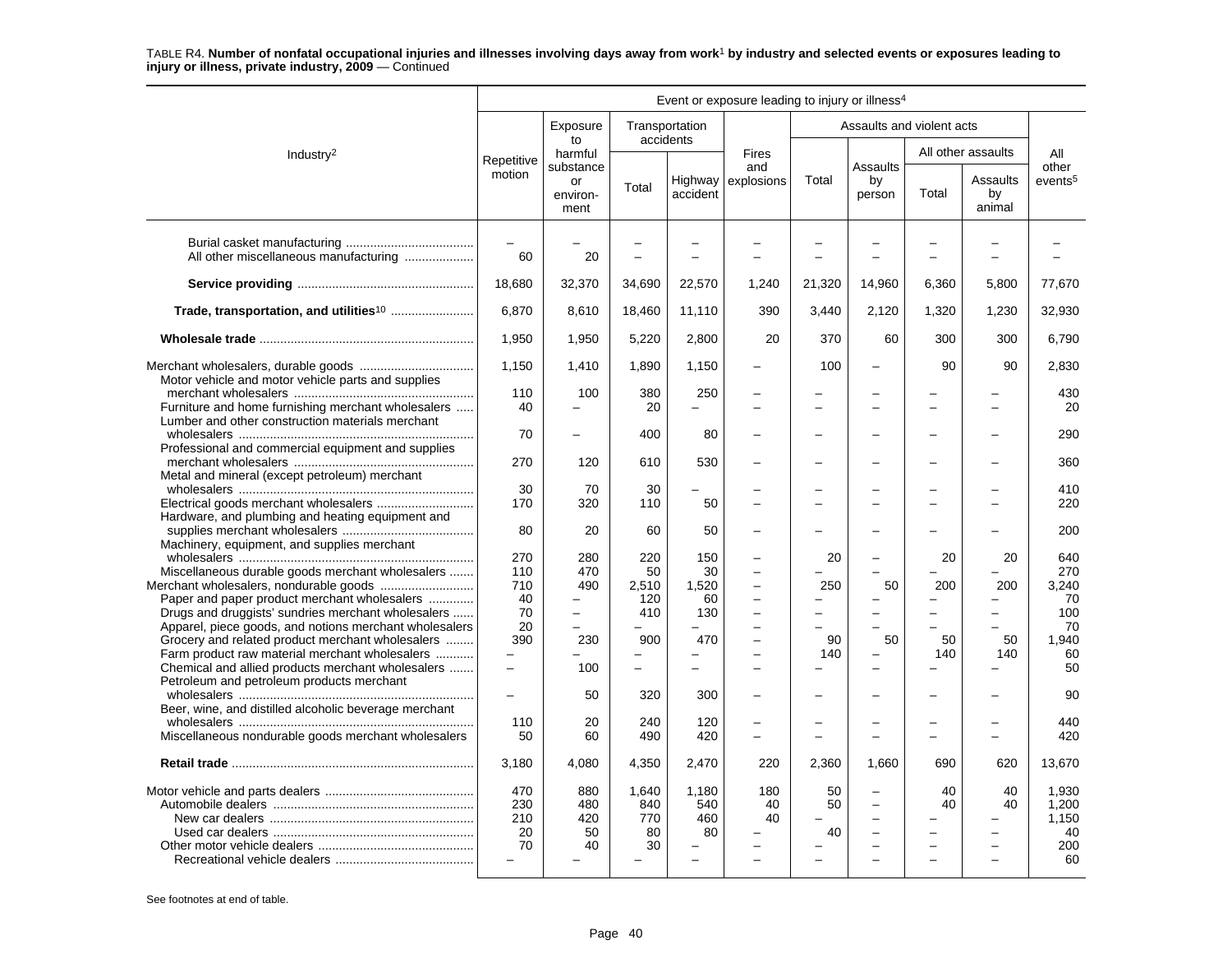|                                                                                                                                                              |                               |                                     |                                 |                           | Event or exposure leading to injury or illness <sup>4</sup> |                                                      |                                                                                                                      |           |                          |                                            |
|--------------------------------------------------------------------------------------------------------------------------------------------------------------|-------------------------------|-------------------------------------|---------------------------------|---------------------------|-------------------------------------------------------------|------------------------------------------------------|----------------------------------------------------------------------------------------------------------------------|-----------|--------------------------|--------------------------------------------|
|                                                                                                                                                              |                               | Exposure                            |                                 | Transportation            |                                                             |                                                      | Assaults and violent acts                                                                                            |           |                          |                                            |
| Industry <sup>2</sup>                                                                                                                                        | Repetitive                    | to<br>harmful                       |                                 | accidents                 | <b>Fires</b>                                                |                                                      |                                                                                                                      |           | All other assaults       | All                                        |
|                                                                                                                                                              | motion                        | substance<br>or<br>environ-<br>ment | Total                           | accident                  | and<br>Highway explosions                                   | Total                                                | Assaults<br>by<br>person                                                                                             | Total     | Assaults<br>by<br>animal | other<br>events <sup>5</sup>               |
| All other miscellaneous manufacturing                                                                                                                        | L.<br>60                      | 20                                  |                                 |                           |                                                             |                                                      |                                                                                                                      |           |                          |                                            |
|                                                                                                                                                              | 18,680                        | 32,370                              | 34,690                          | 22,570                    | 1,240                                                       | 21,320                                               | 14,960                                                                                                               | 6.360     | 5.800                    | 77,670                                     |
|                                                                                                                                                              | 6,870                         | 8,610                               | 18,460                          | 11,110                    | 390                                                         | 3,440                                                | 2,120                                                                                                                | 1,320     | 1,230                    | 32,930                                     |
|                                                                                                                                                              | 1,950                         | 1,950                               | 5,220                           | 2,800                     | 20                                                          | 370                                                  | 60                                                                                                                   | 300       | 300                      | 6,790                                      |
|                                                                                                                                                              | 1,150                         | 1,410                               | 1,890                           | 1,150                     | -                                                           | 100                                                  | $\overline{\phantom{0}}$                                                                                             | 90        | 90                       | 2,830                                      |
| Motor vehicle and motor vehicle parts and supplies<br>Furniture and home furnishing merchant wholesalers<br>Lumber and other construction materials merchant | 110<br>40                     | 100                                 | 380<br>20                       | 250                       |                                                             |                                                      |                                                                                                                      |           |                          | 430<br>20                                  |
| .                                                                                                                                                            | 70                            | -                                   | 400                             | 80                        |                                                             | $\overline{\phantom{0}}$                             |                                                                                                                      |           | $\equiv$                 | 290                                        |
| Professional and commercial equipment and supplies<br>Metal and mineral (except petroleum) merchant                                                          | 270                           | 120                                 | 610                             | 530                       |                                                             | $\overline{\phantom{0}}$                             |                                                                                                                      |           |                          | 360                                        |
|                                                                                                                                                              | 30<br>170                     | 70<br>320                           | 30<br>110                       | 50                        | ÷                                                           | $\equiv$<br>$\overline{\phantom{0}}$                 | $\overline{\phantom{0}}$                                                                                             | L.        | $\equiv$                 | 410<br>220                                 |
| Hardware, and plumbing and heating equipment and<br>Machinery, equipment, and supplies merchant                                                              | 80                            | 20                                  | 60                              | 50                        |                                                             |                                                      |                                                                                                                      |           |                          | 200                                        |
| Miscellaneous durable goods merchant wholesalers                                                                                                             | 270<br>110                    | 280<br>470                          | 220<br>50                       | 150<br>30                 | ÷                                                           | 20                                                   | $\overline{\phantom{0}}$                                                                                             | 20        | 20                       | 640<br>270                                 |
| Paper and paper product merchant wholesalers<br>Drugs and druggists' sundries merchant wholesalers                                                           | 710<br>40<br>70               | 490<br>$\overline{\phantom{0}}$     | 2,510<br>120<br>410             | 1,520<br>60<br>130        | $\overline{\phantom{0}}$<br>$\overline{a}$                  | 250<br>$\overline{\phantom{0}}$                      | 50<br>$\overline{\phantom{0}}$                                                                                       | 200       | 200<br>-                 | 3.240<br>70<br>100                         |
| Apparel, piece goods, and notions merchant wholesalers<br>Grocery and related product merchant wholesalers<br>Farm product raw material merchant wholesalers | 20<br>390                     | 230                                 | 900                             | 470                       | ÷                                                           | 90<br>140                                            | ÷<br>50                                                                                                              | 50<br>140 | 50<br>140                | 70<br>1,940<br>60                          |
| Chemical and allied products merchant wholesalers<br>Petroleum and petroleum products merchant                                                               | $\overline{a}$                | 100                                 |                                 |                           |                                                             |                                                      |                                                                                                                      |           |                          | 50                                         |
| Beer, wine, and distilled alcoholic beverage merchant                                                                                                        | $\overline{\phantom{0}}$      | 50                                  | 320                             | 300                       |                                                             | -                                                    |                                                                                                                      |           |                          | 90                                         |
| Miscellaneous nondurable goods merchant wholesalers                                                                                                          | 110<br>50                     | 20<br>60                            | 240<br>490                      | 120<br>420                | L.                                                          | $\overline{\phantom{0}}$<br>$\overline{\phantom{0}}$ | -<br>$\overline{a}$                                                                                                  |           |                          | 440<br>420                                 |
|                                                                                                                                                              | 3,180                         | 4,080                               | 4,350                           | 2,470                     | 220                                                         | 2,360                                                | 1,660                                                                                                                | 690       | 620                      | 13,670                                     |
|                                                                                                                                                              | 470<br>230<br>210<br>20<br>70 | 880<br>480<br>420<br>50<br>40       | 1.640<br>840<br>770<br>80<br>30 | 1.180<br>540<br>460<br>80 | 180<br>40<br>40                                             | 50<br>50<br>$\overline{\phantom{a}}$<br>40           | $\overline{a}$<br>$\overline{\phantom{0}}$<br>$\overline{\phantom{0}}$<br>$\overline{\phantom{0}}$<br>$\overline{a}$ | 40<br>40  | 40<br>40                 | 1,930<br>1,200<br>1,150<br>40<br>200<br>60 |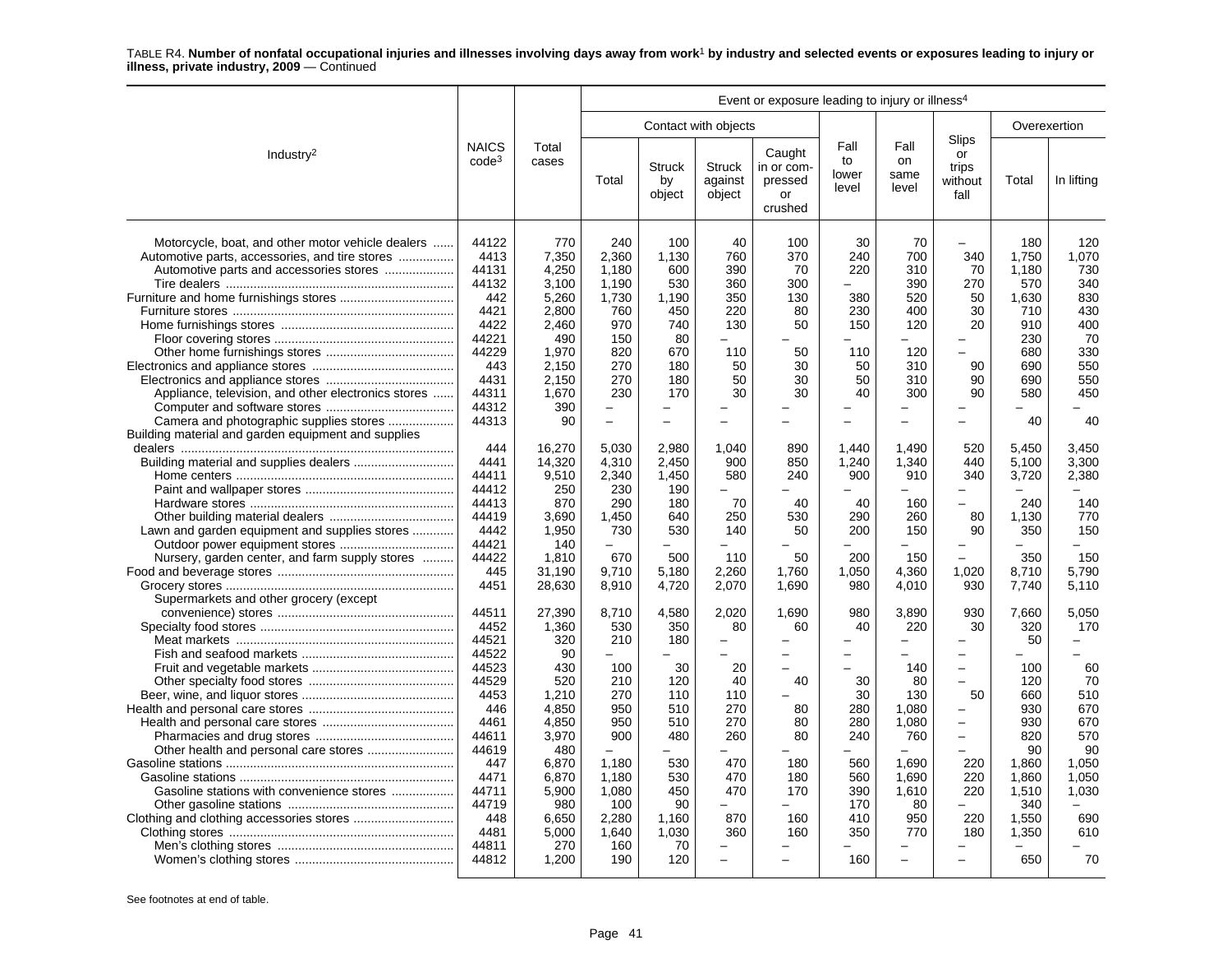|                                                                                                                                                                                                       |                                                                                                                                                              |                                                                                                                                                           |                                                                                                                                 |                                                                                                                        |                                                                                                                                      | Event or exposure leading to injury or illness <sup>4</sup>                                        |                                                                                                         |                                                                                                                                  |                                                                                                                                                                                                                     |                                                                                                                               |                                                                                                           |
|-------------------------------------------------------------------------------------------------------------------------------------------------------------------------------------------------------|--------------------------------------------------------------------------------------------------------------------------------------------------------------|-----------------------------------------------------------------------------------------------------------------------------------------------------------|---------------------------------------------------------------------------------------------------------------------------------|------------------------------------------------------------------------------------------------------------------------|--------------------------------------------------------------------------------------------------------------------------------------|----------------------------------------------------------------------------------------------------|---------------------------------------------------------------------------------------------------------|----------------------------------------------------------------------------------------------------------------------------------|---------------------------------------------------------------------------------------------------------------------------------------------------------------------------------------------------------------------|-------------------------------------------------------------------------------------------------------------------------------|-----------------------------------------------------------------------------------------------------------|
|                                                                                                                                                                                                       |                                                                                                                                                              |                                                                                                                                                           |                                                                                                                                 |                                                                                                                        | Contact with objects                                                                                                                 |                                                                                                    |                                                                                                         |                                                                                                                                  |                                                                                                                                                                                                                     | Overexertion                                                                                                                  |                                                                                                           |
| Industry <sup>2</sup>                                                                                                                                                                                 | <b>NAICS</b><br>$code^3$                                                                                                                                     | Total<br>cases                                                                                                                                            | Total                                                                                                                           | Struck<br>by<br>object                                                                                                 | <b>Struck</b><br>against<br>object                                                                                                   | Caught<br>in or com-<br>pressed<br>or<br>crushed                                                   | Fall<br>to<br>lower<br>level                                                                            | Fall<br>on<br>same<br>level                                                                                                      | Slips<br>or<br>trips<br>without<br>fall                                                                                                                                                                             | Total                                                                                                                         | In lifting                                                                                                |
| Motorcycle, boat, and other motor vehicle dealers<br>Automotive parts, accessories, and tire stores<br>Automotive parts and accessories stores<br>Appliance, television, and other electronics stores | 44122<br>4413<br>44131<br>44132<br>442<br>4421<br>4422<br>44221<br>44229<br>443<br>4431<br>44311<br>44312                                                    | 770<br>7,350<br>4,250<br>3,100<br>5,260<br>2,800<br>2,460<br>490<br>1,970<br>2,150<br>2,150<br>1,670<br>390                                               | 240<br>2,360<br>1.180<br>1.190<br>1,730<br>760<br>970<br>150<br>820<br>270<br>270<br>230<br>$\overline{\phantom{0}}$            | 100<br>1,130<br>600<br>530<br>1,190<br>450<br>740<br>80<br>670<br>180<br>180<br>170<br>$\overline{\phantom{0}}$        | 40<br>760<br>390<br>360<br>350<br>220<br>130<br>110<br>50<br>50<br>30                                                                | 100<br>370<br>70<br>300<br>130<br>80<br>50<br>50<br>30<br>30<br>30                                 | 30<br>240<br>220<br>$\overline{a}$<br>380<br>230<br>150<br>110<br>50<br>50<br>40                        | 70<br>700<br>310<br>390<br>520<br>400<br>120<br>120<br>310<br>310<br>300                                                         | 340<br>70<br>270<br>50<br>30<br>20<br>$\overline{\phantom{0}}$<br>$\overline{\phantom{a}}$<br>90<br>90<br>90                                                                                                        | 180<br>1,750<br>1,180<br>570<br>1.630<br>710<br>910<br>230<br>680<br>690<br>690<br>580                                        | 120<br>1,070<br>730<br>340<br>830<br>430<br>400<br>70<br>330<br>550<br>550<br>450                         |
| Camera and photographic supplies stores                                                                                                                                                               | 44313                                                                                                                                                        | 90                                                                                                                                                        | ÷                                                                                                                               | $\sim$                                                                                                                 | L.                                                                                                                                   |                                                                                                    | $\equiv$                                                                                                | ÷                                                                                                                                | $\overline{\phantom{0}}$                                                                                                                                                                                            | 40                                                                                                                            | 40                                                                                                        |
| Building material and garden equipment and supplies<br>Lawn and garden equipment and supplies stores<br>Nursery, garden center, and farm supply stores<br>Supermarkets and other grocery (except      | 444<br>4441<br>44411<br>44412<br>44413<br>44419<br>4442<br>44421<br>44422<br>445<br>4451                                                                     | 16,270<br>14.320<br>9,510<br>250<br>870<br>3.690<br>1,950<br>140<br>1,810<br>31,190<br>28,630                                                             | 5.030<br>4.310<br>2,340<br>230<br>290<br>1.450<br>730<br>670<br>9,710<br>8,910                                                  | 2.980<br>2.450<br>1,450<br>190<br>180<br>640<br>530<br>500<br>5,180<br>4,720                                           | 1.040<br>900<br>580<br>L.<br>70<br>250<br>140<br>110<br>2,260<br>2,070                                                               | 890<br>850<br>240<br>40<br>530<br>50<br>50<br>1,760<br>1,690                                       | 1.440<br>1,240<br>900<br>÷<br>40<br>290<br>200<br>200<br>1,050<br>980                                   | 1.490<br>1.340<br>910<br>160<br>260<br>150<br>150<br>4,360<br>4,010                                                              | 520<br>440<br>340<br>$\equiv$<br>$\frac{1}{2}$<br>80<br>90<br>$\overline{\phantom{0}}$<br>1,020<br>930                                                                                                              | 5.450<br>5.100<br>3,720<br>240<br>1.130<br>350<br>$\overline{a}$<br>350<br>8,710<br>7,740                                     | 3.450<br>3.300<br>2,380<br>140<br>770<br>150<br>150<br>5.790<br>5,110                                     |
| Gasoline stations with convenience stores                                                                                                                                                             | 44511<br>4452<br>44521<br>44522<br>44523<br>44529<br>4453<br>446<br>4461<br>44611<br>44619<br>447<br>4471<br>44711<br>44719<br>448<br>4481<br>44811<br>44812 | 27,390<br>1,360<br>320<br>90<br>430<br>520<br>1.210<br>4,850<br>4,850<br>3,970<br>480<br>6.870<br>6,870<br>5,900<br>980<br>6,650<br>5,000<br>270<br>1,200 | 8,710<br>530<br>210<br>100<br>210<br>270<br>950<br>950<br>900<br>1.180<br>1,180<br>1,080<br>100<br>2,280<br>1,640<br>160<br>190 | 4,580<br>350<br>180<br>30<br>120<br>110<br>510<br>510<br>480<br>530<br>530<br>450<br>90<br>1,160<br>1,030<br>70<br>120 | 2,020<br>80<br>$\overline{\phantom{0}}$<br>20<br>40<br>110<br>270<br>270<br>260<br>470<br>470<br>470<br>870<br>360<br>$\overline{a}$ | 1,690<br>60<br>$\overline{\phantom{a}}$<br>40<br>80<br>80<br>80<br>180<br>180<br>170<br>160<br>160 | 980<br>40<br>$\equiv$<br>30<br>30<br>280<br>280<br>240<br>560<br>560<br>390<br>170<br>410<br>350<br>160 | 3,890<br>220<br>$\equiv$<br>140<br>80<br>130<br>1.080<br>1,080<br>760<br>1.690<br>1,690<br>1,610<br>80<br>950<br>770<br>$\equiv$ | 930<br>30<br>$\overline{\phantom{0}}$<br>$\overline{\phantom{m}}$<br>$\overline{\phantom{0}}$<br>50<br>$\qquad \qquad -$<br>$\overline{\phantom{m}}$<br>220<br>220<br>220<br>220<br>180<br>$\overline{\phantom{0}}$ | 7,660<br>320<br>50<br>100<br>120<br>660<br>930<br>930<br>820<br>90<br>1.860<br>1,860<br>1,510<br>340<br>1,550<br>1,350<br>650 | 5.050<br>170<br>60<br>70<br>510<br>670<br>670<br>570<br>90<br>1.050<br>1,050<br>1,030<br>690<br>610<br>70 |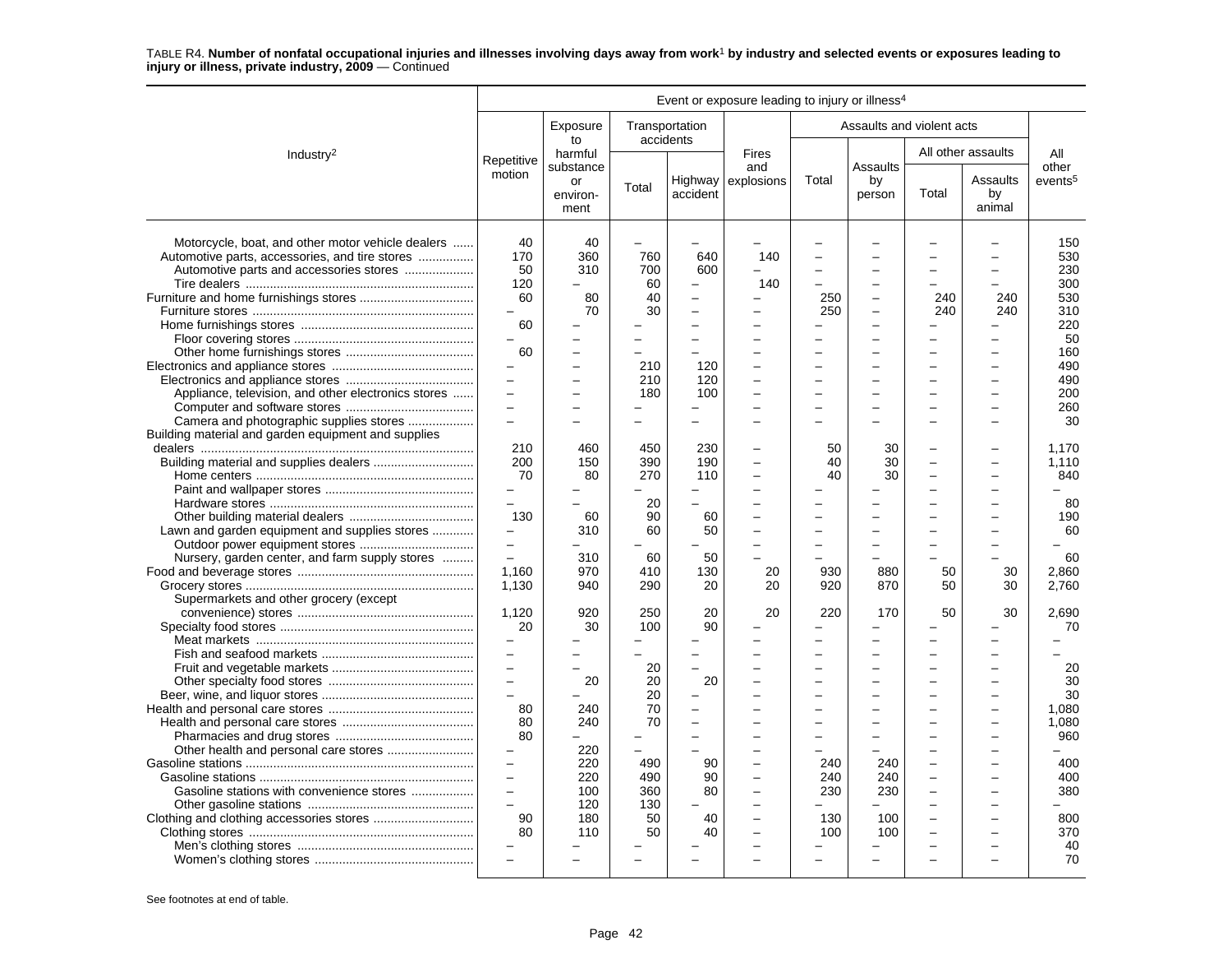|                                                                                                                                                                                                  |                                                                                                                                                                                                                                                                            |                                                                                |                                                                                  |                                                                                                                     | Event or exposure leading to injury or illness <sup>4</sup> |                                                                |                                                                                 |                                               |                                                                                        |                                                                                                       |
|--------------------------------------------------------------------------------------------------------------------------------------------------------------------------------------------------|----------------------------------------------------------------------------------------------------------------------------------------------------------------------------------------------------------------------------------------------------------------------------|--------------------------------------------------------------------------------|----------------------------------------------------------------------------------|---------------------------------------------------------------------------------------------------------------------|-------------------------------------------------------------|----------------------------------------------------------------|---------------------------------------------------------------------------------|-----------------------------------------------|----------------------------------------------------------------------------------------|-------------------------------------------------------------------------------------------------------|
|                                                                                                                                                                                                  |                                                                                                                                                                                                                                                                            | Exposure<br>to                                                                 | Transportation<br>accidents                                                      |                                                                                                                     |                                                             |                                                                | Assaults and violent acts                                                       |                                               |                                                                                        |                                                                                                       |
| Industry <sup>2</sup>                                                                                                                                                                            | Repetitive                                                                                                                                                                                                                                                                 | harmful                                                                        |                                                                                  |                                                                                                                     | <b>Fires</b>                                                |                                                                |                                                                                 |                                               | All other assaults                                                                     | All                                                                                                   |
|                                                                                                                                                                                                  | motion                                                                                                                                                                                                                                                                     | substance<br>or<br>environ-<br>ment                                            | Total                                                                            | accident                                                                                                            | and<br>Highway explosions                                   | Total                                                          | Assaults<br>by<br>person                                                        | Total                                         | Assaults<br>by<br>animal                                                               | other<br>events <sup>5</sup>                                                                          |
| Motorcycle, boat, and other motor vehicle dealers<br>Automotive parts, accessories, and tire stores<br>Appliance, television, and other electronics stores                                       | 40<br>170<br>50<br>120<br>60<br>$\qquad \qquad -$<br>60<br>60<br>$\overline{\phantom{0}}$<br>$\overline{a}$<br>$\overline{\phantom{0}}$                                                                                                                                    | 40<br>360<br>310<br>80<br>70                                                   | ÷<br>760<br>700<br>60<br>40<br>30<br>210<br>210<br>180                           | 640<br>600<br>$\overline{\phantom{0}}$<br>$\overline{\phantom{0}}$<br>$\overline{\phantom{0}}$<br>120<br>120<br>100 | 140<br>140<br>L.                                            | 250<br>250<br>$\equiv$<br>$\equiv$                             | $\equiv$<br>$\overline{\phantom{0}}$<br>-<br>-<br>$\equiv$                      | 240<br>240                                    | 240<br>240<br>$\equiv$<br>$\equiv$                                                     | 150<br>530<br>230<br>300<br>530<br>310<br>220<br>50<br>160<br>490<br>490<br>200<br>260                |
| Building material and garden equipment and supplies<br>Lawn and garden equipment and supplies stores<br>Nursery, garden center, and farm supply stores<br>Supermarkets and other grocery (except | $\overline{\phantom{0}}$<br>210<br>200<br>70<br>$\overline{\phantom{0}}$<br>$\overline{a}$<br>130<br>-<br>$\qquad \qquad -$<br>$\overline{\phantom{0}}$<br>1,160<br>1,130                                                                                                  | 460<br>150<br>80<br>60<br>310<br>310<br>970<br>940                             | 450<br>390<br>270<br>20<br>90<br>60<br>60<br>410<br>290                          | 230<br>190<br>110<br>60<br>50<br>50<br>130<br>20                                                                    | L,<br>20<br>20                                              | 50<br>40<br>40<br>$\overline{\phantom{0}}$<br>930<br>920       | 30<br>30<br>30<br>$=$<br>$\equiv$<br>$\overline{a}$<br>880<br>870               | $\overline{\phantom{0}}$<br>50<br>50          | $\overline{\phantom{a}}$<br>30<br>30                                                   | 30<br>1,170<br>1.110<br>840<br>80<br>190<br>60<br>60<br>2,860<br>2,760                                |
| Gasoline stations with convenience stores                                                                                                                                                        | 1,120<br>20<br>$\overline{\phantom{0}}$<br>$\overline{a}$<br>$\qquad \qquad -$<br>$\overline{\phantom{0}}$<br>$\overline{\phantom{0}}$<br>80<br>80<br>80<br>$\overline{\phantom{0}}$<br>$\overline{\phantom{0}}$<br>$\overline{\phantom{0}}$<br>90<br>80<br>$\overline{a}$ | 920<br>30<br>20<br>240<br>240<br>220<br>220<br>220<br>100<br>120<br>180<br>110 | 250<br>100<br>20<br>20<br>20<br>70<br>70<br>490<br>490<br>360<br>130<br>50<br>50 | 20<br>90<br>20<br>$\overline{\phantom{0}}$<br>$\equiv$<br>90<br>90<br>80<br>40<br>40                                | 20<br>$\overline{\phantom{0}}$<br>L.                        | 220<br>$\equiv$<br>$\equiv$<br>240<br>240<br>230<br>130<br>100 | 170<br>-<br>$\equiv$<br>$\equiv$<br>$\equiv$<br>240<br>240<br>230<br>100<br>100 | 50<br>-<br>$\overline{\phantom{0}}$<br>$\sim$ | 30<br>$\overline{\phantom{0}}$<br>$\overline{\phantom{0}}$<br>$\overline{\phantom{0}}$ | 2.690<br>70<br>20<br>30<br>30<br>1,080<br>1,080<br>960<br>400<br>400<br>380<br>800<br>370<br>40<br>70 |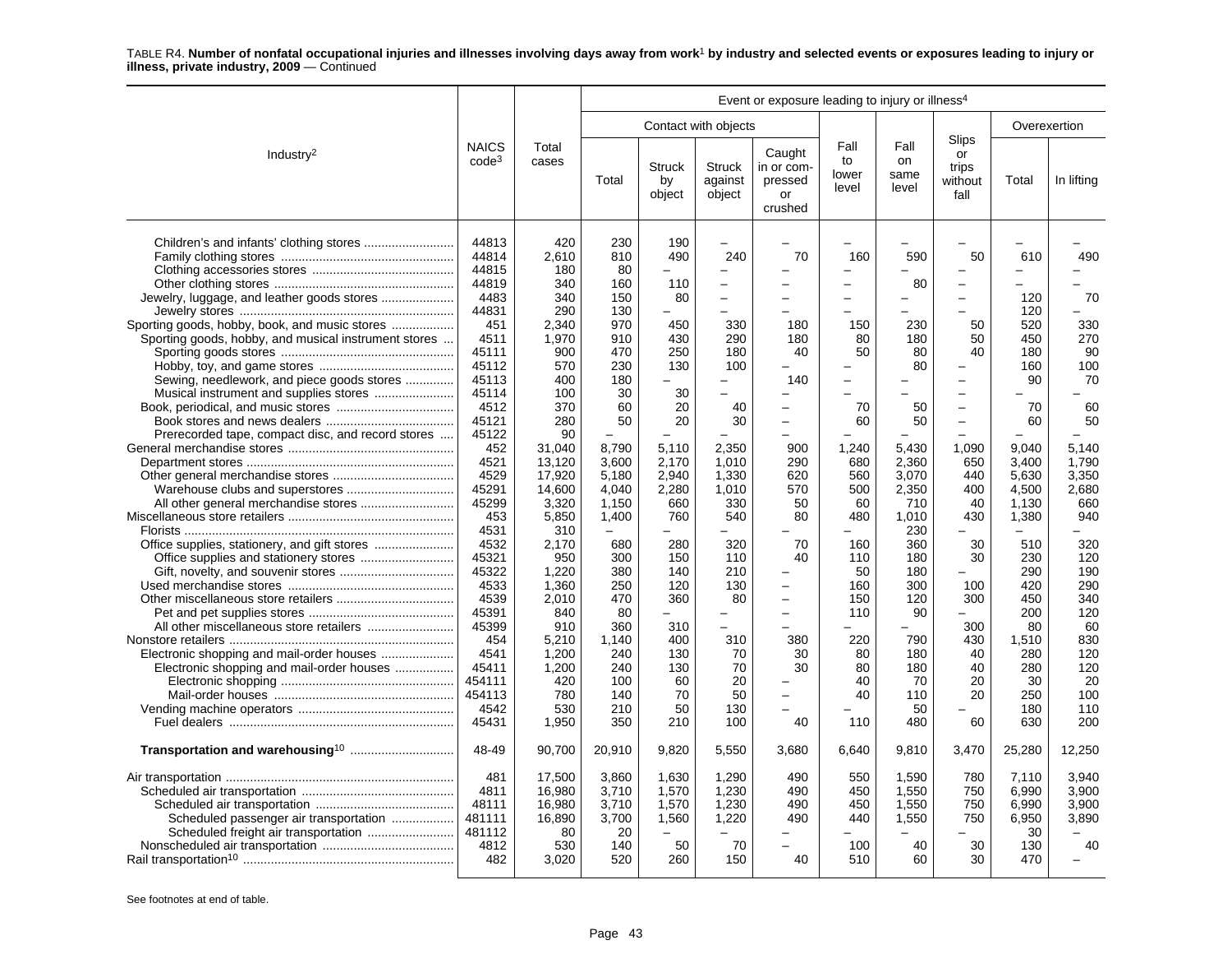|                                                                                                                                                                                                                                                                                                    |                                                                                                                                                                                                                                                                                                                 |                                                                                                                                                                                                                                                                                               |                                                                                                                                                                                                                                                                 |                                                                                                                                                                                                                             |                                                                                                                                                                                                                                                                                                                                                                  | Event or exposure leading to injury or illness <sup>4</sup>                                                                                                               |                                                                                                                                                                                                                                                                                      |                                                                                                                                                                                                         |                                                                                                                                                                                                                                                                                                                                       |                                                                                                                                                                                                                                                                       |                                                                                                                                                                                                          |
|----------------------------------------------------------------------------------------------------------------------------------------------------------------------------------------------------------------------------------------------------------------------------------------------------|-----------------------------------------------------------------------------------------------------------------------------------------------------------------------------------------------------------------------------------------------------------------------------------------------------------------|-----------------------------------------------------------------------------------------------------------------------------------------------------------------------------------------------------------------------------------------------------------------------------------------------|-----------------------------------------------------------------------------------------------------------------------------------------------------------------------------------------------------------------------------------------------------------------|-----------------------------------------------------------------------------------------------------------------------------------------------------------------------------------------------------------------------------|------------------------------------------------------------------------------------------------------------------------------------------------------------------------------------------------------------------------------------------------------------------------------------------------------------------------------------------------------------------|---------------------------------------------------------------------------------------------------------------------------------------------------------------------------|--------------------------------------------------------------------------------------------------------------------------------------------------------------------------------------------------------------------------------------------------------------------------------------|---------------------------------------------------------------------------------------------------------------------------------------------------------------------------------------------------------|---------------------------------------------------------------------------------------------------------------------------------------------------------------------------------------------------------------------------------------------------------------------------------------------------------------------------------------|-----------------------------------------------------------------------------------------------------------------------------------------------------------------------------------------------------------------------------------------------------------------------|----------------------------------------------------------------------------------------------------------------------------------------------------------------------------------------------------------|
|                                                                                                                                                                                                                                                                                                    |                                                                                                                                                                                                                                                                                                                 |                                                                                                                                                                                                                                                                                               |                                                                                                                                                                                                                                                                 |                                                                                                                                                                                                                             | Contact with objects                                                                                                                                                                                                                                                                                                                                             |                                                                                                                                                                           |                                                                                                                                                                                                                                                                                      |                                                                                                                                                                                                         |                                                                                                                                                                                                                                                                                                                                       |                                                                                                                                                                                                                                                                       | Overexertion                                                                                                                                                                                             |
| Industry <sup>2</sup>                                                                                                                                                                                                                                                                              | <b>NAICS</b><br>$code^3$                                                                                                                                                                                                                                                                                        | Total<br>cases                                                                                                                                                                                                                                                                                | Total                                                                                                                                                                                                                                                           | <b>Struck</b><br>by<br>object                                                                                                                                                                                               | <b>Struck</b><br>against<br>object                                                                                                                                                                                                                                                                                                                               | Caught<br>in or com-<br>pressed<br>or<br>crushed                                                                                                                          | Fall<br>to<br>lower<br>level                                                                                                                                                                                                                                                         | Fall<br>on<br>same<br>level                                                                                                                                                                             | Slips<br>or<br>trips<br>without<br>fall                                                                                                                                                                                                                                                                                               | Total                                                                                                                                                                                                                                                                 | In lifting                                                                                                                                                                                               |
| Sporting goods, hobby, book, and music stores<br>Sporting goods, hobby, and musical instrument stores<br>Sewing, needlework, and piece goods stores<br>Prerecorded tape, compact disc, and record stores<br>Electronic shopping and mail-order houses<br>Electronic shopping and mail-order houses | 44813<br>44814<br>44815<br>44819<br>4483<br>44831<br>451<br>4511<br>45111<br>45112<br>45113<br>45114<br>4512<br>45121<br>45122<br>452<br>4521<br>4529<br>45291<br>45299<br>453<br>4531<br>4532<br>45321<br>45322<br>4533<br>4539<br>45391<br>45399<br>454<br>4541<br>45411<br>454111<br>454113<br>4542<br>45431 | 420<br>2,610<br>180<br>340<br>340<br>290<br>2,340<br>1.970<br>900<br>570<br>400<br>100<br>370<br>280<br>90<br>31,040<br>13,120<br>17,920<br>14,600<br>3,320<br>5,850<br>310<br>2,170<br>950<br>1,220<br>1,360<br>2,010<br>840<br>910<br>5,210<br>1,200<br>1,200<br>420<br>780<br>530<br>1,950 | 230<br>810<br>80<br>160<br>150<br>130<br>970<br>910<br>470<br>230<br>180<br>30<br>60<br>50<br>8,790<br>3,600<br>5,180<br>4.040<br>1,150<br>1,400<br>$\equiv$<br>680<br>300<br>380<br>250<br>470<br>80<br>360<br>1,140<br>240<br>240<br>100<br>140<br>210<br>350 | 190<br>490<br>$\equiv$<br>110<br>80<br>450<br>430<br>250<br>130<br>30<br>20<br>20<br>5,110<br>2,170<br>2,940<br>2,280<br>660<br>760<br>280<br>150<br>140<br>120<br>360<br>310<br>400<br>130<br>130<br>60<br>70<br>50<br>210 | $\overline{\phantom{0}}$<br>240<br>$\overline{\phantom{0}}$<br>$\overline{\phantom{0}}$<br>330<br>290<br>180<br>100<br>$\overline{\phantom{0}}$<br>$\overline{\phantom{a}}$<br>40<br>30<br>2,350<br>1,010<br>1,330<br>1.010<br>330<br>540<br>320<br>110<br>210<br>130<br>80<br>$\overline{\phantom{0}}$<br>$\equiv$<br>310<br>70<br>70<br>20<br>50<br>130<br>100 | 70<br>180<br>180<br>40<br>140<br>$\equiv$<br>900<br>290<br>620<br>570<br>50<br>80<br>70<br>40<br>-<br>380<br>30<br>30<br>$\overline{a}$<br>$\overline{\phantom{0}}$<br>40 | 160<br>$\overline{\phantom{0}}$<br>$\overline{\phantom{0}}$<br>150<br>80<br>50<br>$\overline{\phantom{0}}$<br>$\overline{a}$<br>70<br>60<br>1,240<br>680<br>560<br>500<br>60<br>480<br>$\overline{a}$<br>160<br>110<br>50<br>160<br>150<br>110<br>220<br>80<br>80<br>40<br>40<br>110 | 590<br>80<br>-<br>230<br>180<br>80<br>80<br>50<br>50<br>5.430<br>2,360<br>3,070<br>2.350<br>710<br>1,010<br>230<br>360<br>180<br>180<br>300<br>120<br>90<br>790<br>180<br>180<br>70<br>110<br>50<br>480 | $\overline{\phantom{0}}$<br>50<br>$\overline{\phantom{0}}$<br>$\overline{\phantom{0}}$<br>50<br>50<br>40<br>$\overline{\phantom{0}}$<br>$\overline{\phantom{0}}$<br>$\equiv$<br>$\overline{\phantom{m}}$<br>$\equiv$<br>1,090<br>650<br>440<br>400<br>40<br>430<br>30<br>30<br>100<br>300<br>300<br>430<br>40<br>40<br>20<br>20<br>60 | 610<br>$\overline{\phantom{0}}$<br>120<br>120<br>520<br>450<br>180<br>160<br>90<br>70<br>60<br>9.040<br>3,400<br>5,630<br>4.500<br>1.130<br>1,380<br>$\overline{a}$<br>510<br>230<br>290<br>420<br>450<br>200<br>80<br>1.510<br>280<br>280<br>30<br>250<br>180<br>630 | 490<br>70<br>330<br>270<br>90<br>100<br>70<br>60<br>50<br>5.140<br>1,790<br>3,350<br>2.680<br>660<br>940<br>320<br>120<br>190<br>290<br>340<br>120<br>60<br>830<br>120<br>120<br>20<br>100<br>110<br>200 |
|                                                                                                                                                                                                                                                                                                    | 48-49                                                                                                                                                                                                                                                                                                           | 90,700                                                                                                                                                                                                                                                                                        | 20,910                                                                                                                                                                                                                                                          | 9,820                                                                                                                                                                                                                       | 5,550                                                                                                                                                                                                                                                                                                                                                            | 3.680                                                                                                                                                                     | 6,640                                                                                                                                                                                                                                                                                | 9,810                                                                                                                                                                                                   | 3,470                                                                                                                                                                                                                                                                                                                                 | 25,280                                                                                                                                                                                                                                                                | 12,250                                                                                                                                                                                                   |
| Scheduled passenger air transportation                                                                                                                                                                                                                                                             | 481<br>4811<br>48111<br>481111<br>481112<br>4812<br>482                                                                                                                                                                                                                                                         | 17,500<br>16.980<br>16,980<br>16,890<br>80<br>530<br>3,020                                                                                                                                                                                                                                    | 3,860<br>3.710<br>3,710<br>3,700<br>20<br>140<br>520                                                                                                                                                                                                            | 1,630<br>1,570<br>1,570<br>1,560<br>50<br>260                                                                                                                                                                               | 1,290<br>1.230<br>1,230<br>1,220<br>70<br>150                                                                                                                                                                                                                                                                                                                    | 490<br>490<br>490<br>490<br>40                                                                                                                                            | 550<br>450<br>450<br>440<br>▃<br>100<br>510                                                                                                                                                                                                                                          | 1,590<br>1.550<br>1.550<br>1,550<br>40<br>60                                                                                                                                                            | 780<br>750<br>750<br>750<br>30<br>30                                                                                                                                                                                                                                                                                                  | 7,110<br>6.990<br>6,990<br>6,950<br>30<br>130<br>470                                                                                                                                                                                                                  | 3,940<br>3.900<br>3.900<br>3,890<br>40                                                                                                                                                                   |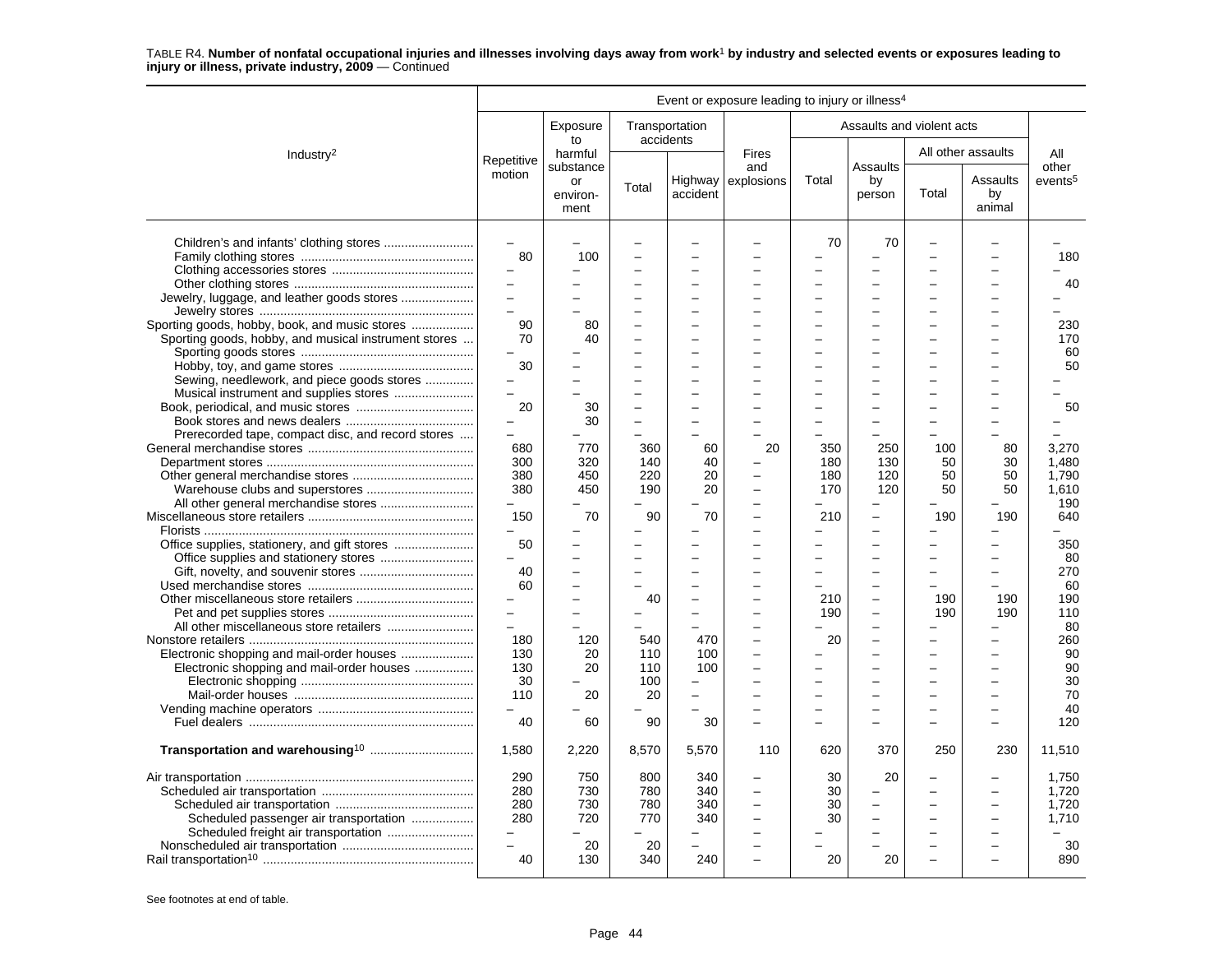|                                                      |                          |                        |                             |          | Event or exposure leading to injury or illness <sup>4</sup> |                          |                           |                          |                          |                     |
|------------------------------------------------------|--------------------------|------------------------|-----------------------------|----------|-------------------------------------------------------------|--------------------------|---------------------------|--------------------------|--------------------------|---------------------|
|                                                      |                          | Exposure<br>to         | Transportation<br>accidents |          |                                                             |                          | Assaults and violent acts |                          |                          |                     |
| Industry <sup>2</sup>                                | Repetitive               | harmful<br>substance   |                             |          | <b>Fires</b><br>and                                         |                          | Assaults                  |                          | All other assaults       | All<br>other        |
|                                                      | motion                   | or<br>environ-<br>ment | Total                       | accident | Highway $\vert$ explosions                                  | Total                    | by<br>person              | Total                    | Assaults<br>by<br>animal | events <sup>5</sup> |
|                                                      | $\equiv$                 |                        |                             |          |                                                             | 70                       | 70                        | $\overline{\phantom{0}}$ |                          |                     |
|                                                      | 80                       | 100                    |                             |          |                                                             |                          |                           |                          |                          | 180                 |
|                                                      |                          |                        |                             |          |                                                             |                          |                           |                          |                          |                     |
|                                                      |                          |                        |                             |          |                                                             |                          |                           |                          |                          | 40                  |
|                                                      |                          |                        |                             |          |                                                             |                          |                           |                          |                          |                     |
|                                                      | $\equiv$                 |                        |                             | $\sim$   |                                                             | $\equiv$                 | -                         |                          | $\overline{\phantom{0}}$ |                     |
| Sporting goods, hobby, book, and music stores        | 90                       | 80                     |                             | $\sim$   |                                                             | $\equiv$                 | -                         |                          | $\overline{\phantom{0}}$ | 230                 |
| Sporting goods, hobby, and musical instrument stores | 70                       | 40                     |                             |          |                                                             |                          |                           |                          |                          | 170                 |
|                                                      |                          |                        |                             |          |                                                             | $\overline{\phantom{0}}$ | -                         |                          |                          | 60                  |
|                                                      | 30                       |                        |                             |          |                                                             |                          |                           |                          |                          | 50                  |
| Sewing, needlework, and piece goods stores           |                          |                        |                             | $\equiv$ |                                                             | $\equiv$                 | $\overline{\phantom{0}}$  |                          |                          |                     |
| Musical instrument and supplies stores               | $\equiv$                 |                        |                             | $\sim$   |                                                             | $\equiv$                 | -                         |                          |                          |                     |
|                                                      | 20                       | 30                     |                             |          |                                                             |                          |                           |                          |                          | 50                  |
|                                                      |                          | 30                     |                             |          |                                                             |                          |                           |                          |                          |                     |
| Prerecorded tape, compact disc, and record stores    |                          |                        |                             |          |                                                             |                          |                           |                          |                          |                     |
|                                                      | 680                      | 770                    | 360                         | 60       | 20                                                          | 350                      | 250                       | 100                      | 80                       | 3,270               |
|                                                      | 300                      | 320                    | 140                         | 40       |                                                             | 180                      | 130                       | 50                       | 30                       | 1.480               |
|                                                      | 380                      | 450                    | 220                         | 20       | -                                                           | 180                      | 120                       | 50                       | 50                       | 1.790               |
|                                                      | 380                      | 450                    | 190                         | 20       | L,                                                          | 170                      | 120                       | 50                       | 50                       | 1.610               |
|                                                      | $\equiv$                 |                        |                             |          |                                                             |                          | $\overline{\phantom{0}}$  |                          |                          | 190                 |
|                                                      | 150                      | 70                     | 90                          | 70       |                                                             | 210                      | $\equiv$                  | 190                      | 190                      | 640                 |
|                                                      | $\equiv$                 |                        |                             |          |                                                             | -                        | L.                        |                          |                          |                     |
|                                                      | 50                       |                        |                             |          |                                                             |                          |                           |                          |                          | 350                 |
|                                                      | $\overline{\phantom{0}}$ |                        |                             |          |                                                             | -                        | -                         |                          |                          | 80                  |
|                                                      | 40                       |                        |                             |          |                                                             |                          | -                         |                          |                          | 270                 |
|                                                      | 60                       |                        |                             |          |                                                             |                          |                           |                          |                          | 60                  |
|                                                      | $\overline{\phantom{0}}$ |                        | 40                          |          |                                                             | 210                      | $\overline{\phantom{0}}$  | 190                      | 190                      | 190                 |
|                                                      |                          |                        |                             |          |                                                             | 190                      | -                         | 190                      | 190                      | 110                 |
|                                                      | $\overline{a}$           |                        |                             |          |                                                             |                          | $\overline{\phantom{0}}$  |                          |                          | 80                  |
|                                                      | 180                      | 120                    | 540                         | 470      |                                                             | 20                       |                           |                          |                          | 260                 |
|                                                      | 130                      | 20                     | 110                         | 100      | L.                                                          |                          | -                         |                          |                          | 90                  |
| Electronic shopping and mail-order houses            | 130                      | 20                     | 110                         | 100      |                                                             |                          |                           |                          |                          | 90                  |
|                                                      | 30                       |                        | 100                         |          |                                                             |                          |                           |                          |                          | 30                  |
|                                                      | 110                      | 20                     | 20                          | $\sim$   |                                                             | $\overline{\phantom{0}}$ | L.                        |                          |                          | 70                  |
|                                                      |                          |                        |                             |          |                                                             | -                        | -                         |                          | $\overline{\phantom{0}}$ | 40                  |
|                                                      | 40                       | 60                     | 90                          | 30       |                                                             |                          |                           |                          |                          | 120                 |
| Transportation and warehousing <sup>10</sup>         | 1,580                    | 2,220                  | 8,570                       | 5,570    | 110                                                         | 620                      | 370                       | 250                      | 230                      | 11,510              |
|                                                      | 290                      | 750                    | 800                         | 340      |                                                             | 30                       | 20                        |                          |                          | 1.750               |
|                                                      | 280                      | 730                    | 780                         | 340      |                                                             | 30                       |                           |                          |                          | 1.720               |
|                                                      | 280                      | 730                    | 780                         | 340      | $\overline{\phantom{0}}$                                    | 30                       | -                         |                          | $\overline{\phantom{0}}$ | 1,720               |
|                                                      | 280                      | 720                    | 770                         | 340      |                                                             | 30                       |                           |                          |                          | 1,710               |
| Scheduled passenger air transportation               |                          |                        |                             |          |                                                             |                          |                           |                          |                          |                     |
|                                                      | $\overline{\phantom{0}}$ | 20                     | 20                          |          |                                                             |                          |                           |                          |                          | 30                  |
|                                                      | 40                       | 130                    | 340                         | 240      | L.                                                          | 20                       | 20                        |                          | ÷                        | 890                 |
|                                                      |                          |                        |                             |          |                                                             |                          |                           |                          |                          |                     |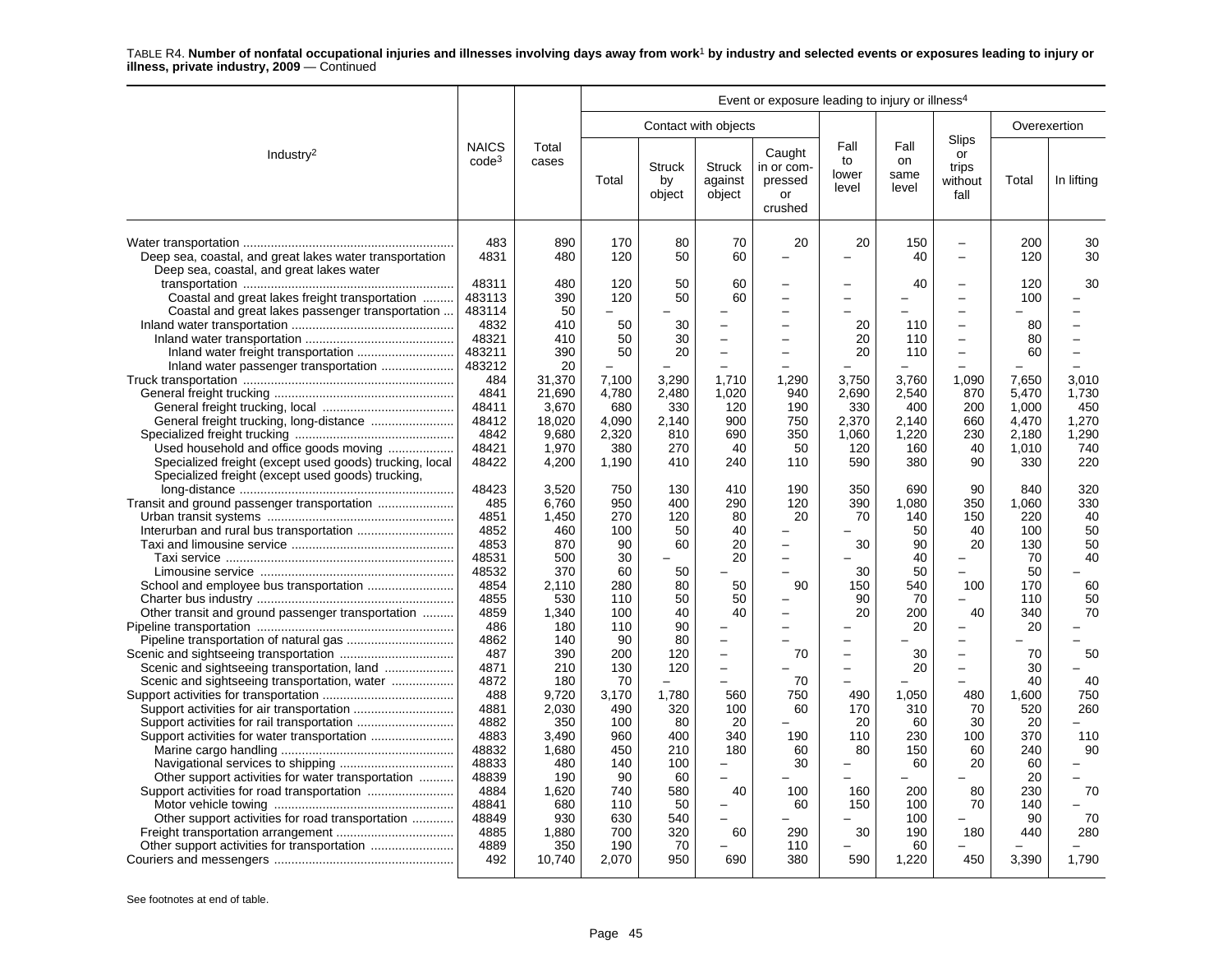|                                                                                                                                                        |                                   |                                    |                                |                                               |                                                                     | Event or exposure leading to injury or illness <sup>4</sup> |                                        |                                                 |                                                                                  |                                  |                                |
|--------------------------------------------------------------------------------------------------------------------------------------------------------|-----------------------------------|------------------------------------|--------------------------------|-----------------------------------------------|---------------------------------------------------------------------|-------------------------------------------------------------|----------------------------------------|-------------------------------------------------|----------------------------------------------------------------------------------|----------------------------------|--------------------------------|
|                                                                                                                                                        |                                   |                                    |                                |                                               | Contact with objects                                                |                                                             |                                        |                                                 |                                                                                  |                                  | Overexertion                   |
| Industry <sup>2</sup>                                                                                                                                  | <b>NAICS</b><br>code <sup>3</sup> | Total<br>cases                     | Total                          | <b>Struck</b><br>by<br>object                 | <b>Struck</b><br>against<br>object                                  | Caught<br>in or com-<br>pressed<br>or<br>crushed            | Fall<br>to<br>lower<br>level           | Fall<br>on<br>same<br>level                     | Slips<br>or<br>trips<br>without<br>fall                                          | Total                            | In lifting                     |
| Deep sea, coastal, and great lakes water transportation<br>Deep sea, coastal, and great lakes water                                                    | 483<br>4831                       | 890<br>480                         | 170<br>120                     | 80<br>50                                      | 70<br>60                                                            | 20                                                          | 20                                     | 150<br>40                                       | $\overline{\phantom{0}}$<br>$\overline{\phantom{0}}$                             | 200<br>120                       | 30<br>30                       |
| Coastal and great lakes freight transportation<br>Coastal and great lakes passenger transportation                                                     | 48311<br>483113<br>483114<br>4832 | 480<br>390<br>50<br>410            | 120<br>120<br>50               | 50<br>50<br>30                                | 60<br>60<br>L.                                                      |                                                             | -<br>20                                | 40<br>110                                       | $\overline{\phantom{0}}$<br>$\overline{\phantom{0}}$<br>$\overline{\phantom{m}}$ | 120<br>100<br>80                 | 30                             |
|                                                                                                                                                        | 48321<br>483211<br>483212<br>484  | 410<br>390<br>20<br>31,370         | 50<br>50<br>7,100              | 30<br>20<br>$\overline{\phantom{0}}$<br>3,290 | $\overline{\phantom{0}}$<br>$\overline{\phantom{0}}$<br>L.<br>1,710 | $\sim$<br>$\overline{\phantom{0}}$<br>1,290                 | 20<br>20<br>3,750                      | 110<br>110<br>$\overline{\phantom{0}}$<br>3,760 | $\overline{\phantom{0}}$<br>$\overline{\phantom{0}}$<br>1,090                    | 80<br>60<br>7,650                | L<br>3,010                     |
|                                                                                                                                                        | 4841<br>48411<br>48412<br>4842    | 21,690<br>3,670<br>18,020<br>9.680 | 4,780<br>680<br>4,090<br>2.320 | 2,480<br>330<br>2,140<br>810                  | 1,020<br>120<br>900<br>690                                          | 940<br>190<br>750<br>350                                    | 2.690<br>330<br>2,370<br>1.060         | 2,540<br>400<br>2,140<br>1.220                  | 870<br>200<br>660<br>230                                                         | 5,470<br>1,000<br>4,470<br>2.180 | 1,730<br>450<br>1,270<br>1.290 |
| Used household and office goods moving<br>Specialized freight (except used goods) trucking, local<br>Specialized freight (except used goods) trucking, | 48421<br>48422<br>48423           | 1,970<br>4,200<br>3.520            | 380<br>1,190<br>750            | 270<br>410<br>130                             | 40<br>240<br>410                                                    | 50<br>110<br>190                                            | 120<br>590<br>350                      | 160<br>380<br>690                               | 40<br>90<br>90                                                                   | 1,010<br>330<br>840              | 740<br>220<br>320              |
|                                                                                                                                                        | 485<br>4851<br>4852               | 6,760<br>1,450<br>460              | 950<br>270<br>100              | 400<br>120<br>50                              | 290<br>80<br>40                                                     | 120<br>20                                                   | 390<br>70                              | 1.080<br>140<br>50                              | 350<br>150<br>40                                                                 | 1.060<br>220<br>100              | 330<br>40<br>50                |
|                                                                                                                                                        | 4853<br>48531<br>48532<br>4854    | 870<br>500<br>370<br>2.110         | 90<br>30<br>60<br>280          | 60<br>50<br>80                                | 20<br>20<br>50                                                      | $\equiv$<br>$\equiv$<br>90                                  | 30<br>30<br>150                        | 90<br>40<br>50<br>540                           | 20<br>$\sim$<br>100                                                              | 130<br>70<br>50<br>170           | 50<br>40<br>60                 |
| Other transit and ground passenger transportation                                                                                                      | 4855<br>4859<br>486<br>4862       | 530<br>1,340<br>180<br>140         | 110<br>100<br>110<br>90        | 50<br>40<br>90<br>80                          | 50<br>40<br>$\overline{\phantom{0}}$<br>$\overline{\phantom{0}}$    | $\overline{\phantom{0}}$                                    | 90<br>20<br>$\sim$                     | 70<br>200<br>20                                 | ÷<br>40<br>$\overline{\phantom{0}}$<br>$\sim$                                    | 110<br>340<br>20                 | 50<br>70                       |
| Scenic and sightseeing transportation, water                                                                                                           | 487<br>4871<br>4872               | 390<br>210<br>180                  | 200<br>130<br>70               | 120<br>120<br>$\overline{\phantom{m}}$        | $\overline{\phantom{0}}$<br>$\overline{\phantom{0}}$                | 70<br>70                                                    | $\equiv$<br>$\overline{a}$<br>$\equiv$ | 30<br>20                                        | $\overline{\phantom{a}}$<br>$\overline{\phantom{0}}$                             | 70<br>30<br>40                   | 50<br>40                       |
| Support activities for rail transportation<br>Support activities for water transportation                                                              | 488<br>4881<br>4882<br>4883       | 9,720<br>2,030<br>350<br>3,490     | 3,170<br>490<br>100<br>960     | 1.780<br>320<br>80<br>400                     | 560<br>100<br>20<br>340                                             | 750<br>60<br>190                                            | 490<br>170<br>20<br>110                | 1.050<br>310<br>60<br>230                       | 480<br>70<br>30<br>100                                                           | 1.600<br>520<br>20<br>370        | 750<br>260<br>110              |
| Other support activities for water transportation<br>Support activities for road transportation                                                        | 48832<br>48833<br>48839<br>4884   | 1,680<br>480<br>190<br>1.620       | 450<br>140<br>90<br>740        | 210<br>100<br>60<br>580                       | 180<br>$\overline{\phantom{0}}$<br>$\overline{\phantom{0}}$<br>40   | 60<br>30<br>100                                             | 80<br>$\overline{\phantom{0}}$<br>160  | 150<br>60<br>200                                | 60<br>20<br>80                                                                   | 240<br>60<br>20<br>230           | 90<br>70                       |
| Other support activities for road transportation                                                                                                       | 48841<br>48849<br>4885<br>4889    | 680<br>930<br>1,880<br>350         | 110<br>630<br>700<br>190       | 50<br>540<br>320<br>70                        | $\overline{\phantom{0}}$<br>$\overline{\phantom{0}}$<br>60          | 60<br>290<br>110                                            | 150<br>30                              | 100<br>100<br>190<br>60                         | 70<br>180                                                                        | 140<br>90<br>440                 | 70<br>280                      |
|                                                                                                                                                        | 492                               | 10,740                             | 2,070                          | 950                                           | 690                                                                 | 380                                                         | 590                                    | 1,220                                           | 450                                                                              | 3,390                            | 1,790                          |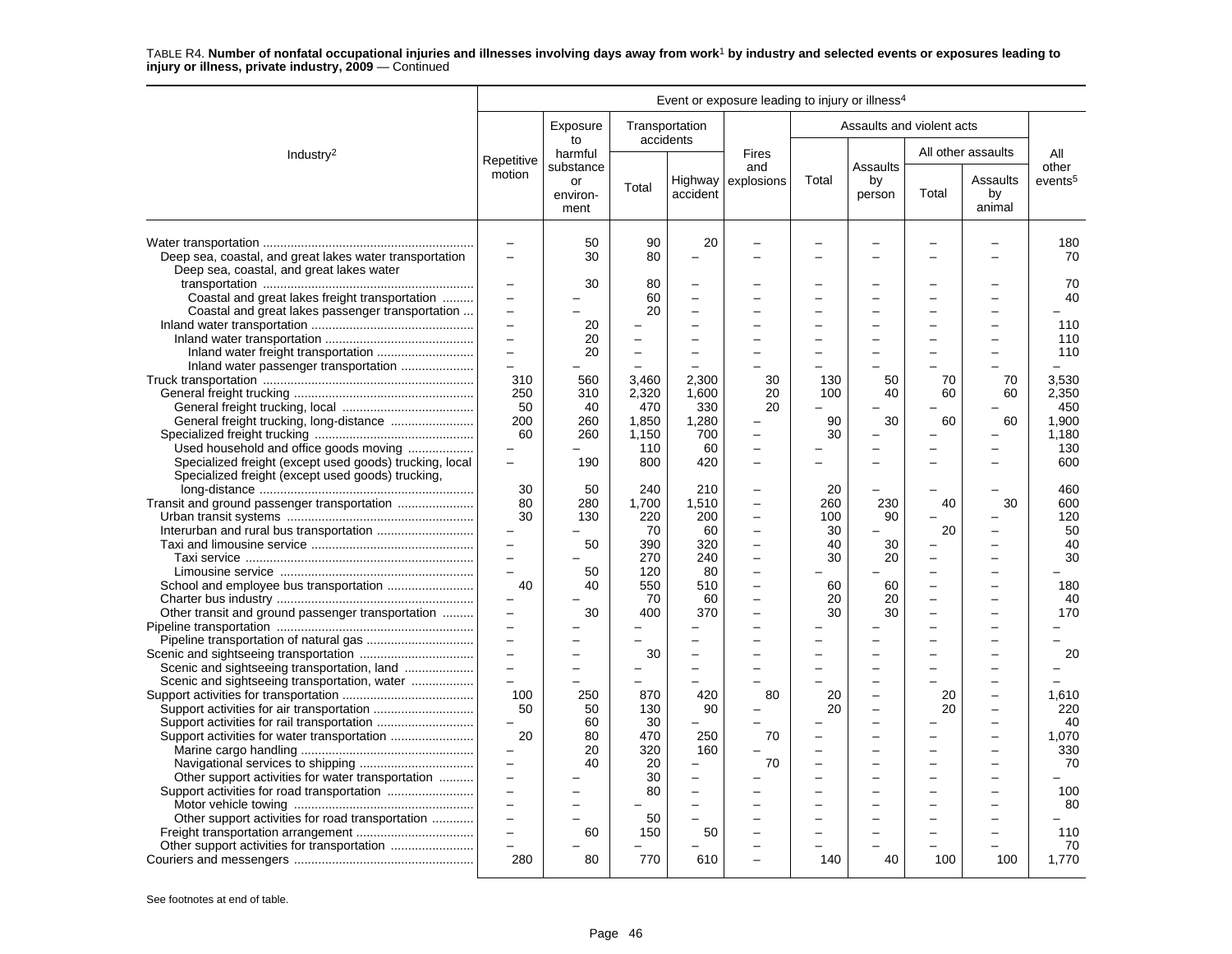|                                                                                                                                              |                                                                                                               |                            |                                                         |                                                                              | Event or exposure leading to injury or illness <sup>4</sup> |                                    |                                      |               |                          |                                     |
|----------------------------------------------------------------------------------------------------------------------------------------------|---------------------------------------------------------------------------------------------------------------|----------------------------|---------------------------------------------------------|------------------------------------------------------------------------------|-------------------------------------------------------------|------------------------------------|--------------------------------------|---------------|--------------------------|-------------------------------------|
|                                                                                                                                              |                                                                                                               | Exposure<br>to             |                                                         | Transportation<br>accidents                                                  |                                                             |                                    | Assaults and violent acts            |               |                          |                                     |
| Industry <sup>2</sup>                                                                                                                        | Repetitive                                                                                                    | harmful<br>substance       |                                                         |                                                                              | <b>Fires</b><br>and                                         |                                    | Assaults                             |               | All other assaults       | All<br>other                        |
|                                                                                                                                              | motion                                                                                                        | or<br>environ-<br>ment     | Total                                                   | accident                                                                     | Highway explosions                                          | Total                              | by<br>person                         | Total         | Assaults<br>by<br>animal | events <sup>5</sup>                 |
| Deep sea, coastal, and great lakes water transportation<br>Deep sea, coastal, and great lakes water                                          | $\overline{\phantom{0}}$<br>$\overline{\phantom{0}}$                                                          | 50<br>30                   | 90<br>80                                                | 20<br>$\overline{\phantom{0}}$                                               |                                                             |                                    |                                      |               |                          | 180<br>70                           |
| Coastal and great lakes freight transportation<br>Coastal and great lakes passenger transportation                                           | $\overline{\phantom{0}}$<br>$\overline{\phantom{0}}$<br>$\overline{\phantom{0}}$<br>$\overline{\phantom{0}}$  | 30<br>20<br>20             | 80<br>60<br>20                                          | $\sim$<br>÷<br>÷                                                             |                                                             |                                    |                                      |               |                          | 70<br>40<br>110<br>110              |
|                                                                                                                                              | $\overline{\phantom{0}}$<br>$\overline{a}$<br>310<br>250<br>50                                                | 20<br>560<br>310<br>40     | $\overline{\phantom{0}}$<br>L.<br>3,460<br>2,320<br>470 | $\overline{\phantom{0}}$<br>$\sim$<br>2.300<br>1.600<br>330                  | 30<br>20<br>20                                              | 130<br>100                         | 50<br>40                             | 70<br>60      | 70<br>60                 | 110<br>3,530<br>2.350<br>450        |
| General freight trucking, long-distance<br>Used household and office goods moving<br>Specialized freight (except used goods) trucking, local | 200<br>60<br>$\overline{\phantom{0}}$<br>$\overline{\phantom{0}}$                                             | 260<br>260<br>190          | 1,850<br>1.150<br>110<br>800                            | 1,280<br>700<br>60<br>420                                                    | $\overline{\phantom{0}}$<br>$\overline{a}$                  | 90<br>30                           | 30                                   | 60            | 60                       | 1,900<br>1.180<br>130<br>600        |
| Specialized freight (except used goods) trucking,<br>Transit and ground passenger transportation                                             | 30<br>80<br>30<br>$\equiv$<br>$\equiv$                                                                        | 50<br>280<br>130<br>50     | 240<br>1,700<br>220<br>70<br>390<br>270                 | 210<br>1,510<br>200<br>60<br>320<br>240                                      | $\overline{\phantom{0}}$<br>$\overline{a}$<br>÷             | 20<br>260<br>100<br>30<br>40<br>30 | 230<br>90<br>30<br>20                | 40<br>20<br>÷ | 30                       | 460<br>600<br>120<br>50<br>40<br>30 |
| Other transit and ground passenger transportation                                                                                            | $\sim$<br>40<br>$\overline{\phantom{0}}$<br>$\equiv$                                                          | 50<br>40<br>30             | 120<br>550<br>70<br>400                                 | 80<br>510<br>60<br>370                                                       | $\overline{\phantom{0}}$                                    | 60<br>20<br>30                     | 60<br>20<br>30                       |               |                          | 180<br>40<br>170                    |
| Scenic and sightseeing transportation, land<br>Scenic and sightseeing transportation, water                                                  | $\equiv$<br>$\equiv$<br>$\overline{a}$<br>$\overline{a}$<br>100                                               | 250                        | 30<br>L.<br>870                                         | $\overline{\phantom{0}}$<br>$\overline{\phantom{0}}$<br>$\equiv$<br>420      | 80                                                          | 20                                 | L.<br>$\overline{\phantom{0}}$<br>L, | 20            |                          | 20<br>1,610                         |
| Support activities for rail transportation                                                                                                   | 50<br>$\overline{a}$<br>20<br>$\overline{\phantom{0}}$<br>$\qquad \qquad -$                                   | 50<br>60<br>80<br>20<br>40 | 130<br>30<br>470<br>320<br>20                           | 90<br>250<br>160                                                             | 70<br>70                                                    | 20                                 | L,                                   | 20            |                          | 220<br>40<br>1,070<br>330<br>70     |
| Other support activities for water transportation<br>Other support activities for road transportation                                        | $\qquad \qquad -$<br>$\overline{\phantom{0}}$<br>$\overline{a}$<br>$\overline{\phantom{0}}$<br>$\overline{a}$ | 60                         | 30<br>80<br>50<br>150                                   | $\overline{\phantom{0}}$<br>$\overline{a}$<br>$\overline{\phantom{a}}$<br>50 |                                                             |                                    |                                      |               |                          | 100<br>80<br>110<br>70              |
|                                                                                                                                              | 280                                                                                                           | 80                         | 770                                                     | 610                                                                          |                                                             | 140                                | 40                                   | 100           | 100                      | 1.770                               |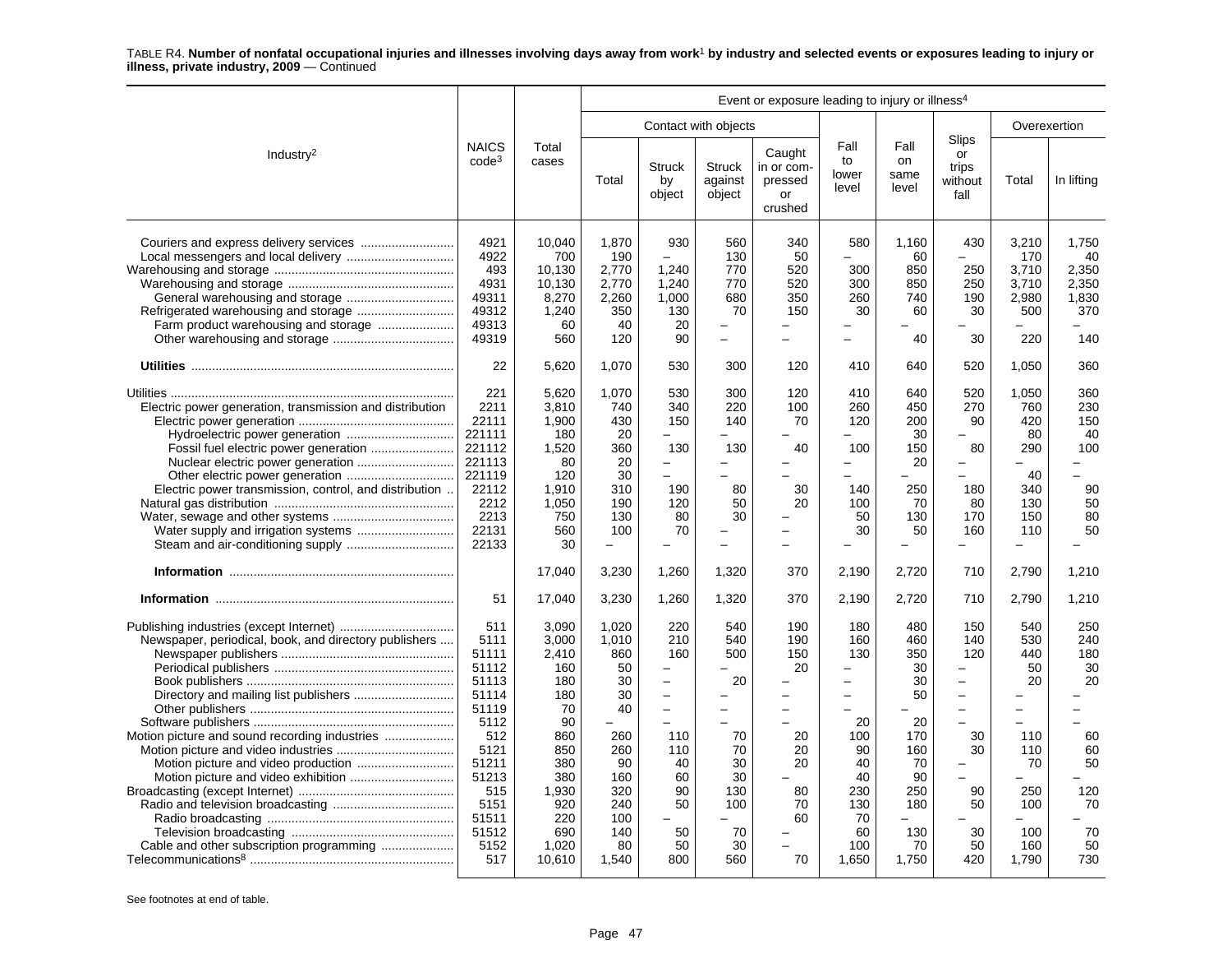|                                                                                                                                                           |                                                                                                                                                   |                                                                                                                                       |                                                                                                                     |                                                                                                                                            |                                                                                                                                          | Event or exposure leading to injury or illness <sup>4</sup>                   |                                                                                                                                                                        |                                                                                                         |                                                                                                                                                                                                                                                 |                                                                                                                                                |                                                                                 |
|-----------------------------------------------------------------------------------------------------------------------------------------------------------|---------------------------------------------------------------------------------------------------------------------------------------------------|---------------------------------------------------------------------------------------------------------------------------------------|---------------------------------------------------------------------------------------------------------------------|--------------------------------------------------------------------------------------------------------------------------------------------|------------------------------------------------------------------------------------------------------------------------------------------|-------------------------------------------------------------------------------|------------------------------------------------------------------------------------------------------------------------------------------------------------------------|---------------------------------------------------------------------------------------------------------|-------------------------------------------------------------------------------------------------------------------------------------------------------------------------------------------------------------------------------------------------|------------------------------------------------------------------------------------------------------------------------------------------------|---------------------------------------------------------------------------------|
|                                                                                                                                                           |                                                                                                                                                   |                                                                                                                                       |                                                                                                                     |                                                                                                                                            | Contact with objects                                                                                                                     |                                                                               |                                                                                                                                                                        |                                                                                                         |                                                                                                                                                                                                                                                 |                                                                                                                                                | Overexertion                                                                    |
| Industry <sup>2</sup>                                                                                                                                     | <b>NAICS</b><br>$code^3$                                                                                                                          | Total<br>cases                                                                                                                        | Total                                                                                                               | <b>Struck</b><br>by<br>object                                                                                                              | <b>Struck</b><br>against<br>object                                                                                                       | Caught<br>in or com-<br>pressed<br>or<br>crushed                              | Fall<br>to<br>lower<br>level                                                                                                                                           | Fall<br>on<br>same<br>level                                                                             | Slips<br>or<br>trips<br>without<br>fall                                                                                                                                                                                                         | Total                                                                                                                                          | In lifting                                                                      |
|                                                                                                                                                           | 4921<br>4922<br>493<br>4931<br>49311<br>49312<br>49313<br>49319                                                                                   | 10,040<br>700<br>10,130<br>10.130<br>8,270<br>1,240<br>60<br>560                                                                      | 1,870<br>190<br>2,770<br>2.770<br>2,260<br>350<br>40<br>120                                                         | 930<br>1,240<br>1,240<br>1.000<br>130<br>20<br>90                                                                                          | 560<br>130<br>770<br>770<br>680<br>70<br>L.<br>$\equiv$                                                                                  | 340<br>50<br>520<br>520<br>350<br>150<br>$\equiv$                             | 580<br>$\overline{a}$<br>300<br>300<br>260<br>30<br>$\sim$                                                                                                             | 1,160<br>60<br>850<br>850<br>740<br>60<br>40                                                            | 430<br>$\equiv$<br>250<br>250<br>190<br>30<br>30                                                                                                                                                                                                | 3,210<br>170<br>3,710<br>3.710<br>2,980<br>500<br>L.<br>220                                                                                    | 1,750<br>40<br>2,350<br>2.350<br>1.830<br>370<br>140                            |
|                                                                                                                                                           | 22                                                                                                                                                | 5,620                                                                                                                                 | 1,070                                                                                                               | 530                                                                                                                                        | 300                                                                                                                                      | 120                                                                           | 410                                                                                                                                                                    | 640                                                                                                     | 520                                                                                                                                                                                                                                             | 1,050                                                                                                                                          | 360                                                                             |
| Electric power generation, transmission and distribution<br>Electric power transmission, control, and distribution<br>Water supply and irrigation systems | 221<br>2211<br>22111<br>221111<br>221112<br>221113<br>221119<br>22112<br>2212<br>2213<br>22131<br>22133<br>51                                     | 5,620<br>3,810<br>1,900<br>180<br>1,520<br>80<br>120<br>1,910<br>1,050<br>750<br>560<br>30<br>17,040<br>17,040                        | 1,070<br>740<br>430<br>20<br>360<br>20<br>30<br>310<br>190<br>130<br>100<br>$\equiv$<br>3,230<br>3,230              | 530<br>340<br>150<br>130<br>$\overline{\phantom{0}}$<br>÷<br>190<br>120<br>80<br>70<br>1,260<br>1,260                                      | 300<br>220<br>140<br>130<br>$\equiv$<br>L.<br>80<br>50<br>30<br>L.<br>$\overline{\phantom{0}}$<br>1,320<br>1,320                         | 120<br>100<br>70<br>40<br>30<br>20<br>370<br>370                              | 410<br>260<br>120<br>100<br>$\overline{\phantom{0}}$<br>$\equiv$<br>140<br>100<br>50<br>30<br>2,190<br>2,190                                                           | 640<br>450<br>200<br>30<br>150<br>20<br>250<br>70<br>130<br>50<br>$\equiv$<br>2,720<br>2,720            | 520<br>270<br>90<br>80<br>$\overline{\phantom{0}}$<br>$\equiv$<br>180<br>80<br>170<br>160<br>$\overline{\phantom{0}}$<br>710<br>710                                                                                                             | 1,050<br>760<br>420<br>80<br>290<br>40<br>340<br>130<br>150<br>110<br>$\overline{a}$<br>2,790<br>2,790                                         | 360<br>230<br>150<br>40<br>100<br>90<br>50<br>80<br>50<br>1,210<br>1,210        |
| Newspaper, periodical, book, and directory publishers<br>Cable and other subscription programming                                                         | 511<br>5111<br>51111<br>51112<br>51113<br>51114<br>51119<br>5112<br>512<br>5121<br>51211<br>51213<br>515<br>5151<br>51511<br>51512<br>5152<br>517 | 3,090<br>3.000<br>2,410<br>160<br>180<br>180<br>70<br>90<br>860<br>850<br>380<br>380<br>1,930<br>920<br>220<br>690<br>1,020<br>10,610 | 1,020<br>1.010<br>860<br>50<br>30<br>30<br>40<br>260<br>260<br>90<br>160<br>320<br>240<br>100<br>140<br>80<br>1,540 | 220<br>210<br>160<br>$\equiv$<br>$\equiv$<br>$\equiv$<br>$\overline{\phantom{0}}$<br>110<br>110<br>40<br>60<br>90<br>50<br>50<br>50<br>800 | 540<br>540<br>500<br>20<br>$\overline{\phantom{0}}$<br>$\overline{\phantom{0}}$<br>70<br>70<br>30<br>30<br>130<br>100<br>70<br>30<br>560 | 190<br>190<br>150<br>20<br>$\equiv$<br>20<br>20<br>20<br>80<br>70<br>60<br>70 | 180<br>160<br>130<br>$\overline{a}$<br>$\overline{a}$<br>$\overline{\phantom{0}}$<br>$\equiv$<br>20<br>100<br>90<br>40<br>40<br>230<br>130<br>70<br>60<br>100<br>1,650 | 480<br>460<br>350<br>30<br>30<br>50<br>20<br>170<br>160<br>70<br>90<br>250<br>180<br>130<br>70<br>1,750 | 150<br>140<br>120<br>$\overline{\phantom{0}}$<br>$\qquad \qquad -$<br>$\overline{\phantom{0}}$<br>$\overline{\phantom{m}}$<br>$\overline{\phantom{0}}$<br>30<br>30<br>$\overline{\phantom{0}}$<br>$\overline{a}$<br>90<br>50<br>30<br>50<br>420 | 540<br>530<br>440<br>50<br>20<br>$\overline{\phantom{0}}$<br>$\overline{\phantom{0}}$<br>110<br>110<br>70<br>250<br>100<br>100<br>160<br>1,790 | 250<br>240<br>180<br>30<br>20<br>60<br>60<br>50<br>120<br>70<br>70<br>50<br>730 |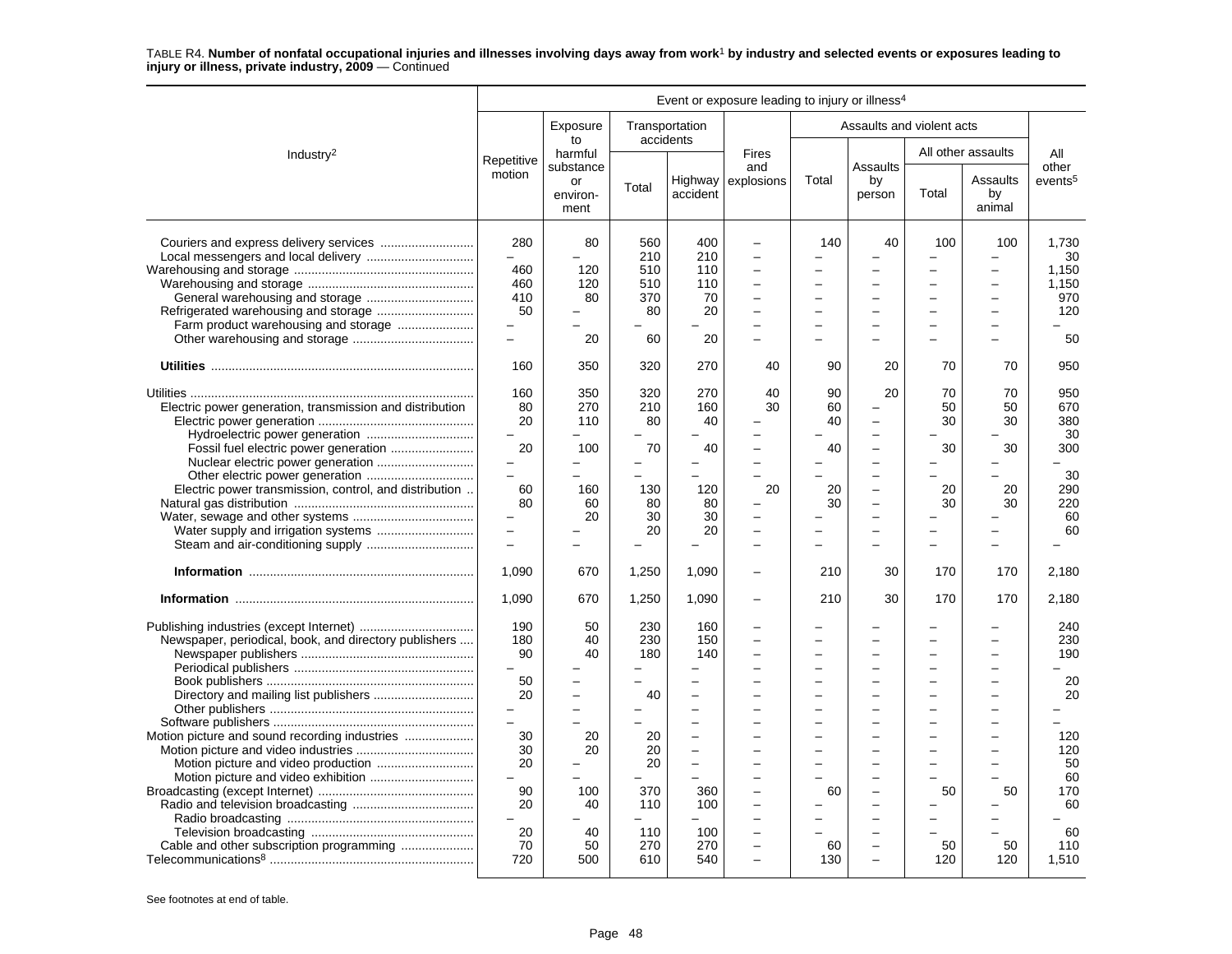|                                                                                                                                                      |                                                                                                                                               |                                                            |                                                                                    |                                                                                                                                                    | Event or exposure leading to injury or illness <sup>4</sup> |                                                                                                                                              |                                                                                                                                                                              |                                                       |                                                              |                                                                                            |
|------------------------------------------------------------------------------------------------------------------------------------------------------|-----------------------------------------------------------------------------------------------------------------------------------------------|------------------------------------------------------------|------------------------------------------------------------------------------------|----------------------------------------------------------------------------------------------------------------------------------------------------|-------------------------------------------------------------|----------------------------------------------------------------------------------------------------------------------------------------------|------------------------------------------------------------------------------------------------------------------------------------------------------------------------------|-------------------------------------------------------|--------------------------------------------------------------|--------------------------------------------------------------------------------------------|
|                                                                                                                                                      |                                                                                                                                               | Exposure                                                   |                                                                                    | Transportation                                                                                                                                     |                                                             |                                                                                                                                              | Assaults and violent acts                                                                                                                                                    |                                                       |                                                              |                                                                                            |
| Industry <sup>2</sup>                                                                                                                                | Repetitive                                                                                                                                    | to<br>harmful                                              |                                                                                    | accidents                                                                                                                                          | <b>Fires</b>                                                |                                                                                                                                              |                                                                                                                                                                              |                                                       | All other assaults                                           | All                                                                                        |
|                                                                                                                                                      | motion                                                                                                                                        | substance<br>or<br>environ-<br>ment                        | Total                                                                              | accident                                                                                                                                           | and<br>Highway explosions                                   | Total                                                                                                                                        | Assaults<br>by<br>person                                                                                                                                                     | Total                                                 | Assaults<br>by<br>animal                                     | other<br>events <sup>5</sup>                                                               |
| Farm product warehousing and storage                                                                                                                 | 280<br>$\qquad \qquad -$<br>460<br>460<br>410<br>50<br>$\qquad \qquad -$<br>$\equiv$                                                          | 80<br>120<br>120<br>80<br>20                               | 560<br>210<br>510<br>510<br>370<br>80<br>60                                        | 400<br>210<br>110<br>110<br>70<br>20<br>20                                                                                                         | $\overline{\phantom{0}}$<br>$\overline{\phantom{a}}$        | 140<br>-<br>$\overline{\phantom{0}}$<br>$\overline{\phantom{0}}$                                                                             | 40<br>$\overline{\phantom{0}}$<br>$\overline{\phantom{0}}$                                                                                                                   | 100<br>-                                              | 100<br>$\overline{\phantom{0}}$<br>-<br>▃                    | 1,730<br>30<br>1,150<br>1,150<br>970<br>120<br>50                                          |
|                                                                                                                                                      | 160                                                                                                                                           | 350                                                        | 320                                                                                | 270                                                                                                                                                | 40                                                          | 90                                                                                                                                           | 20                                                                                                                                                                           | 70                                                    | 70                                                           | 950                                                                                        |
| Electric power generation, transmission and distribution<br>Hydroelectric power generation<br>Electric power transmission, control, and distribution | 160<br>80<br>20<br>20<br>$\overline{\phantom{0}}$<br>$\overline{a}$<br>60<br>80<br>$\overline{\phantom{0}}$<br>$\equiv$<br>1,090<br>1,090     | 350<br>270<br>110<br>100<br>160<br>60<br>20<br>670<br>670  | 320<br>210<br>80<br>70<br>-<br>$\equiv$<br>130<br>80<br>30<br>20<br>1,250<br>1,250 | 270<br>160<br>40<br>40<br>120<br>80<br>30<br>20<br>1,090<br>1,090                                                                                  | 40<br>30<br>$\overline{\phantom{a}}$<br>20                  | 90<br>60<br>40<br>40<br>20<br>30<br>210<br>210                                                                                               | 20<br>$\overline{a}$<br>$\overline{a}$<br>$\overline{\phantom{0}}$<br>-<br>$\overline{\phantom{0}}$<br>$\overline{\phantom{0}}$<br>$\overline{\phantom{0}}$<br>-<br>30<br>30 | 70<br>50<br>30<br>30<br>20<br>30<br>170<br>170        | 70<br>50<br>30<br>30<br>20<br>30<br>170<br>170               | 950<br>670<br>380<br>30<br>300<br>30<br>290<br>220<br>60<br>60<br>2,180<br>2,180           |
| Newspaper, periodical, book, and directory publishers<br>Motion picture and sound recording industries<br>Cable and other subscription programming   | 190<br>180<br>90<br>50<br>20<br>$\overline{a}$<br>30<br>30<br>20<br>$\overline{a}$<br>90<br>20<br>$\overline{\phantom{0}}$<br>20<br>70<br>720 | 50<br>40<br>40<br>20<br>20<br>100<br>40<br>40<br>50<br>500 | 230<br>230<br>180<br>40<br>20<br>20<br>20<br>370<br>110<br>110<br>270<br>610       | 160<br>150<br>140<br>$\overline{\phantom{0}}$<br>$\overline{\phantom{a}}$<br>$\sim$<br>$\overline{\phantom{0}}$<br>360<br>100<br>100<br>270<br>540 | $\overline{\phantom{0}}$<br>$\overline{a}$                  | $\overline{\phantom{0}}$<br>$\overline{\phantom{0}}$<br>$\overline{a}$<br>$\overline{\phantom{0}}$<br>÷<br>60<br>$\overline{a}$<br>60<br>130 | ÷<br>$\equiv$<br>$\overline{\phantom{0}}$<br>$\overline{\phantom{0}}$<br>$\overline{\phantom{0}}$<br>$\overline{\phantom{0}}$<br>$\overline{\phantom{0}}$<br>÷               | L<br>-<br>$\overline{\phantom{0}}$<br>50<br>50<br>120 | $\equiv$<br>-<br>$\overline{\phantom{0}}$<br>50<br>50<br>120 | 240<br>230<br>190<br>20<br>20<br>120<br>120<br>50<br>60<br>170<br>60<br>60<br>110<br>1,510 |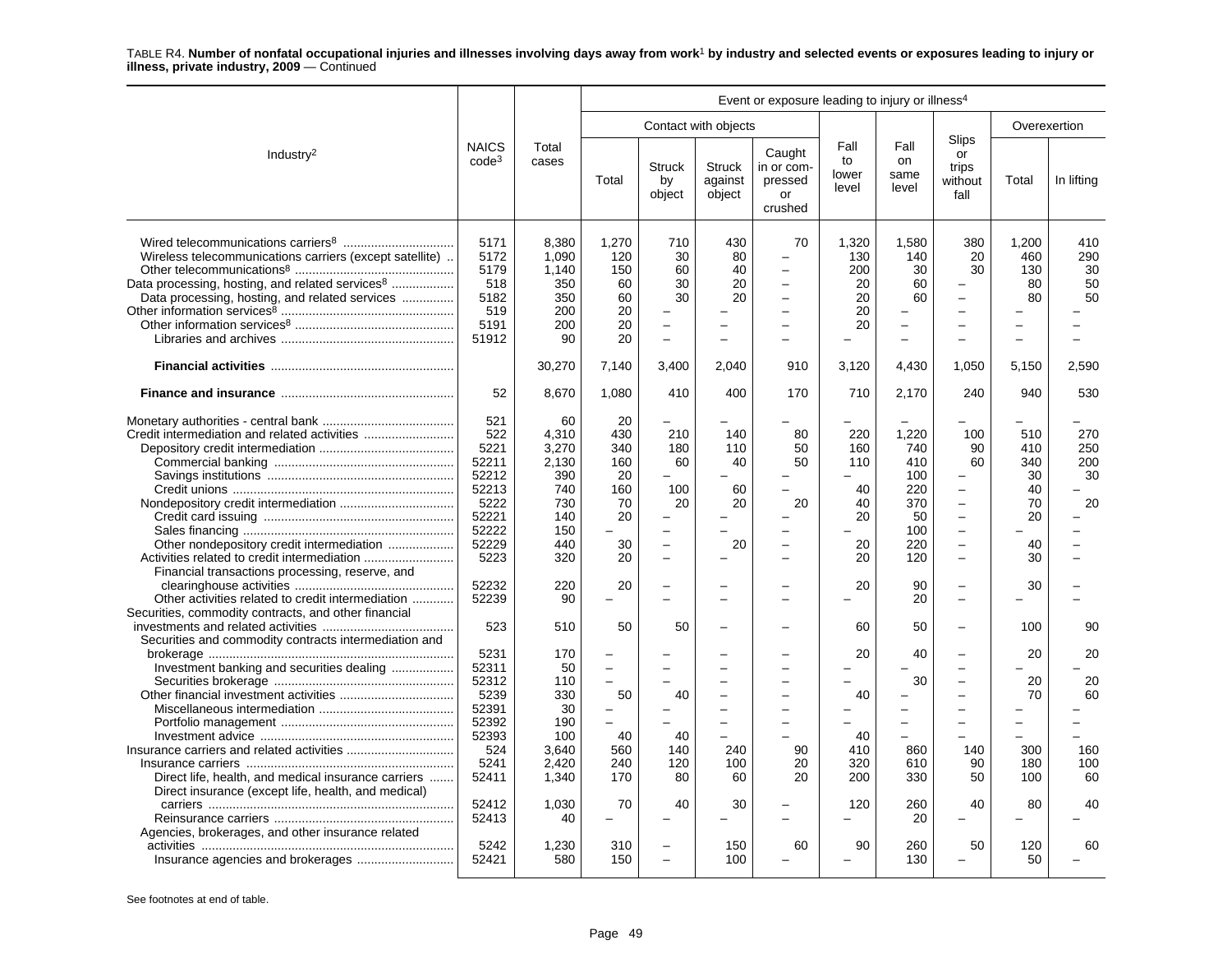|                                                                                                                                                                           |                                                                                          |                                                                                |                                                                                |                                                                                     |                                                                                           | Event or exposure leading to injury or illness <sup>4</sup>            |                                                 |                                                                        |                                                                                                                                                           |                                                                                         |                               |
|---------------------------------------------------------------------------------------------------------------------------------------------------------------------------|------------------------------------------------------------------------------------------|--------------------------------------------------------------------------------|--------------------------------------------------------------------------------|-------------------------------------------------------------------------------------|-------------------------------------------------------------------------------------------|------------------------------------------------------------------------|-------------------------------------------------|------------------------------------------------------------------------|-----------------------------------------------------------------------------------------------------------------------------------------------------------|-----------------------------------------------------------------------------------------|-------------------------------|
|                                                                                                                                                                           |                                                                                          |                                                                                |                                                                                |                                                                                     | Contact with objects                                                                      |                                                                        |                                                 |                                                                        |                                                                                                                                                           | Overexertion                                                                            |                               |
| Industry <sup>2</sup>                                                                                                                                                     | <b>NAICS</b><br>$code^3$                                                                 | Total<br>cases                                                                 | Total                                                                          | <b>Struck</b><br>by<br>object                                                       | <b>Struck</b><br>against<br>object                                                        | Caught<br>in or com-<br>pressed<br>or<br>crushed                       | Fall<br>to<br>lower<br>level                    | Fall<br>on<br>same<br>level                                            | Slips<br>or<br>trips<br>without<br>fall                                                                                                                   | Total                                                                                   | In lifting                    |
| Wireless telecommunications carriers (except satellite).<br>Data processing, hosting, and related services <sup>8</sup><br>Data processing, hosting, and related services | 5171<br>5172<br>5179<br>518<br>5182<br>519<br>5191<br>51912                              | 8,380<br>1,090<br>1,140<br>350<br>350<br>200<br>200<br>90                      | 1,270<br>120<br>150<br>60<br>60<br>20<br>20<br>20                              | 710<br>30<br>60<br>30<br>30<br>$\overline{\phantom{m}}$<br>$\overline{\phantom{0}}$ | 430<br>80<br>40<br>20<br>20<br>$\overline{\phantom{0}}$<br>-                              | 70<br>$\overline{\phantom{0}}$<br>$\equiv$<br>$\overline{\phantom{0}}$ | 1,320<br>130<br>200<br>20<br>20<br>20<br>20     | 1,580<br>140<br>30<br>60<br>60<br>$\equiv$<br>$\overline{\phantom{0}}$ | 380<br>20<br>30<br>$\overline{\phantom{0}}$<br>$\overline{a}$<br>$\overline{\phantom{0}}$<br>$\overline{\phantom{0}}$                                     | 1,200<br>460<br>130<br>80<br>80<br>$\overline{\phantom{0}}$<br>$\overline{\phantom{0}}$ | 410<br>290<br>30<br>50<br>50  |
|                                                                                                                                                                           |                                                                                          | 30,270                                                                         | 7,140                                                                          | 3,400                                                                               | 2,040                                                                                     | 910                                                                    | 3,120                                           | 4,430                                                                  | 1,050                                                                                                                                                     | 5,150                                                                                   | 2,590                         |
|                                                                                                                                                                           | 52                                                                                       | 8,670                                                                          | 1,080                                                                          | 410                                                                                 | 400                                                                                       | 170                                                                    | 710                                             | 2,170                                                                  | 240                                                                                                                                                       | 940                                                                                     | 530                           |
| Credit intermediation and related activities<br>Financial transactions processing, reserve, and                                                                           | 521<br>522<br>5221<br>52211<br>52212<br>52213<br>5222<br>52221<br>52222<br>52229<br>5223 | 60<br>4.310<br>3,270<br>2,130<br>390<br>740<br>730<br>140<br>150<br>440<br>320 | 20<br>430<br>340<br>160<br>20<br>160<br>70<br>20<br>30<br>20                   | 210<br>180<br>60<br>100<br>20<br>$\overline{\phantom{m}}$<br>$\equiv$               | 140<br>110<br>40<br>60<br>20<br>20                                                        | 80<br>50<br>50<br>$\equiv$<br>20                                       | 220<br>160<br>110<br>40<br>40<br>20<br>20<br>20 | 1.220<br>740<br>410<br>100<br>220<br>370<br>50<br>100<br>220<br>120    | 100<br>90<br>60<br>$\overline{a}$<br>$\overline{\phantom{0}}$<br>$\overline{a}$<br>$\overline{\phantom{0}}$<br>$\overline{\phantom{0}}$<br>$\overline{a}$ | 510<br>410<br>340<br>30<br>40<br>70<br>20<br>40<br>30                                   | 270<br>250<br>200<br>30<br>20 |
| Other activities related to credit intermediation                                                                                                                         | 52232<br>52239                                                                           | 220<br>90                                                                      | 20                                                                             |                                                                                     |                                                                                           |                                                                        | 20                                              | 90<br>20                                                               | $\overline{\phantom{0}}$<br>$\overline{\phantom{0}}$                                                                                                      | 30                                                                                      |                               |
| Securities, commodity contracts, and other financial<br>Securities and commodity contracts intermediation and                                                             | 523                                                                                      | 510                                                                            | 50                                                                             | 50                                                                                  | $\overline{\phantom{0}}$                                                                  |                                                                        | 60                                              | 50                                                                     | $\overline{\phantom{0}}$                                                                                                                                  | 100                                                                                     | 90                            |
| Investment banking and securities dealing<br>Insurance carriers and related activities                                                                                    | 5231<br>52311<br>52312<br>5239<br>52391<br>52392<br>52393<br>524<br>5241                 | 170<br>50<br>110<br>330<br>30<br>190<br>100<br>3,640<br>2,420                  | $\overline{\phantom{0}}$<br>50<br>$\overline{\phantom{0}}$<br>40<br>560<br>240 | 40<br>40<br>140<br>120                                                              | $\overline{\phantom{0}}$<br>۳<br>$\overline{\phantom{0}}$<br>$\overline{a}$<br>240<br>100 | 90<br>20                                                               | 20<br>40<br>40<br>410<br>320                    | 40<br>30<br>860<br>610                                                 | $\overline{\phantom{0}}$<br>$\overline{a}$<br>$\overline{a}$<br>$\overline{\phantom{0}}$<br>$\equiv$<br>$\overline{a}$<br>140<br>90                       | 20<br>20<br>70<br>▃<br>▃<br>300<br>180                                                  | 20<br>20<br>60<br>160<br>100  |
| Direct life, health, and medical insurance carriers<br>Direct insurance (except life, health, and medical)                                                                | 52411<br>52412                                                                           | 1,340<br>1,030                                                                 | 170<br>70                                                                      | 80<br>40                                                                            | 60<br>30                                                                                  | 20                                                                     | 200<br>120                                      | 330<br>260                                                             | 50<br>40                                                                                                                                                  | 100<br>80                                                                               | 60<br>40                      |
| Agencies, brokerages, and other insurance related                                                                                                                         | 52413<br>5242                                                                            | 40<br>1,230                                                                    | 310                                                                            |                                                                                     | $\overline{\phantom{0}}$<br>150                                                           | 60                                                                     | 90                                              | 20<br>260                                                              | $\overline{\phantom{0}}$<br>50                                                                                                                            | 120                                                                                     | 60                            |
|                                                                                                                                                                           | 52421                                                                                    | 580                                                                            | 150                                                                            | $\equiv$                                                                            | 100                                                                                       |                                                                        |                                                 | 130                                                                    |                                                                                                                                                           | 50                                                                                      |                               |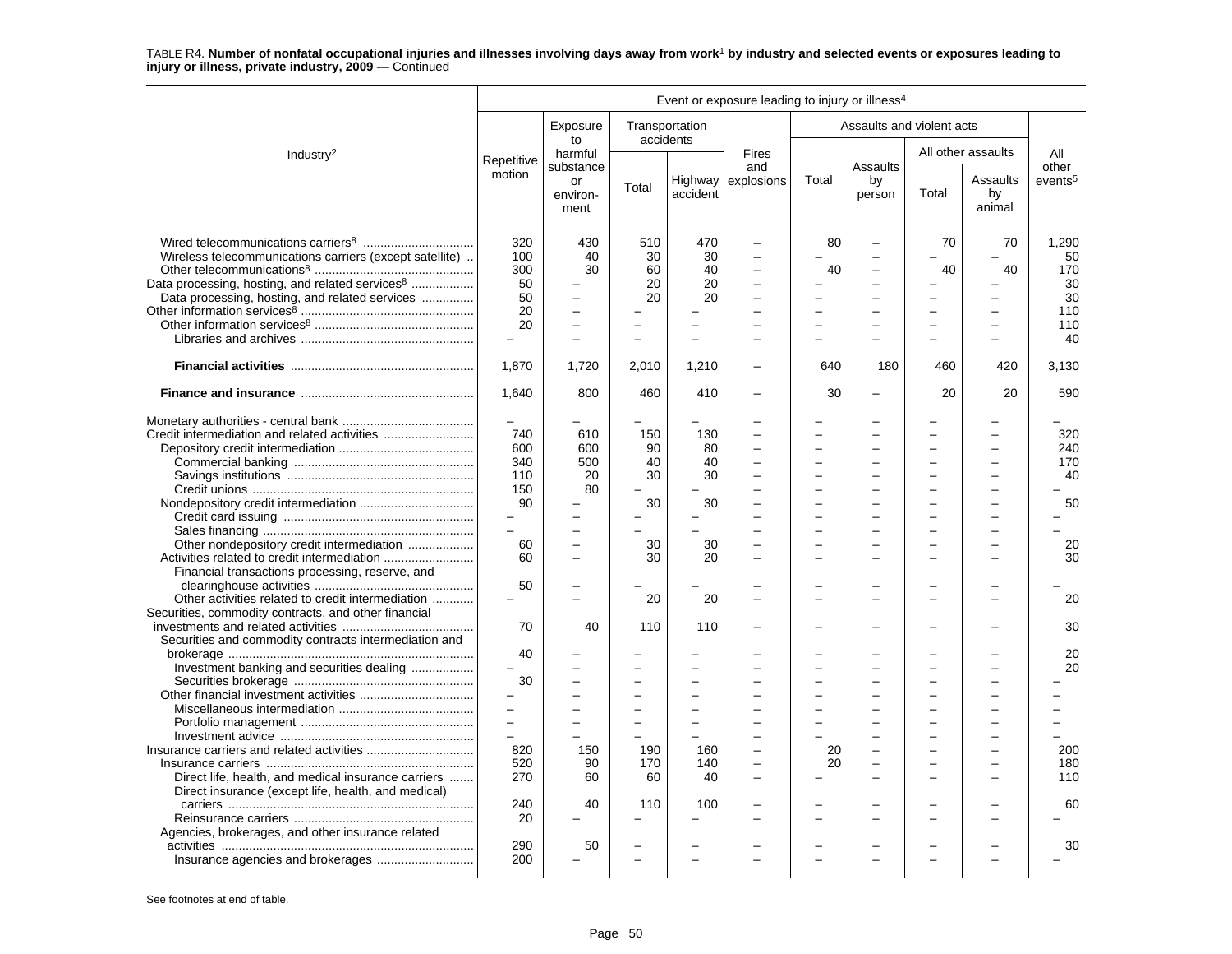|                                                                                                                                                                                                                                                                                                                 |                                                                                             |                                     |                                                      |                                                                | Event or exposure leading to injury or illness <sup>4</sup> |                      |                               |          |                          |                                                                   |
|-----------------------------------------------------------------------------------------------------------------------------------------------------------------------------------------------------------------------------------------------------------------------------------------------------------------|---------------------------------------------------------------------------------------------|-------------------------------------|------------------------------------------------------|----------------------------------------------------------------|-------------------------------------------------------------|----------------------|-------------------------------|----------|--------------------------|-------------------------------------------------------------------|
|                                                                                                                                                                                                                                                                                                                 |                                                                                             | Exposure<br>to                      | Transportation                                       | accidents                                                      |                                                             |                      | Assaults and violent acts     |          |                          |                                                                   |
| Industry <sup>2</sup>                                                                                                                                                                                                                                                                                           |                                                                                             | harmful                             |                                                      |                                                                | <b>Fires</b>                                                |                      |                               |          | All other assaults       | All                                                               |
|                                                                                                                                                                                                                                                                                                                 | Repetitive<br>motion                                                                        | substance<br>or<br>environ-<br>ment | Total                                                | accident                                                       | and<br>Highway explosions                                   | Total                | Assaults<br>by<br>person      | Total    | Assaults<br>by<br>animal | other<br>events <sup>5</sup>                                      |
| Wireless telecommunications carriers (except satellite).<br>Data processing, hosting, and related services <sup>8</sup><br>Data processing, hosting, and related services                                                                                                                                       | 320<br>100<br>300<br>50<br>50<br>20<br>20                                                   | 430<br>40<br>30                     | 510<br>30<br>60<br>20<br>20                          | 470<br>30<br>40<br>20<br>20<br>$\equiv$                        | $\overline{\phantom{0}}$<br>$\overline{a}$                  | 80<br>40             | $\equiv$                      | 70<br>40 | 70<br>40                 | 1,290<br>50<br>170<br>30<br>30<br>110<br>110<br>40                |
|                                                                                                                                                                                                                                                                                                                 | 1,870                                                                                       | 1.720                               | 2,010                                                | 1,210                                                          |                                                             | 640                  | 180                           | 460      | 420                      | 3,130                                                             |
|                                                                                                                                                                                                                                                                                                                 | 1,640                                                                                       | 800                                 | 460                                                  | 410                                                            |                                                             | 30                   |                               | 20       | 20                       | 590                                                               |
| Other nondepository credit intermediation<br>Financial transactions processing, reserve, and<br>Other activities related to credit intermediation<br>Securities, commodity contracts, and other financial<br>Securities and commodity contracts intermediation and<br>Investment banking and securities dealing | 740<br>600<br>340<br>110<br>150<br>90<br>$\overline{a}$<br>60<br>60<br>50<br>70<br>40<br>30 | 610<br>600<br>500<br>20<br>80<br>40 | 150<br>90<br>40<br>30<br>30<br>30<br>30<br>20<br>110 | 130<br>80<br>40<br>30<br>30<br>30<br>20<br>20<br>110<br>$\sim$ |                                                             | $\equiv$<br>$\equiv$ | $\equiv$<br>$\equiv$          |          | -<br>÷<br>L              | 320<br>240<br>170<br>40<br>50<br>20<br>30<br>20<br>30<br>20<br>20 |
| Direct life, health, and medical insurance carriers                                                                                                                                                                                                                                                             | $\overline{a}$<br>$\equiv$<br>$\overline{\phantom{0}}$<br>820<br>520<br>270                 | 150<br>90<br>60                     | 190<br>170<br>60                                     | 160<br>140<br>40                                               |                                                             | 20<br>20             | -<br>$\overline{\phantom{0}}$ |          | -                        | 200<br>180<br>110                                                 |
| Direct insurance (except life, health, and medical)<br>Agencies, brokerages, and other insurance related                                                                                                                                                                                                        | 240<br>20                                                                                   | 40                                  | 110                                                  | 100                                                            |                                                             |                      |                               |          |                          | 60                                                                |
|                                                                                                                                                                                                                                                                                                                 | 290<br>200                                                                                  | 50                                  |                                                      |                                                                |                                                             |                      |                               |          |                          | 30                                                                |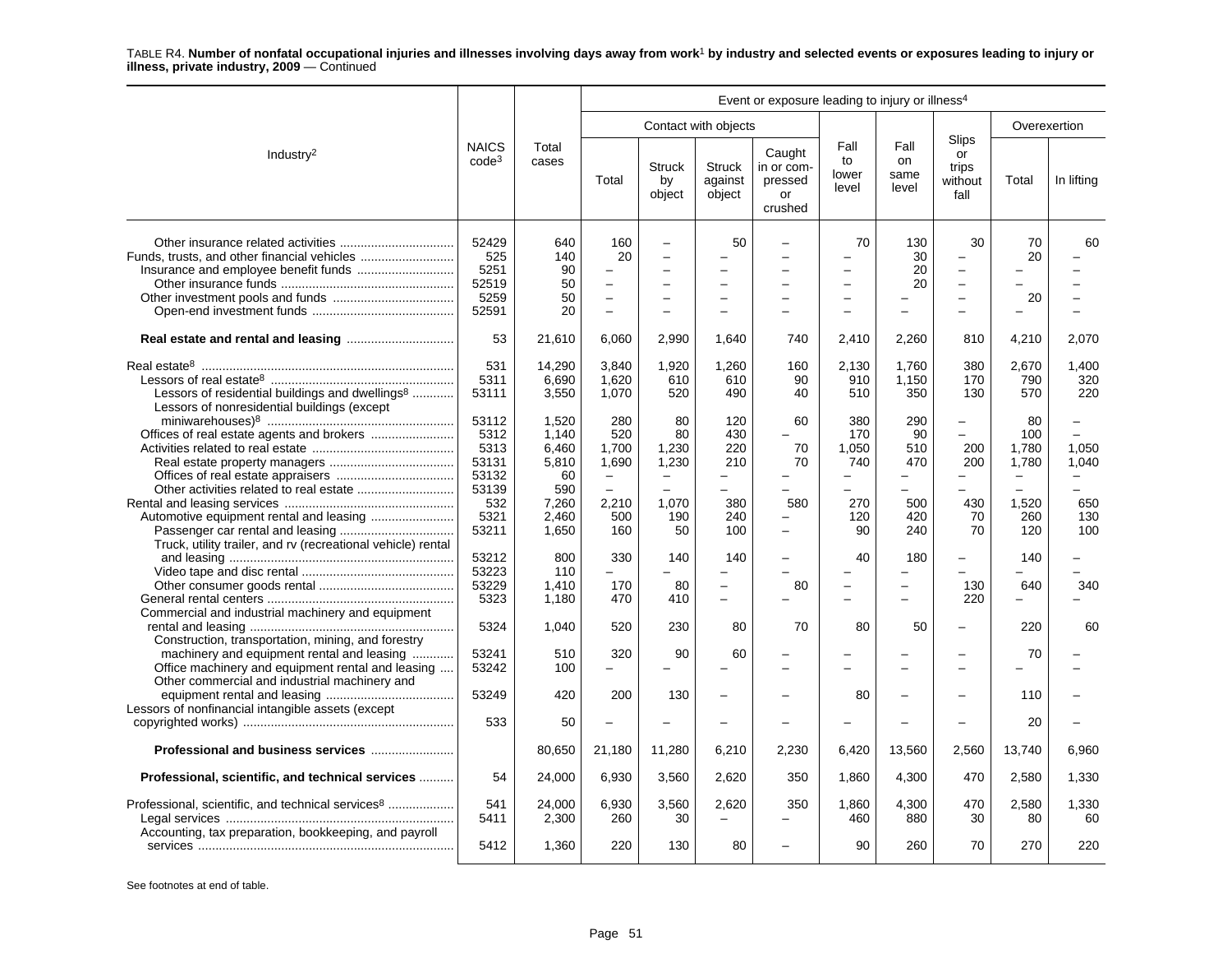| Event or exposure leading to injury or illness <sup>4</sup>                                                                                                                                            |                                                |                                        |                                                          |                                                        |                                                                        |                                                  |                                                                              |                                               |                                                                                        |                                                         |                                            |
|--------------------------------------------------------------------------------------------------------------------------------------------------------------------------------------------------------|------------------------------------------------|----------------------------------------|----------------------------------------------------------|--------------------------------------------------------|------------------------------------------------------------------------|--------------------------------------------------|------------------------------------------------------------------------------|-----------------------------------------------|----------------------------------------------------------------------------------------|---------------------------------------------------------|--------------------------------------------|
|                                                                                                                                                                                                        |                                                |                                        |                                                          |                                                        | Contact with objects                                                   |                                                  |                                                                              |                                               |                                                                                        |                                                         | Overexertion                               |
| Industry <sup>2</sup>                                                                                                                                                                                  | <b>NAICS</b><br>code <sup>3</sup>              | Total<br>cases                         | Total                                                    | Struck<br>by<br>object                                 | <b>Struck</b><br>against<br>object                                     | Caught<br>in or com-<br>pressed<br>or<br>crushed | Fall<br>to<br>lower<br>level                                                 | Fall<br>on<br>same<br>level                   | Slips<br>or<br>trips<br>without<br>fall                                                | Total                                                   | In lifting                                 |
|                                                                                                                                                                                                        | 52429<br>525<br>5251<br>52519<br>5259<br>52591 | 640<br>140<br>90<br>50<br>50<br>20     | 160<br>20<br>$\overline{\phantom{m}}$<br>$\equiv$        | $\equiv$<br>$\equiv$<br>$\overline{\phantom{0}}$       | 50<br>$\overline{\phantom{0}}$<br>$\equiv$<br>$\overline{\phantom{0}}$ | $\equiv$                                         | 70<br>$\overline{a}$<br>$\overline{\phantom{0}}$<br>$\overline{\phantom{0}}$ | 130<br>30<br>20<br>20                         | 30<br>$\overline{\phantom{0}}$<br>$\overline{\phantom{m}}$<br>$\overline{\phantom{a}}$ | 70<br>20<br>20                                          | 60                                         |
|                                                                                                                                                                                                        | 53                                             | 21,610                                 | 6,060                                                    | 2,990                                                  | 1,640                                                                  | 740                                              | 2,410                                                                        | 2,260                                         | 810                                                                                    | 4,210                                                   | 2,070                                      |
| Lessors of residential buildings and dwellings <sup>8</sup><br>Lessors of nonresidential buildings (except                                                                                             | 531<br>5311<br>53111                           | 14,290<br>6,690<br>3,550               | 3.840<br>1,620<br>1,070                                  | 1.920<br>610<br>520                                    | 1,260<br>610<br>490                                                    | 160<br>90<br>40                                  | 2.130<br>910<br>510                                                          | 1.760<br>1,150<br>350                         | 380<br>170<br>130                                                                      | 2.670<br>790<br>570                                     | 1.400<br>320<br>220                        |
| Offices of real estate agents and brokers                                                                                                                                                              | 53112<br>5312<br>5313<br>53131<br>53132        | 1,520<br>1,140<br>6,460<br>5,810<br>60 | 280<br>520<br>1.700<br>1,690<br>$\overline{\phantom{m}}$ | 80<br>80<br>1,230<br>1,230<br>$\overline{\phantom{a}}$ | 120<br>430<br>220<br>210<br>$\equiv$                                   | 60<br>70<br>70                                   | 380<br>170<br>1.050<br>740<br>$\overline{\phantom{0}}$                       | 290<br>90<br>510<br>470<br>÷.                 | $\equiv$<br>$\equiv$<br>200<br>200                                                     | 80<br>100<br>1.780<br>1,780<br>$\overline{\phantom{0}}$ | 1.050<br>1,040<br>$\overline{\phantom{0}}$ |
| Truck, utility trailer, and rv (recreational vehicle) rental                                                                                                                                           | 53139<br>532<br>5321<br>53211                  | 590<br>7,260<br>2,460<br>1,650         | $\overline{\phantom{0}}$<br>2,210<br>500<br>160          | $\equiv$<br>1,070<br>190<br>50                         | $\overline{\phantom{0}}$<br>380<br>240<br>100                          | 580<br>$\equiv$<br>$\overline{\phantom{0}}$      | $\overline{\phantom{0}}$<br>270<br>120<br>90                                 | $\overline{\phantom{0}}$<br>500<br>420<br>240 | $\equiv$<br>430<br>70<br>70                                                            | $\overline{\phantom{0}}$<br>1,520<br>260<br>120         | 650<br>130<br>100                          |
|                                                                                                                                                                                                        | 53212<br>53223<br>53229<br>5323                | 800<br>110<br>1,410<br>1,180           | 330<br>170<br>470                                        | 140<br>80<br>410                                       | 140<br>$\equiv$<br>$\equiv$                                            | 80                                               | 40<br>$\equiv$<br>÷                                                          | 180<br>$\equiv$<br>$\overline{a}$             | $\overline{\phantom{0}}$<br>130<br>220                                                 | 140<br>640<br>$\overline{a}$                            | 340                                        |
| Commercial and industrial machinery and equipment                                                                                                                                                      | 5324                                           | 1,040                                  | 520                                                      | 230                                                    | 80                                                                     | 70                                               | 80                                                                           | 50                                            | $\overline{\phantom{0}}$                                                               | 220                                                     | 60                                         |
| Construction, transportation, mining, and forestry<br>machinery and equipment rental and leasing<br>Office machinery and equipment rental and leasing<br>Other commercial and industrial machinery and | 53241<br>53242                                 | 510<br>100                             | 320<br>$\equiv$                                          | 90                                                     | 60<br>$\overline{a}$                                                   |                                                  |                                                                              | L.                                            | $\equiv$                                                                               | 70                                                      |                                            |
| Lessors of nonfinancial intangible assets (except                                                                                                                                                      | 53249                                          | 420                                    | 200                                                      | 130                                                    |                                                                        |                                                  | 80                                                                           |                                               |                                                                                        | 110                                                     |                                            |
|                                                                                                                                                                                                        | 533                                            | 50                                     |                                                          |                                                        | $\overline{\phantom{0}}$                                               |                                                  |                                                                              |                                               |                                                                                        | 20                                                      |                                            |
| Professional and business services                                                                                                                                                                     |                                                | 80,650                                 | 21,180                                                   | 11,280                                                 | 6,210                                                                  | 2,230                                            | 6,420                                                                        | 13,560                                        | 2,560                                                                                  | 13,740                                                  | 6.960                                      |
| Professional, scientific, and technical services                                                                                                                                                       | 54                                             | 24,000                                 | 6,930                                                    | 3,560                                                  | 2,620                                                                  | 350                                              | 1,860                                                                        | 4,300                                         | 470                                                                                    | 2,580                                                   | 1,330                                      |
| Professional, scientific, and technical services <sup>8</sup><br>Accounting, tax preparation, bookkeeping, and payroll                                                                                 | 541<br>5411<br>5412                            | 24,000<br>2,300<br>1,360               | 6,930<br>260<br>220                                      | 3,560<br>30<br>130                                     | 2,620<br>$\overline{\phantom{0}}$<br>80                                | 350                                              | 1,860<br>460<br>90                                                           | 4,300<br>880<br>260                           | 470<br>30<br>70                                                                        | 2,580<br>80<br>270                                      | 1,330<br>60<br>220                         |
|                                                                                                                                                                                                        |                                                |                                        |                                                          |                                                        |                                                                        |                                                  |                                                                              |                                               |                                                                                        |                                                         |                                            |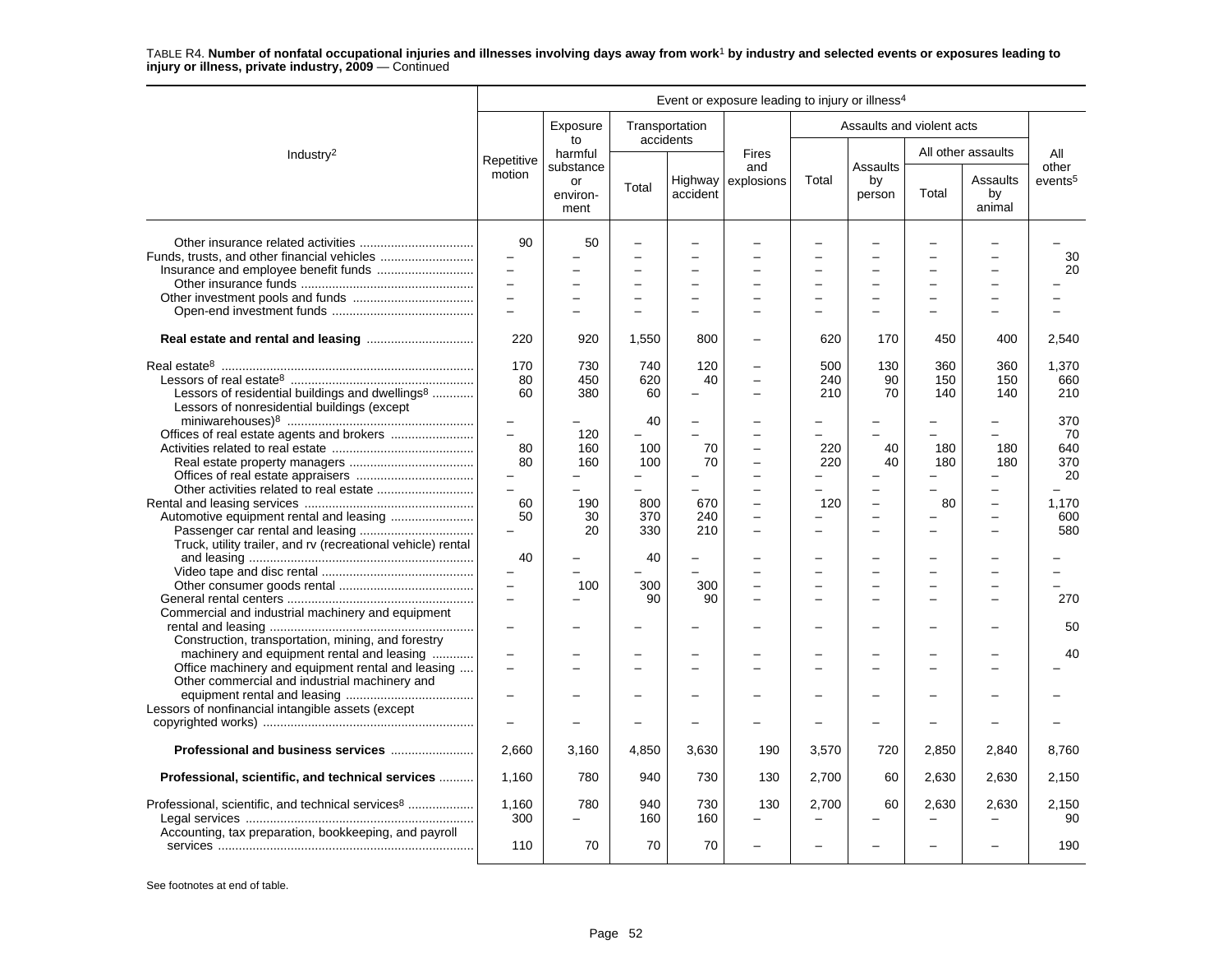|                                                                                                    | Event or exposure leading to injury or illness <sup>4</sup> |                                     |                          |                          |                          |                          |                           |       |                          |                              |  |
|----------------------------------------------------------------------------------------------------|-------------------------------------------------------------|-------------------------------------|--------------------------|--------------------------|--------------------------|--------------------------|---------------------------|-------|--------------------------|------------------------------|--|
|                                                                                                    |                                                             | Exposure<br>to                      | accidents                | Transportation           |                          |                          | Assaults and violent acts |       |                          |                              |  |
| Industry <sup>2</sup>                                                                              | Repetitive                                                  | harmful                             |                          |                          | <b>Fires</b>             |                          |                           |       | All other assaults       | All                          |  |
|                                                                                                    | motion                                                      | substance<br>or<br>environ-<br>ment | Total                    | Highway<br>accident      | and<br>explosions        | Total                    | Assaults<br>by<br>person  | Total | Assaults<br>by<br>animal | other<br>events <sup>5</sup> |  |
|                                                                                                    | 90                                                          | 50                                  |                          |                          |                          | -                        |                           |       |                          |                              |  |
|                                                                                                    | $\qquad \qquad -$                                           |                                     |                          |                          |                          |                          |                           |       |                          | 30                           |  |
|                                                                                                    | $\overline{a}$                                              |                                     |                          |                          |                          |                          |                           |       |                          | 20                           |  |
|                                                                                                    | $\overline{\phantom{0}}$                                    |                                     |                          | $\equiv$                 |                          | $\equiv$                 | $\overline{\phantom{0}}$  |       | $\overline{\phantom{0}}$ |                              |  |
|                                                                                                    | $\overline{\phantom{0}}$                                    |                                     |                          |                          |                          | $\overline{\phantom{0}}$ | $\overline{a}$            |       | $\overline{a}$           |                              |  |
|                                                                                                    | $\overline{\phantom{0}}$                                    |                                     |                          |                          |                          |                          |                           |       |                          |                              |  |
|                                                                                                    |                                                             |                                     |                          |                          |                          |                          |                           |       |                          |                              |  |
|                                                                                                    | 220                                                         | 920                                 | 1,550                    | 800                      |                          | 620                      | 170                       | 450   | 400                      | 2.540                        |  |
|                                                                                                    | 170                                                         | 730                                 | 740                      | 120                      |                          | 500                      | 130                       | 360   | 360                      | 1,370                        |  |
|                                                                                                    | 80                                                          | 450                                 | 620                      | 40                       | $\equiv$                 | 240                      | 90                        | 150   | 150                      | 660                          |  |
| Lessors of residential buildings and dwellings <sup>8</sup>                                        | 60                                                          | 380                                 | 60                       |                          |                          | 210                      | 70                        | 140   | 140                      | 210                          |  |
| Lessors of nonresidential buildings (except                                                        |                                                             |                                     | 40                       | $\overline{\phantom{0}}$ |                          | -                        |                           |       |                          | 370                          |  |
|                                                                                                    | $\qquad \qquad -$<br>$\equiv$                               |                                     |                          |                          |                          |                          |                           |       |                          |                              |  |
| Offices of real estate agents and brokers                                                          |                                                             | 120                                 |                          |                          |                          |                          |                           |       |                          | 70<br>640                    |  |
|                                                                                                    | 80                                                          | 160                                 | 100                      | 70                       |                          | 220                      | 40                        | 180   | 180                      |                              |  |
|                                                                                                    | 80                                                          | 160                                 | 100                      | 70                       | $\overline{\phantom{0}}$ | 220                      | 40                        | 180   | 180                      | 370                          |  |
|                                                                                                    | $\overline{\phantom{0}}$<br>$\equiv$                        |                                     | $\overline{\phantom{0}}$ |                          |                          | -                        |                           |       |                          | 20                           |  |
|                                                                                                    |                                                             |                                     |                          |                          |                          |                          |                           |       |                          |                              |  |
|                                                                                                    | 60                                                          | 190                                 | 800                      | 670                      | $\equiv$                 | 120                      | $\overline{a}$            | 80    | $\overline{\phantom{0}}$ | 1,170                        |  |
| Automotive equipment rental and leasing                                                            | 50                                                          | 30                                  | 370                      | 240                      | $\equiv$                 | -                        | $\overline{a}$            |       | $\overline{a}$           | 600                          |  |
|                                                                                                    |                                                             | 20                                  | 330                      | 210                      |                          |                          |                           |       |                          | 580                          |  |
| Truck, utility trailer, and rv (recreational vehicle) rental                                       |                                                             |                                     |                          |                          |                          |                          |                           |       |                          |                              |  |
|                                                                                                    | 40                                                          |                                     | 40                       |                          |                          |                          |                           |       |                          |                              |  |
|                                                                                                    |                                                             |                                     |                          |                          |                          |                          |                           |       |                          |                              |  |
|                                                                                                    | $\equiv$<br>$\overline{a}$                                  | 100                                 | 300                      | 300                      |                          | -                        | $\overline{\phantom{0}}$  |       |                          |                              |  |
|                                                                                                    |                                                             |                                     | 90                       | 90                       |                          | $\equiv$                 | L.                        |       | $\overline{\phantom{0}}$ | 270                          |  |
| Commercial and industrial machinery and equipment                                                  |                                                             |                                     |                          |                          |                          |                          |                           |       |                          |                              |  |
|                                                                                                    | $\equiv$                                                    |                                     |                          |                          |                          |                          |                           |       |                          | 50                           |  |
| Construction, transportation, mining, and forestry                                                 |                                                             |                                     |                          |                          |                          |                          |                           |       |                          |                              |  |
| machinery and equipment rental and leasing                                                         | $\overline{\phantom{0}}$<br>$\overline{a}$                  |                                     |                          |                          |                          |                          |                           |       |                          | 40                           |  |
| Office machinery and equipment rental and leasing<br>Other commercial and industrial machinery and |                                                             |                                     |                          |                          |                          |                          |                           |       |                          |                              |  |
|                                                                                                    |                                                             |                                     |                          |                          |                          |                          |                           |       |                          |                              |  |
| Lessors of nonfinancial intangible assets (except                                                  |                                                             |                                     |                          |                          |                          |                          |                           |       |                          |                              |  |
|                                                                                                    | $\overline{\phantom{0}}$                                    |                                     |                          |                          |                          | $\overline{\phantom{0}}$ |                           |       |                          |                              |  |
|                                                                                                    | 2,660                                                       | 3,160                               | 4,850                    | 3,630                    | 190                      | 3,570                    | 720                       | 2,850 | 2,840                    | 8,760                        |  |
| Professional, scientific, and technical services                                                   | 1,160                                                       | 780                                 | 940                      | 730                      | 130                      | 2,700                    | 60                        | 2,630 | 2,630                    | 2,150                        |  |
| Professional, scientific, and technical services <sup>8</sup>                                      | 1,160                                                       | 780                                 | 940                      | 730                      | 130                      | 2,700                    | 60                        | 2,630 | 2,630                    | 2,150                        |  |
|                                                                                                    | 300                                                         |                                     | 160                      | 160                      |                          | $\overline{\phantom{0}}$ |                           |       |                          | 90                           |  |
| Accounting, tax preparation, bookkeeping, and payroll                                              |                                                             |                                     |                          |                          |                          |                          |                           |       |                          |                              |  |
|                                                                                                    | 110                                                         | 70                                  | 70                       | 70                       |                          |                          |                           |       |                          | 190                          |  |
|                                                                                                    |                                                             |                                     |                          |                          |                          |                          |                           |       |                          |                              |  |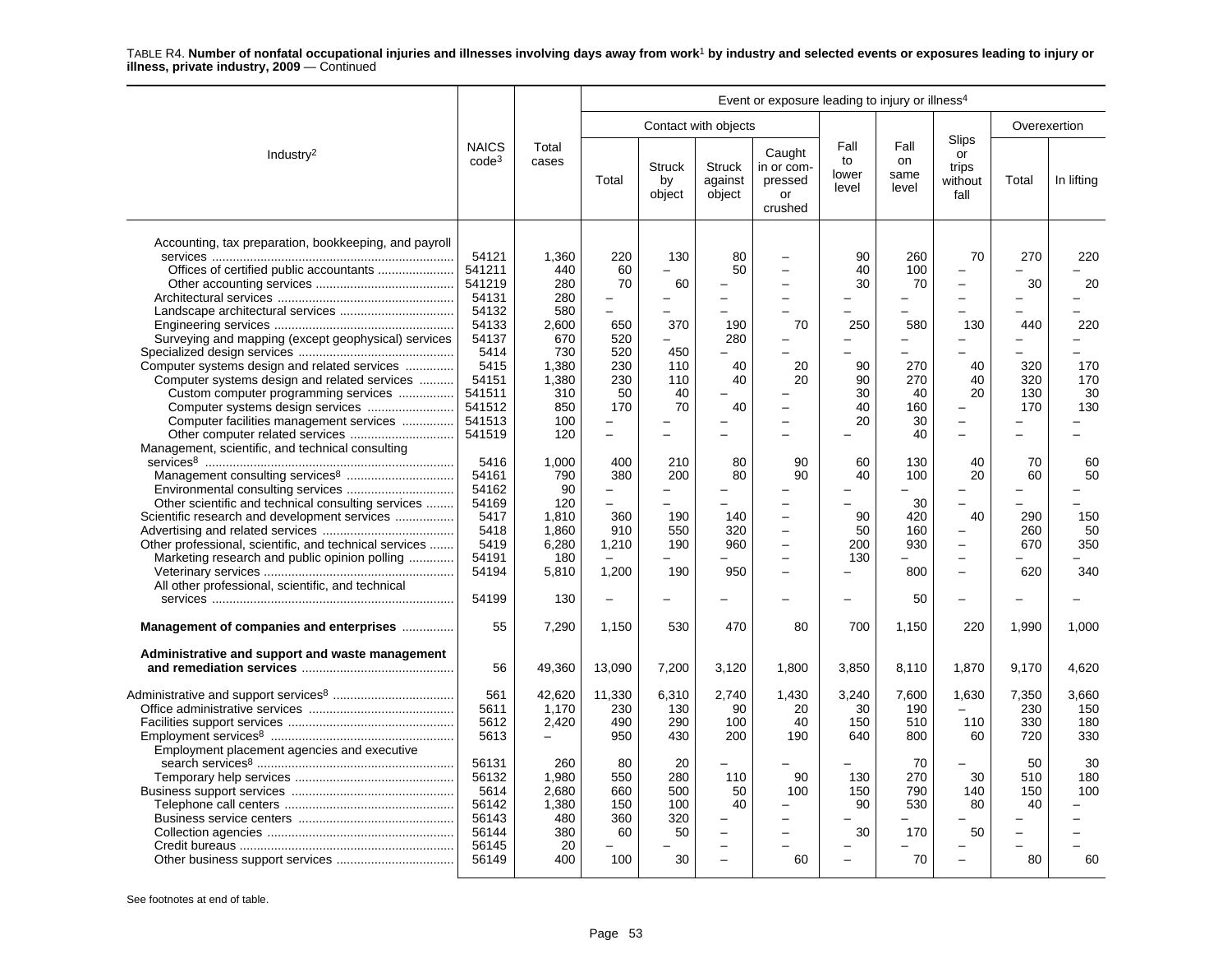|                                                                                                                                                                                                                                                                                                                                                                                                                                                                                                                                                                                                                                                                                                                     |                                                                                                                                                                                                                            |                                                                                                                                                                                                |                                                                                                                                                                                                                                                                                     |                                                                                                                                                                                                                                        |                                                                                                                                                                                                    | Event or exposure leading to injury or illness <sup>4</sup>                                                                                                                                                                                  |                                                                                                                                                               |                                                                                                                                    |                                                                                                                                                                                                                                                                                                                                                                                                                                |                                                                                                               |                                                                                                    |
|---------------------------------------------------------------------------------------------------------------------------------------------------------------------------------------------------------------------------------------------------------------------------------------------------------------------------------------------------------------------------------------------------------------------------------------------------------------------------------------------------------------------------------------------------------------------------------------------------------------------------------------------------------------------------------------------------------------------|----------------------------------------------------------------------------------------------------------------------------------------------------------------------------------------------------------------------------|------------------------------------------------------------------------------------------------------------------------------------------------------------------------------------------------|-------------------------------------------------------------------------------------------------------------------------------------------------------------------------------------------------------------------------------------------------------------------------------------|----------------------------------------------------------------------------------------------------------------------------------------------------------------------------------------------------------------------------------------|----------------------------------------------------------------------------------------------------------------------------------------------------------------------------------------------------|----------------------------------------------------------------------------------------------------------------------------------------------------------------------------------------------------------------------------------------------|---------------------------------------------------------------------------------------------------------------------------------------------------------------|------------------------------------------------------------------------------------------------------------------------------------|--------------------------------------------------------------------------------------------------------------------------------------------------------------------------------------------------------------------------------------------------------------------------------------------------------------------------------------------------------------------------------------------------------------------------------|---------------------------------------------------------------------------------------------------------------|----------------------------------------------------------------------------------------------------|
|                                                                                                                                                                                                                                                                                                                                                                                                                                                                                                                                                                                                                                                                                                                     |                                                                                                                                                                                                                            |                                                                                                                                                                                                |                                                                                                                                                                                                                                                                                     |                                                                                                                                                                                                                                        | Contact with objects                                                                                                                                                                               |                                                                                                                                                                                                                                              |                                                                                                                                                               |                                                                                                                                    |                                                                                                                                                                                                                                                                                                                                                                                                                                |                                                                                                               | Overexertion                                                                                       |
| Industry <sup>2</sup>                                                                                                                                                                                                                                                                                                                                                                                                                                                                                                                                                                                                                                                                                               | <b>NAICS</b><br>$code^3$                                                                                                                                                                                                   | Total<br>cases                                                                                                                                                                                 | Total                                                                                                                                                                                                                                                                               | <b>Struck</b><br>by<br>object                                                                                                                                                                                                          | <b>Struck</b><br>against<br>object                                                                                                                                                                 | Caught<br>in or com-<br>pressed<br>or<br>crushed                                                                                                                                                                                             | Fall<br>to<br>lower<br>level                                                                                                                                  | Fall<br>on<br>same<br>level                                                                                                        | Slips<br>or<br>trips<br>without<br>fall                                                                                                                                                                                                                                                                                                                                                                                        | Total                                                                                                         | In lifting                                                                                         |
| Accounting, tax preparation, bookkeeping, and payroll<br>Surveying and mapping (except geophysical) services<br>Computer systems design and related services<br>Computer systems design and related services<br>Custom computer programming services<br>Computer facilities management services<br>Management, scientific, and technical consulting<br>Management consulting services <sup>8</sup><br>Other scientific and technical consulting services<br>Scientific research and development services<br>Other professional, scientific, and technical services<br>Marketing research and public opinion polling<br>All other professional, scientific, and technical<br>Management of companies and enterprises | 54121<br>541211<br>541219<br>54131<br>54132<br>54133<br>54137<br>5414<br>5415<br>54151<br>541511<br>541512<br>541513<br>541519<br>5416<br>54161<br>54162<br>54169<br>5417<br>5418<br>5419<br>54191<br>54194<br>54199<br>55 | 1,360<br>440<br>280<br>280<br>580<br>2,600<br>670<br>730<br>1.380<br>1,380<br>310<br>850<br>100<br>120<br>1,000<br>790<br>90<br>120<br>1,810<br>1,860<br>6,280<br>180<br>5,810<br>130<br>7,290 | 220<br>60<br>70<br>$\overline{\phantom{m}}$<br>650<br>520<br>520<br>230<br>230<br>50<br>170<br>$\overline{\phantom{0}}$<br>$\overline{\phantom{m}}$<br>400<br>380<br>$\frac{1}{2}$<br>$\overline{\phantom{0}}$<br>360<br>910<br>1,210<br>1,200<br>$\overline{\phantom{0}}$<br>1,150 | 130<br>60<br>$\overline{\phantom{0}}$<br>$\equiv$<br>370<br>$\equiv$<br>450<br>110<br>110<br>40<br>70<br>$\overline{\phantom{0}}$<br>210<br>200<br>$\overline{\phantom{0}}$<br>L.<br>190<br>550<br>190<br>$\overline{a}$<br>190<br>530 | 80<br>50<br>$\equiv$<br>190<br>280<br>40<br>40<br>40<br>$\overline{\phantom{0}}$<br>-<br>80<br>80<br>L.<br>140<br>320<br>960<br>$\overline{\phantom{0}}$<br>950<br>$\overline{\phantom{0}}$<br>470 | $\overline{\phantom{0}}$<br>$\overline{\phantom{a}}$<br>$\overline{\phantom{m}}$<br>70<br>20<br>20<br>$\equiv$<br>90<br>90<br>$\equiv$<br>$\overline{\phantom{m}}$<br>$\overline{\phantom{m}}$<br>$\equiv$<br>$\overline{\phantom{0}}$<br>80 | 90<br>40<br>30<br>250<br>-<br>$\overline{\phantom{0}}$<br>90<br>90<br>30<br>40<br>20<br>60<br>40<br>90<br>50<br>200<br>130<br>$\overline{\phantom{0}}$<br>700 | 260<br>100<br>70<br>580<br>-<br>270<br>270<br>40<br>160<br>30<br>40<br>130<br>100<br>30<br>420<br>160<br>930<br>800<br>50<br>1,150 | 70<br>$\overline{\phantom{0}}$<br>$\overline{\phantom{0}}$<br>$\overline{\phantom{m}}$<br>130<br>-<br>$\overline{\phantom{a}}$<br>40<br>40<br>20<br>$\overline{\phantom{0}}$<br>$\overline{\phantom{0}}$<br>$\overline{\phantom{0}}$<br>40<br>20<br>$\overline{\phantom{0}}$<br>40<br>$\overline{\phantom{0}}$<br>$\qquad \qquad -$<br>$\overline{\phantom{0}}$<br>$\overline{\phantom{0}}$<br>$\overline{\phantom{0}}$<br>220 | 270<br>30<br>440<br>-<br>L.<br>320<br>320<br>130<br>170<br>70<br>60<br>290<br>260<br>670<br>620<br>-<br>1,990 | 220<br>20<br>220<br>$=$<br>170<br>170<br>30<br>130<br>60<br>50<br>150<br>50<br>350<br>340<br>1.000 |
| Administrative and support and waste management                                                                                                                                                                                                                                                                                                                                                                                                                                                                                                                                                                                                                                                                     | 56                                                                                                                                                                                                                         | 49,360                                                                                                                                                                                         | 13,090                                                                                                                                                                                                                                                                              | 7,200                                                                                                                                                                                                                                  | 3.120                                                                                                                                                                                              | 1.800                                                                                                                                                                                                                                        | 3,850                                                                                                                                                         | 8,110                                                                                                                              | 1,870                                                                                                                                                                                                                                                                                                                                                                                                                          | 9,170                                                                                                         | 4.620                                                                                              |
| Employment placement agencies and executive                                                                                                                                                                                                                                                                                                                                                                                                                                                                                                                                                                                                                                                                         | 561<br>5611<br>5612<br>5613<br>56131<br>56132<br>5614<br>56142<br>56143<br>56144<br>56145                                                                                                                                  | 42,620<br>1,170<br>2,420<br>$\overline{\phantom{0}}$<br>260<br>1,980<br>2,680<br>1,380<br>480<br>380<br>20                                                                                     | 11,330<br>230<br>490<br>950<br>80<br>550<br>660<br>150<br>360<br>60                                                                                                                                                                                                                 | 6,310<br>130<br>290<br>430<br>20<br>280<br>500<br>100<br>320<br>50                                                                                                                                                                     | 2,740<br>90<br>100<br>200<br>110<br>50<br>40<br>$\equiv$                                                                                                                                           | 1,430<br>20<br>40<br>190<br>90<br>100                                                                                                                                                                                                        | 3,240<br>30<br>150<br>640<br>130<br>150<br>90<br>30                                                                                                           | 7,600<br>190<br>510<br>800<br>70<br>270<br>790<br>530<br>170                                                                       | 1,630<br>110<br>60<br>30<br>140<br>80<br>50                                                                                                                                                                                                                                                                                                                                                                                    | 7,350<br>230<br>330<br>720<br>50<br>510<br>150<br>40                                                          | 3,660<br>150<br>180<br>330<br>30<br>180<br>100                                                     |
|                                                                                                                                                                                                                                                                                                                                                                                                                                                                                                                                                                                                                                                                                                                     | 56149                                                                                                                                                                                                                      | 400                                                                                                                                                                                            | 100                                                                                                                                                                                                                                                                                 | 30                                                                                                                                                                                                                                     |                                                                                                                                                                                                    | 60                                                                                                                                                                                                                                           |                                                                                                                                                               | 70                                                                                                                                 |                                                                                                                                                                                                                                                                                                                                                                                                                                | 80                                                                                                            | 60                                                                                                 |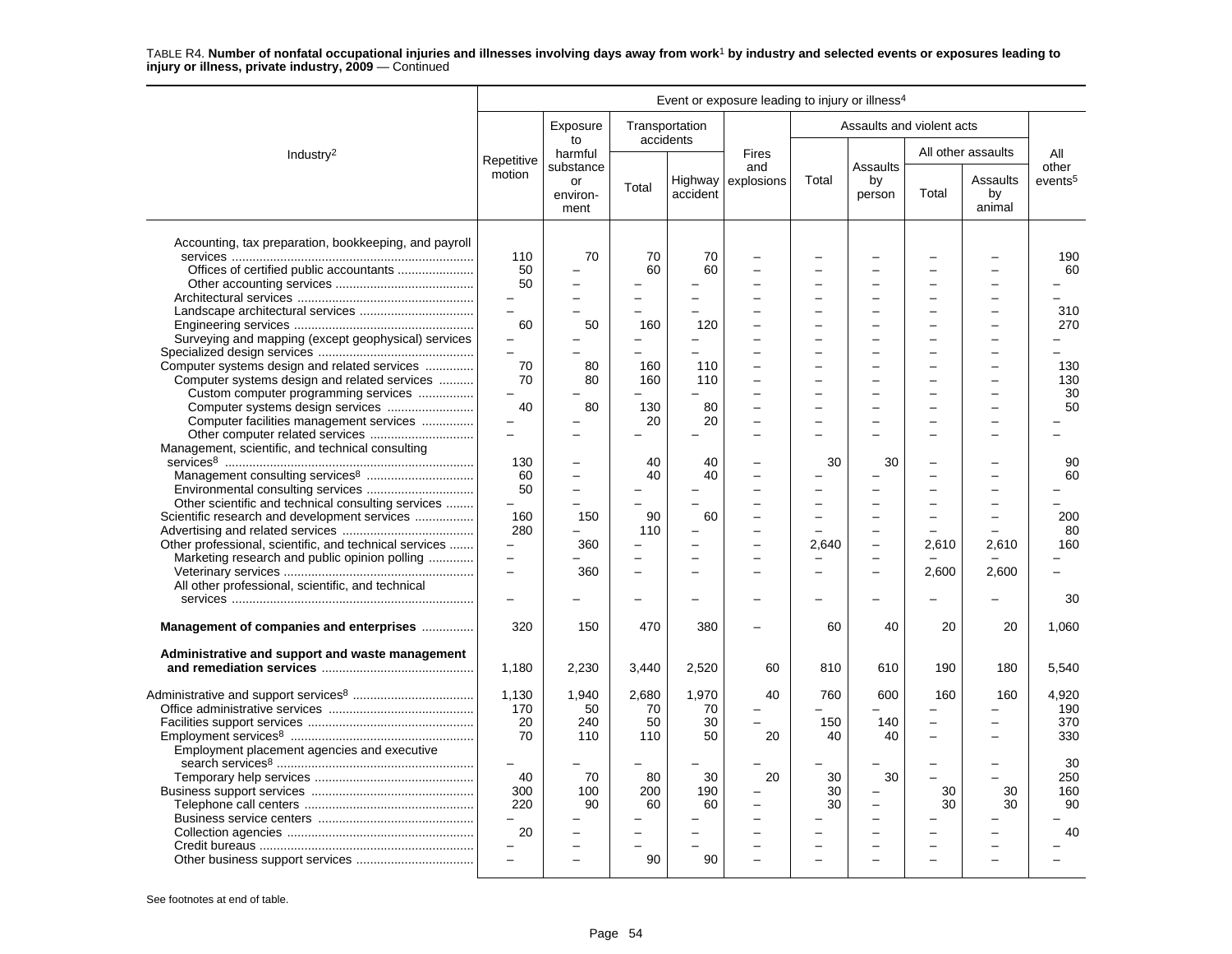|                                                        |                          |                                     |                |                                | Event or exposure leading to injury or illness <sup>4</sup> |          |                           |                          |                          |                     |
|--------------------------------------------------------|--------------------------|-------------------------------------|----------------|--------------------------------|-------------------------------------------------------------|----------|---------------------------|--------------------------|--------------------------|---------------------|
|                                                        |                          | Exposure<br>to                      |                | Transportation<br>accidents    |                                                             |          | Assaults and violent acts |                          |                          |                     |
| Industry <sup>2</sup>                                  | Repetitive               | harmful                             |                |                                | <b>Fires</b>                                                |          | Assaults                  |                          | All other assaults       | All<br>other        |
|                                                        | motion                   | substance<br>or<br>environ-<br>ment | Total          | accident                       | and<br>Highway explosions                                   | Total    | by<br>person              | Total                    | Assaults<br>by<br>animal | events <sup>5</sup> |
| Accounting, tax preparation, bookkeeping, and payroll  |                          |                                     |                |                                |                                                             |          |                           |                          |                          |                     |
|                                                        | 110                      | 70                                  | 70             | 70                             |                                                             |          |                           |                          |                          | 190                 |
| Offices of certified public accountants                | $50^{\circ}$             |                                     | 60             | 60                             |                                                             |          |                           |                          |                          | 60                  |
|                                                        | 50                       |                                     |                | L                              |                                                             |          |                           |                          | -                        |                     |
|                                                        | $\overline{\phantom{0}}$ | $\overline{\phantom{0}}$            | -              | -                              |                                                             | ÷        | -                         |                          | $\equiv$                 |                     |
|                                                        | $\overline{a}$           | L.                                  |                | $\overline{\phantom{0}}$       |                                                             |          | ÷                         |                          | -                        | 310                 |
|                                                        | 60                       | 50                                  | 160            | 120                            |                                                             |          |                           |                          | -                        | 270                 |
| Surveying and mapping (except geophysical) services    |                          |                                     |                |                                |                                                             |          |                           |                          |                          |                     |
|                                                        | $\equiv$                 |                                     | $\overline{a}$ | L.                             |                                                             | $\equiv$ | $\equiv$                  |                          | -                        |                     |
| Computer systems design and related services           | 70                       | 80                                  | 160            | 110                            |                                                             |          |                           |                          |                          | 130                 |
| Computer systems design and related services           | 70                       | 80                                  | 160            | 110                            |                                                             |          |                           |                          |                          | 130                 |
| Custom computer programming services                   |                          |                                     |                |                                |                                                             |          |                           |                          |                          | 30                  |
|                                                        | 40                       | 80                                  | 130            | 80                             |                                                             |          |                           |                          |                          | 50                  |
| Computer facilities management services                |                          |                                     | 20             | 20                             |                                                             |          |                           |                          |                          |                     |
|                                                        | $\overline{a}$           | L.                                  |                | $\overline{\phantom{0}}$       | $\equiv$                                                    |          |                           |                          | -                        |                     |
| Management, scientific, and technical consulting       |                          |                                     |                |                                |                                                             |          |                           |                          |                          |                     |
|                                                        | 130                      |                                     | 40             | 40                             |                                                             | 30       | 30                        |                          |                          | 90                  |
|                                                        | 60                       |                                     | 40             | 40                             |                                                             |          |                           |                          |                          | 60                  |
|                                                        | 50                       | $\overline{\phantom{0}}$            |                |                                |                                                             |          | $\equiv$                  |                          |                          |                     |
| Other scientific and technical consulting services     | $\equiv$                 | $\overline{\phantom{a}}$            |                |                                |                                                             | -        | $\equiv$                  |                          |                          |                     |
|                                                        | 160                      | 150                                 | 90             | 60                             |                                                             |          |                           |                          |                          |                     |
| Scientific research and development services           | 280                      |                                     | 110            | -                              |                                                             |          | $\overline{\phantom{0}}$  |                          |                          | 200                 |
|                                                        | $\equiv$                 |                                     |                |                                |                                                             |          |                           |                          |                          | 80                  |
| Other professional, scientific, and technical services | $\equiv$                 | 360                                 | ÷              | $\overline{\phantom{0}}$<br>L. |                                                             | 2,640    | $\overline{\phantom{0}}$  | 2,610                    | 2,610                    | 160                 |
| Marketing research and public opinion polling          | $\equiv$                 |                                     |                |                                |                                                             |          | $\equiv$                  |                          |                          |                     |
|                                                        |                          | 360                                 |                | $\overline{\phantom{0}}$       |                                                             |          | $\equiv$                  | 2,600                    | 2.600                    |                     |
| All other professional, scientific, and technical      |                          |                                     |                |                                |                                                             |          |                           |                          |                          |                     |
|                                                        |                          |                                     |                |                                |                                                             |          |                           |                          |                          | 30                  |
| Management of companies and enterprises                | 320                      | 150                                 | 470            | 380                            |                                                             | 60       | 40                        | 20                       | 20                       | 1,060               |
| Administrative and support and waste management        |                          |                                     |                |                                |                                                             |          |                           |                          |                          |                     |
|                                                        | 1,180                    | 2,230                               | 3,440          | 2,520                          | 60                                                          | 810      | 610                       | 190                      | 180                      | 5,540               |
|                                                        | 1,130                    | 1,940                               | 2,680          | 1,970                          | 40                                                          | 760      | 600                       | 160                      | 160                      | 4,920               |
|                                                        | 170                      | 50                                  | 70             | 70                             |                                                             |          |                           |                          |                          | 190                 |
|                                                        | 20                       | 240                                 | 50             | 30                             | $\overline{a}$                                              | 150      | 140                       | $\equiv$                 |                          | 370                 |
|                                                        | 70                       | 110                                 | 110            | 50                             | 20                                                          | 40       | 40                        | $\overline{\phantom{0}}$ |                          | 330                 |
|                                                        |                          |                                     |                |                                |                                                             |          |                           |                          |                          |                     |
| Employment placement agencies and executive            | $\qquad \qquad -$        |                                     |                |                                |                                                             |          |                           |                          | -                        | 30                  |
|                                                        |                          |                                     |                |                                |                                                             |          |                           |                          |                          |                     |
|                                                        | 40                       | 70                                  | 80             | 30                             | 20                                                          | 30       | 30                        |                          |                          | 250                 |
|                                                        | 300                      | 100                                 | 200            | 190                            |                                                             | 30       | $\overline{\phantom{0}}$  | 30                       | 30                       | 160                 |
|                                                        | 220                      | 90                                  | 60             | 60                             |                                                             | 30       | $\overline{\phantom{0}}$  | 30                       | 30                       | 90                  |
|                                                        | $\equiv$                 |                                     |                |                                |                                                             |          | $\equiv$                  |                          |                          |                     |
|                                                        | 20                       |                                     |                |                                |                                                             |          |                           |                          |                          | 40                  |
|                                                        |                          |                                     |                |                                |                                                             |          | $\overline{a}$            |                          |                          |                     |
|                                                        |                          |                                     | 90             | 90                             |                                                             |          |                           |                          |                          |                     |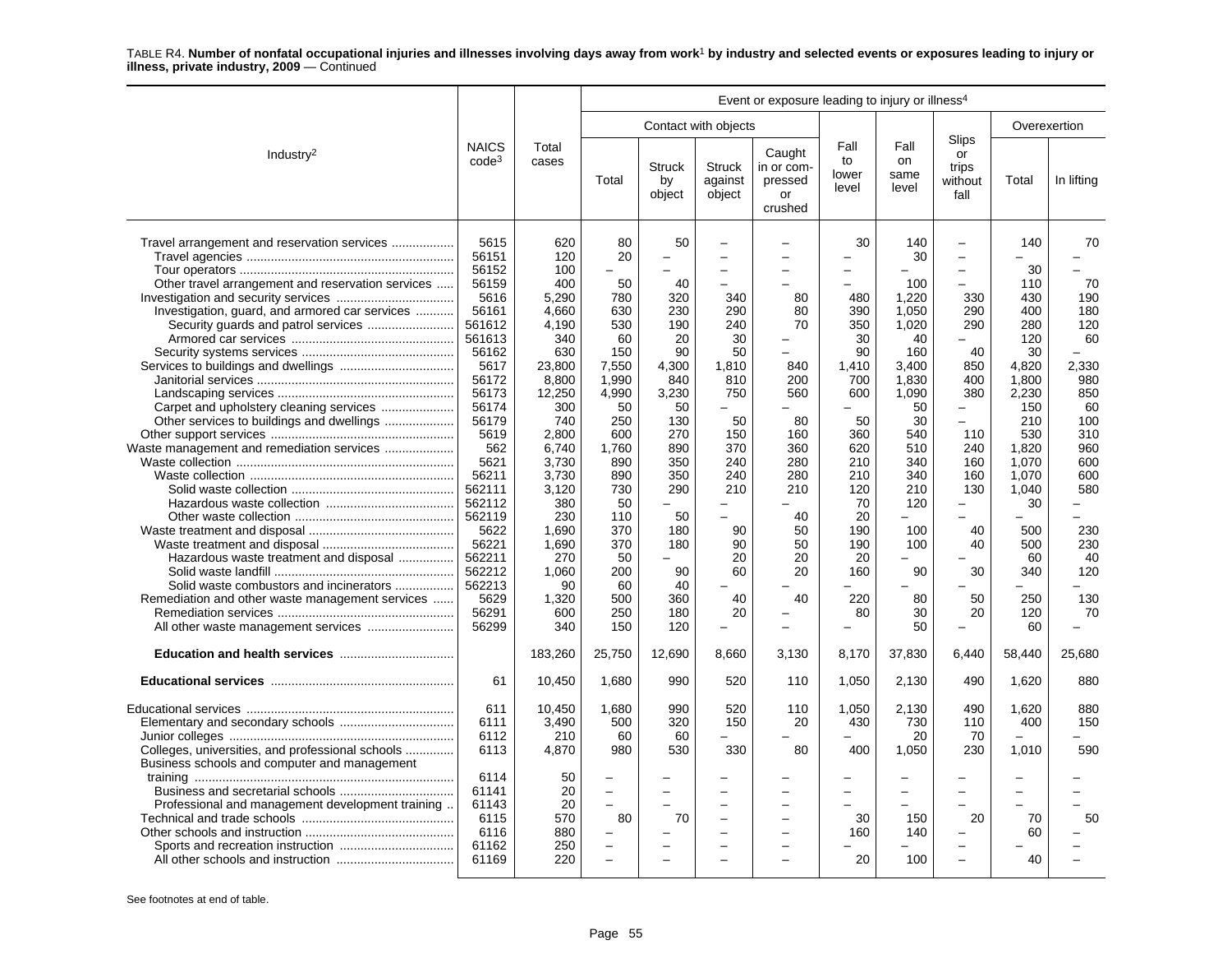|                                                                                                                                                                                                                                                                                                                                                                                | Event or exposure leading to injury or illness <sup>4</sup>                                                                                                                                                                                                      |                                                                                                                                                                                                                                        |                                                                                                                                                                                                  |                                                                                                                                                                                                            |                                                                                                                                                                                                                                                                          |                                                                                                                  |                                                                                                                                                         |                                                                                                                                                                                      |                                                                                                                                                                                                                                                                                                                                 |                                                                                                                                                                                                         |                                                                                                                                                          |
|--------------------------------------------------------------------------------------------------------------------------------------------------------------------------------------------------------------------------------------------------------------------------------------------------------------------------------------------------------------------------------|------------------------------------------------------------------------------------------------------------------------------------------------------------------------------------------------------------------------------------------------------------------|----------------------------------------------------------------------------------------------------------------------------------------------------------------------------------------------------------------------------------------|--------------------------------------------------------------------------------------------------------------------------------------------------------------------------------------------------|------------------------------------------------------------------------------------------------------------------------------------------------------------------------------------------------------------|--------------------------------------------------------------------------------------------------------------------------------------------------------------------------------------------------------------------------------------------------------------------------|------------------------------------------------------------------------------------------------------------------|---------------------------------------------------------------------------------------------------------------------------------------------------------|--------------------------------------------------------------------------------------------------------------------------------------------------------------------------------------|---------------------------------------------------------------------------------------------------------------------------------------------------------------------------------------------------------------------------------------------------------------------------------------------------------------------------------|---------------------------------------------------------------------------------------------------------------------------------------------------------------------------------------------------------|----------------------------------------------------------------------------------------------------------------------------------------------------------|
|                                                                                                                                                                                                                                                                                                                                                                                |                                                                                                                                                                                                                                                                  |                                                                                                                                                                                                                                        |                                                                                                                                                                                                  |                                                                                                                                                                                                            | Contact with objects                                                                                                                                                                                                                                                     |                                                                                                                  |                                                                                                                                                         |                                                                                                                                                                                      |                                                                                                                                                                                                                                                                                                                                 |                                                                                                                                                                                                         | Overexertion                                                                                                                                             |
| Industry <sup>2</sup>                                                                                                                                                                                                                                                                                                                                                          | <b>NAICS</b><br>code <sup>3</sup>                                                                                                                                                                                                                                | Total<br>cases                                                                                                                                                                                                                         | Total                                                                                                                                                                                            | <b>Struck</b><br>by<br>object                                                                                                                                                                              | <b>Struck</b><br>against<br>object                                                                                                                                                                                                                                       | Caught<br>in or com-<br>pressed<br>or<br>crushed                                                                 | Fall<br>to<br>lower<br>level                                                                                                                            | Fall<br>on<br>same<br>level                                                                                                                                                          | Slips<br>or<br>trips<br>without<br>fall                                                                                                                                                                                                                                                                                         | Total                                                                                                                                                                                                   | In lifting                                                                                                                                               |
| Travel arrangement and reservation services<br>Other travel arrangement and reservation services<br>Investigation, guard, and armored car services<br>Security guards and patrol services<br>Waste management and remediation services<br>Hazardous waste treatment and disposal<br>Solid waste combustors and incinerators<br>Remediation and other waste management services | 5615<br>56151<br>56152<br>56159<br>5616<br>56161<br>561612<br>561613<br>56162<br>5617<br>56172<br>56173<br>56174<br>56179<br>5619<br>562<br>5621<br>56211<br>562111<br>562112<br>562119<br>5622<br>56221<br>562211<br>562212<br>562213<br>5629<br>56291<br>56299 | 620<br>120<br>100<br>400<br>5,290<br>4,660<br>4,190<br>340<br>630<br>23,800<br>8,800<br>12,250<br>300<br>740<br>2,800<br>6,740<br>3.730<br>3,730<br>3,120<br>380<br>230<br>1,690<br>1,690<br>270<br>1,060<br>90<br>1,320<br>600<br>340 | 80<br>20<br>50<br>780<br>630<br>530<br>60<br>150<br>7,550<br>1,990<br>4.990<br>50<br>250<br>600<br>1.760<br>890<br>890<br>730<br>50<br>110<br>370<br>370<br>50<br>200<br>60<br>500<br>250<br>150 | 50<br>40<br>320<br>230<br>190<br>20<br>90<br>4,300<br>840<br>3,230<br>50<br>130<br>270<br>890<br>350<br>350<br>290<br>$-$<br>50<br>180<br>180<br>$\overline{\phantom{0}}$<br>90<br>40<br>360<br>180<br>120 | $\overline{\phantom{0}}$<br>$\overline{\phantom{0}}$<br>340<br>290<br>240<br>30<br>50<br>1,810<br>810<br>750<br>$\overline{\phantom{0}}$<br>50<br>150<br>370<br>240<br>240<br>210<br>$\overline{a}$<br>$\overline{\phantom{0}}$<br>90<br>90<br>20<br>60<br>40<br>20<br>- | 80<br>80<br>70<br>840<br>200<br>560<br>80<br>160<br>360<br>280<br>280<br>210<br>40<br>50<br>50<br>20<br>20<br>40 | 30<br>480<br>390<br>350<br>30<br>90<br>1,410<br>700<br>600<br>50<br>360<br>620<br>210<br>210<br>120<br>70<br>20<br>190<br>190<br>20<br>160<br>220<br>80 | 140<br>30<br>100<br>1,220<br>1,050<br>1,020<br>40<br>160<br>3,400<br>1,830<br>1.090<br>50<br>30<br>540<br>510<br>340<br>340<br>210<br>120<br>-<br>100<br>100<br>90<br>80<br>30<br>50 | $\overline{\phantom{0}}$<br>$\equiv$<br>$\overline{\phantom{0}}$<br>$\overline{a}$<br>330<br>290<br>290<br>40<br>850<br>400<br>380<br>$\overline{\phantom{0}}$<br>$\equiv$<br>110<br>240<br>160<br>160<br>130<br>$\overline{\phantom{0}}$<br>$\overline{\phantom{0}}$<br>40<br>40<br>30<br>50<br>20<br>$\overline{\phantom{0}}$ | 140<br>30<br>110<br>430<br>400<br>280<br>120<br>30<br>4,820<br>1,800<br>2,230<br>150<br>210<br>530<br>1.820<br>1.070<br>1,070<br>1,040<br>30<br>$\equiv$<br>500<br>500<br>60<br>340<br>250<br>120<br>60 | 70<br>70<br>190<br>180<br>120<br>60<br>2,330<br>980<br>850<br>60<br>100<br>310<br>960<br>600<br>600<br>580<br>۰.<br>230<br>230<br>40<br>120<br>130<br>70 |
|                                                                                                                                                                                                                                                                                                                                                                                |                                                                                                                                                                                                                                                                  | 183,260                                                                                                                                                                                                                                | 25,750                                                                                                                                                                                           | 12,690                                                                                                                                                                                                     | 8,660                                                                                                                                                                                                                                                                    | 3,130                                                                                                            | 8,170                                                                                                                                                   | 37,830                                                                                                                                                                               | 6,440                                                                                                                                                                                                                                                                                                                           | 58,440                                                                                                                                                                                                  | 25,680                                                                                                                                                   |
|                                                                                                                                                                                                                                                                                                                                                                                | 61                                                                                                                                                                                                                                                               | 10,450                                                                                                                                                                                                                                 | 1,680                                                                                                                                                                                            | 990                                                                                                                                                                                                        | 520                                                                                                                                                                                                                                                                      | 110                                                                                                              | 1,050                                                                                                                                                   | 2,130                                                                                                                                                                                | 490                                                                                                                                                                                                                                                                                                                             | 1,620                                                                                                                                                                                                   | 880                                                                                                                                                      |
| Colleges, universities, and professional schools<br>Business schools and computer and management<br>Professional and management development training.                                                                                                                                                                                                                          | 611<br>6111<br>6112<br>6113<br>6114<br>61141<br>61143<br>6115                                                                                                                                                                                                    | 10,450<br>3,490<br>210<br>4,870<br>50<br>20<br>20<br>570                                                                                                                                                                               | 1,680<br>500<br>60<br>980<br>$\overline{a}$<br>80                                                                                                                                                | 990<br>320<br>60<br>530<br>70                                                                                                                                                                              | 520<br>150<br>330<br>$\equiv$                                                                                                                                                                                                                                            | 110<br>20<br>80<br>$\equiv$                                                                                      | 1.050<br>430<br>400<br>30                                                                                                                               | 2.130<br>730<br>20<br>1,050<br>150                                                                                                                                                   | 490<br>110<br>70<br>230<br>$\overline{\phantom{0}}$<br>$\overline{a}$<br>20                                                                                                                                                                                                                                                     | 1,620<br>400<br>1,010<br>70                                                                                                                                                                             | 880<br>150<br>590<br>50                                                                                                                                  |
|                                                                                                                                                                                                                                                                                                                                                                                | 6116<br>61162<br>61169                                                                                                                                                                                                                                           | 880<br>250<br>220                                                                                                                                                                                                                      | $\overline{a}$<br>÷                                                                                                                                                                              |                                                                                                                                                                                                            | $\overline{\phantom{0}}$                                                                                                                                                                                                                                                 |                                                                                                                  | 160<br>20                                                                                                                                               | 140<br>100                                                                                                                                                                           | $\overline{\phantom{0}}$<br>$\overline{\phantom{0}}$                                                                                                                                                                                                                                                                            | 60<br>40                                                                                                                                                                                                |                                                                                                                                                          |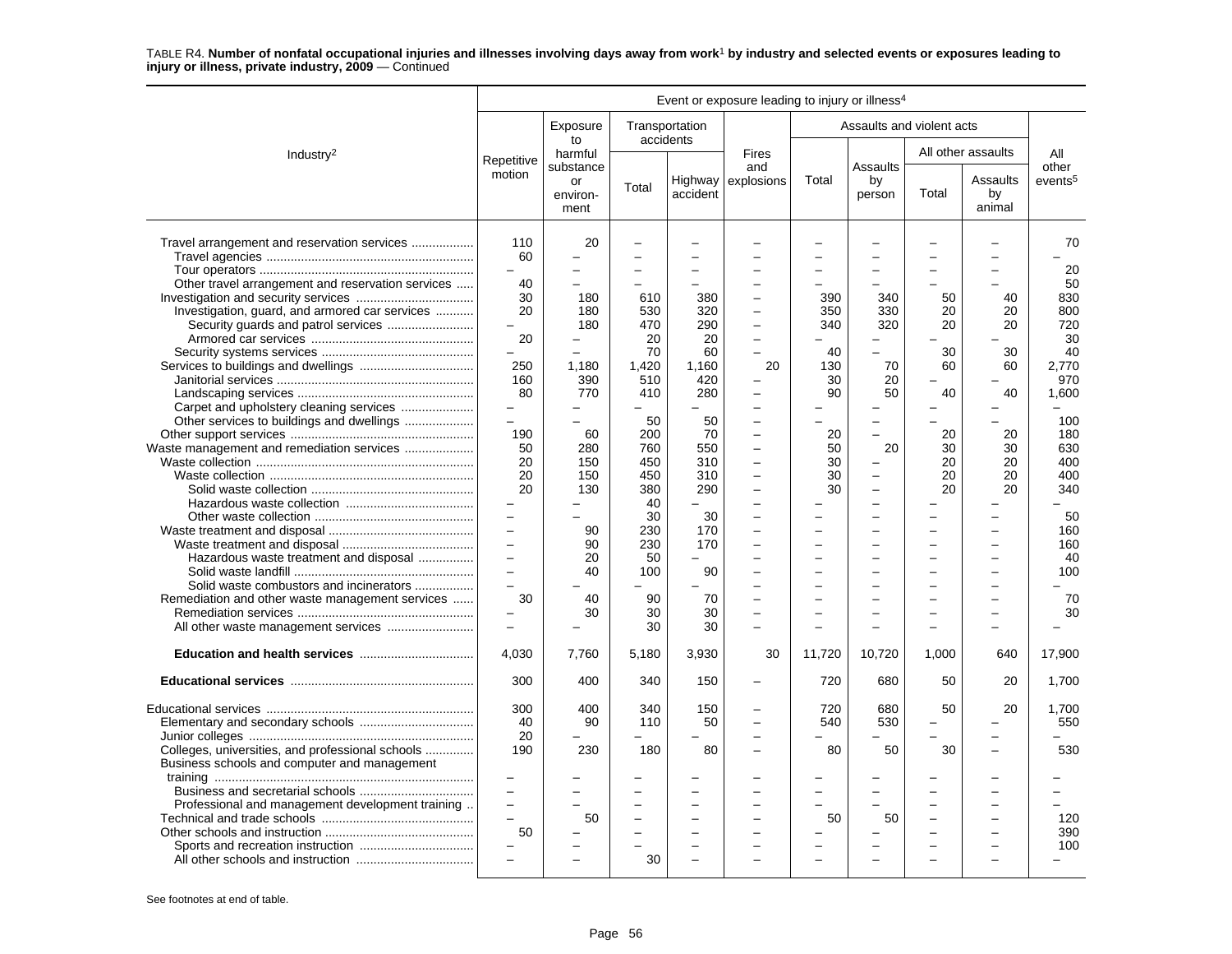|                                                                                                                                                    |                                                                                                                                           |                                              |                                           |                                        | Event or exposure leading to injury or illness <sup>4</sup>            |                                      |                                                                                                |                            |                                                      |                                          |
|----------------------------------------------------------------------------------------------------------------------------------------------------|-------------------------------------------------------------------------------------------------------------------------------------------|----------------------------------------------|-------------------------------------------|----------------------------------------|------------------------------------------------------------------------|--------------------------------------|------------------------------------------------------------------------------------------------|----------------------------|------------------------------------------------------|------------------------------------------|
|                                                                                                                                                    |                                                                                                                                           | Exposure<br>to                               |                                           | Transportation<br>accidents            |                                                                        |                                      |                                                                                                | Assaults and violent acts  |                                                      |                                          |
| Industry <sup>2</sup>                                                                                                                              | Repetitive                                                                                                                                | harmful<br>substance                         |                                           |                                        | <b>Fires</b><br>and                                                    |                                      | Assaults                                                                                       |                            | All other assaults                                   | All<br>other                             |
|                                                                                                                                                    | motion                                                                                                                                    | or<br>environ-<br>ment                       | Total                                     | accident                               | Highway explosions                                                     | Total                                | by<br>person                                                                                   | Total                      | Assaults<br>by<br>animal                             | events <sup>5</sup>                      |
| Travel arrangement and reservation services<br>Other travel arrangement and reservation services<br>Investigation, guard, and armored car services | 110<br>60<br>$\overline{\phantom{0}}$<br>40<br>30<br>20                                                                                   | 20<br>$\overline{\phantom{0}}$<br>180<br>180 | L.<br>610<br>530                          | $\overline{\phantom{0}}$<br>380<br>320 |                                                                        | 390<br>350                           | $\overline{\phantom{0}}$<br>340<br>330                                                         | 50<br>20                   | 40<br>20                                             | 70<br>20<br>50<br>830<br>800             |
|                                                                                                                                                    | 20<br>250<br>160<br>80<br>$\qquad \qquad -$                                                                                               | 180<br>1.180<br>390<br>770                   | 470<br>20<br>70<br>1.420<br>510<br>410    | 290<br>20<br>60<br>1,160<br>420<br>280 | $\overline{a}$<br>÷<br>20                                              | 340<br>40<br>130<br>30<br>90         | 320<br>$\overline{\phantom{0}}$<br>$\equiv$<br>70<br>20<br>50                                  | 20<br>30<br>60<br>40       | 20<br>30<br>60<br>40                                 | 720<br>30<br>40<br>2.770<br>970<br>1,600 |
| Other services to buildings and dwellings<br>Waste management and remediation services                                                             | $\overline{a}$<br>190<br>50<br>20<br>20<br>20                                                                                             | 60<br>280<br>150<br>150<br>130               | 50<br>200<br>760<br>450<br>450<br>380     | 50<br>70<br>550<br>310<br>310<br>290   | $\overline{\phantom{a}}$<br>$\overline{a}$<br>$\overline{\phantom{0}}$ | 20<br>50<br>30<br>30<br>30           | $\equiv$<br>$\equiv$<br>20<br>$\overline{\phantom{0}}$<br>$\equiv$<br>$\overline{\phantom{0}}$ | 20<br>30<br>20<br>20<br>20 | 20<br>30<br>20<br>20<br>20                           | 100<br>180<br>630<br>400<br>400<br>340   |
| Hazardous waste treatment and disposal  <br>Solid waste combustors and incinerators<br>Remediation and other waste management services             | $\qquad \qquad -$<br>$\overline{\phantom{m}}$<br>$\overline{a}$<br>$\overline{\phantom{0}}$<br>$\equiv$<br>$\overline{\phantom{0}}$<br>30 | 90<br>90<br>20<br>40<br>40                   | 40<br>30<br>230<br>230<br>50<br>100<br>90 | 30<br>170<br>170<br>90<br>70           |                                                                        | $\equiv$<br>$\overline{\phantom{0}}$ | ÷<br>$\equiv$<br>$\equiv$<br>$\overline{\phantom{0}}$                                          | $=$                        | $\overline{\phantom{0}}$<br>$\overline{\phantom{0}}$ | 50<br>160<br>160<br>40<br>100<br>70      |
| All other waste management services                                                                                                                | $\overline{\phantom{0}}$                                                                                                                  | 30                                           | 30<br>30                                  | 30<br>30                               |                                                                        |                                      | -<br>$\equiv$                                                                                  |                            |                                                      | 30                                       |
|                                                                                                                                                    | 4,030                                                                                                                                     | 7,760                                        | 5,180                                     | 3,930                                  | 30                                                                     | 11,720                               | 10,720                                                                                         | 1,000                      | 640                                                  | 17,900                                   |
|                                                                                                                                                    | 300                                                                                                                                       | 400                                          | 340                                       | 150                                    |                                                                        | 720                                  | 680                                                                                            | 50                         | 20                                                   | 1,700                                    |
| Colleges, universities, and professional schools<br>Business schools and computer and management                                                   | 300<br>40<br>20<br>190                                                                                                                    | 400<br>90<br>230                             | 340<br>110<br>180                         | 150<br>50<br>80                        |                                                                        | 720<br>540<br>80                     | 680<br>530<br>50                                                                               | 50<br>30                   | 20                                                   | 1.700<br>550<br>530                      |
| Professional and management development training                                                                                                   | $\equiv$<br>$\overline{\phantom{0}}$<br>50                                                                                                | 50                                           | 30                                        |                                        |                                                                        | 50                                   | 50                                                                                             |                            |                                                      | 120<br>390<br>100                        |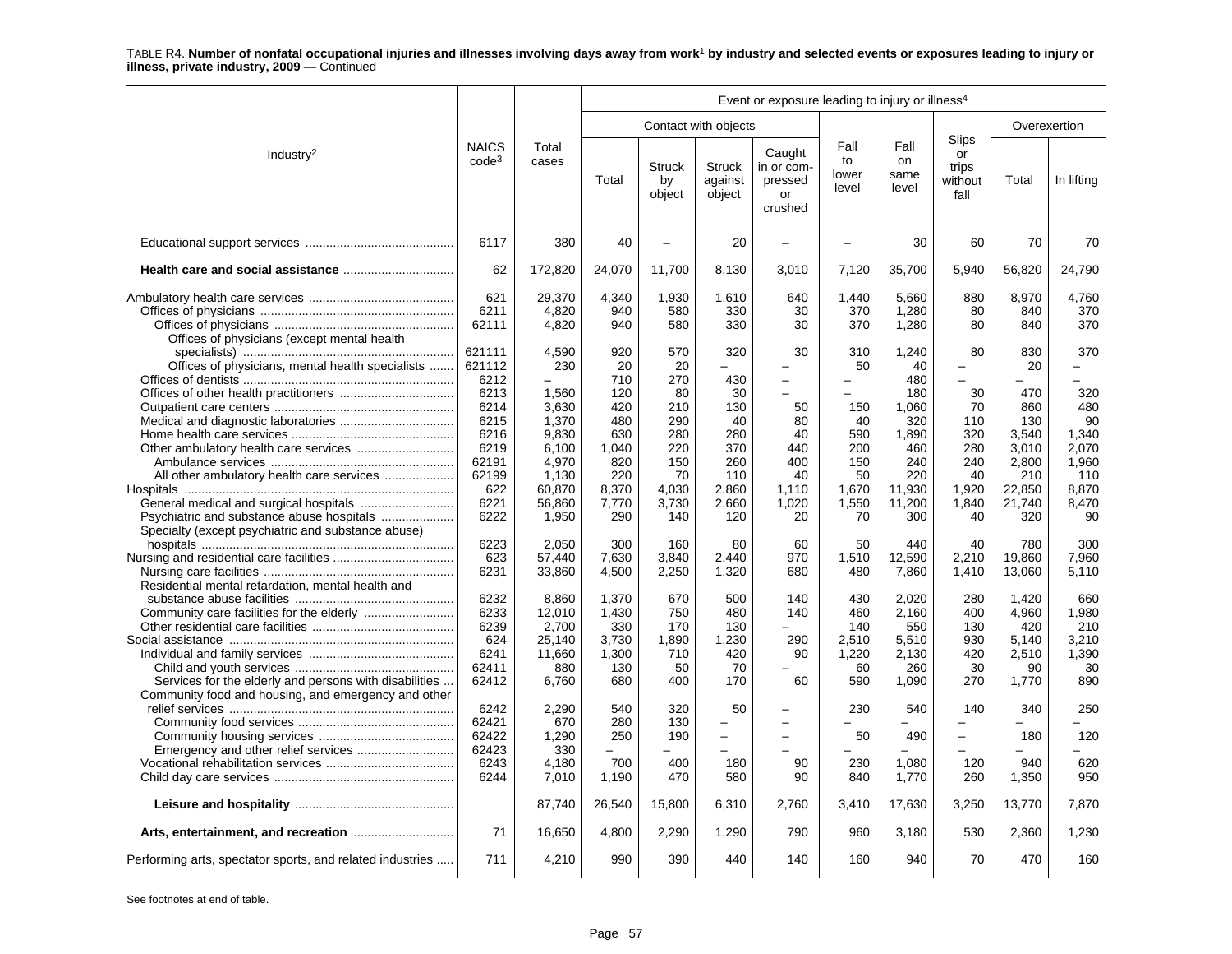| Event or exposure leading to injury or illness <sup>4</sup>                                                   |                                   |                                    |                                |                            |                                                            |                                                  |                                       |                                |                                                             |                                |                              |
|---------------------------------------------------------------------------------------------------------------|-----------------------------------|------------------------------------|--------------------------------|----------------------------|------------------------------------------------------------|--------------------------------------------------|---------------------------------------|--------------------------------|-------------------------------------------------------------|--------------------------------|------------------------------|
|                                                                                                               |                                   |                                    |                                |                            | Contact with objects                                       |                                                  |                                       |                                |                                                             | Overexertion                   |                              |
| Industry $2$                                                                                                  | <b>NAICS</b><br>code <sup>3</sup> | Total<br>cases                     | Total                          | Struck<br>by<br>object     | <b>Struck</b><br>against<br>object                         | Caught<br>in or com-<br>pressed<br>or<br>crushed | Fall<br>to<br>lower<br>level          | Fall<br>on<br>same<br>level    | Slips<br>or<br>trips<br>without<br>fall                     | Total                          | In lifting                   |
|                                                                                                               | 6117                              | 380                                | 40                             |                            | 20                                                         |                                                  |                                       | 30                             | 60                                                          | 70                             | 70                           |
|                                                                                                               | 62                                | 172,820                            | 24,070                         | 11,700                     | 8,130                                                      | 3.010                                            | 7,120                                 | 35,700                         | 5,940                                                       | 56,820                         | 24.790                       |
| Offices of physicians (except mental health                                                                   | 621<br>6211<br>62111              | 29,370<br>4,820<br>4,820           | 4,340<br>940<br>940            | 1.930<br>580<br>580        | 1,610<br>330<br>330                                        | 640<br>30<br>30                                  | 1.440<br>370<br>370                   | 5.660<br>1,280<br>1,280        | 880<br>80<br>80                                             | 8,970<br>840<br>840            | 4,760<br>370<br>370          |
| Offices of physicians, mental health specialists                                                              | 621111<br>621112<br>6212          | 4,590<br>230                       | 920<br>20<br>710               | 570<br>20<br>270           | 320<br>430                                                 | 30<br>$\overline{\phantom{0}}$                   | 310<br>50<br>$\overline{\phantom{0}}$ | 1,240<br>40<br>480             | 80<br>$\overline{\phantom{0}}$<br>$\equiv$                  | 830<br>20                      | 370                          |
|                                                                                                               | 6213<br>6214<br>6215<br>6216      | 1,560<br>3,630<br>1,370<br>9,830   | 120<br>420<br>480<br>630       | 80<br>210<br>290<br>280    | 30<br>130<br>40<br>280                                     | 50<br>80<br>40                                   | $\overline{a}$<br>150<br>40<br>590    | 180<br>1.060<br>320<br>1.890   | 30<br>70<br>110<br>320                                      | 470<br>860<br>130<br>3.540     | 320<br>480<br>90<br>1.340    |
|                                                                                                               | 6219<br>62191<br>62199            | 6,100<br>4,970<br>1,130            | 1,040<br>820<br>220            | 220<br>150<br>70           | 370<br>260<br>110                                          | 440<br>400<br>40                                 | 200<br>150<br>50                      | 460<br>240<br>220              | 280<br>240<br>40                                            | 3,010<br>2,800<br>210          | 2,070<br>1,960<br>110        |
| Psychiatric and substance abuse hospitals<br>Specialty (except psychiatric and substance abuse)               | 622<br>6221<br>6222               | 60,870<br>56,860<br>1,950          | 8,370<br>7,770<br>290          | 4,030<br>3,730<br>140      | 2,860<br>2,660<br>120                                      | 1,110<br>1,020<br>20                             | 1,670<br>1,550<br>70                  | 11.930<br>11,200<br>300        | 1,920<br>1,840<br>40                                        | 22.850<br>21,740<br>320        | 8.870<br>8,470<br>90         |
| Residential mental retardation, mental health and                                                             | 6223<br>623<br>6231               | 2.050<br>57,440<br>33,860          | 300<br>7.630<br>4,500          | 160<br>3.840<br>2,250      | 80<br>2.440<br>1,320                                       | 60<br>970<br>680                                 | 50<br>1.510<br>480                    | 440<br>12,590<br>7,860         | 40<br>2,210<br>1,410                                        | 780<br>19.860<br>13,060        | 300<br>7.960<br>5.110        |
|                                                                                                               | 6232<br>6233<br>6239<br>624       | 8,860<br>12.010<br>2,700<br>25,140 | 1.370<br>1.430<br>330<br>3,730 | 670<br>750<br>170<br>1,890 | 500<br>480<br>130<br>1,230                                 | 140<br>140<br>-<br>290                           | 430<br>460<br>140<br>2,510            | 2.020<br>2.160<br>550<br>5,510 | 280<br>400<br>130<br>930                                    | 1.420<br>4.960<br>420<br>5.140 | 660<br>1.980<br>210<br>3,210 |
| Services for the elderly and persons with disabilities<br>Community food and housing, and emergency and other | 6241<br>62411<br>62412            | 11,660<br>880<br>6,760             | 1,300<br>130<br>680            | 710<br>50<br>400           | 420<br>70<br>170                                           | 90<br>60                                         | 1,220<br>60<br>590                    | 2,130<br>260<br>1,090          | 420<br>30<br>270                                            | 2,510<br>90<br>1,770           | 1,390<br>30<br>890           |
|                                                                                                               | 6242<br>62421<br>62422<br>62423   | 2,290<br>670<br>1,290<br>330       | 540<br>280<br>250              | 320<br>130<br>190          | 50<br>$\overline{\phantom{0}}$<br>$\overline{\phantom{0}}$ |                                                  | 230<br>50                             | 540<br>490                     | 140<br>$\overline{\phantom{0}}$<br>$\overline{\phantom{m}}$ | 340<br>÷<br>180                | 250<br>120                   |
|                                                                                                               | 6243<br>6244                      | 4,180<br>7,010                     | 700<br>1.190                   | 400<br>470                 | 180<br>580                                                 | 90<br>90                                         | 230<br>840                            | 1.080<br>1,770                 | 120<br>260                                                  | 940<br>1,350                   | 620<br>950                   |
|                                                                                                               | 71                                | 87,740<br>16,650                   | 26,540<br>4,800                | 15,800<br>2,290            | 6,310<br>1,290                                             | 2,760<br>790                                     | 3,410<br>960                          | 17,630<br>3,180                | 3,250<br>530                                                | 13,770<br>2,360                | 7,870<br>1,230               |
| Performing arts, spectator sports, and related industries                                                     | 711                               | 4,210                              | 990                            | 390                        | 440                                                        | 140                                              | 160                                   | 940                            | 70                                                          | 470                            | 160                          |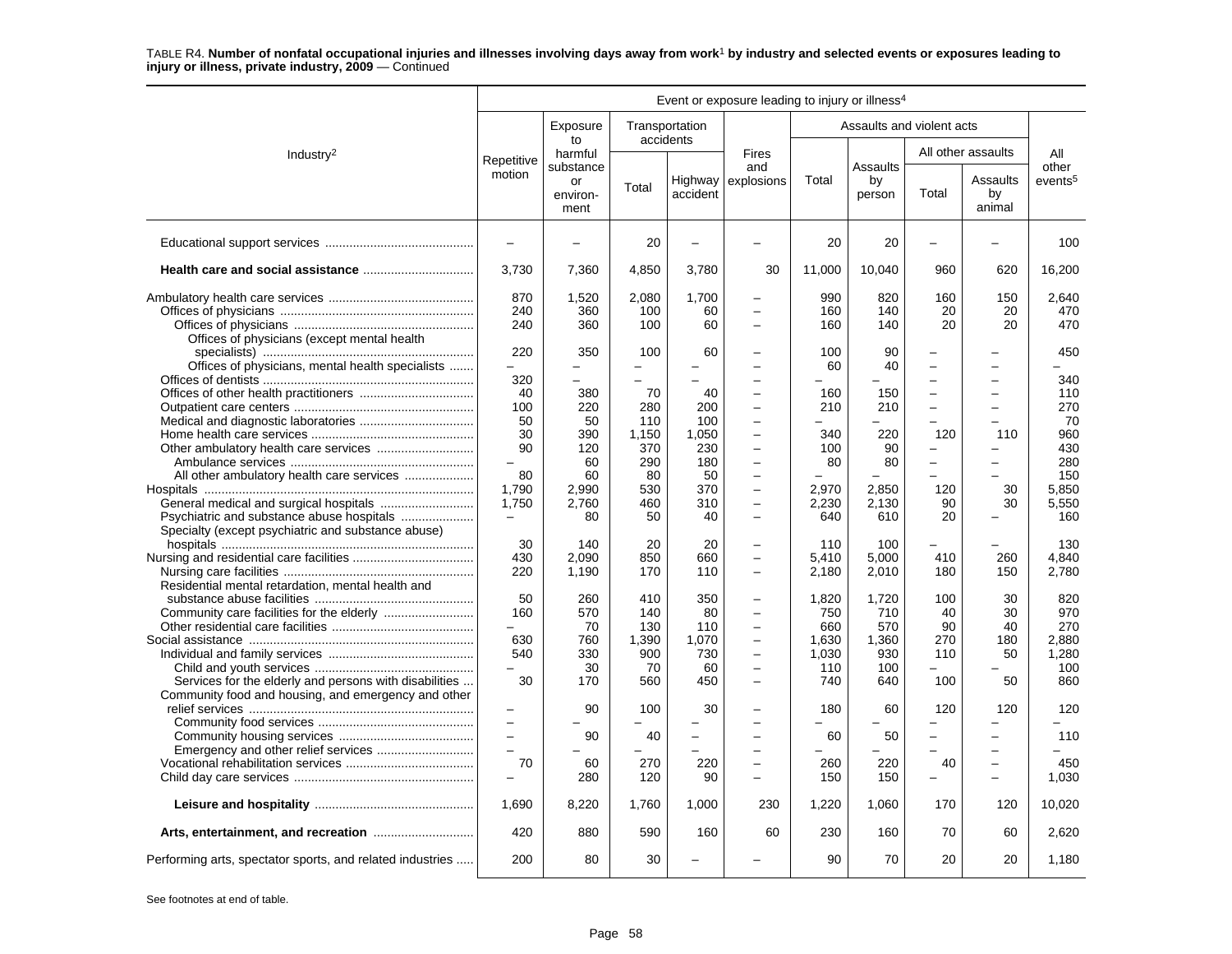|                                                           |                          |                        |       |                             | Event or exposure leading to injury or illness <sup>4</sup> |        |                           |                          |                          |                     |
|-----------------------------------------------------------|--------------------------|------------------------|-------|-----------------------------|-------------------------------------------------------------|--------|---------------------------|--------------------------|--------------------------|---------------------|
|                                                           |                          | Exposure<br>to         |       | Transportation<br>accidents |                                                             |        | Assaults and violent acts |                          |                          |                     |
| Industry <sup>2</sup>                                     | Repetitive               | harmful<br>substance   |       |                             | <b>Fires</b><br>and                                         |        | Assaults                  |                          | All other assaults       | All<br>other        |
|                                                           | motion                   | or<br>environ-<br>ment | Total | Highway<br>accident         | explosions                                                  | Total  | by<br>person              | Total                    | Assaults<br>by<br>animal | events <sup>5</sup> |
|                                                           | ÷                        |                        | 20    | $\overline{\phantom{0}}$    |                                                             | 20     | 20                        | $\overline{\phantom{0}}$ | -                        | 100                 |
|                                                           | 3,730                    | 7,360                  | 4,850 | 3,780                       | 30                                                          | 11,000 | 10,040                    | 960                      | 620                      | 16,200              |
|                                                           | 870                      | 1,520                  | 2,080 | 1,700                       | $\overline{\phantom{0}}$                                    | 990    | 820                       | 160                      | 150                      | 2.640               |
|                                                           | 240                      | 360                    | 100   | 60                          | $\overline{\phantom{0}}$                                    | 160    | 140                       | 20                       | 20                       | 470                 |
|                                                           | 240                      | 360                    | 100   | 60                          | $\overline{\phantom{0}}$                                    | 160    | 140                       | 20                       | 20                       | 470                 |
| Offices of physicians (except mental health               |                          |                        |       |                             |                                                             |        |                           |                          |                          |                     |
|                                                           | 220                      | 350                    | 100   | 60                          |                                                             | 100    | 90                        |                          |                          | 450                 |
| Offices of physicians, mental health specialists          | $\overline{\phantom{0}}$ |                        |       |                             |                                                             | 60     | 40                        | $\overline{\phantom{0}}$ |                          |                     |
|                                                           | 320                      |                        |       |                             |                                                             |        |                           |                          |                          | 340                 |
|                                                           | 40                       | 380                    | 70    | 40                          | $\overline{\phantom{0}}$                                    | 160    | 150                       | $\equiv$                 | $\overline{a}$           | 110                 |
|                                                           | 100                      | 220                    | 280   | 200                         | $\overline{\phantom{0}}$                                    | 210    | 210                       | $\overline{\phantom{0}}$ |                          | 270                 |
|                                                           | 50                       | 50                     | 110   | 100                         | L.                                                          |        |                           | L.                       |                          | 70                  |
|                                                           | 30                       | 390                    | 1.150 | 1.050                       | ÷                                                           | 340    | 220                       | 120                      | 110                      | 960                 |
|                                                           | 90                       | 120                    | 370   | 230                         | $\overline{\phantom{0}}$                                    | 100    | 90                        |                          |                          | 430                 |
|                                                           | $\overline{\phantom{0}}$ | 60                     | 290   | 180                         | $\overline{\phantom{0}}$                                    | 80     | 80                        | $\equiv$                 |                          | 280                 |
|                                                           | 80                       | 60                     | 80    | 50                          | $\overline{\phantom{0}}$                                    |        |                           |                          |                          | 150                 |
|                                                           | 1,790                    | 2,990                  | 530   | 370                         | $\equiv$                                                    | 2,970  | 2,850                     | 120                      | 30                       | 5,850               |
|                                                           | 1,750                    | 2.760                  | 460   | 310                         | -                                                           | 2,230  | 2.130                     | 90                       | 30                       | 5.550               |
|                                                           |                          | 80                     | 50    | 40                          | $\overline{\phantom{0}}$                                    | 640    | 610                       | 20                       |                          | 160                 |
| Specialty (except psychiatric and substance abuse)        | 30                       | 140                    | 20    | 20                          | $\overline{\phantom{0}}$                                    | 110    | 100                       |                          |                          | 130                 |
|                                                           | 430                      | 2,090                  | 850   | 660                         | L.                                                          | 5,410  | 5,000                     | 410                      | 260                      | 4,840               |
|                                                           | 220                      | 1,190                  | 170   | 110                         | $\overline{\phantom{0}}$                                    | 2,180  | 2,010                     | 180                      | 150                      | 2,780               |
| Residential mental retardation, mental health and         |                          |                        |       |                             |                                                             |        |                           |                          |                          |                     |
|                                                           | 50                       | 260                    | 410   | 350                         | ÷                                                           | 1,820  | 1,720                     | 100                      | 30                       | 820                 |
|                                                           | 160                      | 570                    | 140   | 80                          | $\equiv$                                                    | 750    | 710                       | 40                       | 30                       | 970                 |
|                                                           | ÷                        | 70                     | 130   | 110                         | $\overline{a}$                                              | 660    | 570                       | 90                       | 40                       | 270                 |
|                                                           | 630                      | 760                    | 1.390 | 1.070                       | $\overline{\phantom{0}}$                                    | 1.630  | 1.360                     | 270                      | 180                      | 2.880               |
|                                                           | 540                      | 330                    | 900   | 730                         | $\overline{\phantom{0}}$                                    | 1,030  | 930                       | 110                      | 50                       | 1,280               |
|                                                           |                          | 30                     | 70    | 60                          | L,                                                          | 110    | 100                       |                          |                          | 100                 |
| Services for the elderly and persons with disabilities    | 30                       | 170                    | 560   | 450                         | L.                                                          | 740    | 640                       | 100                      | 50                       | 860                 |
| Community food and housing, and emergency and other       | -                        | 90                     | 100   | 30                          |                                                             | 180    | 60                        | 120                      | 120                      | 120                 |
|                                                           | $\overline{a}$           |                        |       |                             |                                                             |        |                           |                          |                          |                     |
|                                                           | $\overline{a}$           | 90                     | 40    | $\overline{\phantom{0}}$    |                                                             | 60     | 50                        | $\equiv$                 | $\equiv$                 | 110                 |
|                                                           | $\overline{\phantom{0}}$ |                        |       |                             | $\overline{\phantom{0}}$                                    |        |                           | $\overline{a}$           | $\overline{\phantom{0}}$ |                     |
|                                                           | 70                       | 60                     | 270   | 220                         | $\overline{\phantom{0}}$                                    | 260    | 220                       | 40                       | -                        | 450                 |
|                                                           | $\overline{\phantom{0}}$ | 280                    | 120   | 90                          | $\overline{\phantom{0}}$                                    | 150    | 150                       | $\overline{\phantom{0}}$ | $\overline{\phantom{0}}$ | 1.030               |
|                                                           | 1,690                    | 8,220                  | 1,760 | 1,000                       | 230                                                         | 1,220  | 1,060                     | 170                      | 120                      | 10,020              |
|                                                           | 420                      | 880                    | 590   | 160                         | 60                                                          | 230    | 160                       | 70                       | 60                       | 2.620               |
| Performing arts, spectator sports, and related industries | 200                      | 80                     | 30    |                             |                                                             | 90     | 70                        | 20                       | 20                       | 1,180               |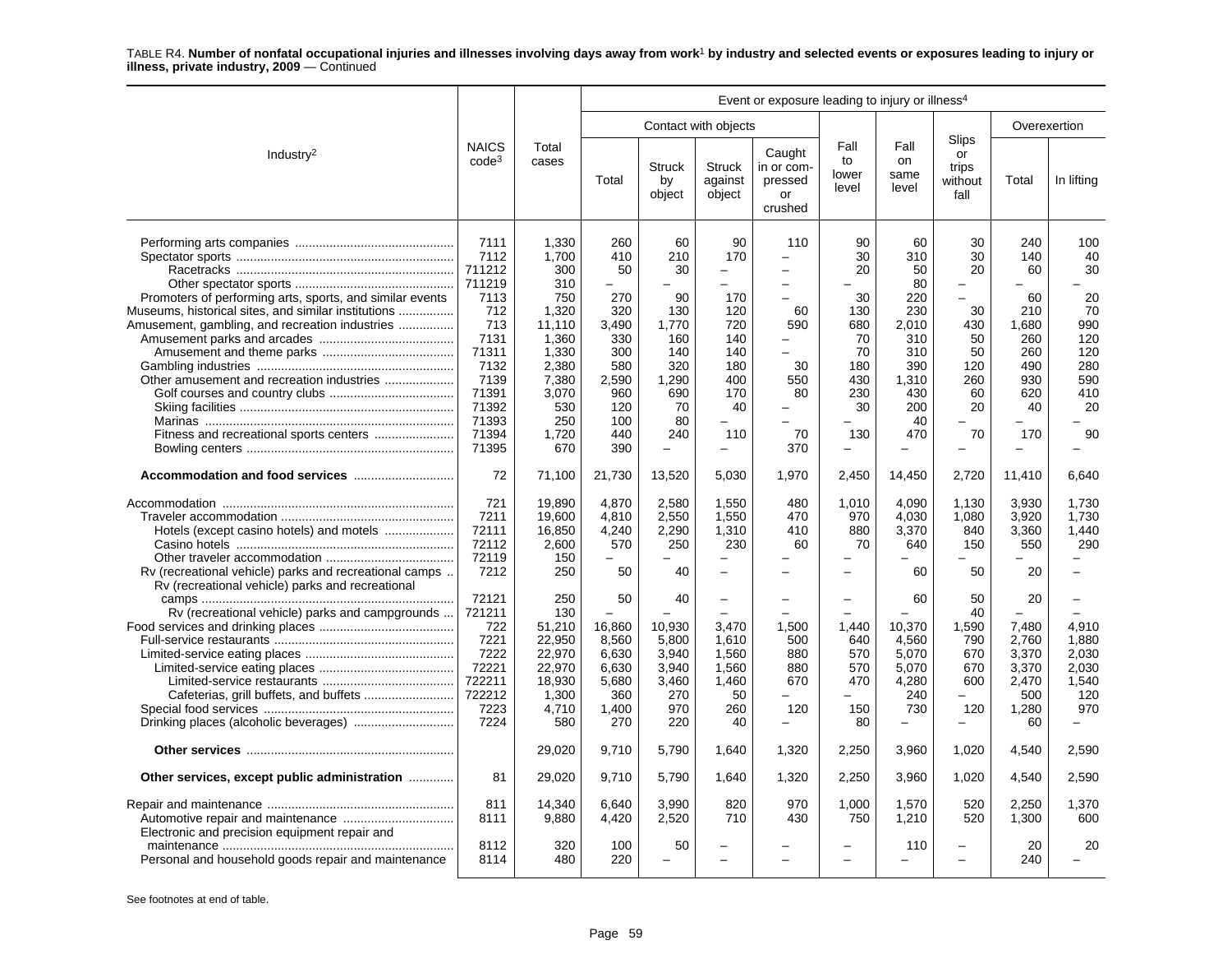|                                                                                                                                                                                                                                                           |                                                                                                                                      |                                                                                                                                   |                                                                                                                      |                                                                                                                                                       |                                                                                                                                                  | Event or exposure leading to injury or illness <sup>4</sup> |                                                                                                              |                                                                                                                                   |                                                                                                                                 |                                                                                        |                                                                                     |
|-----------------------------------------------------------------------------------------------------------------------------------------------------------------------------------------------------------------------------------------------------------|--------------------------------------------------------------------------------------------------------------------------------------|-----------------------------------------------------------------------------------------------------------------------------------|----------------------------------------------------------------------------------------------------------------------|-------------------------------------------------------------------------------------------------------------------------------------------------------|--------------------------------------------------------------------------------------------------------------------------------------------------|-------------------------------------------------------------|--------------------------------------------------------------------------------------------------------------|-----------------------------------------------------------------------------------------------------------------------------------|---------------------------------------------------------------------------------------------------------------------------------|----------------------------------------------------------------------------------------|-------------------------------------------------------------------------------------|
|                                                                                                                                                                                                                                                           |                                                                                                                                      |                                                                                                                                   |                                                                                                                      |                                                                                                                                                       | Contact with objects                                                                                                                             |                                                             |                                                                                                              |                                                                                                                                   |                                                                                                                                 | Overexertion                                                                           |                                                                                     |
| Industry <sup>2</sup>                                                                                                                                                                                                                                     | <b>NAICS</b><br>$code^3$                                                                                                             | Total<br>cases                                                                                                                    | Total                                                                                                                | Struck<br>by<br>object                                                                                                                                | <b>Struck</b><br>against<br>object                                                                                                               | Caught<br>in or com-<br>pressed<br>or<br>crushed            | Fall<br>to<br>lower<br>level                                                                                 | Fall<br>on<br>same<br>level                                                                                                       | Slips<br>or<br>trips<br>without<br>fall                                                                                         | Total                                                                                  | In lifting                                                                          |
| Promoters of performing arts, sports, and similar events<br>Museums, historical sites, and similar institutions<br>Amusement, gambling, and recreation industries<br>Other amusement and recreation industries<br>Fitness and recreational sports centers | 7111<br>7112<br>711212<br>711219<br>7113<br>712<br>713<br>7131<br>71311<br>7132<br>7139<br>71391<br>71392<br>71393<br>71394<br>71395 | 1,330<br>1,700<br>300<br>310<br>750<br>1,320<br>11,110<br>1,360<br>1,330<br>2,380<br>7,380<br>3,070<br>530<br>250<br>1.720<br>670 | 260<br>410<br>50<br>$\equiv$<br>270<br>320<br>3.490<br>330<br>300<br>580<br>2.590<br>960<br>120<br>100<br>440<br>390 | 60<br>210<br>30<br>$\overline{\phantom{0}}$<br>90<br>130<br>1.770<br>160<br>140<br>320<br>1,290<br>690<br>70<br>80<br>240<br>$\overline{\phantom{m}}$ | 90<br>170<br>-<br>$\overline{\phantom{0}}$<br>170<br>120<br>720<br>140<br>140<br>180<br>400<br>170<br>40<br>÷<br>110<br>$\overline{\phantom{0}}$ | 110<br>60<br>590<br>-<br>30<br>550<br>80<br>70<br>370       | 90<br>30<br>20<br>30<br>130<br>680<br>70<br>70<br>180<br>430<br>230<br>30<br>130<br>$\overline{\phantom{0}}$ | 60<br>310<br>50<br>80<br>220<br>230<br>2.010<br>310<br>310<br>390<br>1.310<br>430<br>200<br>40<br>470<br>$\overline{\phantom{0}}$ | 30<br>30<br>20<br>$\overline{\phantom{a}}$<br>30<br>430<br>50<br>50<br>120<br>260<br>60<br>20<br>70<br>$\overline{\phantom{0}}$ | 240<br>140<br>60<br>60<br>210<br>1.680<br>260<br>260<br>490<br>930<br>620<br>40<br>170 | 100<br>40<br>30<br>20<br>70<br>990<br>120<br>120<br>280<br>590<br>410<br>20<br>90   |
|                                                                                                                                                                                                                                                           | 72                                                                                                                                   | 71,100                                                                                                                            | 21,730                                                                                                               | 13,520                                                                                                                                                | 5,030                                                                                                                                            | 1,970                                                       | 2,450                                                                                                        | 14,450                                                                                                                            | 2,720                                                                                                                           | 11,410                                                                                 | 6,640                                                                               |
| Hotels (except casino hotels) and motels<br>Rv (recreational vehicle) parks and recreational camps<br>Rv (recreational vehicle) parks and recreational                                                                                                    | 721<br>7211<br>72111<br>72112<br>72119<br>7212                                                                                       | 19,890<br>19,600<br>16,850<br>2,600<br>150<br>250                                                                                 | 4,870<br>4,810<br>4.240<br>570<br>50                                                                                 | 2,580<br>2,550<br>2,290<br>250<br>40                                                                                                                  | 1,550<br>1,550<br>1,310<br>230<br>$\overline{\phantom{0}}$                                                                                       | 480<br>470<br>410<br>60                                     | 1,010<br>970<br>880<br>70                                                                                    | 4.090<br>4,030<br>3.370<br>640<br>60                                                                                              | 1,130<br>1,080<br>840<br>150<br>50                                                                                              | 3,930<br>3,920<br>3.360<br>550<br>20                                                   | 1,730<br>1.730<br>1.440<br>290                                                      |
| Rv (recreational vehicle) parks and campgrounds                                                                                                                                                                                                           | 72121<br>721211<br>722<br>7221<br>7222<br>72221<br>722211<br>722212<br>7223<br>7224                                                  | 250<br>130<br>51,210<br>22,950<br>22,970<br>22,970<br>18,930<br>1,300<br>4,710<br>580                                             | 50<br>16,860<br>8,560<br>6,630<br>6,630<br>5,680<br>360<br>1,400<br>270                                              | 40<br>10,930<br>5,800<br>3,940<br>3,940<br>3,460<br>270<br>970<br>220                                                                                 | $\overline{\phantom{0}}$<br>3,470<br>1.610<br>1,560<br>1.560<br>1,460<br>50<br>260<br>40                                                         | 1,500<br>500<br>880<br>880<br>670<br>120<br>$\equiv$        | $\overline{\phantom{0}}$<br>1,440<br>640<br>570<br>570<br>470<br>$\equiv$<br>150<br>80                       | 60<br>10,370<br>4.560<br>5,070<br>5.070<br>4,280<br>240<br>730<br>$\overline{\phantom{0}}$                                        | 50<br>40<br>1,590<br>790<br>670<br>670<br>600<br>120<br>$\equiv$                                                                | 20<br>7,480<br>2.760<br>3,370<br>3,370<br>2,470<br>500<br>1,280<br>60                  | $\overline{\phantom{0}}$<br>4,910<br>1.880<br>2,030<br>2.030<br>1.540<br>120<br>970 |
|                                                                                                                                                                                                                                                           |                                                                                                                                      | 29,020                                                                                                                            | 9,710                                                                                                                | 5,790                                                                                                                                                 | 1,640                                                                                                                                            | 1,320                                                       | 2,250                                                                                                        | 3,960                                                                                                                             | 1,020                                                                                                                           | 4,540                                                                                  | 2,590                                                                               |
| Other services, except public administration                                                                                                                                                                                                              | 81                                                                                                                                   | 29,020                                                                                                                            | 9,710                                                                                                                | 5,790                                                                                                                                                 | 1,640                                                                                                                                            | 1,320                                                       | 2,250                                                                                                        | 3,960                                                                                                                             | 1,020                                                                                                                           | 4,540                                                                                  | 2,590                                                                               |
| Electronic and precision equipment repair and                                                                                                                                                                                                             | 811<br>8111                                                                                                                          | 14,340<br>9,880                                                                                                                   | 6,640<br>4,420                                                                                                       | 3,990<br>2,520                                                                                                                                        | 820<br>710                                                                                                                                       | 970<br>430                                                  | 1,000<br>750                                                                                                 | 1,570<br>1,210                                                                                                                    | 520<br>520                                                                                                                      | 2,250<br>1,300                                                                         | 1,370<br>600                                                                        |
| Personal and household goods repair and maintenance                                                                                                                                                                                                       | 8112<br>8114                                                                                                                         | 320<br>480                                                                                                                        | 100<br>220                                                                                                           | 50                                                                                                                                                    | L.                                                                                                                                               |                                                             |                                                                                                              | 110                                                                                                                               | $\overline{\phantom{0}}$                                                                                                        | 20<br>240                                                                              | 20                                                                                  |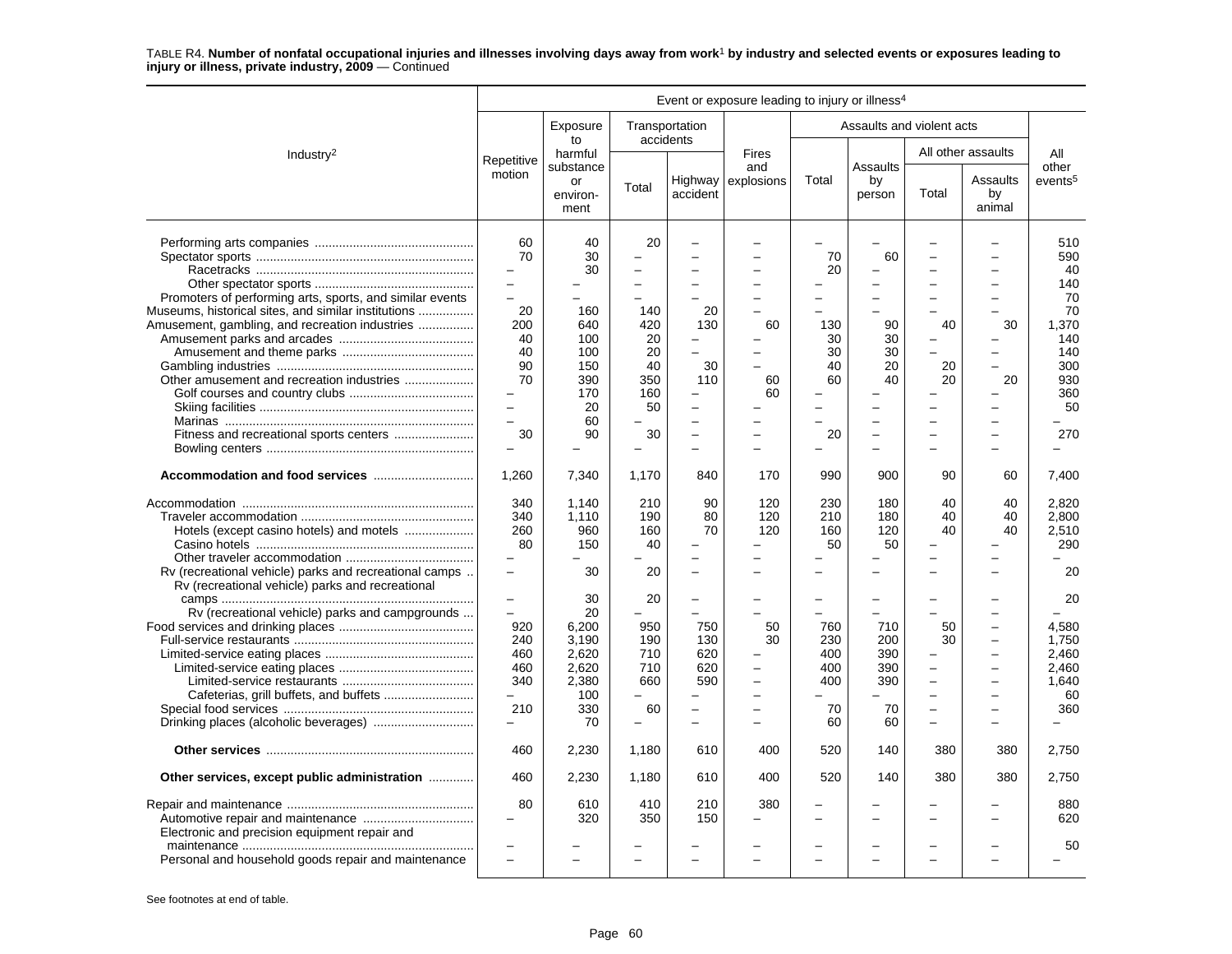|                                                                                                                                                        |                                                                                                                                 |                                                                           |                                                                                           |                                                                                     | Event or exposure leading to injury or illness <sup>4</sup> |                                                  |                                                      |                                                        |                                                        |                                                              |
|--------------------------------------------------------------------------------------------------------------------------------------------------------|---------------------------------------------------------------------------------------------------------------------------------|---------------------------------------------------------------------------|-------------------------------------------------------------------------------------------|-------------------------------------------------------------------------------------|-------------------------------------------------------------|--------------------------------------------------|------------------------------------------------------|--------------------------------------------------------|--------------------------------------------------------|--------------------------------------------------------------|
|                                                                                                                                                        |                                                                                                                                 | Exposure<br>to                                                            |                                                                                           | Transportation<br>accidents                                                         |                                                             |                                                  | Assaults and violent acts                            |                                                        |                                                        |                                                              |
| Industry <sup>2</sup>                                                                                                                                  | Repetitive                                                                                                                      | harmful                                                                   |                                                                                           |                                                                                     | <b>Fires</b>                                                |                                                  |                                                      |                                                        | All other assaults                                     | All                                                          |
|                                                                                                                                                        | motion                                                                                                                          | substance<br>or<br>environ-<br>ment                                       | Total                                                                                     | accident                                                                            | and<br>Highway explosions                                   | Total                                            | <b>Assaults</b><br>by<br>person                      | Total                                                  | Assaults<br>by<br>animal                               | other<br>events <sup>5</sup>                                 |
|                                                                                                                                                        | 60<br>70<br>-<br>$\overline{\phantom{0}}$                                                                                       | 40<br>30<br>30                                                            | 20                                                                                        |                                                                                     |                                                             | 70<br>20                                         | 60                                                   |                                                        |                                                        | 510<br>590<br>40<br>140                                      |
| Promoters of performing arts, sports, and similar events<br>Museums, historical sites, and similar institutions                                        | L.<br>20                                                                                                                        | 160                                                                       | 140                                                                                       | 20                                                                                  | L.                                                          | $\equiv$                                         | $\equiv$                                             |                                                        |                                                        | 70<br>70                                                     |
| Amusement, gambling, and recreation industries                                                                                                         | 200<br>40<br>40<br>90<br>70                                                                                                     | 640<br>100<br>100<br>150<br>390                                           | 420<br>20<br>20<br>40<br>350                                                              | 130<br>30<br>110                                                                    | 60<br>60                                                    | 130<br>30<br>30<br>40<br>60                      | 90<br>30<br>30<br>20<br>40                           | 40<br>20<br>20                                         | 30<br>20                                               | 1,370<br>140<br>140<br>300<br>930                            |
|                                                                                                                                                        | $\equiv$<br>$\overline{a}$<br>30                                                                                                | 170<br>20<br>60<br>90                                                     | 160<br>50<br>30                                                                           | $\equiv$                                                                            | 60                                                          | -<br>20                                          | $\overline{\phantom{0}}$<br>$\overline{\phantom{0}}$ |                                                        | $\equiv$                                               | 360<br>50<br>270                                             |
|                                                                                                                                                        | 1,260                                                                                                                           | 7,340                                                                     | 1.170                                                                                     | 840                                                                                 | 170                                                         | 990                                              | 900                                                  | 90                                                     | 60                                                     | 7.400                                                        |
| Hotels (except casino hotels) and motels<br>Rv (recreational vehicle) parks and recreational camps<br>Rv (recreational vehicle) parks and recreational | 340<br>340<br>260<br>80<br>$\overline{\phantom{0}}$                                                                             | 1,140<br>1.110<br>960<br>150<br>$\overline{\phantom{0}}$<br>30            | 210<br>190<br>160<br>40<br>20                                                             | 90<br>80<br>70                                                                      | 120<br>120<br>120                                           | 230<br>210<br>160<br>50                          | 180<br>180<br>120<br>50                              | 40<br>40<br>40                                         | 40<br>40<br>40                                         | 2,820<br>2.800<br>2.510<br>290<br>20                         |
| Rv (recreational vehicle) parks and campgrounds                                                                                                        | $\qquad \qquad -$<br>$\overline{\phantom{0}}$<br>920<br>240<br>460<br>460<br>340<br>$\overline{\phantom{0}}$<br>210<br>$\equiv$ | 30<br>20<br>6,200<br>3.190<br>2,620<br>2.620<br>2,380<br>100<br>330<br>70 | 20<br>950<br>190<br>710<br>710<br>660<br>$\overline{a}$<br>60<br>$\overline{\phantom{0}}$ | $\overline{\phantom{0}}$<br>750<br>130<br>620<br>620<br>590<br>$\equiv$<br>$\equiv$ | 50<br>30<br>$\overline{\phantom{0}}$<br>÷                   | -<br>760<br>230<br>400<br>400<br>400<br>70<br>60 | -<br>710<br>200<br>390<br>390<br>390<br>70<br>60     | 50<br>30<br>$\overline{\phantom{0}}$<br>$\overline{a}$ | $\overline{\phantom{0}}$<br>$\overline{a}$<br>$\equiv$ | 20<br>4,580<br>1.750<br>2,460<br>2.460<br>1.640<br>60<br>360 |
|                                                                                                                                                        | 460                                                                                                                             | 2,230                                                                     | 1,180                                                                                     | 610                                                                                 | 400                                                         | 520                                              | 140                                                  | 380                                                    | 380                                                    | 2,750                                                        |
| Other services, except public administration                                                                                                           | 460                                                                                                                             | 2,230                                                                     | 1,180                                                                                     | 610                                                                                 | 400                                                         | 520                                              | 140                                                  | 380                                                    | 380                                                    | 2,750                                                        |
| Electronic and precision equipment repair and                                                                                                          | 80<br>-                                                                                                                         | 610<br>320                                                                | 410<br>350                                                                                | 210<br>150                                                                          | 380                                                         | $\equiv$<br>$\overline{\phantom{0}}$             |                                                      |                                                        |                                                        | 880<br>620                                                   |
| Personal and household goods repair and maintenance                                                                                                    | L,<br>$\overline{a}$                                                                                                            |                                                                           | $\sim$                                                                                    |                                                                                     |                                                             | $\equiv$                                         | $\overline{\phantom{a}}$                             |                                                        | $\equiv$                                               | 50                                                           |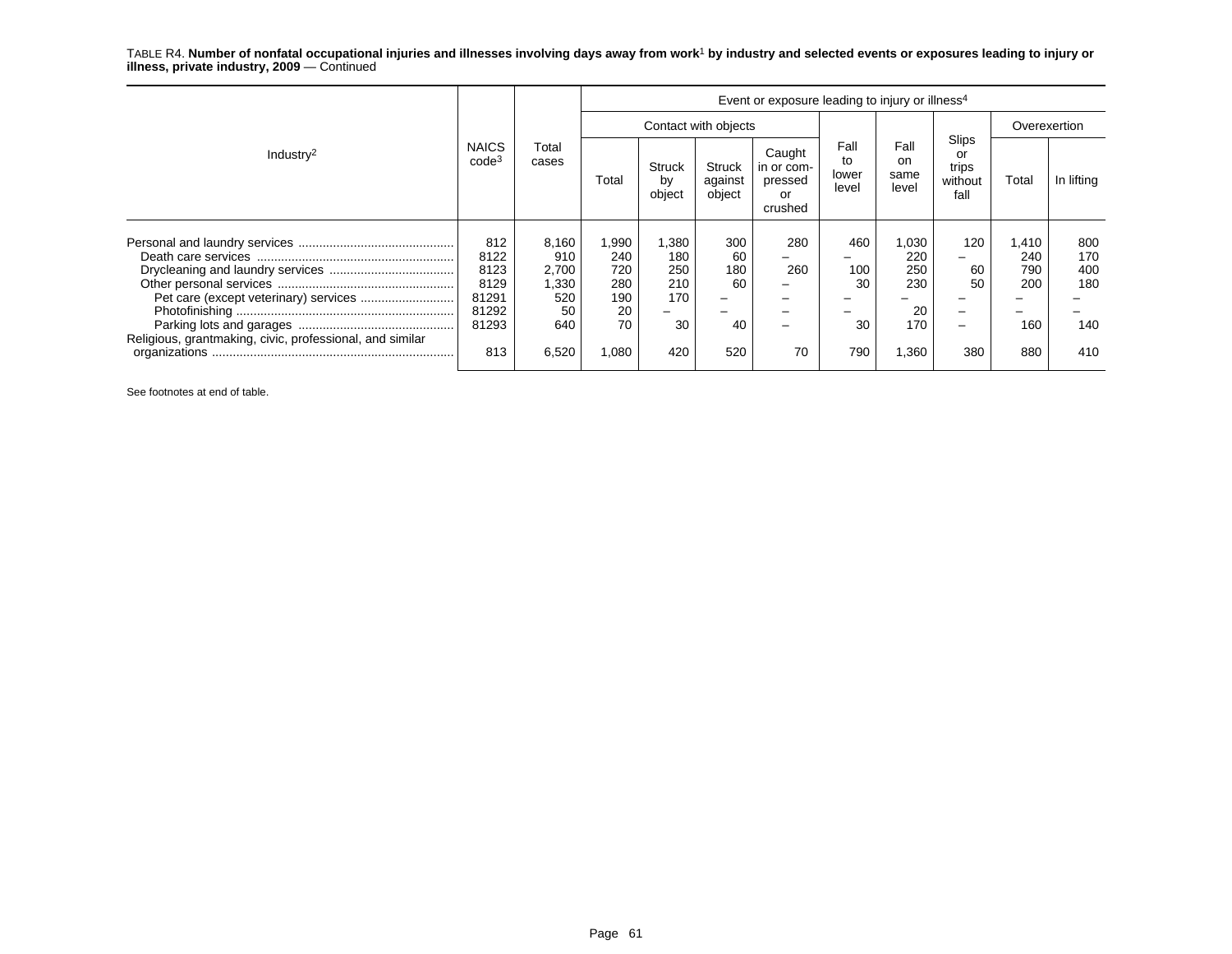| Industry <sup>2</sup>                                                                             | <b>NAICS</b><br>code <sup>3</sup>                             | Total<br>cases                                              | Event or exposure leading to injury or illness <sup>4</sup> |                                                |                                     |                                                  |                               |                                                 |                                                |                                          |                                        |  |
|---------------------------------------------------------------------------------------------------|---------------------------------------------------------------|-------------------------------------------------------------|-------------------------------------------------------------|------------------------------------------------|-------------------------------------|--------------------------------------------------|-------------------------------|-------------------------------------------------|------------------------------------------------|------------------------------------------|----------------------------------------|--|
|                                                                                                   |                                                               |                                                             |                                                             |                                                | Contact with objects                |                                                  | Fall<br>to<br>lower<br>level  | Fall<br>on<br>same<br>level                     | <b>Slips</b><br>or<br>trips<br>without<br>fall | Overexertion                             |                                        |  |
|                                                                                                   |                                                               |                                                             | Total                                                       | <b>Struck</b><br>by<br>object                  | <b>Struck</b><br>against<br>object  | Caught<br>in or com-<br>pressed<br>or<br>crushed |                               |                                                 |                                                | Total                                    | In lifting                             |  |
| Pet care (except veterinary) services<br>Religious, grantmaking, civic, professional, and similar | 812<br>8122<br>8123<br>8129<br>81291<br>81292<br>81293<br>813 | 8,160<br>910<br>2,700<br>1,330<br>520<br>50<br>640<br>6,520 | 990. ا<br>240<br>720<br>280<br>190<br>20<br>70<br>1,080     | 1,380<br>180<br>250<br>210<br>170<br>30<br>420 | 300<br>60<br>180<br>60<br>40<br>520 | 280<br>260<br>70                                 | 460<br>100<br>30<br>30<br>790 | 1,030<br>220<br>250<br>230<br>20<br>170<br>.360 | 120<br>60<br>50<br>-<br>380                    | 1.410<br>240<br>790<br>200<br>160<br>880 | 800<br>170<br>400<br>180<br>140<br>410 |  |